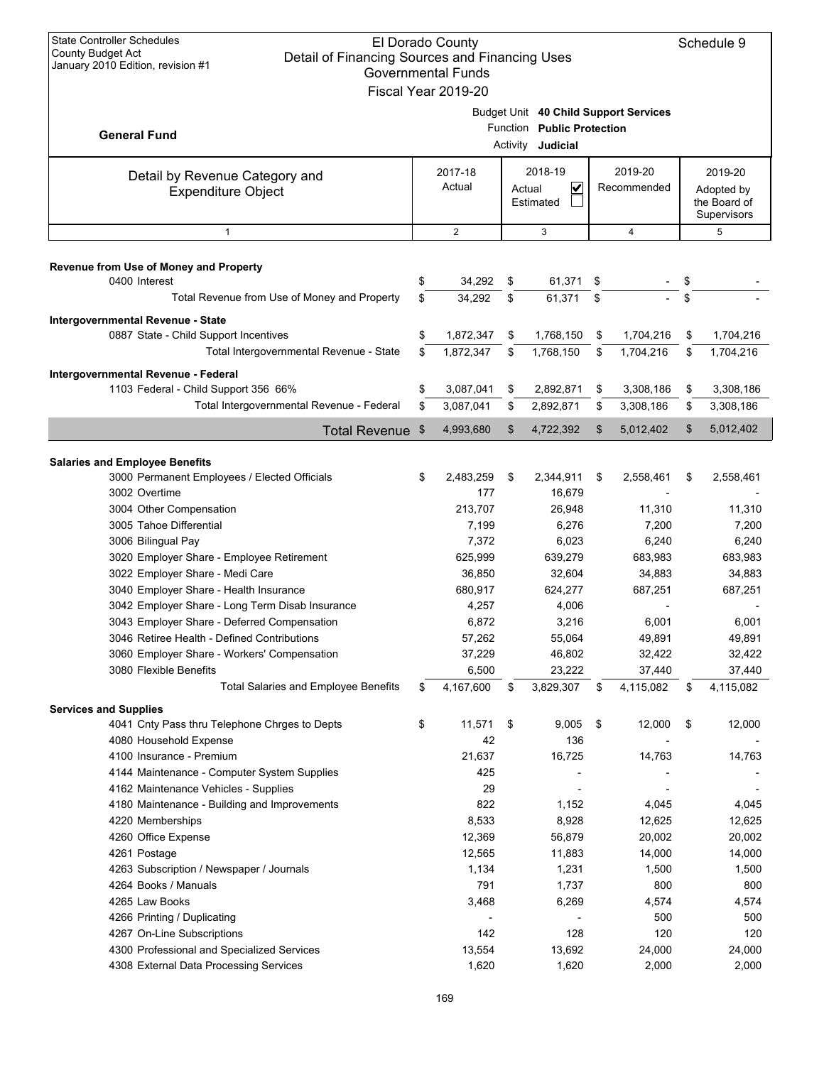| <b>State Controller Schedules</b><br>El Dorado County<br><b>County Budget Act</b><br>Detail of Financing Sources and Financing Uses<br>January 2010 Edition, revision #1<br><b>Governmental Funds</b><br>Fiscal Year 2019-20 |          |                        |          |                                                 |     |                                       |    |                                                      |  |
|------------------------------------------------------------------------------------------------------------------------------------------------------------------------------------------------------------------------------|----------|------------------------|----------|-------------------------------------------------|-----|---------------------------------------|----|------------------------------------------------------|--|
| <b>General Fund</b>                                                                                                                                                                                                          |          |                        |          | Function Public Protection<br>Activity Judicial |     | Budget Unit 40 Child Support Services |    |                                                      |  |
| Detail by Revenue Category and<br><b>Expenditure Object</b>                                                                                                                                                                  |          | 2017-18<br>Actual      |          | 2018-19<br>$\checkmark$<br>Actual<br>Estimated  |     | 2019-20<br>Recommended                |    | 2019-20<br>Adopted by<br>the Board of<br>Supervisors |  |
| $\mathbf{1}$                                                                                                                                                                                                                 |          | 2                      |          | 3                                               |     | $\overline{4}$                        |    | 5                                                    |  |
| Revenue from Use of Money and Property<br>0400 Interest                                                                                                                                                                      | \$       | 34,292                 | \$       | 61,371                                          | -\$ |                                       | \$ |                                                      |  |
| Total Revenue from Use of Money and Property                                                                                                                                                                                 | \$       | 34,292                 | \$       | 61,371                                          | \$  |                                       | \$ |                                                      |  |
| Intergovernmental Revenue - State<br>0887 State - Child Support Incentives                                                                                                                                                   | \$       | 1,872,347              | \$       | 1,768,150                                       | \$  | 1,704,216                             | \$ | 1,704,216                                            |  |
| Total Intergovernmental Revenue - State                                                                                                                                                                                      | \$       | 1,872,347              | \$       | 1,768,150                                       | \$  | 1,704,216                             | \$ | 1,704,216                                            |  |
| Intergovernmental Revenue - Federal                                                                                                                                                                                          |          |                        |          |                                                 |     |                                       |    |                                                      |  |
| 1103 Federal - Child Support 356 66%<br>Total Intergovernmental Revenue - Federal                                                                                                                                            | \$<br>\$ | 3,087,041<br>3,087,041 | \$<br>\$ | 2,892,871<br>2,892,871                          | \$  | 3,308,186<br>3,308,186                | \$ | 3,308,186<br>3,308,186                               |  |
|                                                                                                                                                                                                                              |          |                        |          |                                                 | \$  |                                       | \$ |                                                      |  |
| <b>Total Revenue</b>                                                                                                                                                                                                         | \$       | 4,993,680              | \$       | 4,722,392                                       | \$  | 5,012,402                             | \$ | 5,012,402                                            |  |
| <b>Salaries and Employee Benefits</b>                                                                                                                                                                                        |          |                        |          |                                                 |     |                                       |    |                                                      |  |
| 3000 Permanent Employees / Elected Officials                                                                                                                                                                                 | \$       | 2,483,259              | \$       | 2,344,911                                       | \$  | 2,558,461                             | \$ | 2,558,461                                            |  |
| 3002 Overtime                                                                                                                                                                                                                |          | 177                    |          | 16,679                                          |     |                                       |    |                                                      |  |
| 3004 Other Compensation                                                                                                                                                                                                      |          | 213,707                |          | 26,948                                          |     | 11,310                                |    | 11,310                                               |  |
| 3005 Tahoe Differential                                                                                                                                                                                                      |          | 7,199                  |          | 6,276                                           |     | 7,200                                 |    | 7,200                                                |  |
| 3006 Bilingual Pay                                                                                                                                                                                                           |          | 7,372                  |          | 6,023                                           |     | 6,240                                 |    | 6,240                                                |  |
| 3020 Employer Share - Employee Retirement<br>3022 Employer Share - Medi Care                                                                                                                                                 |          | 625,999<br>36,850      |          | 639,279<br>32,604                               |     | 683,983                               |    | 683,983<br>34,883                                    |  |
| 3040 Employer Share - Health Insurance                                                                                                                                                                                       |          | 680,917                |          | 624,277                                         |     | 34,883<br>687,251                     |    | 687,251                                              |  |
| 3042 Employer Share - Long Term Disab Insurance                                                                                                                                                                              |          | 4,257                  |          | 4,006                                           |     |                                       |    |                                                      |  |
| 3043 Employer Share - Deferred Compensation                                                                                                                                                                                  |          | 6,872                  |          | 3,216                                           |     | 6,001                                 |    | 6,001                                                |  |
| 3046 Retiree Health - Defined Contributions                                                                                                                                                                                  |          | 57,262                 |          | 55,064                                          |     | 49,891                                |    | 49,891                                               |  |
| 3060 Employer Share - Workers' Compensation                                                                                                                                                                                  |          | 37,229                 |          | 46,802                                          |     | 32,422                                |    | 32,422                                               |  |
| 3080 Flexible Benefits                                                                                                                                                                                                       |          | 6,500                  |          | 23,222                                          |     | 37,440                                |    | 37,440                                               |  |
| <b>Total Salaries and Employee Benefits</b>                                                                                                                                                                                  | \$       | 4,167,600              | \$       | 3,829,307                                       | \$  | 4,115,082                             | \$ | 4,115,082                                            |  |
| <b>Services and Supplies</b>                                                                                                                                                                                                 |          |                        |          |                                                 |     |                                       |    |                                                      |  |
| 4041 Cnty Pass thru Telephone Chrges to Depts                                                                                                                                                                                | \$       | 11,571                 | \$       | 9,005                                           | \$  | 12,000                                | \$ | 12,000                                               |  |
| 4080 Household Expense                                                                                                                                                                                                       |          | 42                     |          | 136                                             |     |                                       |    |                                                      |  |
| 4100 Insurance - Premium                                                                                                                                                                                                     |          | 21,637                 |          | 16,725                                          |     | 14,763                                |    | 14,763                                               |  |
| 4144 Maintenance - Computer System Supplies                                                                                                                                                                                  |          | 425                    |          |                                                 |     |                                       |    |                                                      |  |
| 4162 Maintenance Vehicles - Supplies                                                                                                                                                                                         |          | 29                     |          |                                                 |     |                                       |    |                                                      |  |
| 4180 Maintenance - Building and Improvements                                                                                                                                                                                 |          | 822<br>8,533           |          | 1,152<br>8,928                                  |     | 4,045<br>12,625                       |    | 4,045<br>12,625                                      |  |
| 4220 Memberships                                                                                                                                                                                                             |          | 12,369                 |          | 56,879                                          |     | 20,002                                |    | 20,002                                               |  |
| 4260 Office Expense<br>4261 Postage                                                                                                                                                                                          |          | 12,565                 |          | 11,883                                          |     | 14,000                                |    | 14,000                                               |  |
| 4263 Subscription / Newspaper / Journals                                                                                                                                                                                     |          | 1,134                  |          | 1,231                                           |     | 1,500                                 |    | 1,500                                                |  |
| 4264 Books / Manuals                                                                                                                                                                                                         |          | 791                    |          | 1,737                                           |     | 800                                   |    | 800                                                  |  |
| 4265 Law Books                                                                                                                                                                                                               |          | 3,468                  |          | 6,269                                           |     | 4,574                                 |    | 4,574                                                |  |
| 4266 Printing / Duplicating                                                                                                                                                                                                  |          |                        |          |                                                 |     | 500                                   |    | 500                                                  |  |
| 4267 On-Line Subscriptions                                                                                                                                                                                                   |          | 142                    |          | 128                                             |     | 120                                   |    | 120                                                  |  |
| 4300 Professional and Specialized Services                                                                                                                                                                                   |          | 13,554                 |          | 13,692                                          |     | 24,000                                |    | 24,000                                               |  |
| 4308 External Data Processing Services                                                                                                                                                                                       |          | 1,620                  |          | 1,620                                           |     | 2,000                                 |    | 2,000                                                |  |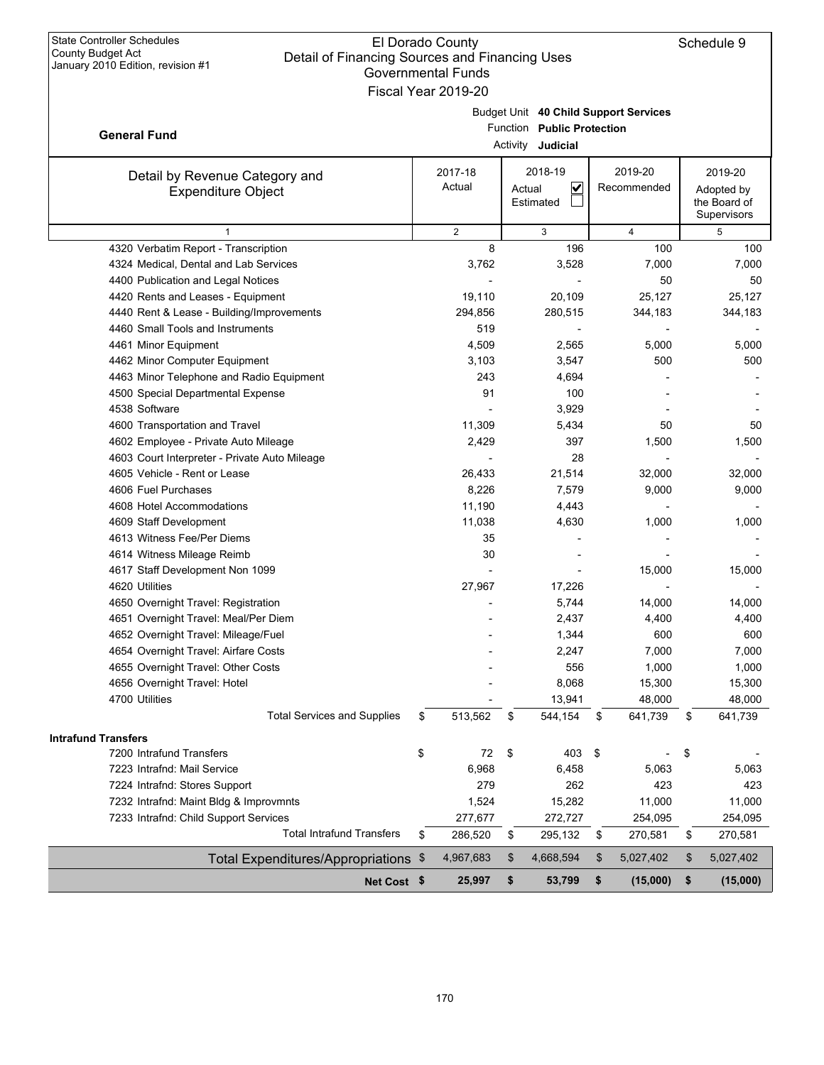| OUVUIIIIIIUIIIIII UIIUS<br>Fiscal Year 2019-20              |                   |        |                                                 |                                       |                                                      |
|-------------------------------------------------------------|-------------------|--------|-------------------------------------------------|---------------------------------------|------------------------------------------------------|
| <b>General Fund</b>                                         |                   |        | Function Public Protection                      | Budget Unit 40 Child Support Services |                                                      |
|                                                             |                   |        | Activity Judicial                               |                                       |                                                      |
| Detail by Revenue Category and<br><b>Expenditure Object</b> | 2017-18<br>Actual | Actual | 2018-19<br>$\overline{\mathsf{v}}$<br>Estimated | 2019-20<br>Recommended                | 2019-20<br>Adopted by<br>the Board of<br>Supervisors |
| $\mathbf{1}$                                                | $\overline{2}$    |        | 3                                               | 4                                     | 5                                                    |
| 4320 Verbatim Report - Transcription                        | 8                 |        | 196                                             | 100                                   | 100                                                  |
| 4324 Medical, Dental and Lab Services                       | 3,762             |        | 3,528                                           | 7,000                                 | 7,000                                                |
| 4400 Publication and Legal Notices                          |                   |        |                                                 | 50                                    | 50                                                   |
| 4420 Rents and Leases - Equipment                           | 19,110            |        | 20,109                                          | 25,127                                | 25,127                                               |
| 4440 Rent & Lease - Building/Improvements                   | 294,856           |        | 280,515                                         | 344,183                               | 344,183                                              |
| 4460 Small Tools and Instruments                            | 519               |        |                                                 |                                       |                                                      |
| 4461 Minor Equipment                                        | 4,509             |        | 2,565                                           | 5,000                                 | 5,000                                                |
| 4462 Minor Computer Equipment                               | 3,103             |        | 3,547                                           | 500                                   | 500                                                  |
| 4463 Minor Telephone and Radio Equipment                    | 243               |        | 4,694                                           |                                       |                                                      |
| 4500 Special Departmental Expense                           | 91                |        | 100                                             |                                       |                                                      |
| 4538 Software                                               |                   |        | 3,929                                           |                                       |                                                      |
| 4600 Transportation and Travel                              | 11,309            |        | 5,434                                           | 50                                    | 50                                                   |
| 4602 Employee - Private Auto Mileage                        | 2,429             |        | 397                                             | 1,500                                 | 1,500                                                |
| 4603 Court Interpreter - Private Auto Mileage               |                   |        | 28                                              |                                       |                                                      |
| 4605 Vehicle - Rent or Lease                                | 26,433            |        | 21,514                                          | 32,000                                | 32,000                                               |
| 4606 Fuel Purchases                                         | 8,226             |        | 7,579                                           | 9,000                                 | 9,000                                                |
| 4608 Hotel Accommodations                                   | 11,190            |        | 4,443                                           |                                       |                                                      |
| 4609 Staff Development                                      | 11,038            |        | 4,630                                           | 1,000                                 | 1,000                                                |
| 4613 Witness Fee/Per Diems                                  | 35                |        |                                                 |                                       |                                                      |
| 4614 Witness Mileage Reimb                                  | 30                |        |                                                 |                                       |                                                      |
| 4617 Staff Development Non 1099                             |                   |        |                                                 | 15,000                                | 15,000                                               |
| 4620 Utilities                                              | 27,967            |        | 17,226                                          |                                       |                                                      |
| 4650 Overnight Travel: Registration                         |                   |        | 5,744                                           | 14,000                                | 14,000                                               |
| 4651 Overnight Travel: Meal/Per Diem                        |                   |        | 2,437                                           | 4,400                                 | 4,400                                                |
| 4652 Overnight Travel: Mileage/Fuel                         |                   |        | 1,344                                           | 600                                   | 600                                                  |
| 4654 Overnight Travel: Airfare Costs                        |                   |        | 2,247                                           | 7,000                                 | 7,000                                                |
| 4655 Overnight Travel: Other Costs                          |                   |        | 556                                             | 1,000                                 | 1,000                                                |
| 4656 Overnight Travel: Hotel                                |                   |        | 8,068                                           | 15,300                                | 15,300                                               |
| 4700 Utilities                                              |                   |        | 13,941                                          | 48,000                                | 48,000                                               |
| <b>Total Services and Supplies</b>                          | \$<br>513,562     | \$     | 544,154                                         | \$<br>641,739                         | \$<br>641,739                                        |
| <b>Intrafund Transfers</b>                                  |                   |        |                                                 |                                       |                                                      |
| 7200 Intrafund Transfers                                    | \$<br>72          | \$     | 403                                             | \$                                    | \$                                                   |
| 7223 Intrafnd: Mail Service                                 | 6,968             |        | 6,458                                           | 5,063                                 | 5,063                                                |
| 7224 Intrafnd: Stores Support                               | 279               |        | 262                                             | 423                                   | 423                                                  |
| 7232 Intrafnd: Maint Bldg & Improvmnts                      | 1,524             |        | 15,282                                          | 11,000                                | 11,000                                               |
| 7233 Intrafnd: Child Support Services                       | 277,677           |        | 272,727                                         | 254,095                               | 254,095                                              |
| <b>Total Intrafund Transfers</b>                            | \$<br>286,520     | \$     | 295,132                                         | \$<br>270,581                         | \$<br>270,581                                        |
| Total Expenditures/Appropriations \$                        | 4,967,683         | \$     | 4,668,594                                       | \$<br>5,027,402                       | \$<br>5,027,402                                      |
| Net Cost \$                                                 | 25,997            | \$     | 53,799                                          | \$<br>(15,000)                        | \$<br>(15,000)                                       |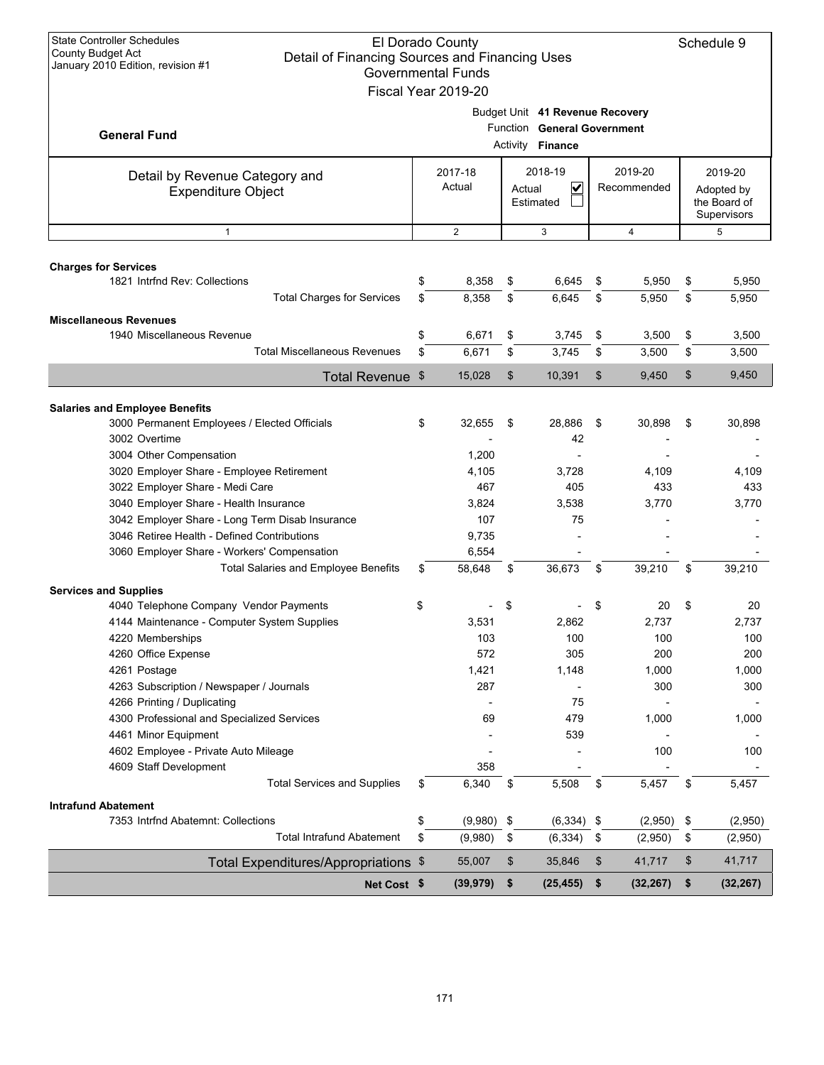| <b>State Controller Schedules</b><br>El Dorado County<br>County Budget Act<br>Detail of Financing Sources and Financing Uses<br>January 2010 Edition, revision #1<br><b>Governmental Funds</b><br>Fiscal Year 2019-20 |    |                   |            |                                                                                           |               |                        |    |                                                      |
|-----------------------------------------------------------------------------------------------------------------------------------------------------------------------------------------------------------------------|----|-------------------|------------|-------------------------------------------------------------------------------------------|---------------|------------------------|----|------------------------------------------------------|
| <b>General Fund</b>                                                                                                                                                                                                   |    |                   |            | Budget Unit 41 Revenue Recovery<br>Function General Government<br>Activity <b>Finance</b> |               |                        |    |                                                      |
| Detail by Revenue Category and<br><b>Expenditure Object</b>                                                                                                                                                           |    | 2017-18<br>Actual |            | 2018-19<br>$\overline{\mathbf{v}}$<br>Actual<br>Estimated                                 |               | 2019-20<br>Recommended |    | 2019-20<br>Adopted by<br>the Board of<br>Supervisors |
| $\mathbf{1}$                                                                                                                                                                                                          |    | $\overline{2}$    |            | 3                                                                                         |               | $\overline{4}$         |    | 5                                                    |
|                                                                                                                                                                                                                       |    |                   |            |                                                                                           |               |                        |    |                                                      |
| <b>Charges for Services</b>                                                                                                                                                                                           |    |                   |            |                                                                                           |               |                        |    |                                                      |
| 1821 Intrind Rev: Collections                                                                                                                                                                                         | \$ | 8,358             | \$         | 6,645                                                                                     | \$            | 5,950                  | \$ | 5,950                                                |
| <b>Total Charges for Services</b>                                                                                                                                                                                     | \$ | 8,358             | \$         | 6,645                                                                                     | \$            | 5,950                  | \$ | 5,950                                                |
| <b>Miscellaneous Revenues</b>                                                                                                                                                                                         |    |                   |            |                                                                                           |               |                        |    |                                                      |
| 1940 Miscellaneous Revenue                                                                                                                                                                                            | \$ | 6,671             | \$         | 3,745                                                                                     | \$            | 3,500                  | \$ | 3,500                                                |
| <b>Total Miscellaneous Revenues</b>                                                                                                                                                                                   | \$ | 6,671             | \$         | 3,745                                                                                     | \$            | 3,500                  | \$ | 3,500                                                |
| Total Revenue \$                                                                                                                                                                                                      |    | 15,028            | \$         | 10,391                                                                                    | \$            | 9,450                  | \$ | 9,450                                                |
|                                                                                                                                                                                                                       |    |                   |            |                                                                                           |               |                        |    |                                                      |
| <b>Salaries and Employee Benefits</b>                                                                                                                                                                                 |    |                   |            |                                                                                           |               |                        |    |                                                      |
| 3000 Permanent Employees / Elected Officials                                                                                                                                                                          | \$ | 32,655            | \$         | 28,886                                                                                    | \$            | 30,898                 | \$ | 30,898                                               |
| 3002 Overtime                                                                                                                                                                                                         |    |                   |            | 42                                                                                        |               |                        |    |                                                      |
| 3004 Other Compensation                                                                                                                                                                                               |    | 1,200             |            |                                                                                           |               |                        |    |                                                      |
| 3020 Employer Share - Employee Retirement                                                                                                                                                                             |    | 4,105<br>467      |            | 3,728<br>405                                                                              |               | 4,109<br>433           |    | 4,109<br>433                                         |
| 3022 Employer Share - Medi Care<br>3040 Employer Share - Health Insurance                                                                                                                                             |    | 3,824             |            | 3,538                                                                                     |               | 3,770                  |    | 3,770                                                |
| 3042 Employer Share - Long Term Disab Insurance                                                                                                                                                                       |    | 107               |            | 75                                                                                        |               |                        |    |                                                      |
| 3046 Retiree Health - Defined Contributions                                                                                                                                                                           |    | 9,735             |            |                                                                                           |               |                        |    |                                                      |
| 3060 Employer Share - Workers' Compensation                                                                                                                                                                           |    | 6,554             |            |                                                                                           |               |                        |    |                                                      |
| <b>Total Salaries and Employee Benefits</b>                                                                                                                                                                           | \$ | 58,648            | \$         | 36,673                                                                                    | \$            | 39,210                 | \$ | 39,210                                               |
|                                                                                                                                                                                                                       |    |                   |            |                                                                                           |               |                        |    |                                                      |
| <b>Services and Supplies</b>                                                                                                                                                                                          |    |                   |            |                                                                                           |               |                        |    |                                                      |
| 4040 Telephone Company Vendor Payments                                                                                                                                                                                | \$ |                   | \$         |                                                                                           | \$            | 20                     | \$ | 20                                                   |
| 4144 Maintenance - Computer System Supplies                                                                                                                                                                           |    | 3,531             |            | 2,862                                                                                     |               | 2,737                  |    | 2,737                                                |
| 4220 Memberships                                                                                                                                                                                                      |    | 103               |            | 100                                                                                       |               | 100                    |    | 100                                                  |
| 4260 Office Expense                                                                                                                                                                                                   |    | 572               |            | 305                                                                                       |               | 200                    |    | 200                                                  |
| 4261 Postage                                                                                                                                                                                                          |    | 1,421             |            | 1,148                                                                                     |               | 1,000                  |    | 1,000                                                |
| 4263 Subscription / Newspaper / Journals                                                                                                                                                                              |    | 287               |            | 75                                                                                        |               | 300                    |    | 300                                                  |
| 4266 Printing / Duplicating<br>4300 Professional and Specialized Services                                                                                                                                             |    | 69                |            | 479                                                                                       |               | 1,000                  |    | 1,000                                                |
| 4461 Minor Equipment                                                                                                                                                                                                  |    |                   |            | 539                                                                                       |               |                        |    |                                                      |
| 4602 Employee - Private Auto Mileage                                                                                                                                                                                  |    |                   |            |                                                                                           |               | 100                    |    | 100                                                  |
| 4609 Staff Development                                                                                                                                                                                                |    | 358               |            |                                                                                           |               |                        |    |                                                      |
| <b>Total Services and Supplies</b>                                                                                                                                                                                    | \$ | 6,340             | \$         | 5,508                                                                                     | \$            | 5,457                  | \$ | 5,457                                                |
| <b>Intrafund Abatement</b>                                                                                                                                                                                            |    |                   |            |                                                                                           |               |                        |    |                                                      |
| 7353 Intrind Abatemnt: Collections                                                                                                                                                                                    | \$ | $(9,980)$ \$      |            | $(6,334)$ \$                                                                              |               | (2,950)                | \$ | (2,950)                                              |
| <b>Total Intrafund Abatement</b>                                                                                                                                                                                      | \$ | (9,980)           | \$         | (6, 334)                                                                                  | \$            | (2,950)                | \$ | (2,950)                                              |
|                                                                                                                                                                                                                       |    |                   |            |                                                                                           |               |                        |    |                                                      |
| Total Expenditures/Appropriations \$                                                                                                                                                                                  |    | 55,007            | \$         | 35,846                                                                                    | \$            | 41,717                 | \$ | 41,717                                               |
| Net Cost \$                                                                                                                                                                                                           |    | (39, 979)         | $\sqrt{2}$ | (25, 455)                                                                                 | $\frac{1}{2}$ | (32, 267)              | \$ | (32, 267)                                            |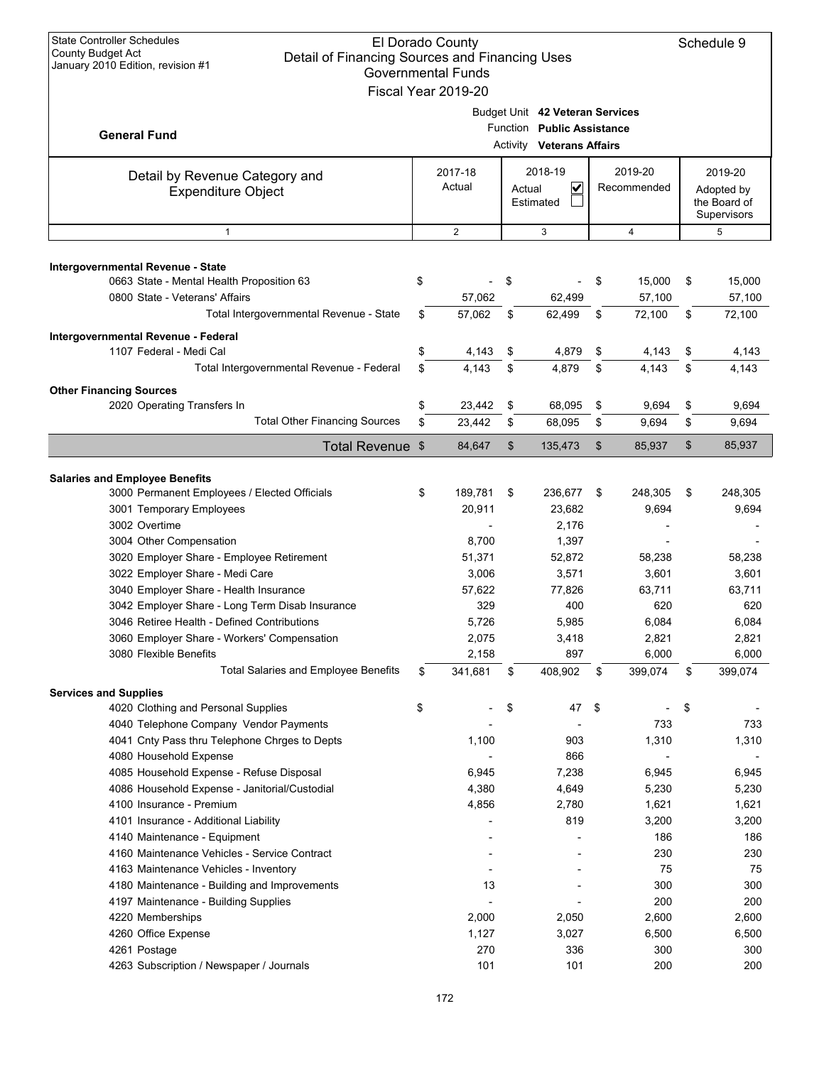| <b>State Controller Schedules</b><br>El Dorado County<br><b>County Budget Act</b><br>Detail of Financing Sources and Financing Uses<br>January 2010 Edition, revision #1<br><b>Governmental Funds</b><br>Fiscal Year 2019-20                                                                                                                                                                                                                                                                                                                                                                                                                                                       |          |                                                                                                      |          |                                                                                                             |          |                                                                                                                    |          |                                                                                                                    |  |                                                      |
|------------------------------------------------------------------------------------------------------------------------------------------------------------------------------------------------------------------------------------------------------------------------------------------------------------------------------------------------------------------------------------------------------------------------------------------------------------------------------------------------------------------------------------------------------------------------------------------------------------------------------------------------------------------------------------|----------|------------------------------------------------------------------------------------------------------|----------|-------------------------------------------------------------------------------------------------------------|----------|--------------------------------------------------------------------------------------------------------------------|----------|--------------------------------------------------------------------------------------------------------------------|--|------------------------------------------------------|
| <b>General Fund</b>                                                                                                                                                                                                                                                                                                                                                                                                                                                                                                                                                                                                                                                                |          |                                                                                                      |          | Budget Unit 42 Veteran Services<br>Function Public Assistance<br><b>Activity Veterans Affairs</b>           |          |                                                                                                                    |          |                                                                                                                    |  |                                                      |
| Detail by Revenue Category and<br><b>Expenditure Object</b>                                                                                                                                                                                                                                                                                                                                                                                                                                                                                                                                                                                                                        |          | 2017-18<br>Actual                                                                                    | Actual   | 2018-19<br>V<br>Estimated                                                                                   |          | 2019-20<br>Recommended                                                                                             |          |                                                                                                                    |  | 2019-20<br>Adopted by<br>the Board of<br>Supervisors |
| $\mathbf{1}$                                                                                                                                                                                                                                                                                                                                                                                                                                                                                                                                                                                                                                                                       |          | 2                                                                                                    |          | 3                                                                                                           | 4        |                                                                                                                    |          | 5                                                                                                                  |  |                                                      |
| Intergovernmental Revenue - State<br>0663 State - Mental Health Proposition 63<br>0800 State - Veterans' Affairs                                                                                                                                                                                                                                                                                                                                                                                                                                                                                                                                                                   | \$       | 57,062                                                                                               | \$       | 62,499                                                                                                      | \$       | 15,000<br>57,100                                                                                                   | \$       | 15,000<br>57,100                                                                                                   |  |                                                      |
| Total Intergovernmental Revenue - State                                                                                                                                                                                                                                                                                                                                                                                                                                                                                                                                                                                                                                            | \$       | 57,062                                                                                               | \$       | 62,499                                                                                                      | \$       | 72,100                                                                                                             | \$       | 72,100                                                                                                             |  |                                                      |
| Intergovernmental Revenue - Federal<br>1107 Federal - Medi Cal<br>Total Intergovernmental Revenue - Federal<br><b>Other Financing Sources</b>                                                                                                                                                                                                                                                                                                                                                                                                                                                                                                                                      | \$<br>\$ | 4,143<br>4,143                                                                                       | \$<br>\$ | 4,879<br>4,879                                                                                              | \$<br>\$ | 4,143<br>4,143                                                                                                     | \$<br>\$ | 4,143<br>4.143                                                                                                     |  |                                                      |
| 2020 Operating Transfers In                                                                                                                                                                                                                                                                                                                                                                                                                                                                                                                                                                                                                                                        | \$       | 23,442                                                                                               | \$       | 68,095                                                                                                      | \$       | 9,694                                                                                                              | \$       | 9,694                                                                                                              |  |                                                      |
| <b>Total Other Financing Sources</b>                                                                                                                                                                                                                                                                                                                                                                                                                                                                                                                                                                                                                                               | \$       | 23,442                                                                                               | \$       | 68,095                                                                                                      | \$       | 9,694                                                                                                              | \$       | 9,694                                                                                                              |  |                                                      |
| Total Revenue \$                                                                                                                                                                                                                                                                                                                                                                                                                                                                                                                                                                                                                                                                   |          | 84,647                                                                                               | \$       | 135,473                                                                                                     | \$       | 85,937                                                                                                             | \$       | 85,937                                                                                                             |  |                                                      |
|                                                                                                                                                                                                                                                                                                                                                                                                                                                                                                                                                                                                                                                                                    |          |                                                                                                      |          |                                                                                                             |          |                                                                                                                    |          |                                                                                                                    |  |                                                      |
| <b>Salaries and Employee Benefits</b><br>3000 Permanent Employees / Elected Officials<br>3001 Temporary Employees<br>3002 Overtime<br>3004 Other Compensation<br>3020 Employer Share - Employee Retirement<br>3022 Employer Share - Medi Care<br>3040 Employer Share - Health Insurance<br>3042 Employer Share - Long Term Disab Insurance<br>3046 Retiree Health - Defined Contributions<br>3060 Employer Share - Workers' Compensation<br>3080 Flexible Benefits<br><b>Total Salaries and Employee Benefits</b>                                                                                                                                                                  | \$<br>\$ | 189,781<br>20,911<br>8,700<br>51,371<br>3,006<br>57,622<br>329<br>5,726<br>2,075<br>2,158<br>341,681 | \$<br>\$ | 236,677<br>23,682<br>2,176<br>1,397<br>52,872<br>3,571<br>77,826<br>400<br>5,985<br>3,418<br>897<br>408,902 | \$<br>\$ | 248,305<br>9,694<br>58,238<br>3,601<br>63,711<br>620<br>6,084<br>2,821<br>6,000<br>399,074                         | \$<br>\$ | 248,305<br>9,694<br>58,238<br>3,601<br>63,711<br>620<br>6,084<br>2,821<br>6,000<br>399,074                         |  |                                                      |
| <b>Services and Supplies</b><br>4020 Clothing and Personal Supplies<br>4040 Telephone Company Vendor Payments<br>4041 Cnty Pass thru Telephone Chrges to Depts<br>4080 Household Expense<br>4085 Household Expense - Refuse Disposal<br>4086 Household Expense - Janitorial/Custodial<br>4100 Insurance - Premium<br>4101 Insurance - Additional Liability<br>4140 Maintenance - Equipment<br>4160 Maintenance Vehicles - Service Contract<br>4163 Maintenance Vehicles - Inventory<br>4180 Maintenance - Building and Improvements<br>4197 Maintenance - Building Supplies<br>4220 Memberships<br>4260 Office Expense<br>4261 Postage<br>4263 Subscription / Newspaper / Journals | \$       | 1,100<br>6,945<br>4,380<br>4,856<br>13<br>2,000<br>1,127<br>270<br>101                               | \$       | 47<br>903<br>866<br>7,238<br>4,649<br>2,780<br>819<br>2,050<br>3,027<br>336<br>101                          | \$       | 733<br>1,310<br>6,945<br>5,230<br>1,621<br>3,200<br>186<br>230<br>75<br>300<br>200<br>2,600<br>6,500<br>300<br>200 | \$       | 733<br>1,310<br>6,945<br>5,230<br>1,621<br>3,200<br>186<br>230<br>75<br>300<br>200<br>2,600<br>6,500<br>300<br>200 |  |                                                      |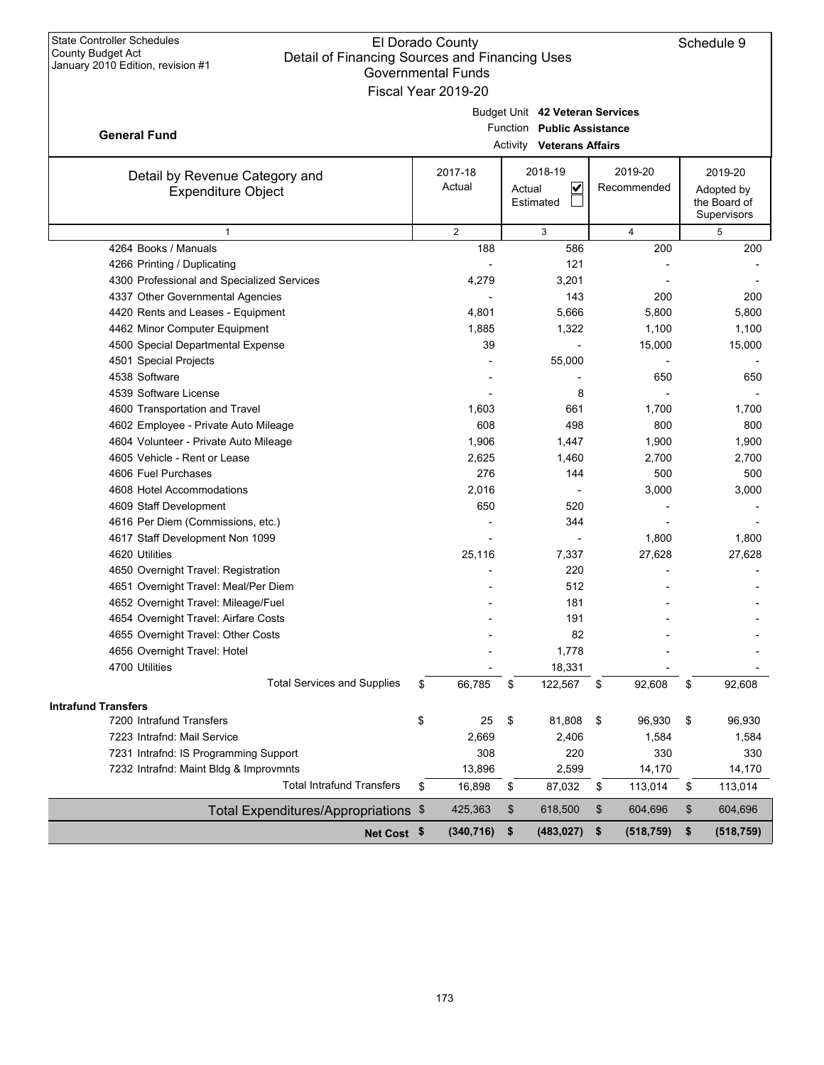| <b>State Controller Schedules</b><br>El Dorado County<br>Schedule 9<br><b>County Budget Act</b><br>Detail of Financing Sources and Financing Uses<br>January 2010 Edition, revision #1<br><b>Governmental Funds</b><br>Fiscal Year 2019-20 |                   |                                                                                                             |                        |    |                                                      |  |  |  |  |  |
|--------------------------------------------------------------------------------------------------------------------------------------------------------------------------------------------------------------------------------------------|-------------------|-------------------------------------------------------------------------------------------------------------|------------------------|----|------------------------------------------------------|--|--|--|--|--|
| <b>General Fund</b>                                                                                                                                                                                                                        |                   | Budget Unit 42 Veteran Services<br>Function<br><b>Public Assistance</b><br><b>Activity Veterans Affairs</b> |                        |    |                                                      |  |  |  |  |  |
| Detail by Revenue Category and<br><b>Expenditure Object</b>                                                                                                                                                                                | 2017-18<br>Actual | 2018-19<br>$\checkmark$<br>Actual<br>Estimated                                                              | 2019-20<br>Recommended |    | 2019-20<br>Adopted by<br>the Board of<br>Supervisors |  |  |  |  |  |
| $\mathbf{1}$                                                                                                                                                                                                                               | $\overline{2}$    | 3                                                                                                           | $\overline{4}$         |    | 5                                                    |  |  |  |  |  |
| 4264 Books / Manuals                                                                                                                                                                                                                       | 188               | 586                                                                                                         | 200                    |    | 200                                                  |  |  |  |  |  |
| 4266 Printing / Duplicating                                                                                                                                                                                                                |                   | 121                                                                                                         |                        |    |                                                      |  |  |  |  |  |
| 4300 Professional and Specialized Services                                                                                                                                                                                                 | 4,279             | 3,201                                                                                                       |                        |    |                                                      |  |  |  |  |  |
| 4337 Other Governmental Agencies                                                                                                                                                                                                           |                   | 143                                                                                                         | 200                    |    | 200                                                  |  |  |  |  |  |
| 4420 Rents and Leases - Equipment                                                                                                                                                                                                          | 4,801             | 5,666                                                                                                       | 5,800                  |    | 5,800                                                |  |  |  |  |  |
| 4462 Minor Computer Equipment                                                                                                                                                                                                              | 1,885             | 1,322                                                                                                       | 1,100                  |    | 1,100                                                |  |  |  |  |  |
| 4500 Special Departmental Expense                                                                                                                                                                                                          | 39                |                                                                                                             | 15,000                 |    | 15,000                                               |  |  |  |  |  |
| 4501 Special Projects                                                                                                                                                                                                                      |                   | 55,000                                                                                                      |                        |    |                                                      |  |  |  |  |  |
| 4538 Software                                                                                                                                                                                                                              |                   |                                                                                                             | 650                    |    | 650                                                  |  |  |  |  |  |
| 4539 Software License                                                                                                                                                                                                                      |                   | 8                                                                                                           |                        |    |                                                      |  |  |  |  |  |
| 4600 Transportation and Travel                                                                                                                                                                                                             | 1,603             | 661                                                                                                         | 1,700                  |    | 1,700                                                |  |  |  |  |  |
| 4602 Employee - Private Auto Mileage                                                                                                                                                                                                       | 608               | 498                                                                                                         | 800                    |    | 800                                                  |  |  |  |  |  |
| 4604 Volunteer - Private Auto Mileage                                                                                                                                                                                                      | 1,906             | 1,447                                                                                                       | 1,900                  |    | 1,900                                                |  |  |  |  |  |
| 4605 Vehicle - Rent or Lease                                                                                                                                                                                                               | 2,625             | 1,460                                                                                                       | 2,700                  |    | 2,700                                                |  |  |  |  |  |
| 4606 Fuel Purchases                                                                                                                                                                                                                        | 276               | 144                                                                                                         | 500                    |    | 500                                                  |  |  |  |  |  |
| 4608 Hotel Accommodations                                                                                                                                                                                                                  | 2,016             |                                                                                                             | 3,000                  |    | 3,000                                                |  |  |  |  |  |
| 4609 Staff Development                                                                                                                                                                                                                     | 650               | 520                                                                                                         |                        |    |                                                      |  |  |  |  |  |
| 4616 Per Diem (Commissions, etc.)                                                                                                                                                                                                          |                   | 344                                                                                                         |                        |    |                                                      |  |  |  |  |  |
| 4617 Staff Development Non 1099                                                                                                                                                                                                            |                   |                                                                                                             | 1,800                  |    | 1,800                                                |  |  |  |  |  |
| 4620 Utilities                                                                                                                                                                                                                             | 25,116            | 7,337                                                                                                       | 27,628                 |    | 27,628                                               |  |  |  |  |  |
| 4650 Overnight Travel: Registration                                                                                                                                                                                                        |                   | 220                                                                                                         |                        |    |                                                      |  |  |  |  |  |
| 4651 Overnight Travel: Meal/Per Diem                                                                                                                                                                                                       |                   | 512                                                                                                         |                        |    |                                                      |  |  |  |  |  |
| 4652 Overnight Travel: Mileage/Fuel                                                                                                                                                                                                        |                   | 181                                                                                                         |                        |    |                                                      |  |  |  |  |  |
| 4654 Overnight Travel: Airfare Costs                                                                                                                                                                                                       |                   | 191                                                                                                         |                        |    |                                                      |  |  |  |  |  |
| 4655 Overnight Travel: Other Costs                                                                                                                                                                                                         |                   | 82                                                                                                          |                        |    |                                                      |  |  |  |  |  |
| 4656 Overnight Travel: Hotel                                                                                                                                                                                                               |                   | 1,778                                                                                                       |                        |    |                                                      |  |  |  |  |  |
| 4700 Utilities                                                                                                                                                                                                                             |                   | 18,331                                                                                                      |                        |    |                                                      |  |  |  |  |  |
| <b>Total Services and Supplies</b>                                                                                                                                                                                                         | 66,785<br>\$      | 122,567<br>\$                                                                                               | 92,608<br>\$           | \$ | 92,608                                               |  |  |  |  |  |
| <b>Intrafund Transfers</b>                                                                                                                                                                                                                 |                   |                                                                                                             |                        |    |                                                      |  |  |  |  |  |
| 7200 Intrafund Transfers                                                                                                                                                                                                                   | \$<br>25          | 81,808<br>\$                                                                                                | \$<br>96,930           | \$ | 96,930                                               |  |  |  |  |  |
| 7223 Intrafnd: Mail Service                                                                                                                                                                                                                | 2,669             | 2,406                                                                                                       | 1,584                  |    | 1,584                                                |  |  |  |  |  |
| 7231 Intrafnd: IS Programming Support                                                                                                                                                                                                      | 308               | 220                                                                                                         | 330                    |    | 330                                                  |  |  |  |  |  |
| 7232 Intrafnd: Maint Bldg & Improvmnts                                                                                                                                                                                                     | 13,896            | 2,599                                                                                                       | 14,170                 |    | 14,170                                               |  |  |  |  |  |
| <b>Total Intrafund Transfers</b>                                                                                                                                                                                                           | 16,898<br>\$      | 87,032<br>\$                                                                                                | 113,014<br>\$          | \$ | 113,014                                              |  |  |  |  |  |
| Total Expenditures/Appropriations \$                                                                                                                                                                                                       | 425,363           | \$<br>618,500                                                                                               | \$<br>604,696          | \$ | 604,696                                              |  |  |  |  |  |
| Net Cost \$                                                                                                                                                                                                                                | (340, 716)        | \$<br>(483, 027)                                                                                            | \$<br>(518, 759)       | \$ | (518, 759)                                           |  |  |  |  |  |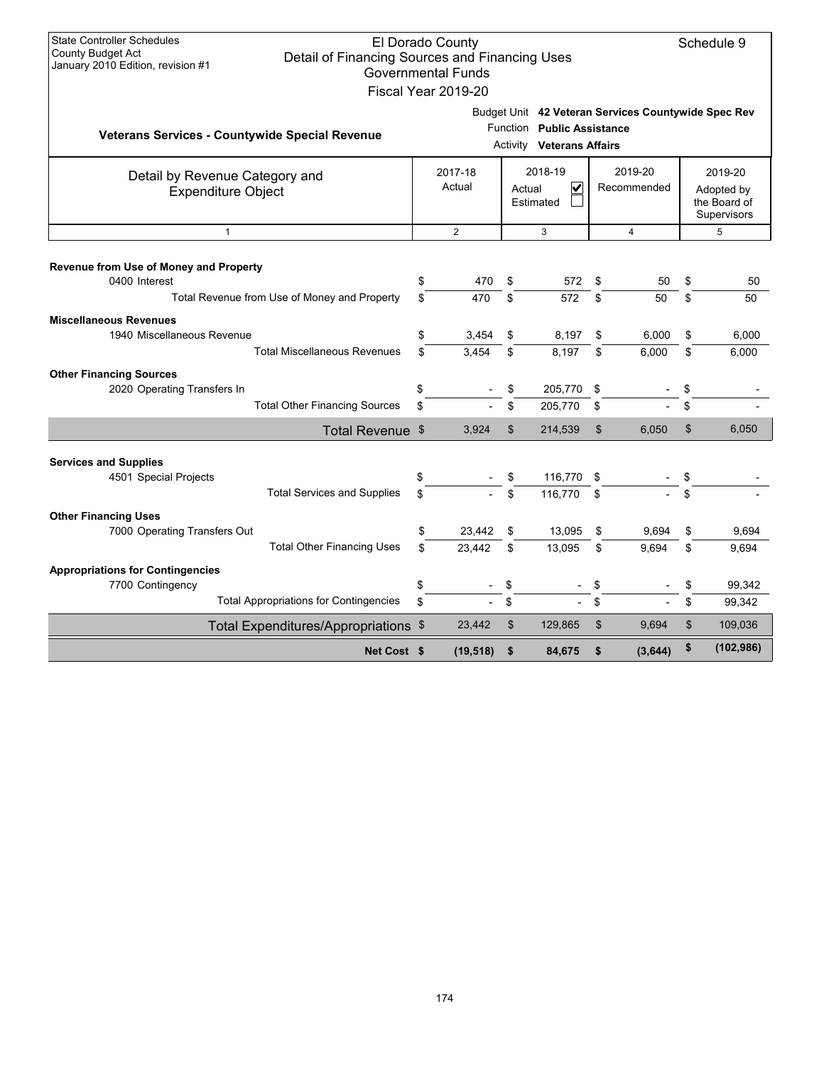| <b>State Controller Schedules</b><br>County Budget Act<br>January 2010 Edition, revision #1 | Detail of Financing Sources and Financing Uses              |                                                     | El Dorado County<br><b>Governmental Funds</b> |    |                                                                |                                                     |                                                      | Schedule 9 |
|---------------------------------------------------------------------------------------------|-------------------------------------------------------------|-----------------------------------------------------|-----------------------------------------------|----|----------------------------------------------------------------|-----------------------------------------------------|------------------------------------------------------|------------|
|                                                                                             |                                                             |                                                     | Fiscal Year 2019-20                           |    |                                                                |                                                     |                                                      |            |
|                                                                                             | Veterans Services - Countywide Special Revenue              |                                                     |                                               |    | Function Public Assistance<br><b>Activity Veterans Affairs</b> | Budget Unit 42 Veteran Services Countywide Spec Rev |                                                      |            |
|                                                                                             | Detail by Revenue Category and<br><b>Expenditure Object</b> | 2018-19<br>2017-18<br>Actual<br>Actual<br>Estimated |                                               |    | V                                                              | 2019-20<br>Recommended                              | 2019-20<br>Adopted by<br>the Board of<br>Supervisors |            |
|                                                                                             | $\mathbf{1}$                                                |                                                     | 2                                             |    | 3                                                              | $\overline{4}$                                      |                                                      | 5          |
| Revenue from Use of Money and Property                                                      |                                                             |                                                     |                                               |    |                                                                |                                                     |                                                      |            |
| 0400 Interest                                                                               |                                                             | \$                                                  | 470                                           | \$ | 572                                                            | \$<br>50                                            | \$                                                   | 50         |
|                                                                                             | Total Revenue from Use of Money and Property                | \$                                                  | 470                                           | \$ | 572                                                            | \$<br>50                                            | \$                                                   | 50         |
| <b>Miscellaneous Revenues</b>                                                               |                                                             |                                                     |                                               |    |                                                                |                                                     |                                                      |            |
| 1940 Miscellaneous Revenue                                                                  |                                                             | \$                                                  | 3,454                                         | \$ | 8,197                                                          | \$<br>6,000                                         | \$                                                   | 6.000      |
|                                                                                             | <b>Total Miscellaneous Revenues</b>                         | \$                                                  | 3.454                                         | \$ | 8,197                                                          | \$<br>6,000                                         | \$                                                   | 6,000      |
| <b>Other Financing Sources</b>                                                              |                                                             |                                                     |                                               |    |                                                                |                                                     |                                                      |            |
| 2020 Operating Transfers In                                                                 |                                                             | \$                                                  |                                               | \$ | 205,770                                                        | \$                                                  | \$                                                   |            |
|                                                                                             | <b>Total Other Financing Sources</b>                        | \$                                                  |                                               | \$ | 205,770                                                        | \$                                                  | \$                                                   |            |
|                                                                                             | Total Revenue \$                                            |                                                     | 3,924                                         | \$ | 214,539                                                        | \$<br>6,050                                         | \$                                                   | 6,050      |
| <b>Services and Supplies</b>                                                                |                                                             |                                                     |                                               |    |                                                                |                                                     |                                                      |            |
| 4501 Special Projects                                                                       |                                                             | \$                                                  |                                               | \$ | 116,770                                                        | \$                                                  | \$                                                   |            |
|                                                                                             | <b>Total Services and Supplies</b>                          | \$                                                  |                                               | \$ | 116,770                                                        | \$                                                  | \$                                                   |            |
| <b>Other Financing Uses</b>                                                                 |                                                             |                                                     |                                               |    |                                                                |                                                     |                                                      |            |
| 7000 Operating Transfers Out                                                                |                                                             | \$                                                  | 23,442                                        | \$ | 13,095                                                         | \$<br>9,694                                         | \$                                                   | 9,694      |
|                                                                                             | <b>Total Other Financing Uses</b>                           | \$                                                  | 23,442                                        | \$ | 13,095                                                         | \$<br>9.694                                         | \$                                                   | 9.694      |
| <b>Appropriations for Contingencies</b>                                                     |                                                             |                                                     |                                               |    |                                                                |                                                     |                                                      |            |
| 7700 Contingency                                                                            |                                                             | \$                                                  |                                               | \$ |                                                                | \$                                                  | \$                                                   | 99.342     |
|                                                                                             | <b>Total Appropriations for Contingencies</b>               | \$                                                  |                                               | \$ |                                                                | \$                                                  | \$                                                   | 99,342     |
|                                                                                             | Total Expenditures/Appropriations \$                        |                                                     | 23,442                                        | \$ | 129,865                                                        | \$<br>9,694                                         | \$                                                   | 109,036    |
|                                                                                             | Net Cost \$                                                 |                                                     | (19, 518)                                     | \$ | 84.675                                                         | \$<br>(3,644)                                       | \$                                                   | (102, 986) |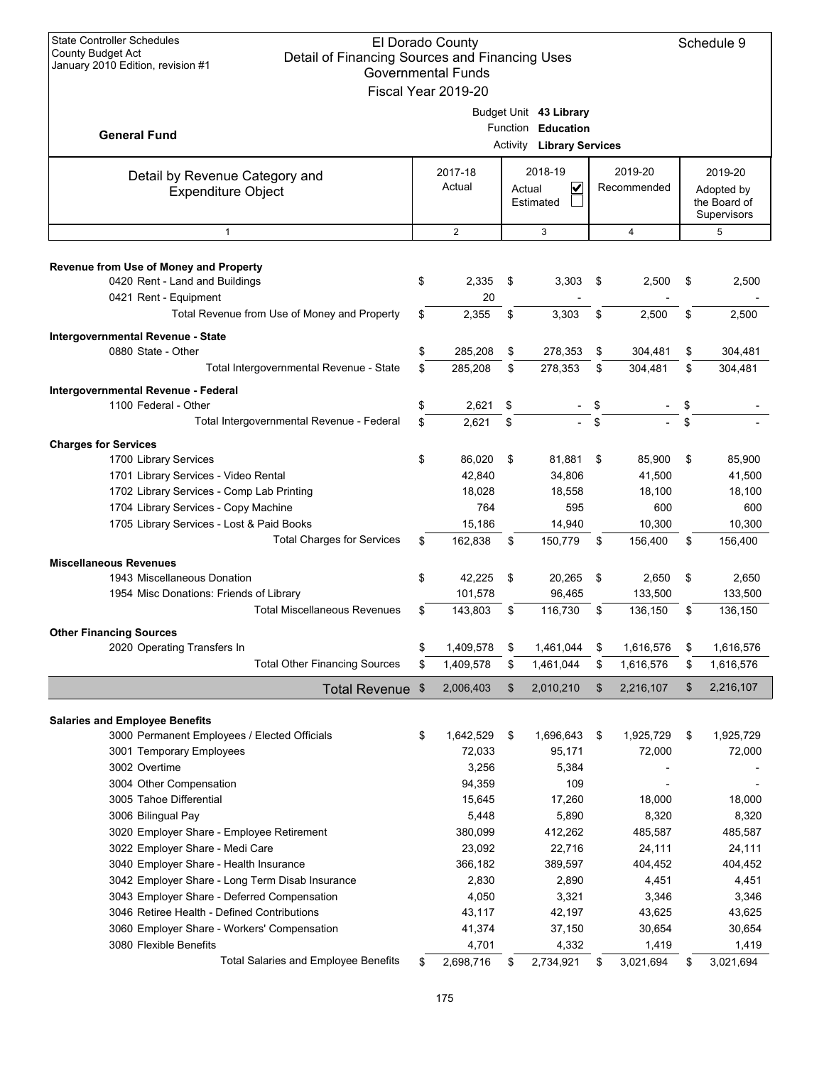| <b>State Controller Schedules</b><br>El Dorado County<br><b>County Budget Act</b><br>Detail of Financing Sources and Financing Uses<br>January 2010 Edition, revision #1<br><b>Governmental Funds</b><br>Fiscal Year 2019-20 |    |                   |    |                                                                                  |    |                        |    |                   |  |  |  |                                                      |
|------------------------------------------------------------------------------------------------------------------------------------------------------------------------------------------------------------------------------|----|-------------------|----|----------------------------------------------------------------------------------|----|------------------------|----|-------------------|--|--|--|------------------------------------------------------|
| <b>General Fund</b>                                                                                                                                                                                                          |    |                   |    | Budget Unit 43 Library<br>Function Education<br><b>Activity Library Services</b> |    |                        |    |                   |  |  |  |                                                      |
| Detail by Revenue Category and<br><b>Expenditure Object</b>                                                                                                                                                                  |    | 2017-18<br>Actual |    | 2018-19<br>V<br>Actual<br>Estimated                                              |    | 2019-20<br>Recommended |    |                   |  |  |  | 2019-20<br>Adopted by<br>the Board of<br>Supervisors |
| $\mathbf{1}$                                                                                                                                                                                                                 |    | $\overline{2}$    |    | 3                                                                                |    | $\overline{4}$         |    | 5                 |  |  |  |                                                      |
| Revenue from Use of Money and Property<br>0420 Rent - Land and Buildings<br>0421 Rent - Equipment                                                                                                                            | \$ | 2,335<br>20       | \$ | 3,303                                                                            | \$ | 2,500                  | \$ | 2,500             |  |  |  |                                                      |
| Total Revenue from Use of Money and Property                                                                                                                                                                                 | \$ | 2,355             | \$ | 3.303                                                                            | \$ | 2,500                  | \$ | 2,500             |  |  |  |                                                      |
| Intergovernmental Revenue - State                                                                                                                                                                                            |    |                   |    |                                                                                  |    |                        |    |                   |  |  |  |                                                      |
| 0880 State - Other                                                                                                                                                                                                           | \$ | 285,208           | \$ | 278,353                                                                          | \$ | 304,481                | \$ | 304,481           |  |  |  |                                                      |
| Total Intergovernmental Revenue - State                                                                                                                                                                                      | \$ | 285,208           | \$ | 278,353                                                                          | \$ | 304,481                | \$ | 304.481           |  |  |  |                                                      |
| Intergovernmental Revenue - Federal                                                                                                                                                                                          |    |                   |    |                                                                                  |    |                        |    |                   |  |  |  |                                                      |
| 1100 Federal - Other                                                                                                                                                                                                         | \$ | 2,621             | \$ |                                                                                  | \$ |                        | \$ |                   |  |  |  |                                                      |
| Total Intergovernmental Revenue - Federal                                                                                                                                                                                    | \$ | 2,621             | \$ |                                                                                  | \$ |                        |    |                   |  |  |  |                                                      |
| <b>Charges for Services</b>                                                                                                                                                                                                  |    |                   |    |                                                                                  |    |                        |    |                   |  |  |  |                                                      |
| 1700 Library Services                                                                                                                                                                                                        | \$ | 86,020            | \$ | 81,881                                                                           | \$ | 85,900                 | \$ | 85,900            |  |  |  |                                                      |
| 1701 Library Services - Video Rental                                                                                                                                                                                         |    | 42,840            |    | 34,806                                                                           |    | 41,500                 |    | 41,500            |  |  |  |                                                      |
| 1702 Library Services - Comp Lab Printing                                                                                                                                                                                    |    | 18,028            |    | 18,558                                                                           |    | 18,100                 |    | 18,100            |  |  |  |                                                      |
| 1704 Library Services - Copy Machine                                                                                                                                                                                         |    | 764               |    | 595                                                                              |    | 600                    |    | 600               |  |  |  |                                                      |
| 1705 Library Services - Lost & Paid Books                                                                                                                                                                                    |    | 15,186            |    | 14,940                                                                           |    | 10,300                 |    | 10,300            |  |  |  |                                                      |
| <b>Total Charges for Services</b>                                                                                                                                                                                            | \$ | 162,838           | \$ | 150,779                                                                          | \$ | 156,400                | \$ | 156,400           |  |  |  |                                                      |
| <b>Miscellaneous Revenues</b>                                                                                                                                                                                                |    |                   |    |                                                                                  |    |                        |    |                   |  |  |  |                                                      |
| 1943 Miscellaneous Donation                                                                                                                                                                                                  | \$ | 42,225            | \$ | 20,265                                                                           | \$ | 2,650                  | \$ | 2,650             |  |  |  |                                                      |
| 1954 Misc Donations: Friends of Library                                                                                                                                                                                      |    | 101,578           |    | 96,465                                                                           |    | 133,500                |    | 133,500           |  |  |  |                                                      |
| <b>Total Miscellaneous Revenues</b>                                                                                                                                                                                          | \$ | 143,803           | \$ | 116,730                                                                          | \$ | 136,150                | \$ | 136,150           |  |  |  |                                                      |
| <b>Other Financing Sources</b>                                                                                                                                                                                               |    |                   |    |                                                                                  |    |                        |    |                   |  |  |  |                                                      |
| 2020 Operating Transfers In                                                                                                                                                                                                  | \$ | 1,409,578         | \$ | 1,461,044                                                                        | \$ | 1,616,576              | \$ | 1,616,576         |  |  |  |                                                      |
| <b>Total Other Financing Sources</b>                                                                                                                                                                                         | \$ | 1,409,578         | \$ | 1,461,044                                                                        | \$ | 1,616,576              | \$ | 1,616,576         |  |  |  |                                                      |
| Total Revenue \$                                                                                                                                                                                                             |    | 2,006,403         | \$ | 2,010,210                                                                        | \$ | 2,216,107              | \$ | 2,216,107         |  |  |  |                                                      |
|                                                                                                                                                                                                                              |    |                   |    |                                                                                  |    |                        |    |                   |  |  |  |                                                      |
| <b>Salaries and Employee Benefits</b>                                                                                                                                                                                        |    |                   |    |                                                                                  |    |                        |    |                   |  |  |  |                                                      |
| 3000 Permanent Employees / Elected Officials                                                                                                                                                                                 | \$ | 1,642,529         | \$ | 1,696,643                                                                        | \$ | 1,925,729              | \$ | 1,925,729         |  |  |  |                                                      |
| 3001 Temporary Employees                                                                                                                                                                                                     |    | 72,033            |    | 95,171                                                                           |    | 72,000                 |    | 72,000            |  |  |  |                                                      |
| 3002 Overtime                                                                                                                                                                                                                |    | 3,256             |    | 5,384                                                                            |    |                        |    |                   |  |  |  |                                                      |
| 3004 Other Compensation                                                                                                                                                                                                      |    | 94,359            |    | 109                                                                              |    |                        |    |                   |  |  |  |                                                      |
| 3005 Tahoe Differential                                                                                                                                                                                                      |    | 15,645            |    | 17,260                                                                           |    | 18,000                 |    | 18,000            |  |  |  |                                                      |
| 3006 Bilingual Pay                                                                                                                                                                                                           |    | 5,448             |    | 5,890                                                                            |    | 8,320                  |    | 8,320             |  |  |  |                                                      |
| 3020 Employer Share - Employee Retirement                                                                                                                                                                                    |    | 380,099           |    | 412,262                                                                          |    | 485,587                |    | 485,587           |  |  |  |                                                      |
| 3022 Employer Share - Medi Care<br>3040 Employer Share - Health Insurance                                                                                                                                                    |    | 23,092<br>366,182 |    | 22,716<br>389,597                                                                |    | 24,111<br>404,452      |    | 24,111<br>404,452 |  |  |  |                                                      |
| 3042 Employer Share - Long Term Disab Insurance                                                                                                                                                                              |    | 2,830             |    | 2,890                                                                            |    | 4,451                  |    | 4,451             |  |  |  |                                                      |
| 3043 Employer Share - Deferred Compensation                                                                                                                                                                                  |    | 4,050             |    | 3,321                                                                            |    | 3,346                  |    | 3,346             |  |  |  |                                                      |
| 3046 Retiree Health - Defined Contributions                                                                                                                                                                                  |    | 43,117            |    | 42,197                                                                           |    | 43,625                 |    | 43,625            |  |  |  |                                                      |
| 3060 Employer Share - Workers' Compensation                                                                                                                                                                                  |    | 41,374            |    | 37,150                                                                           |    | 30,654                 |    | 30,654            |  |  |  |                                                      |
| 3080 Flexible Benefits                                                                                                                                                                                                       |    | 4,701             |    | 4,332                                                                            |    | 1,419                  |    | 1,419             |  |  |  |                                                      |
| Total Salaries and Employee Benefits                                                                                                                                                                                         | \$ | 2,698,716         | \$ | 2,734,921                                                                        | \$ | 3,021,694              | \$ | 3,021,694         |  |  |  |                                                      |
|                                                                                                                                                                                                                              |    |                   |    |                                                                                  |    |                        |    |                   |  |  |  |                                                      |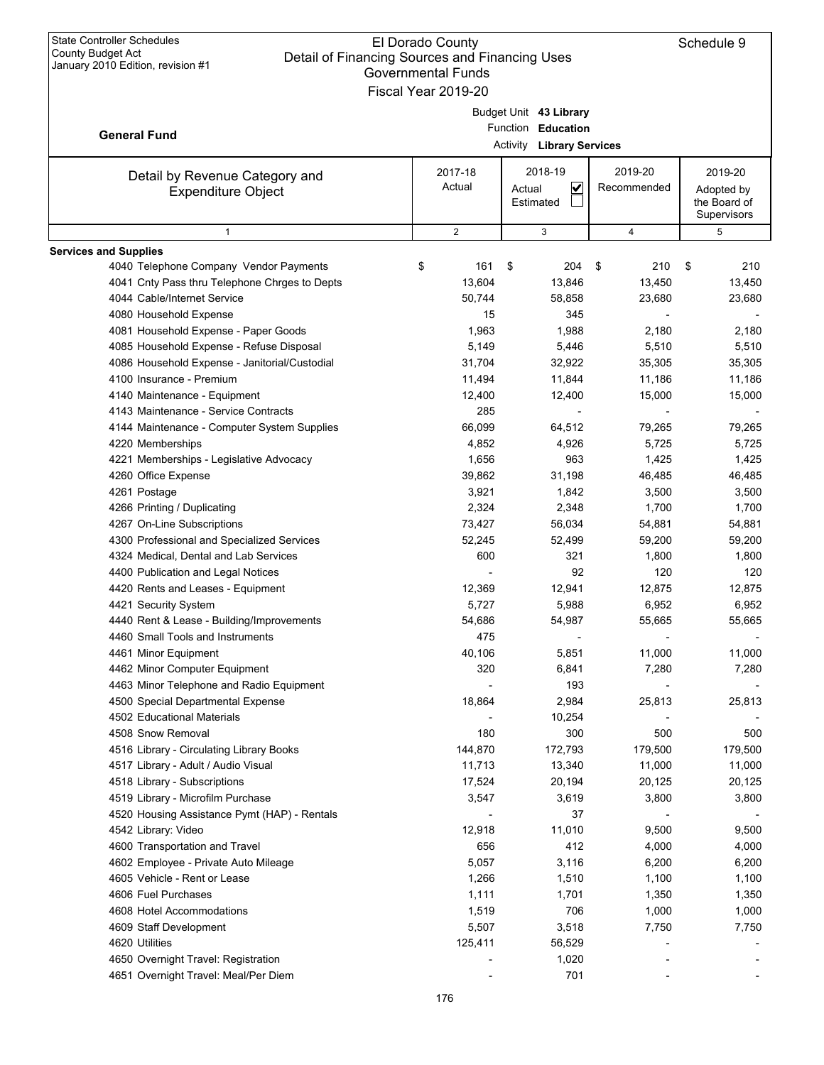|                                                             | Governmental Funds  |                                  |             |              |
|-------------------------------------------------------------|---------------------|----------------------------------|-------------|--------------|
|                                                             | Fiscal Year 2019-20 |                                  |             |              |
|                                                             |                     | Budget Unit 43 Library           |             |              |
| <b>General Fund</b>                                         |                     | Function Education               |             |              |
|                                                             |                     | <b>Activity Library Services</b> |             |              |
|                                                             | 2017-18             | 2018-19                          | 2019-20     | 2019-20      |
| Detail by Revenue Category and<br><b>Expenditure Object</b> | Actual              | $\blacktriangledown$<br>Actual   | Recommended | Adopted by   |
|                                                             |                     | Estimated                        |             | the Board of |
|                                                             |                     |                                  |             | Supervisors  |
| $\mathbf{1}$                                                | $\overline{2}$      | 3                                | 4           | 5            |
| <b>Services and Supplies</b>                                |                     |                                  |             |              |
| 4040 Telephone Company Vendor Payments                      | \$<br>161           | \$<br>204                        | 210<br>-\$  | 210<br>\$    |
| 4041 Cnty Pass thru Telephone Chrges to Depts               | 13,604              | 13,846                           | 13,450      | 13,450       |
| 4044 Cable/Internet Service                                 | 50,744              | 58,858                           | 23,680      | 23,680       |
| 4080 Household Expense                                      | 15                  | 345                              |             |              |
| 4081 Household Expense - Paper Goods                        | 1,963               | 1,988                            | 2,180       | 2,180        |
| 4085 Household Expense - Refuse Disposal                    | 5,149               | 5,446                            | 5,510       | 5,510        |
| 4086 Household Expense - Janitorial/Custodial               | 31,704              | 32,922                           | 35,305      | 35,305       |
| 4100 Insurance - Premium                                    | 11,494              | 11,844                           | 11,186      | 11,186       |
| 4140 Maintenance - Equipment                                | 12,400              | 12,400                           | 15,000      | 15,000       |
| 4143 Maintenance - Service Contracts                        | 285                 |                                  |             |              |
| 4144 Maintenance - Computer System Supplies                 | 66,099              | 64,512                           | 79,265      | 79,265       |
| 4220 Memberships                                            | 4,852               | 4,926                            | 5,725       | 5,725        |
| 4221 Memberships - Legislative Advocacy                     | 1,656               | 963                              | 1,425       | 1,425        |
| 4260 Office Expense                                         | 39,862              | 31,198                           | 46,485      | 46,485       |
| 4261 Postage                                                | 3,921               | 1,842                            | 3,500       | 3,500        |
| 4266 Printing / Duplicating                                 | 2,324               | 2,348                            | 1,700       | 1,700        |
| 4267 On-Line Subscriptions                                  | 73,427              | 56,034                           | 54,881      | 54,881       |
| 4300 Professional and Specialized Services                  | 52,245              | 52,499                           | 59,200      | 59,200       |
| 4324 Medical, Dental and Lab Services                       | 600                 | 321                              | 1,800       | 1,800        |
| 4400 Publication and Legal Notices                          |                     | 92                               | 120         | 120          |
| 4420 Rents and Leases - Equipment                           | 12,369              | 12,941                           | 12,875      | 12,875       |
| 4421 Security System                                        | 5,727               | 5,988                            | 6,952       | 6,952        |
| 4440 Rent & Lease - Building/Improvements                   | 54,686              | 54,987                           | 55,665      | 55,665       |
| 4460 Small Tools and Instruments                            | 475                 |                                  |             |              |
| 4461 Minor Equipment                                        | 40,106              | 5,851                            | 11,000      | 11,000       |
| 4462 Minor Computer Equipment                               | 320                 | 6,841                            | 7,280       | 7,280        |
| 4463 Minor Telephone and Radio Equipment                    |                     | 193                              |             |              |
| 4500 Special Departmental Expense                           | 18,864              | 2,984                            | 25,813      | 25,813       |
| 4502 Educational Materials                                  |                     | 10,254                           |             |              |
| 4508 Snow Removal                                           | 180                 | 300                              | 500         | 500          |
| 4516 Library - Circulating Library Books                    | 144,870             | 172,793                          | 179,500     | 179,500      |
| 4517 Library - Adult / Audio Visual                         | 11,713              | 13,340                           | 11,000      | 11,000       |
| 4518 Library - Subscriptions                                | 17,524              | 20,194                           | 20,125      | 20,125       |
| 4519 Library - Microfilm Purchase                           | 3,547               | 3,619                            | 3,800       | 3,800        |
| 4520 Housing Assistance Pymt (HAP) - Rentals                |                     | 37                               |             |              |
| 4542 Library: Video                                         | 12,918              | 11,010                           | 9,500       | 9,500        |
| 4600 Transportation and Travel                              | 656                 | 412                              | 4,000       | 4,000        |
| 4602 Employee - Private Auto Mileage                        | 5,057               | 3,116                            | 6,200       | 6,200        |
| 4605 Vehicle - Rent or Lease                                | 1,266               | 1,510                            | 1,100       | 1,100        |
| 4606 Fuel Purchases                                         | 1,111               | 1,701                            | 1,350       | 1,350        |
| 4608 Hotel Accommodations                                   | 1,519               | 706                              | 1,000       | 1,000        |
| 4609 Staff Development                                      | 5,507               | 3,518                            | 7,750       | 7,750        |
| 4620 Utilities                                              | 125,411             | 56,529                           |             |              |
| 4650 Overnight Travel: Registration                         |                     | 1,020                            |             |              |
| 4651 Overnight Travel: Meal/Per Diem                        |                     | 701                              |             |              |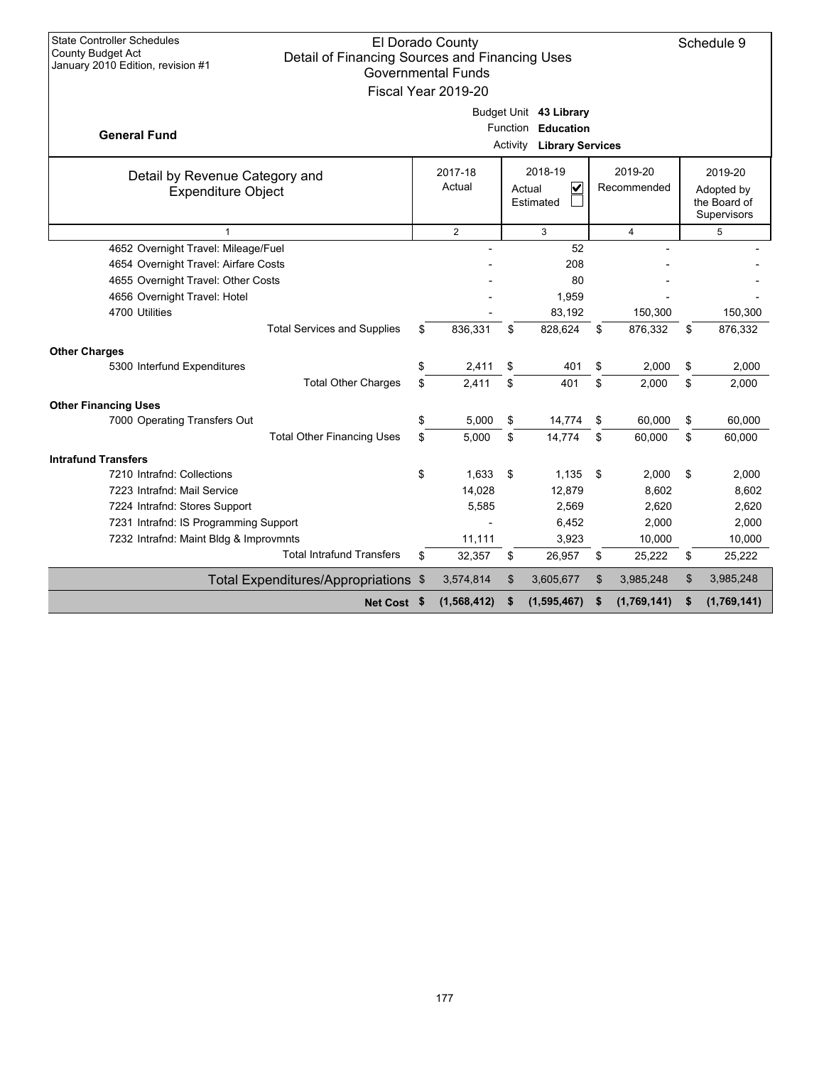| <b>State Controller Schedules</b>                                                                               | El Dorado County    |          |                                  |     |                | Schedule 9        |
|-----------------------------------------------------------------------------------------------------------------|---------------------|----------|----------------------------------|-----|----------------|-------------------|
| <b>County Budget Act</b><br>Detail of Financing Sources and Financing Uses<br>January 2010 Edition, revision #1 |                     |          |                                  |     |                |                   |
|                                                                                                                 | Governmental Funds  |          |                                  |     |                |                   |
|                                                                                                                 | Fiscal Year 2019-20 |          |                                  |     |                |                   |
|                                                                                                                 |                     |          | Budget Unit 43 Library           |     |                |                   |
| <b>General Fund</b>                                                                                             |                     | Function | <b>Education</b>                 |     |                |                   |
|                                                                                                                 |                     |          | <b>Activity Library Services</b> |     |                |                   |
| Detail by Revenue Category and                                                                                  | 2017-18             |          | 2018-19                          |     | 2019-20        | 2019-20           |
| <b>Expenditure Object</b>                                                                                       | Actual              |          | V<br>Actual                      |     | Recommended    | Adopted by        |
|                                                                                                                 |                     |          | Estimated                        |     |                | the Board of      |
| $\mathbf{1}$                                                                                                    | 2                   |          |                                  |     | $\overline{4}$ | Supervisors       |
| 4652 Overnight Travel: Mileage/Fuel                                                                             |                     |          | 3<br>52                          |     |                | 5                 |
| 4654 Overnight Travel: Airfare Costs                                                                            |                     |          | 208                              |     |                |                   |
| 4655 Overnight Travel: Other Costs                                                                              |                     |          | 80                               |     |                |                   |
| 4656 Overnight Travel: Hotel                                                                                    |                     |          | 1,959                            |     |                |                   |
| 4700 Utilities                                                                                                  |                     |          | 83,192                           |     | 150,300        | 150,300           |
| <b>Total Services and Supplies</b>                                                                              | \$<br>836,331       | \$       | 828,624                          | \$  | 876,332        | \$<br>876,332     |
| <b>Other Charges</b>                                                                                            |                     |          |                                  |     |                |                   |
| 5300 Interfund Expenditures                                                                                     | \$<br>2,411         | \$       | 401                              | \$  | 2,000          | \$<br>2,000       |
| <b>Total Other Charges</b>                                                                                      | \$<br>2,411         | \$       | 401                              | \$  | 2,000          | \$<br>2,000       |
| <b>Other Financing Uses</b>                                                                                     |                     |          |                                  |     |                |                   |
| 7000 Operating Transfers Out                                                                                    | \$<br>5,000         | \$       | 14,774                           | \$  | 60.000         | \$<br>60.000      |
| <b>Total Other Financing Uses</b>                                                                               | \$<br>5.000         | \$       | 14.774                           | \$  | 60,000         | \$<br>60,000      |
| <b>Intrafund Transfers</b>                                                                                      |                     |          |                                  |     |                |                   |
| 7210 Intrafnd: Collections                                                                                      | \$<br>1,633         | \$       | 1,135                            | -\$ | 2,000          | \$<br>2,000       |
| 7223 Intrafnd: Mail Service                                                                                     | 14,028              |          | 12,879                           |     | 8,602          | 8,602             |
| 7224 Intrafnd: Stores Support                                                                                   | 5,585               |          | 2,569                            |     | 2,620          | 2,620             |
| 7231 Intrafnd: IS Programming Support                                                                           |                     |          | 6,452                            |     | 2,000          | 2,000             |
| 7232 Intrafnd: Maint Bldg & Improvmnts                                                                          | 11,111              |          | 3,923                            |     | 10,000         | 10,000            |
| <b>Total Intrafund Transfers</b>                                                                                | \$<br>32,357        | \$       | 26,957                           | \$  | 25,222         | \$<br>25,222      |
| Total Expenditures/Appropriations \$                                                                            | 3,574,814           | \$       | 3,605,677                        | \$  | 3,985,248      | \$<br>3,985,248   |
| Net Cost \$                                                                                                     | (1, 568, 412)       | \$       | (1,595,467)                      | \$  | (1,769,141)    | \$<br>(1,769,141) |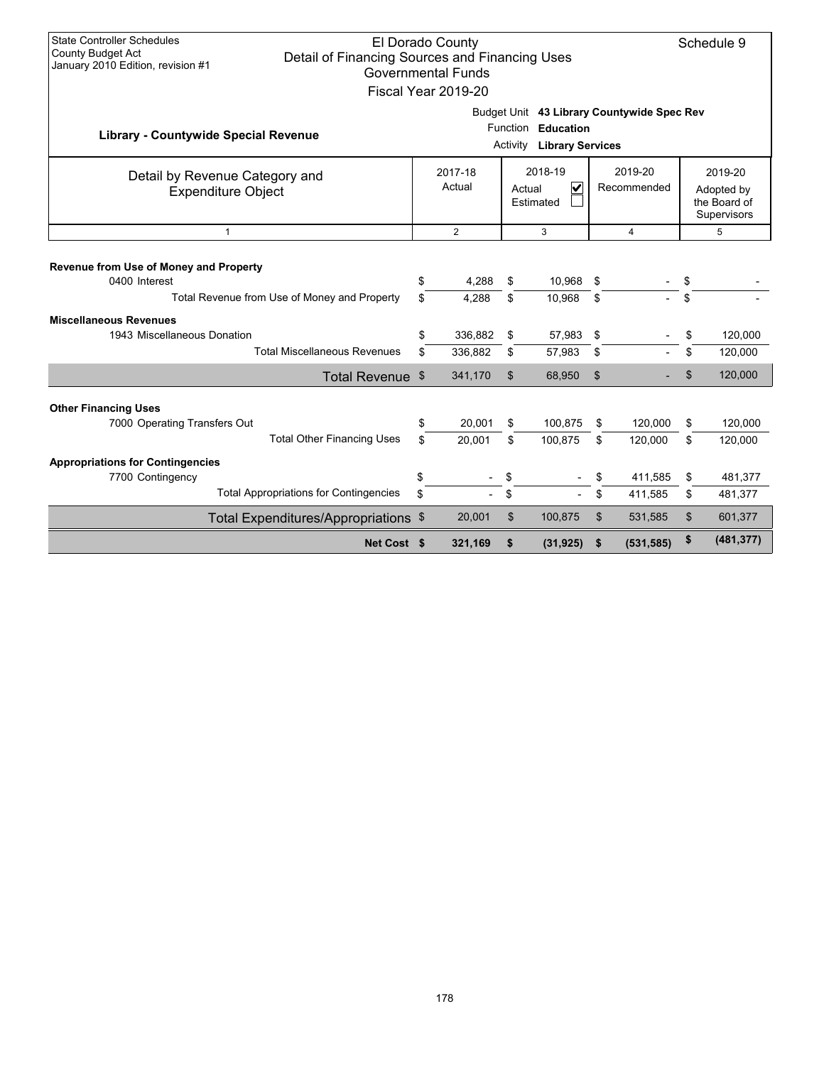| <b>State Controller Schedules</b><br>El Dorado County<br>Schedule 9<br><b>County Budget Act</b><br>Detail of Financing Sources and Financing Uses<br>January 2010 Edition, revision #1<br><b>Governmental Funds</b><br>Fiscal Year 2019-20 |                                               |                                                                                |          |                  |                                               |                        |                                                      |          |                    |
|--------------------------------------------------------------------------------------------------------------------------------------------------------------------------------------------------------------------------------------------|-----------------------------------------------|--------------------------------------------------------------------------------|----------|------------------|-----------------------------------------------|------------------------|------------------------------------------------------|----------|--------------------|
| <b>Library - Countywide Special Revenue</b>                                                                                                                                                                                                |                                               |                                                                                |          | Activity         | Function Education<br><b>Library Services</b> |                        | Budget Unit 43 Library Countywide Spec Rev           |          |                    |
| Detail by Revenue Category and<br><b>Expenditure Object</b>                                                                                                                                                                                |                                               | 2018-19<br>2017-18<br>Actual<br>$\overline{\mathbf{v}}$<br>Actual<br>Estimated |          |                  |                                               | 2019-20<br>Recommended | 2019-20<br>Adopted by<br>the Board of<br>Supervisors |          |                    |
| $\overline{2}$<br>3<br>$\overline{4}$<br>$\mathbf{1}$<br>5                                                                                                                                                                                 |                                               |                                                                                |          |                  |                                               |                        |                                                      |          |                    |
| Revenue from Use of Money and Property<br>0400 Interest<br>Total Revenue from Use of Money and Property                                                                                                                                    | \$<br>\$                                      | 4,288<br>4,288                                                                 | \$<br>\$ | 10,968<br>10,968 | \$<br>\$                                      |                        | \$<br>\$                                             |          |                    |
| <b>Miscellaneous Revenues</b><br>1943 Miscellaneous Donation                                                                                                                                                                               |                                               | \$                                                                             | 336,882  | \$               | 57,983                                        | \$                     |                                                      | \$       | 120,000            |
|                                                                                                                                                                                                                                            | <b>Total Miscellaneous Revenues</b>           | \$                                                                             | 336,882  | \$               | 57,983                                        | \$                     |                                                      | \$       | 120,000            |
|                                                                                                                                                                                                                                            | Total Revenue \$                              |                                                                                | 341,170  | \$               | 68,950                                        | \$                     |                                                      | \$       | 120,000            |
| <b>Other Financing Uses</b><br>7000 Operating Transfers Out                                                                                                                                                                                |                                               | \$                                                                             | 20,001   | \$               | 100,875                                       | \$                     | 120,000                                              | \$       | 120,000            |
|                                                                                                                                                                                                                                            | <b>Total Other Financing Uses</b>             | \$                                                                             | 20,001   | \$               | 100,875                                       | \$                     | 120,000                                              | \$       | 120,000            |
| <b>Appropriations for Contingencies</b><br>7700 Contingency                                                                                                                                                                                | <b>Total Appropriations for Contingencies</b> | \$<br>\$                                                                       |          | \$<br>\$         |                                               | \$<br>\$               | 411,585<br>411,585                                   | \$<br>\$ | 481,377<br>481,377 |
| Total Expenditures/Appropriations \$                                                                                                                                                                                                       |                                               |                                                                                | 20,001   | \$               | 100,875                                       | \$                     | 531,585                                              | \$       | 601,377            |
| (481, 377)<br>\$<br>(531, 585)<br>Net Cost \$<br>321,169<br>\$<br>(31, 925)<br>\$                                                                                                                                                          |                                               |                                                                                |          |                  |                                               |                        |                                                      |          |                    |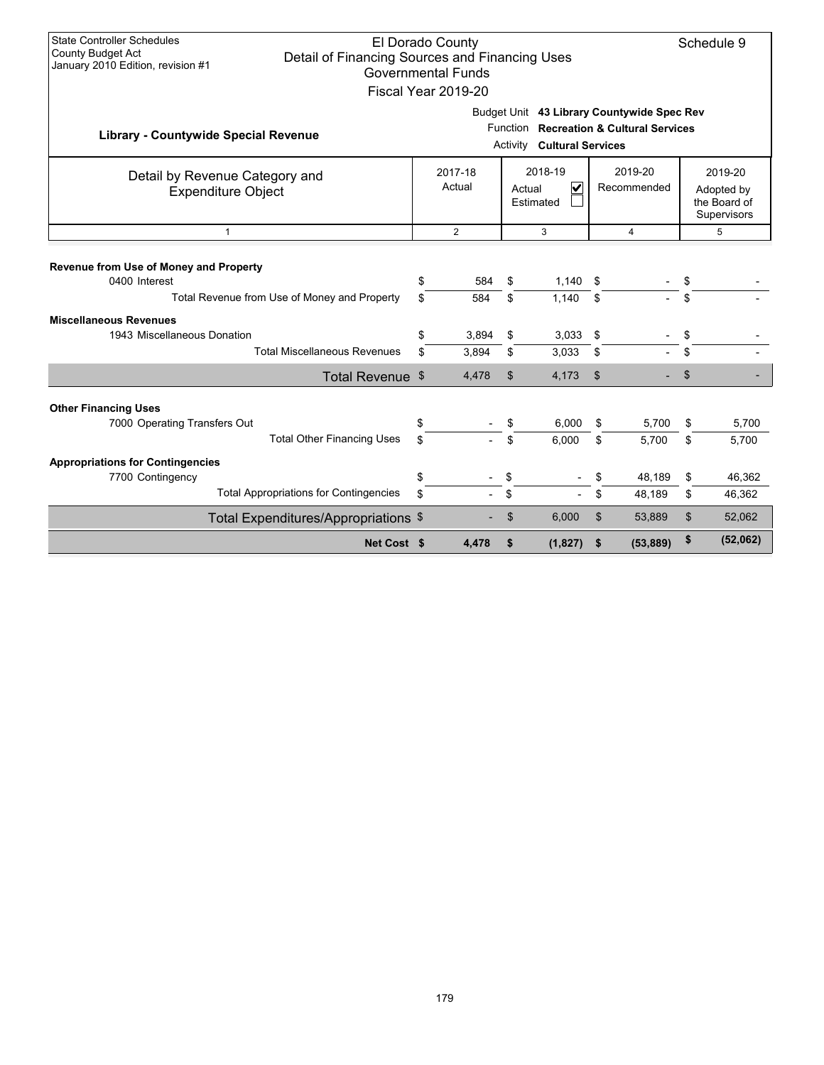| <b>State Controller Schedules</b><br>El Dorado County<br>Schedule 9<br><b>County Budget Act</b><br>Detail of Financing Sources and Financing Uses<br>January 2010 Edition, revision #1<br><b>Governmental Funds</b><br>Fiscal Year 2019-20 |           |                   |                |                                                                                                                            |          |                        |           |                                                             |  |  |
|--------------------------------------------------------------------------------------------------------------------------------------------------------------------------------------------------------------------------------------------|-----------|-------------------|----------------|----------------------------------------------------------------------------------------------------------------------------|----------|------------------------|-----------|-------------------------------------------------------------|--|--|
| <b>Library - Countywide Special Revenue</b>                                                                                                                                                                                                |           |                   |                | Budget Unit 43 Library Countywide Spec Rev<br>Function Recreation & Cultural Services<br><b>Activity Cultural Services</b> |          |                        |           |                                                             |  |  |
| Detail by Revenue Category and<br><b>Expenditure Object</b>                                                                                                                                                                                |           | 2017-18<br>Actual |                | 2018-19<br>$\overline{\mathsf{v}}$<br>Actual<br>Estimated                                                                  |          | 2019-20<br>Recommended |           | 2019-20<br>Adopted by<br>the Board of<br><b>Supervisors</b> |  |  |
| $\overline{2}$<br>5<br>3<br>$\overline{4}$<br>$\mathbf{1}$                                                                                                                                                                                 |           |                   |                |                                                                                                                            |          |                        |           |                                                             |  |  |
| Revenue from Use of Money and Property<br>0400 Interest<br>Total Revenue from Use of Money and Property                                                                                                                                    | \$<br>\$. | 584<br>584        | \$<br>\$       | 1,140<br>1.140                                                                                                             | \$<br>\$ |                        | \$<br>\$. |                                                             |  |  |
| <b>Miscellaneous Revenues</b><br>1943 Miscellaneous Donation                                                                                                                                                                               | \$        | 3,894             | \$             | 3,033                                                                                                                      | \$       |                        | \$        |                                                             |  |  |
| <b>Total Miscellaneous Revenues</b>                                                                                                                                                                                                        | \$        | 3,894             | \$             | 3,033                                                                                                                      | \$       |                        | \$        |                                                             |  |  |
| Total Revenue \$                                                                                                                                                                                                                           |           | 4,478             | $\mathfrak{S}$ | 4,173                                                                                                                      | \$       |                        | \$        |                                                             |  |  |
| <b>Other Financing Uses</b><br>7000 Operating Transfers Out<br><b>Total Other Financing Uses</b>                                                                                                                                           | \$<br>\$  |                   | \$<br>\$.      | 6,000<br>6,000                                                                                                             | \$<br>\$ | 5,700<br>5,700         | \$<br>\$  | 5,700<br>5,700                                              |  |  |
| <b>Appropriations for Contingencies</b><br>7700 Contingency                                                                                                                                                                                | \$        |                   | \$             |                                                                                                                            |          | 48.189                 | \$        | 46,362                                                      |  |  |
| <b>Total Appropriations for Contingencies</b>                                                                                                                                                                                              | \$        |                   | \$             |                                                                                                                            | \$.      | 48,189                 | \$        | 46,362                                                      |  |  |
| Total Expenditures/Appropriations \$                                                                                                                                                                                                       |           |                   | \$             | 6,000                                                                                                                      | \$       | 53,889                 | \$        | 52,062                                                      |  |  |
| Net Cost \$                                                                                                                                                                                                                                |           | 4,478             | \$             | (1, 827)                                                                                                                   | \$       | (53, 889)              | \$        | (52,062)                                                    |  |  |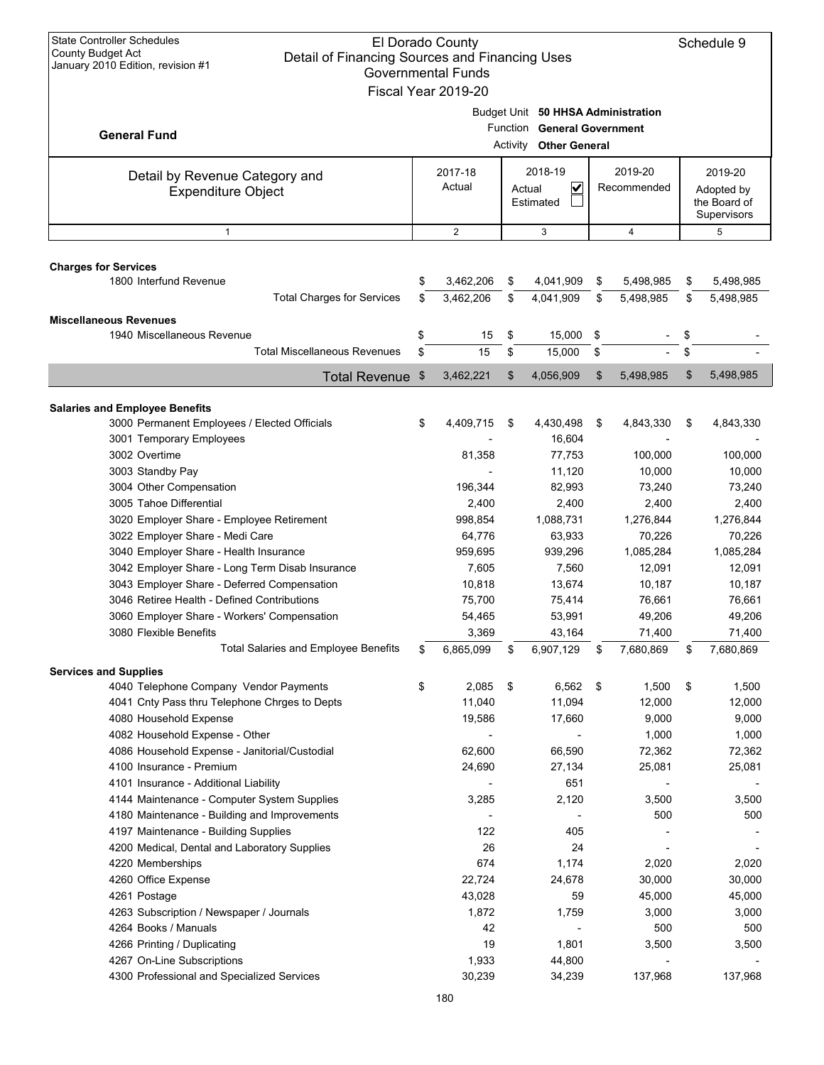| <b>State Controller Schedules</b><br>El Dorado County<br><b>County Budget Act</b><br>Detail of Financing Sources and Financing Uses<br>January 2010 Edition, revision #1<br><b>Governmental Funds</b><br>Fiscal Year 2019-20 |          |                        |          |                                                                                             |                        |                        |          |                        |  |                                                      |
|------------------------------------------------------------------------------------------------------------------------------------------------------------------------------------------------------------------------------|----------|------------------------|----------|---------------------------------------------------------------------------------------------|------------------------|------------------------|----------|------------------------|--|------------------------------------------------------|
| <b>General Fund</b>                                                                                                                                                                                                          |          |                        |          | Budget Unit 50 HHSA Administration<br>Function General Government<br>Activity Other General |                        |                        |          |                        |  |                                                      |
| Detail by Revenue Category and<br><b>Expenditure Object</b>                                                                                                                                                                  |          | 2017-18<br>Actual      | Actual   | 2018-19<br>V<br>Estimated                                                                   | 2019-20<br>Recommended |                        |          |                        |  | 2019-20<br>Adopted by<br>the Board of<br>Supervisors |
| $\mathbf{1}$                                                                                                                                                                                                                 |          | $\mathbf{2}$           |          | 3                                                                                           | $\overline{4}$         |                        |          | 5                      |  |                                                      |
| <b>Charges for Services</b>                                                                                                                                                                                                  |          |                        |          |                                                                                             |                        |                        |          |                        |  |                                                      |
| 1800 Interfund Revenue<br><b>Total Charges for Services</b>                                                                                                                                                                  | \$<br>\$ | 3,462,206<br>3,462,206 | \$<br>\$ | 4,041,909<br>4,041,909                                                                      | \$<br>\$               | 5,498,985<br>5,498,985 | \$<br>\$ | 5,498,985<br>5,498,985 |  |                                                      |
| <b>Miscellaneous Revenues</b>                                                                                                                                                                                                |          |                        |          |                                                                                             |                        |                        |          |                        |  |                                                      |
| 1940 Miscellaneous Revenue<br><b>Total Miscellaneous Revenues</b>                                                                                                                                                            | \$<br>\$ | 15<br>15               | \$<br>\$ | 15,000<br>15,000                                                                            | \$<br>\$               |                        | \$<br>\$ |                        |  |                                                      |
|                                                                                                                                                                                                                              |          | 3,462,221              | \$       | 4,056,909                                                                                   | \$                     | 5,498,985              | \$       | 5,498,985              |  |                                                      |
| <b>Total Revenue</b>                                                                                                                                                                                                         | \$       |                        |          |                                                                                             |                        |                        |          |                        |  |                                                      |
| <b>Salaries and Employee Benefits</b><br>3000 Permanent Employees / Elected Officials<br>3001 Temporary Employees                                                                                                            | \$       | 4,409,715              | \$       | 4,430,498<br>16,604                                                                         | \$                     | 4,843,330              | \$       | 4,843,330              |  |                                                      |
| 3002 Overtime<br>3003 Standby Pay                                                                                                                                                                                            |          | 81,358                 |          | 77,753<br>11,120                                                                            |                        | 100,000<br>10,000      |          | 100,000<br>10,000      |  |                                                      |
| 3004 Other Compensation                                                                                                                                                                                                      |          | 196,344                |          | 82,993                                                                                      |                        | 73,240                 |          | 73,240                 |  |                                                      |
| 3005 Tahoe Differential                                                                                                                                                                                                      |          | 2,400                  |          | 2,400                                                                                       |                        | 2,400                  |          | 2,400                  |  |                                                      |
| 3020 Employer Share - Employee Retirement<br>3022 Employer Share - Medi Care                                                                                                                                                 |          | 998,854<br>64,776      |          | 1,088,731<br>63,933                                                                         |                        | 1,276,844<br>70,226    |          | 1,276,844<br>70,226    |  |                                                      |
| 3040 Employer Share - Health Insurance                                                                                                                                                                                       |          | 959,695                |          | 939,296                                                                                     |                        | 1,085,284              |          | 1,085,284              |  |                                                      |
| 3042 Employer Share - Long Term Disab Insurance                                                                                                                                                                              |          | 7,605                  |          | 7,560                                                                                       |                        | 12,091                 |          | 12,091                 |  |                                                      |
| 3043 Employer Share - Deferred Compensation                                                                                                                                                                                  |          | 10,818                 |          | 13,674                                                                                      |                        | 10,187                 |          | 10,187                 |  |                                                      |
| 3046 Retiree Health - Defined Contributions                                                                                                                                                                                  |          | 75,700                 |          | 75,414                                                                                      |                        | 76,661                 |          | 76,661                 |  |                                                      |
| 3060 Employer Share - Workers' Compensation                                                                                                                                                                                  |          | 54,465                 |          | 53,991                                                                                      |                        | 49,206                 |          | 49,206                 |  |                                                      |
| 3080 Flexible Benefits                                                                                                                                                                                                       |          | 3,369                  |          | 43,164                                                                                      |                        | 71,400                 |          | 71,400                 |  |                                                      |
| <b>Total Salaries and Employee Benefits</b>                                                                                                                                                                                  | \$       | 6,865,099              | \$       | 6,907,129                                                                                   | \$                     | 7,680,869              | \$       | 7,680,869              |  |                                                      |
| <b>Services and Supplies</b>                                                                                                                                                                                                 | \$       |                        |          |                                                                                             | \$                     |                        |          |                        |  |                                                      |
| 4040 Telephone Company Vendor Payments<br>4041 Cnty Pass thru Telephone Chrges to Depts                                                                                                                                      |          | 2,085<br>11,040        | \$       | 6,562<br>11,094                                                                             |                        | 1,500<br>12,000        | \$       | 1,500<br>12,000        |  |                                                      |
| 4080 Household Expense                                                                                                                                                                                                       |          | 19,586                 |          | 17,660                                                                                      |                        | 9,000                  |          | 9,000                  |  |                                                      |
| 4082 Household Expense - Other                                                                                                                                                                                               |          |                        |          |                                                                                             |                        | 1,000                  |          | 1,000                  |  |                                                      |
| 4086 Household Expense - Janitorial/Custodial                                                                                                                                                                                |          | 62,600                 |          | 66,590                                                                                      |                        | 72,362                 |          | 72,362                 |  |                                                      |
| 4100 Insurance - Premium                                                                                                                                                                                                     |          | 24,690                 |          | 27,134                                                                                      |                        | 25,081                 |          | 25,081                 |  |                                                      |
| 4101 Insurance - Additional Liability                                                                                                                                                                                        |          |                        |          | 651                                                                                         |                        |                        |          |                        |  |                                                      |
| 4144 Maintenance - Computer System Supplies                                                                                                                                                                                  |          | 3,285                  |          | 2,120                                                                                       |                        | 3,500                  |          | 3,500                  |  |                                                      |
| 4180 Maintenance - Building and Improvements                                                                                                                                                                                 |          |                        |          |                                                                                             |                        | 500                    |          | 500                    |  |                                                      |
| 4197 Maintenance - Building Supplies                                                                                                                                                                                         |          | 122                    |          | 405                                                                                         |                        |                        |          |                        |  |                                                      |
| 4200 Medical, Dental and Laboratory Supplies<br>4220 Memberships                                                                                                                                                             |          | 26<br>674              |          | 24<br>1,174                                                                                 |                        | 2,020                  |          | 2,020                  |  |                                                      |
| 4260 Office Expense                                                                                                                                                                                                          |          | 22,724                 |          | 24,678                                                                                      |                        | 30,000                 |          | 30,000                 |  |                                                      |
| 4261 Postage                                                                                                                                                                                                                 |          | 43,028                 |          | 59                                                                                          |                        | 45,000                 |          | 45,000                 |  |                                                      |
| 4263 Subscription / Newspaper / Journals                                                                                                                                                                                     |          | 1,872                  |          | 1,759                                                                                       |                        | 3,000                  |          | 3,000                  |  |                                                      |
| 4264 Books / Manuals                                                                                                                                                                                                         |          | 42                     |          |                                                                                             |                        | 500                    |          | 500                    |  |                                                      |
| 4266 Printing / Duplicating                                                                                                                                                                                                  |          | 19                     |          | 1,801                                                                                       |                        | 3,500                  |          | 3,500                  |  |                                                      |
| 4267 On-Line Subscriptions                                                                                                                                                                                                   |          | 1,933                  |          | 44,800                                                                                      |                        |                        |          |                        |  |                                                      |
| 4300 Professional and Specialized Services                                                                                                                                                                                   |          | 30,239                 |          | 34,239                                                                                      |                        | 137,968                |          | 137,968                |  |                                                      |
|                                                                                                                                                                                                                              |          | 180                    |          |                                                                                             |                        |                        |          |                        |  |                                                      |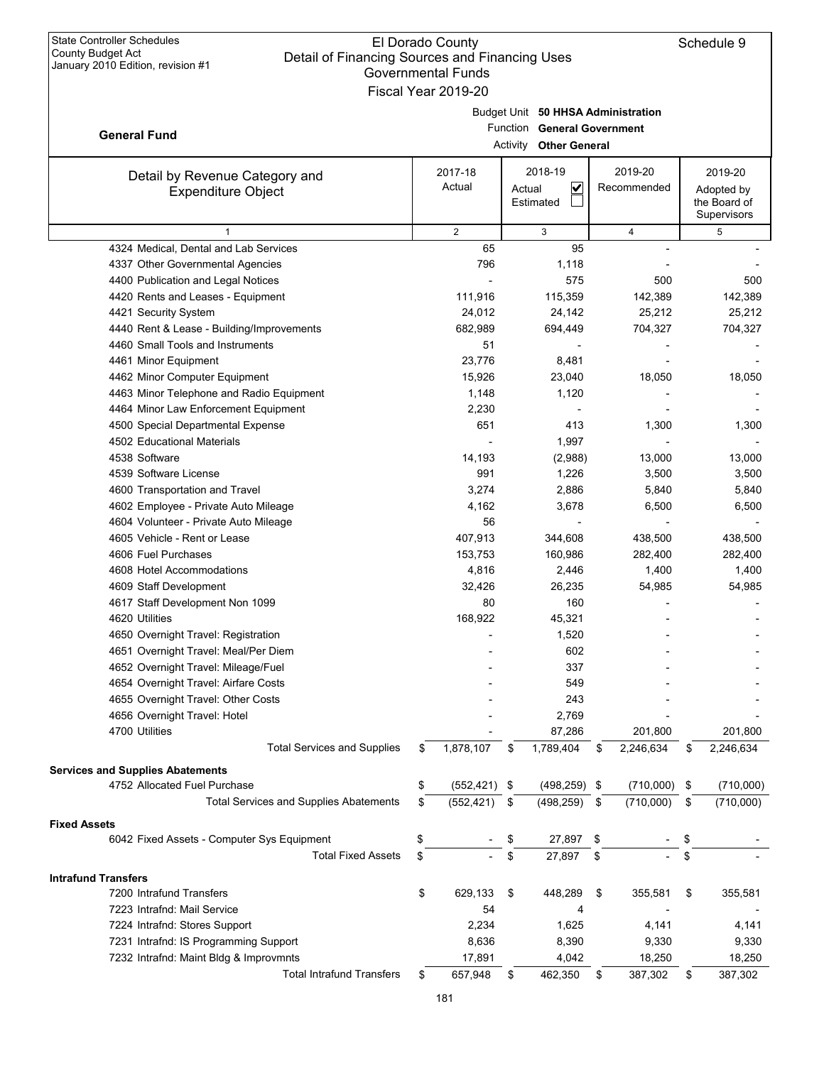|                                               | Governmental Funds    |        |                                    |     |                |     |                            |
|-----------------------------------------------|-----------------------|--------|------------------------------------|-----|----------------|-----|----------------------------|
|                                               | Fiscal Year 2019-20   |        |                                    |     |                |     |                            |
|                                               |                       |        | Budget Unit 50 HHSA Administration |     |                |     |                            |
| <b>General Fund</b>                           |                       |        | Function General Government        |     |                |     |                            |
|                                               |                       |        | Activity Other General             |     |                |     |                            |
|                                               | 2017-18               |        | 2018-19                            |     | 2019-20        |     | 2019-20                    |
| Detail by Revenue Category and                | Actual                | Actual | $\overline{\mathsf{v}}$            |     | Recommended    |     |                            |
| <b>Expenditure Object</b>                     |                       |        | Estimated                          |     |                |     | Adopted by<br>the Board of |
|                                               |                       |        |                                    |     |                |     | Supervisors                |
| $\mathbf{1}$                                  | $\overline{2}$        |        | 3                                  |     | $\overline{4}$ |     | 5                          |
| 4324 Medical, Dental and Lab Services         | 65                    |        | 95                                 |     |                |     |                            |
| 4337 Other Governmental Agencies              | 796                   |        | 1,118                              |     |                |     |                            |
| 4400 Publication and Legal Notices            |                       |        | 575                                |     | 500            |     | 500                        |
| 4420 Rents and Leases - Equipment             | 111,916               |        | 115,359                            |     | 142,389        |     | 142,389                    |
| 4421 Security System                          | 24,012                |        | 24,142                             |     | 25,212         |     | 25,212                     |
| 4440 Rent & Lease - Building/Improvements     | 682,989               |        | 694,449                            |     | 704,327        |     | 704,327                    |
| 4460 Small Tools and Instruments              | 51                    |        |                                    |     |                |     |                            |
| 4461 Minor Equipment                          | 23,776                |        | 8,481                              |     |                |     |                            |
| 4462 Minor Computer Equipment                 | 15,926                |        | 23,040                             |     | 18,050         |     | 18,050                     |
| 4463 Minor Telephone and Radio Equipment      | 1,148                 |        | 1,120                              |     |                |     |                            |
| 4464 Minor Law Enforcement Equipment          | 2,230                 |        |                                    |     |                |     |                            |
| 4500 Special Departmental Expense             | 651                   |        | 413                                |     | 1,300          |     | 1,300                      |
| 4502 Educational Materials                    |                       |        | 1,997                              |     |                |     |                            |
| 4538 Software                                 | 14,193                |        | (2,988)                            |     | 13,000         |     | 13,000                     |
| 4539 Software License                         | 991                   |        | 1,226                              |     | 3,500          |     | 3,500                      |
| 4600 Transportation and Travel                | 3,274                 |        | 2,886                              |     | 5,840          |     | 5,840                      |
| 4602 Employee - Private Auto Mileage          | 4,162                 |        | 3,678                              |     | 6,500          |     | 6,500                      |
| 4604 Volunteer - Private Auto Mileage         | 56                    |        |                                    |     |                |     |                            |
| 4605 Vehicle - Rent or Lease                  | 407,913               |        | 344,608                            |     | 438,500        |     | 438,500                    |
| 4606 Fuel Purchases                           | 153,753               |        | 160,986                            |     | 282,400        |     | 282,400                    |
| 4608 Hotel Accommodations                     | 4,816                 |        | 2,446                              |     | 1,400          |     | 1,400                      |
| 4609 Staff Development                        | 32,426                |        | 26,235                             |     | 54,985         |     | 54,985                     |
| 4617 Staff Development Non 1099               | 80                    |        | 160                                |     |                |     |                            |
| 4620 Utilities                                | 168,922               |        | 45,321                             |     |                |     |                            |
| 4650 Overnight Travel: Registration           |                       |        | 1,520                              |     |                |     |                            |
| 4651 Overnight Travel: Meal/Per Diem          |                       |        | 602                                |     |                |     |                            |
| 4652 Overnight Travel: Mileage/Fuel           |                       |        | 337                                |     |                |     |                            |
| 4654 Overnight Travel: Airfare Costs          |                       |        | 549                                |     |                |     |                            |
| 4655 Overnight Travel: Other Costs            |                       |        | 243                                |     |                |     |                            |
| 4656 Overnight Travel: Hotel                  |                       |        | 2,769                              |     |                |     |                            |
| 4700 Utilities                                |                       |        | 87,286                             |     | 201,800        |     | 201,800                    |
| <b>Total Services and Supplies</b>            | \$<br>1,878,107       | \$     | 1,789,404                          | \$  | 2,246,634      | \$  | 2,246,634                  |
| <b>Services and Supplies Abatements</b>       |                       |        |                                    |     |                |     |                            |
| 4752 Allocated Fuel Purchase                  | \$<br>$(552, 421)$ \$ |        | $(498, 259)$ \$                    |     | (710,000)      | -\$ | (710,000)                  |
| <b>Total Services and Supplies Abatements</b> | \$<br>(552, 421)      | \$     | (498, 259)                         | \$  | (710,000)      | \$  | (710,000)                  |
| <b>Fixed Assets</b>                           |                       |        |                                    |     |                |     |                            |
| 6042 Fixed Assets - Computer Sys Equipment    | \$                    | \$     | 27,897                             | \$  |                | \$  |                            |
| <b>Total Fixed Assets</b>                     | \$                    | \$     | 27,897                             | \$  |                | \$  |                            |
|                                               |                       |        |                                    |     |                |     |                            |
| <b>Intrafund Transfers</b>                    |                       |        |                                    |     |                |     |                            |
| 7200 Intrafund Transfers                      | \$<br>629,133         | \$     | 448,289                            | \$  | 355,581        | \$  | 355,581                    |
| 7223 Intrafnd: Mail Service                   | 54                    |        | 4                                  |     |                |     |                            |
| 7224 Intrafnd: Stores Support                 | 2,234                 |        | 1,625                              |     | 4,141          |     | 4,141                      |
| 7231 Intrafnd: IS Programming Support         | 8,636                 |        | 8,390                              |     | 9,330          |     | 9,330                      |
| 7232 Intrafnd: Maint Bldg & Improvmnts        | 17,891                |        | 4,042                              |     | 18,250         |     | 18,250                     |
| <b>Total Intrafund Transfers</b>              | \$<br>657,948         | \$     | 462,350                            | -\$ | 387,302        | \$  | 387,302                    |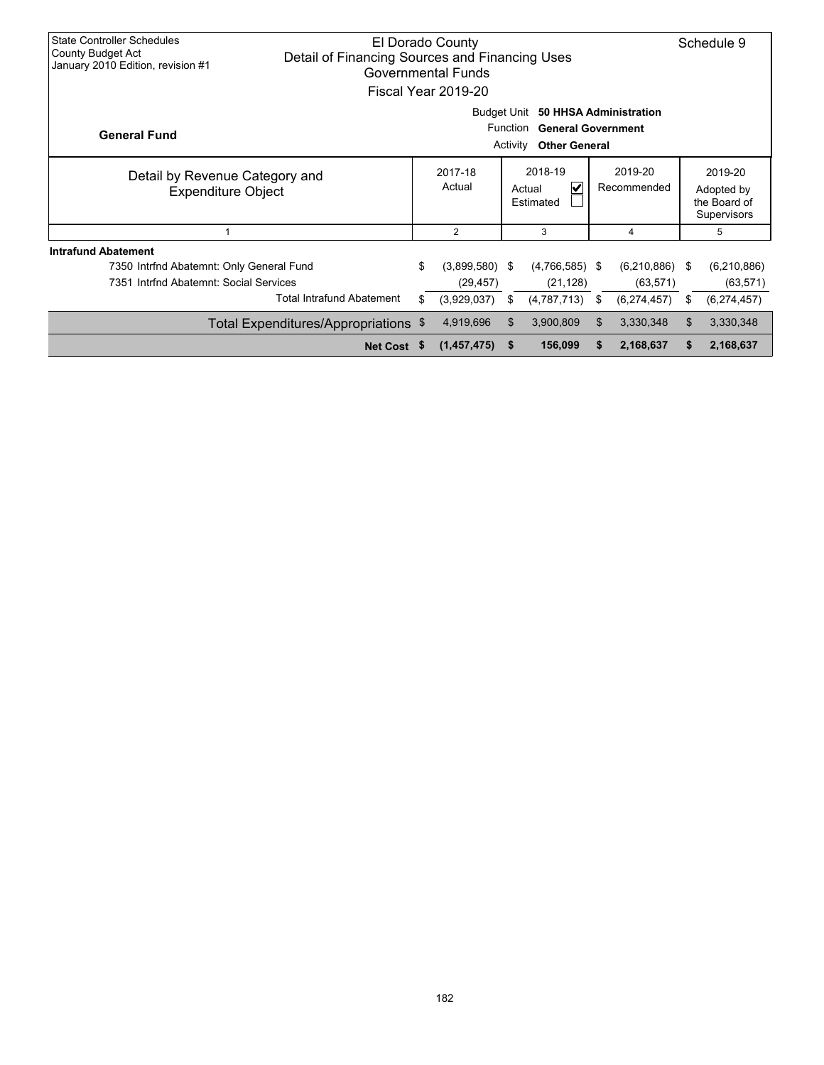| <b>State Controller Schedules</b><br>El Dorado County<br>County Budget Act<br>Detail of Financing Sources and Financing Uses<br>January 2010 Edition, revision #1<br><b>Governmental Funds</b><br>Fiscal Year 2019-20 |                                      |    |                               |                        |                               |                                                      |                          |      |                          |
|-----------------------------------------------------------------------------------------------------------------------------------------------------------------------------------------------------------------------|--------------------------------------|----|-------------------------------|------------------------|-------------------------------|------------------------------------------------------|--------------------------|------|--------------------------|
| Budget Unit<br>50 HHSA Administration<br>Function<br><b>General Government</b><br><b>General Fund</b><br><b>Other General</b><br>Activity                                                                             |                                      |    |                               |                        |                               |                                                      |                          |      |                          |
| Detail by Revenue Category and<br><b>Expenditure Object</b>                                                                                                                                                           |                                      |    | 2017-18<br>Actual             | 2019-20<br>Recommended |                               | 2019-20<br>Adopted by<br>the Board of<br>Supervisors |                          |      |                          |
| 1                                                                                                                                                                                                                     |                                      |    | $\overline{2}$                |                        | 3                             |                                                      | 4                        |      | 5                        |
| <b>Intrafund Abatement</b><br>7350 Intrfnd Abatemnt: Only General Fund<br>7351 Intrfnd Abatemnt: Social Services                                                                                                      |                                      | \$ | $(3,899,580)$ \$<br>(29, 457) |                        | $(4,766,585)$ \$<br>(21, 128) |                                                      | (6,210,886)<br>(63, 571) | - \$ | (6,210,886)<br>(63, 571) |
|                                                                                                                                                                                                                       | <b>Total Intrafund Abatement</b>     | \$ | (3,929,037)                   | \$                     | (4,787,713)                   | \$                                                   | (6,274,457)              | \$   | (6,274,457)              |
|                                                                                                                                                                                                                       | Total Expenditures/Appropriations \$ |    | 4,919,696                     | \$                     | 3,900,809                     | \$.                                                  | 3,330,348                | \$   | 3,330,348                |
|                                                                                                                                                                                                                       | Net Cost \$                          |    | (1,457,475)                   | -S                     | 156,099                       | S                                                    | 2,168,637                | S.   | 2,168,637                |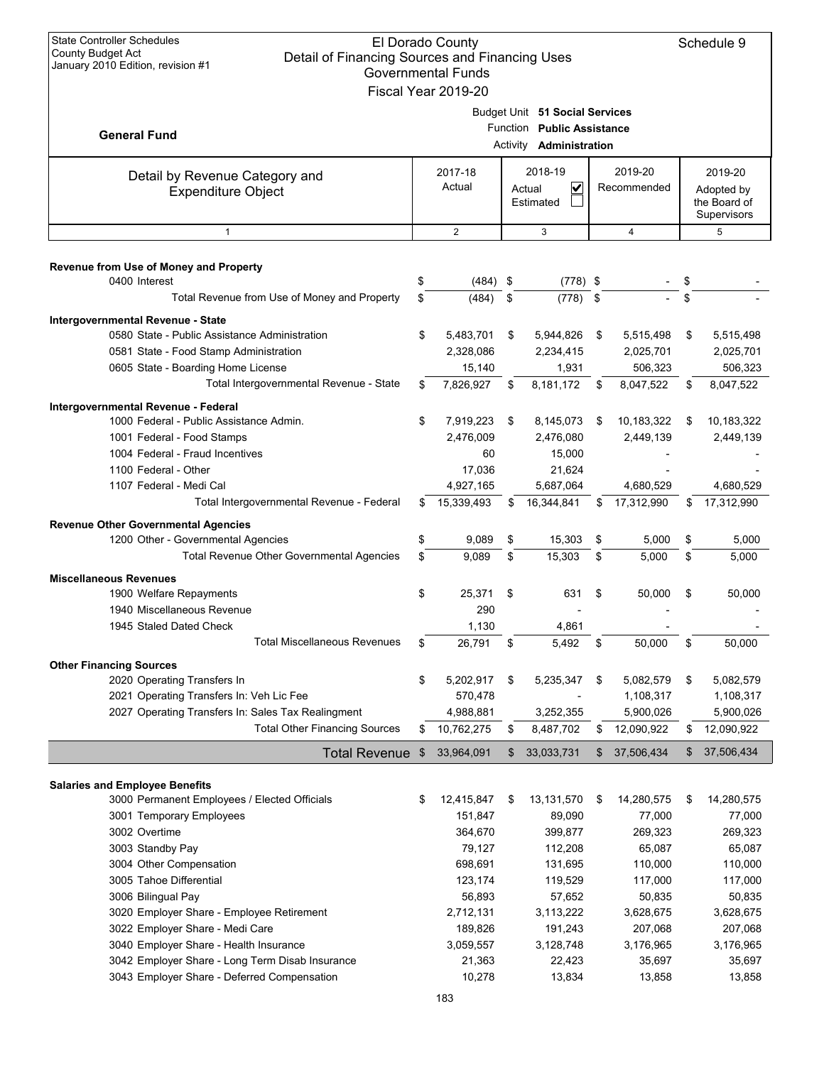| <b>State Controller Schedules</b><br>El Dorado County<br><b>County Budget Act</b><br>Detail of Financing Sources and Financing Uses<br>January 2010 Edition, revision #1<br><b>Governmental Funds</b><br>Fiscal Year 2019-20 |    |                       |          |                                                                                |    |                        |    |                                                      |  |
|------------------------------------------------------------------------------------------------------------------------------------------------------------------------------------------------------------------------------|----|-----------------------|----------|--------------------------------------------------------------------------------|----|------------------------|----|------------------------------------------------------|--|
| <b>General Fund</b>                                                                                                                                                                                                          |    |                       | Activity | Budget Unit 51 Social Services<br>Function Public Assistance<br>Administration |    |                        |    |                                                      |  |
| Detail by Revenue Category and<br><b>Expenditure Object</b>                                                                                                                                                                  |    | 2017-18<br>Actual     |          | 2018-19<br>$\checkmark$<br>Actual<br>Estimated                                 |    | 2019-20<br>Recommended |    | 2019-20<br>Adopted by<br>the Board of<br>Supervisors |  |
| $\mathbf{1}$                                                                                                                                                                                                                 |    | 2                     |          | 3                                                                              |    | $\overline{4}$         |    | 5                                                    |  |
| Revenue from Use of Money and Property                                                                                                                                                                                       |    |                       |          |                                                                                |    |                        |    |                                                      |  |
| 0400 Interest                                                                                                                                                                                                                | \$ | (484)                 | \$       | $(778)$ \$                                                                     |    |                        | \$ |                                                      |  |
| Total Revenue from Use of Money and Property                                                                                                                                                                                 | \$ | (484)                 | \$       | (778)                                                                          | \$ |                        | \$ |                                                      |  |
| Intergovernmental Revenue - State                                                                                                                                                                                            |    |                       |          |                                                                                |    |                        |    |                                                      |  |
| 0580 State - Public Assistance Administration                                                                                                                                                                                | \$ | 5,483,701             | \$       | 5,944,826                                                                      | \$ | 5,515,498              | \$ | 5,515,498                                            |  |
| 0581 State - Food Stamp Administration                                                                                                                                                                                       |    | 2,328,086             |          | 2,234,415                                                                      |    | 2,025,701              |    | 2,025,701                                            |  |
| 0605 State - Boarding Home License                                                                                                                                                                                           |    | 15,140                |          | 1,931                                                                          |    | 506,323                |    | 506,323                                              |  |
| Total Intergovernmental Revenue - State                                                                                                                                                                                      | \$ | 7,826,927             | \$       | 8,181,172                                                                      | \$ | 8,047,522              | \$ | 8,047,522                                            |  |
| Intergovernmental Revenue - Federal                                                                                                                                                                                          |    |                       |          |                                                                                |    |                        |    |                                                      |  |
| 1000 Federal - Public Assistance Admin.                                                                                                                                                                                      | \$ | 7,919,223             | \$       | 8,145,073                                                                      | \$ | 10,183,322             | \$ | 10,183,322                                           |  |
| 1001 Federal - Food Stamps                                                                                                                                                                                                   |    | 2,476,009             |          | 2,476,080                                                                      |    | 2,449,139              |    | 2,449,139                                            |  |
| 1004 Federal - Fraud Incentives                                                                                                                                                                                              |    | 60                    |          | 15,000                                                                         |    |                        |    |                                                      |  |
| 1100 Federal - Other                                                                                                                                                                                                         |    | 17,036                |          | 21,624                                                                         |    |                        |    |                                                      |  |
| 1107 Federal - Medi Cal                                                                                                                                                                                                      |    | 4,927,165             |          | 5,687,064                                                                      |    | 4,680,529              |    | 4,680,529                                            |  |
| Total Intergovernmental Revenue - Federal                                                                                                                                                                                    | \$ | 15,339,493            | \$       | 16,344,841                                                                     | \$ | 17,312,990             | \$ | 17,312,990                                           |  |
| <b>Revenue Other Governmental Agencies</b>                                                                                                                                                                                   |    |                       |          |                                                                                |    |                        |    |                                                      |  |
| 1200 Other - Governmental Agencies                                                                                                                                                                                           | \$ | 9,089                 | \$       | 15,303                                                                         | \$ | 5,000                  | \$ | 5,000                                                |  |
| Total Revenue Other Governmental Agencies                                                                                                                                                                                    | \$ | 9,089                 | \$       | 15,303                                                                         | \$ | 5,000                  | \$ | 5,000                                                |  |
| <b>Miscellaneous Revenues</b>                                                                                                                                                                                                |    |                       |          |                                                                                |    |                        |    |                                                      |  |
| 1900 Welfare Repayments                                                                                                                                                                                                      | \$ | 25,371                | \$       | 631                                                                            | \$ | 50,000                 | \$ | 50,000                                               |  |
| 1940 Miscellaneous Revenue                                                                                                                                                                                                   |    | 290                   |          |                                                                                |    |                        |    |                                                      |  |
| 1945 Staled Dated Check                                                                                                                                                                                                      |    | 1,130                 |          | 4,861                                                                          |    |                        |    |                                                      |  |
| <b>Total Miscellaneous Revenues</b>                                                                                                                                                                                          | \$ | 26,791                | \$       | 5,492                                                                          | \$ | 50,000                 | \$ | 50,000                                               |  |
| <b>Other Financing Sources</b>                                                                                                                                                                                               |    |                       |          |                                                                                |    |                        |    |                                                      |  |
| 2020 Operating Transfers In                                                                                                                                                                                                  | \$ | 5,202,917             | \$       | 5,235,347                                                                      | \$ | 5,082,579              | \$ | 5,082,579                                            |  |
| 2021 Operating Transfers In: Veh Lic Fee                                                                                                                                                                                     |    | 570,478               |          |                                                                                |    | 1,108,317              |    | 1,108,317                                            |  |
| 2027 Operating Transfers In: Sales Tax Realingment                                                                                                                                                                           |    | 4,988,881             |          | 3,252,355                                                                      |    | 5,900,026              |    | 5,900,026                                            |  |
| <b>Total Other Financing Sources</b>                                                                                                                                                                                         | \$ | 10,762,275            | \$       | 8,487,702                                                                      | \$ | 12,090,922             | \$ | 12,090,922                                           |  |
| <b>Total Revenue</b>                                                                                                                                                                                                         | \$ | 33,964,091            | \$       | 33,033,731                                                                     | \$ | 37,506,434             | \$ | 37,506,434                                           |  |
|                                                                                                                                                                                                                              |    |                       |          |                                                                                |    |                        |    |                                                      |  |
| <b>Salaries and Employee Benefits</b><br>3000 Permanent Employees / Elected Officials                                                                                                                                        |    |                       |          |                                                                                |    |                        |    |                                                      |  |
|                                                                                                                                                                                                                              | \$ | 12,415,847<br>151,847 | \$       | 13,131,570<br>89,090                                                           | \$ | 14,280,575<br>77,000   | \$ | 14,280,575<br>77,000                                 |  |
| 3001 Temporary Employees<br>3002 Overtime                                                                                                                                                                                    |    | 364,670               |          | 399,877                                                                        |    | 269,323                |    | 269,323                                              |  |
| 3003 Standby Pay                                                                                                                                                                                                             |    | 79,127                |          | 112,208                                                                        |    | 65,087                 |    | 65,087                                               |  |
| 3004 Other Compensation                                                                                                                                                                                                      |    | 698,691               |          | 131,695                                                                        |    | 110,000                |    | 110,000                                              |  |
| 3005 Tahoe Differential                                                                                                                                                                                                      |    | 123,174               |          | 119,529                                                                        |    | 117,000                |    | 117,000                                              |  |
| 3006 Bilingual Pay                                                                                                                                                                                                           |    | 56,893                |          | 57,652                                                                         |    | 50,835                 |    | 50,835                                               |  |
| 3020 Employer Share - Employee Retirement                                                                                                                                                                                    |    | 2,712,131             |          | 3,113,222                                                                      |    | 3,628,675              |    | 3,628,675                                            |  |
| 3022 Employer Share - Medi Care                                                                                                                                                                                              |    | 189,826               |          | 191,243                                                                        |    | 207,068                |    | 207,068                                              |  |
| 3040 Employer Share - Health Insurance                                                                                                                                                                                       |    | 3,059,557             |          | 3,128,748                                                                      |    | 3,176,965              |    | 3,176,965                                            |  |
| 3042 Employer Share - Long Term Disab Insurance                                                                                                                                                                              |    | 21,363                |          | 22,423                                                                         |    | 35,697                 |    | 35,697                                               |  |
| 3043 Employer Share - Deferred Compensation                                                                                                                                                                                  |    | 10,278                |          | 13,834                                                                         |    | 13,858                 |    | 13,858                                               |  |
|                                                                                                                                                                                                                              |    | 183                   |          |                                                                                |    |                        |    |                                                      |  |
|                                                                                                                                                                                                                              |    |                       |          |                                                                                |    |                        |    |                                                      |  |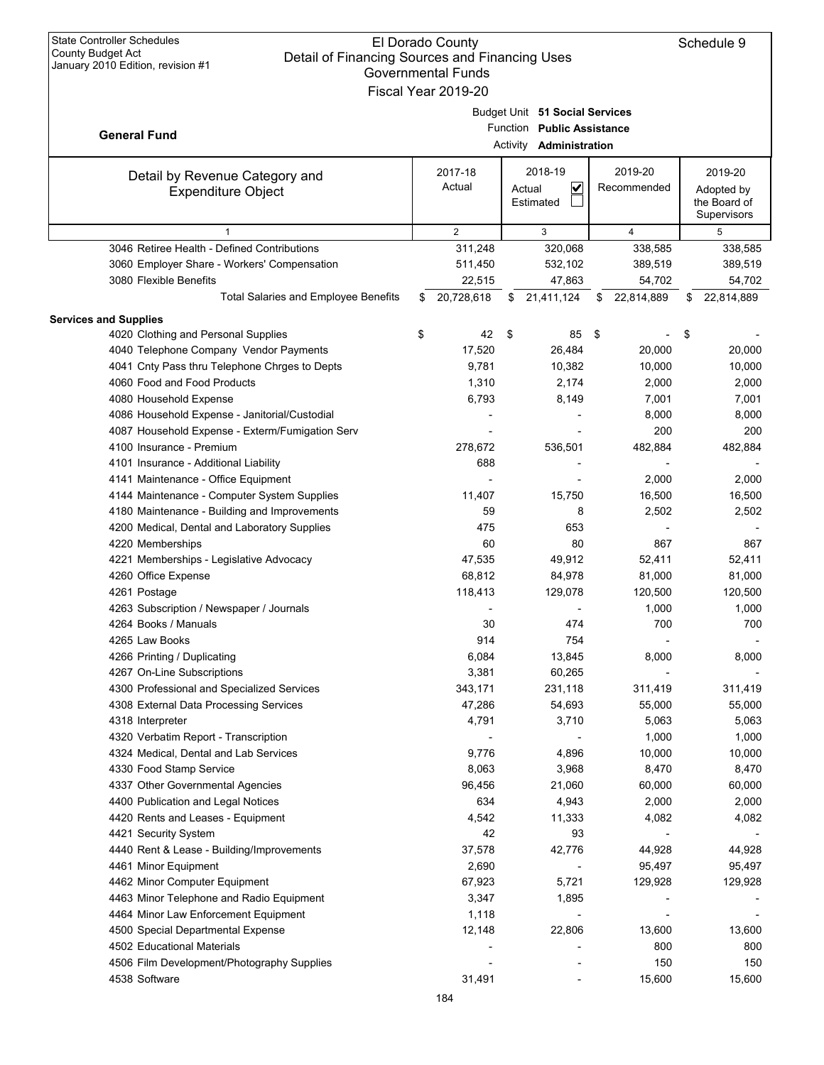| <b>State Controller Schedules</b>                                                                        | El Dorado County          |        |                                |                  |    | Schedule 9   |
|----------------------------------------------------------------------------------------------------------|---------------------------|--------|--------------------------------|------------------|----|--------------|
| County Budget Act<br>Detail of Financing Sources and Financing Uses<br>January 2010 Edition, revision #1 |                           |        |                                |                  |    |              |
|                                                                                                          | <b>Governmental Funds</b> |        |                                |                  |    |              |
|                                                                                                          | Fiscal Year 2019-20       |        |                                |                  |    |              |
|                                                                                                          |                           |        | Budget Unit 51 Social Services |                  |    |              |
| <b>General Fund</b>                                                                                      |                           |        | Function Public Assistance     |                  |    |              |
|                                                                                                          |                           |        | Activity <b>Administration</b> |                  |    |              |
|                                                                                                          | 2017-18                   |        | 2018-19                        | 2019-20          |    | 2019-20      |
| Detail by Revenue Category and<br><b>Expenditure Object</b>                                              | Actual                    | Actual | $\checkmark$                   | Recommended      |    | Adopted by   |
|                                                                                                          |                           |        | Estimated                      |                  |    | the Board of |
|                                                                                                          |                           |        |                                |                  |    | Supervisors  |
| $\mathbf{1}$                                                                                             | $\overline{2}$            |        | 3                              | $\overline{4}$   |    | 5            |
| 3046 Retiree Health - Defined Contributions                                                              | 311,248                   |        | 320,068                        | 338,585          |    | 338,585      |
| 3060 Employer Share - Workers' Compensation                                                              | 511,450                   |        | 532,102                        | 389,519          |    | 389,519      |
| 3080 Flexible Benefits                                                                                   | 22,515                    |        | 47,863                         | 54,702           |    | 54,702       |
| <b>Total Salaries and Employee Benefits</b>                                                              | \$<br>20,728,618          | \$     | 21,411,124                     | \$<br>22,814,889 | S  | 22,814,889   |
| <b>Services and Supplies</b>                                                                             |                           |        |                                |                  |    |              |
| 4020 Clothing and Personal Supplies                                                                      | \$<br>42                  | \$     | 85                             | \$               | \$ |              |
| 4040 Telephone Company Vendor Payments                                                                   | 17,520                    |        | 26,484                         | 20,000           |    | 20,000       |
| 4041 Cnty Pass thru Telephone Chrges to Depts                                                            | 9,781                     |        | 10.382                         | 10,000           |    | 10,000       |
| 4060 Food and Food Products                                                                              | 1,310                     |        | 2,174                          | 2,000            |    | 2,000        |
| 4080 Household Expense                                                                                   | 6,793                     |        | 8,149                          | 7,001            |    | 7,001        |
| 4086 Household Expense - Janitorial/Custodial                                                            |                           |        |                                | 8,000            |    | 8,000        |
| 4087 Household Expense - Exterm/Fumigation Serv                                                          |                           |        |                                | 200              |    | 200          |
| 4100 Insurance - Premium                                                                                 | 278,672                   |        | 536,501                        | 482,884          |    | 482,884      |
| 4101 Insurance - Additional Liability                                                                    | 688                       |        |                                |                  |    |              |
| 4141 Maintenance - Office Equipment                                                                      |                           |        |                                | 2,000            |    | 2,000        |
| 4144 Maintenance - Computer System Supplies                                                              | 11,407                    |        | 15,750                         | 16,500           |    | 16,500       |
| 4180 Maintenance - Building and Improvements                                                             | 59                        |        | 8                              | 2,502            |    | 2,502        |
| 4200 Medical, Dental and Laboratory Supplies                                                             | 475                       |        | 653                            |                  |    |              |
| 4220 Memberships                                                                                         | 60                        |        | 80                             | 867              |    | 867          |
| 4221 Memberships - Legislative Advocacy                                                                  | 47,535                    |        | 49,912                         | 52,411           |    | 52,411       |
| 4260 Office Expense                                                                                      | 68,812                    |        | 84,978                         | 81,000           |    | 81,000       |
| 4261 Postage                                                                                             | 118,413                   |        | 129,078                        | 120,500          |    | 120,500      |
| 4263 Subscription / Newspaper / Journals<br>4264 Books / Manuals                                         |                           |        | 474                            | 1,000            |    | 1,000        |
|                                                                                                          | 30                        |        |                                | 700              |    | 700          |
| 4265 Law Books                                                                                           | 914                       |        | 754                            |                  |    | 8,000        |
| 4266 Printing / Duplicating<br>4267 On-Line Subscriptions                                                | 6,084<br>3,381            |        | 13,845<br>60,265               | 8,000            |    |              |
| 4300 Professional and Specialized Services                                                               | 343,171                   |        | 231,118                        | 311,419          |    | 311,419      |
| 4308 External Data Processing Services                                                                   | 47,286                    |        | 54,693                         | 55,000           |    | 55,000       |
| 4318 Interpreter                                                                                         | 4,791                     |        | 3,710                          | 5,063            |    | 5,063        |
| 4320 Verbatim Report - Transcription                                                                     |                           |        |                                | 1,000            |    | 1,000        |
| 4324 Medical, Dental and Lab Services                                                                    | 9,776                     |        | 4,896                          | 10,000           |    | 10,000       |
| 4330 Food Stamp Service                                                                                  | 8,063                     |        | 3,968                          | 8,470            |    | 8,470        |
| 4337 Other Governmental Agencies                                                                         | 96,456                    |        | 21,060                         | 60,000           |    | 60,000       |
| 4400 Publication and Legal Notices                                                                       | 634                       |        | 4,943                          | 2,000            |    | 2,000        |
| 4420 Rents and Leases - Equipment                                                                        | 4,542                     |        | 11,333                         | 4,082            |    | 4,082        |
| 4421 Security System                                                                                     | 42                        |        | 93                             |                  |    |              |
| 4440 Rent & Lease - Building/Improvements                                                                | 37,578                    |        | 42,776                         | 44,928           |    | 44,928       |
| 4461 Minor Equipment                                                                                     | 2,690                     |        | $\overline{\phantom{0}}$       | 95,497           |    | 95,497       |
| 4462 Minor Computer Equipment                                                                            | 67,923                    |        | 5,721                          | 129,928          |    | 129,928      |
| 4463 Minor Telephone and Radio Equipment                                                                 | 3,347                     |        | 1,895                          |                  |    |              |
| 4464 Minor Law Enforcement Equipment                                                                     | 1,118                     |        | $\overline{\phantom{0}}$       |                  |    |              |
| 4500 Special Departmental Expense                                                                        | 12,148                    |        | 22,806                         | 13,600           |    | 13,600       |
| 4502 Educational Materials                                                                               |                           |        |                                | 800              |    | 800          |
| 4506 Film Development/Photography Supplies                                                               |                           |        |                                | 150              |    | 150          |
| 4538 Software                                                                                            | 31,491                    |        |                                | 15,600           |    | 15,600       |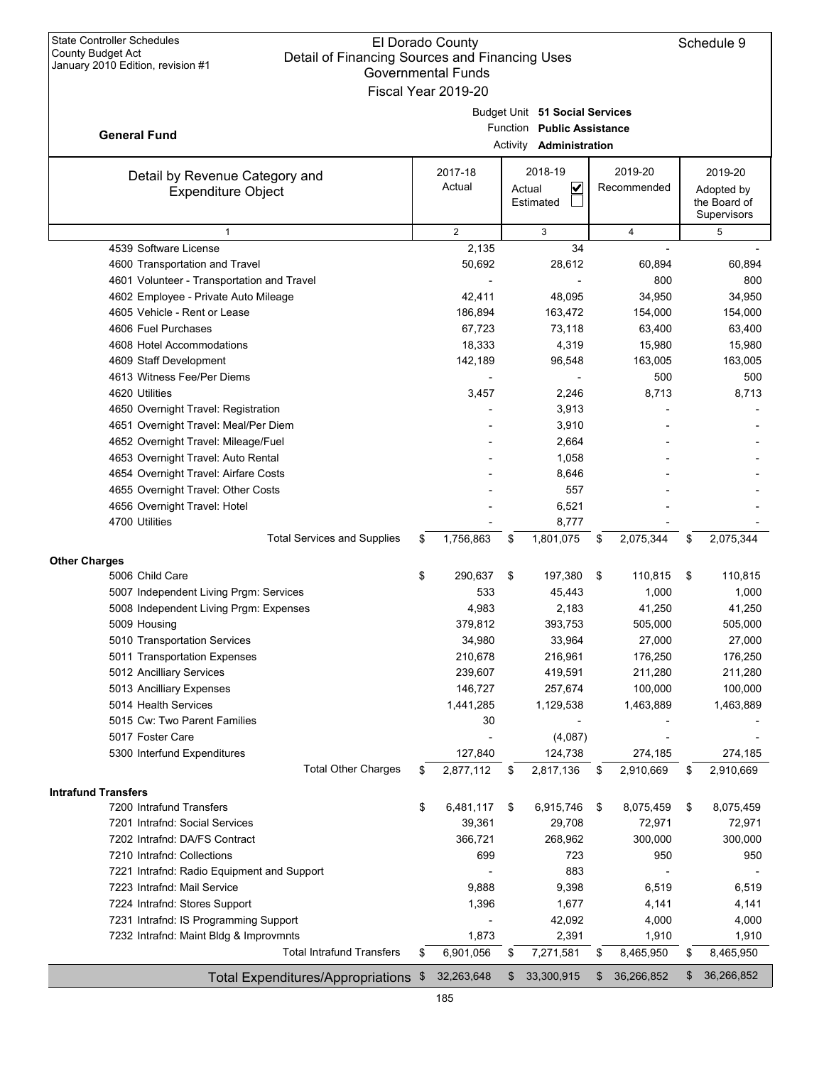| <b>State Controller Schedules</b><br>El Dorado County<br>County Budget Act<br>Detail of Financing Sources and Financing Uses<br>January 2010 Edition, revision #1<br><b>Governmental Funds</b><br>Fiscal Year 2019-20 |    |                   |          |                                                                                |    |                        |    | Schedule 9                                           |
|-----------------------------------------------------------------------------------------------------------------------------------------------------------------------------------------------------------------------|----|-------------------|----------|--------------------------------------------------------------------------------|----|------------------------|----|------------------------------------------------------|
| <b>General Fund</b>                                                                                                                                                                                                   |    |                   | Activity | Budget Unit 51 Social Services<br>Function Public Assistance<br>Administration |    |                        |    |                                                      |
| Detail by Revenue Category and<br><b>Expenditure Object</b>                                                                                                                                                           |    | 2017-18<br>Actual |          | 2018-19<br>$\overline{\mathbf{v}}$<br>Actual<br>Estimated                      |    | 2019-20<br>Recommended |    | 2019-20<br>Adopted by<br>the Board of<br>Supervisors |
| $\mathbf{1}$                                                                                                                                                                                                          |    | 2                 |          | 3                                                                              |    | 4                      |    | 5                                                    |
| 4539 Software License                                                                                                                                                                                                 |    | 2,135             |          | 34                                                                             |    |                        |    |                                                      |
| 4600 Transportation and Travel                                                                                                                                                                                        |    | 50,692            |          | 28,612                                                                         |    | 60,894                 |    | 60,894                                               |
| 4601 Volunteer - Transportation and Travel                                                                                                                                                                            |    |                   |          |                                                                                |    | 800                    |    | 800                                                  |
| 4602 Employee - Private Auto Mileage                                                                                                                                                                                  |    | 42,411            |          | 48,095                                                                         |    | 34,950                 |    | 34,950                                               |
| 4605 Vehicle - Rent or Lease                                                                                                                                                                                          |    | 186,894           |          | 163,472                                                                        |    | 154,000                |    | 154,000                                              |
| 4606 Fuel Purchases                                                                                                                                                                                                   |    | 67,723            |          | 73,118                                                                         |    | 63,400                 |    | 63,400                                               |
| 4608 Hotel Accommodations                                                                                                                                                                                             |    | 18,333            |          | 4,319                                                                          |    | 15,980                 |    | 15,980                                               |
| 4609 Staff Development                                                                                                                                                                                                |    | 142,189           |          | 96,548                                                                         |    | 163,005                |    | 163,005                                              |
| 4613 Witness Fee/Per Diems                                                                                                                                                                                            |    |                   |          |                                                                                |    | 500                    |    | 500                                                  |
| 4620 Utilities                                                                                                                                                                                                        |    | 3,457             |          | 2,246                                                                          |    | 8,713                  |    | 8,713                                                |
| 4650 Overnight Travel: Registration                                                                                                                                                                                   |    |                   |          | 3,913                                                                          |    |                        |    |                                                      |
| 4651 Overnight Travel: Meal/Per Diem                                                                                                                                                                                  |    |                   |          | 3,910                                                                          |    |                        |    |                                                      |
| 4652 Overnight Travel: Mileage/Fuel                                                                                                                                                                                   |    |                   |          | 2,664                                                                          |    |                        |    |                                                      |
| 4653 Overnight Travel: Auto Rental                                                                                                                                                                                    |    |                   |          | 1,058                                                                          |    |                        |    |                                                      |
| 4654 Overnight Travel: Airfare Costs                                                                                                                                                                                  |    |                   |          | 8,646                                                                          |    |                        |    |                                                      |
| 4655 Overnight Travel: Other Costs                                                                                                                                                                                    |    |                   |          | 557                                                                            |    |                        |    |                                                      |
| 4656 Overnight Travel: Hotel                                                                                                                                                                                          |    |                   |          | 6,521                                                                          |    |                        |    |                                                      |
| 4700 Utilities                                                                                                                                                                                                        |    |                   |          | 8,777                                                                          |    |                        |    |                                                      |
| <b>Total Services and Supplies</b>                                                                                                                                                                                    | \$ | 1,756,863         | \$       | 1,801,075                                                                      | \$ | 2,075,344              | \$ | 2,075,344                                            |
| <b>Other Charges</b>                                                                                                                                                                                                  |    |                   |          |                                                                                |    |                        |    |                                                      |
| 5006 Child Care                                                                                                                                                                                                       | \$ | 290,637           | \$       | 197,380                                                                        | \$ | 110,815                | \$ | 110,815                                              |
| 5007 Independent Living Prgm: Services                                                                                                                                                                                |    | 533               |          | 45,443                                                                         |    | 1,000                  |    | 1,000                                                |
| 5008 Independent Living Prgm: Expenses                                                                                                                                                                                |    | 4,983             |          | 2,183                                                                          |    | 41,250                 |    | 41,250                                               |
| 5009 Housing                                                                                                                                                                                                          |    | 379,812           |          | 393,753                                                                        |    | 505,000                |    | 505,000                                              |
| 5010 Transportation Services                                                                                                                                                                                          |    | 34,980            |          | 33,964                                                                         |    | 27,000                 |    | 27,000                                               |
| 5011 Transportation Expenses                                                                                                                                                                                          |    | 210,678           |          | 216,961                                                                        |    | 176,250                |    | 176,250                                              |
| 5012 Ancilliary Services                                                                                                                                                                                              |    | 239,607           |          | 419,591                                                                        |    | 211,280                |    | 211,280                                              |
| 5013 Ancilliary Expenses                                                                                                                                                                                              |    | 146,727           |          | 257,674                                                                        |    | 100,000                |    | 100,000                                              |
| 5014 Health Services                                                                                                                                                                                                  |    | 1,441,285         |          | 1,129,538                                                                      |    | 1,463,889              |    | 1,463,889                                            |
| 5015 Cw: Two Parent Families                                                                                                                                                                                          |    | 30                |          |                                                                                |    |                        |    |                                                      |
| 5017 Foster Care                                                                                                                                                                                                      |    |                   |          | (4,087)                                                                        |    |                        |    |                                                      |
| 5300 Interfund Expenditures                                                                                                                                                                                           |    | 127,840           |          | 124,738                                                                        |    | 274,185                |    | 274,185                                              |
| <b>Total Other Charges</b>                                                                                                                                                                                            | \$ | 2,877,112         | \$       | 2,817,136                                                                      | \$ | 2,910,669              | \$ | 2,910,669                                            |
|                                                                                                                                                                                                                       |    |                   |          |                                                                                |    |                        |    |                                                      |
| <b>Intrafund Transfers</b>                                                                                                                                                                                            |    |                   |          |                                                                                |    |                        |    |                                                      |
| 7200 Intrafund Transfers                                                                                                                                                                                              | \$ | 6,481,117         | \$       | 6,915,746                                                                      | \$ | 8,075,459              | \$ | 8,075,459                                            |
| 7201 Intrafnd: Social Services                                                                                                                                                                                        |    | 39,361            |          | 29,708                                                                         |    | 72,971                 |    | 72,971                                               |
| 7202 Intrafnd: DA/FS Contract                                                                                                                                                                                         |    | 366,721           |          | 268,962                                                                        |    | 300,000                |    | 300,000                                              |
| 7210 Intrafnd: Collections                                                                                                                                                                                            |    | 699               |          | 723                                                                            |    | 950                    |    | 950                                                  |
| 7221 Intrafnd: Radio Equipment and Support                                                                                                                                                                            |    |                   |          | 883                                                                            |    |                        |    |                                                      |
| 7223 Intrafnd: Mail Service                                                                                                                                                                                           |    | 9,888             |          | 9,398                                                                          |    | 6,519                  |    | 6,519                                                |
| 7224 Intrafnd: Stores Support                                                                                                                                                                                         |    | 1,396             |          | 1,677                                                                          |    | 4,141                  |    | 4,141                                                |
| 7231 Intrafnd: IS Programming Support                                                                                                                                                                                 |    |                   |          | 42,092                                                                         |    | 4,000                  |    | 4,000                                                |
| 7232 Intrafnd: Maint Bldg & Improvmnts                                                                                                                                                                                |    | 1,873             |          | 2,391                                                                          |    | 1,910                  |    | 1,910                                                |
| <b>Total Intrafund Transfers</b>                                                                                                                                                                                      | \$ | 6,901,056         | \$       | 7,271,581                                                                      | \$ | 8,465,950              | \$ | 8,465,950                                            |
| Total Expenditures/Appropriations \$                                                                                                                                                                                  |    | 32,263,648        | \$       | 33,300,915                                                                     | \$ | 36,266,852             | \$ | 36,266,852                                           |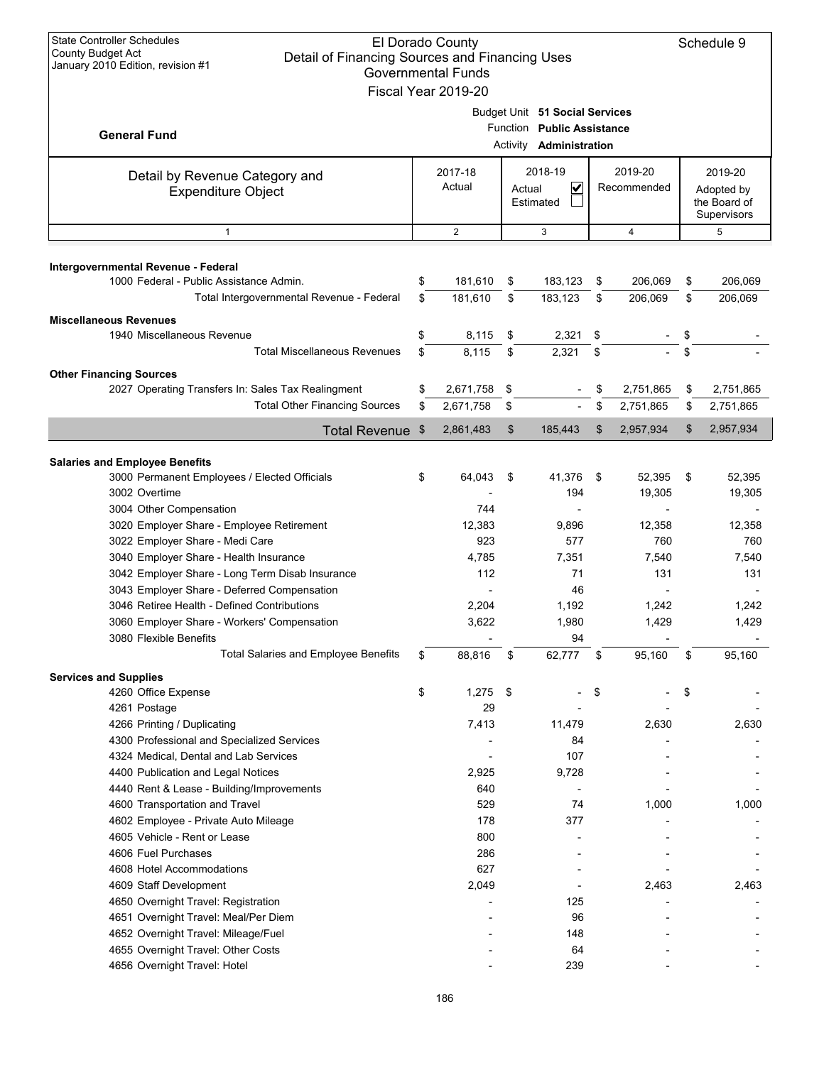| <b>State Controller Schedules</b><br>El Dorado County<br><b>County Budget Act</b><br>Detail of Financing Sources and Financing Uses<br>January 2010 Edition, revision #1<br><b>Governmental Funds</b><br>Fiscal Year 2019-20 |          |                    |          |                                                                                                |          |                        |                                           |                    |  |
|------------------------------------------------------------------------------------------------------------------------------------------------------------------------------------------------------------------------------|----------|--------------------|----------|------------------------------------------------------------------------------------------------|----------|------------------------|-------------------------------------------|--------------------|--|
| <b>General Fund</b>                                                                                                                                                                                                          |          |                    |          | Budget Unit 51 Social Services<br>Function Public Assistance<br>Activity <b>Administration</b> |          |                        |                                           |                    |  |
| Detail by Revenue Category and<br><b>Expenditure Object</b>                                                                                                                                                                  |          | 2017-18<br>Actual  | Actual   | 2018-19<br>V<br>Estimated                                                                      |          | 2019-20<br>Recommended | Adopted by<br>the Board of<br>Supervisors |                    |  |
| $\mathbf{1}$                                                                                                                                                                                                                 |          | $\overline{2}$     |          | 3                                                                                              |          | $\overline{4}$         |                                           | 5                  |  |
| Intergovernmental Revenue - Federal<br>1000 Federal - Public Assistance Admin.<br>Total Intergovernmental Revenue - Federal                                                                                                  | \$<br>\$ | 181,610<br>181.610 | \$<br>\$ | 183,123<br>183,123                                                                             | \$<br>\$ | 206,069<br>206,069     | \$<br>\$                                  | 206,069<br>206,069 |  |
| <b>Miscellaneous Revenues</b>                                                                                                                                                                                                |          |                    |          |                                                                                                |          |                        |                                           |                    |  |
| 1940 Miscellaneous Revenue                                                                                                                                                                                                   | \$       | 8,115              | \$       | 2,321                                                                                          | \$       |                        | \$                                        |                    |  |
| <b>Total Miscellaneous Revenues</b>                                                                                                                                                                                          | \$       | 8,115              | \$       | 2,321                                                                                          | \$       |                        | \$                                        |                    |  |
| <b>Other Financing Sources</b>                                                                                                                                                                                               |          |                    |          |                                                                                                |          |                        |                                           |                    |  |
| 2027 Operating Transfers In: Sales Tax Realingment                                                                                                                                                                           | \$       | 2,671,758          | \$       |                                                                                                | \$       | 2,751,865              | \$                                        | 2,751,865          |  |
| <b>Total Other Financing Sources</b>                                                                                                                                                                                         | \$       | 2,671,758          | \$       |                                                                                                | \$       | 2,751,865              | \$                                        | 2,751,865          |  |
| Total Revenue \$                                                                                                                                                                                                             |          | 2,861,483          | \$       | 185,443                                                                                        | \$       | 2,957,934              | \$                                        | 2,957,934          |  |
|                                                                                                                                                                                                                              |          |                    |          |                                                                                                |          |                        |                                           |                    |  |
| <b>Salaries and Employee Benefits</b><br>3000 Permanent Employees / Elected Officials                                                                                                                                        | \$       | 64,043             | \$       | 41,376                                                                                         | \$       | 52,395                 | \$                                        | 52,395             |  |
| 3002 Overtime                                                                                                                                                                                                                |          |                    |          | 194                                                                                            |          | 19,305                 |                                           | 19,305             |  |
| 3004 Other Compensation                                                                                                                                                                                                      |          | 744                |          |                                                                                                |          |                        |                                           |                    |  |
| 3020 Employer Share - Employee Retirement                                                                                                                                                                                    |          | 12,383             |          | 9,896                                                                                          |          | 12,358                 |                                           | 12,358             |  |
| 3022 Employer Share - Medi Care                                                                                                                                                                                              |          | 923                |          | 577                                                                                            |          | 760                    |                                           | 760                |  |
| 3040 Employer Share - Health Insurance                                                                                                                                                                                       |          | 4,785              |          | 7,351                                                                                          |          | 7,540                  |                                           | 7,540              |  |
| 3042 Employer Share - Long Term Disab Insurance                                                                                                                                                                              |          | 112                |          | 71                                                                                             |          | 131                    |                                           | 131                |  |
| 3043 Employer Share - Deferred Compensation                                                                                                                                                                                  |          |                    |          | 46                                                                                             |          |                        |                                           |                    |  |
| 3046 Retiree Health - Defined Contributions<br>3060 Employer Share - Workers' Compensation                                                                                                                                   |          | 2,204<br>3,622     |          | 1,192<br>1,980                                                                                 |          | 1,242<br>1,429         |                                           | 1,242<br>1,429     |  |
| 3080 Flexible Benefits                                                                                                                                                                                                       |          |                    |          | 94                                                                                             |          |                        |                                           |                    |  |
| <b>Total Salaries and Employee Benefits</b>                                                                                                                                                                                  | S        | 88,816             | \$       | 62,777                                                                                         | \$       | 95,160                 | \$                                        | 95,160             |  |
| <b>Services and Supplies</b>                                                                                                                                                                                                 |          |                    |          |                                                                                                |          |                        |                                           |                    |  |
| 4260 Office Expense                                                                                                                                                                                                          | \$       | 1,275              | -\$      |                                                                                                | \$       |                        | \$                                        |                    |  |
| 4261 Postage                                                                                                                                                                                                                 |          | 29                 |          |                                                                                                |          |                        |                                           |                    |  |
| 4266 Printing / Duplicating                                                                                                                                                                                                  |          | 7,413              |          | 11,479                                                                                         |          | 2,630                  |                                           | 2,630              |  |
| 4300 Professional and Specialized Services                                                                                                                                                                                   |          |                    |          | 84                                                                                             |          |                        |                                           |                    |  |
| 4324 Medical, Dental and Lab Services                                                                                                                                                                                        |          |                    |          | 107                                                                                            |          |                        |                                           |                    |  |
| 4400 Publication and Legal Notices                                                                                                                                                                                           |          | 2,925              |          | 9,728                                                                                          |          |                        |                                           |                    |  |
| 4440 Rent & Lease - Building/Improvements<br>4600 Transportation and Travel                                                                                                                                                  |          | 640<br>529         |          | 74                                                                                             |          | 1,000                  |                                           |                    |  |
| 4602 Employee - Private Auto Mileage                                                                                                                                                                                         |          | 178                |          | 377                                                                                            |          |                        |                                           | 1,000              |  |
| 4605 Vehicle - Rent or Lease                                                                                                                                                                                                 |          | 800                |          |                                                                                                |          |                        |                                           |                    |  |
| 4606 Fuel Purchases                                                                                                                                                                                                          |          | 286                |          |                                                                                                |          |                        |                                           |                    |  |
| 4608 Hotel Accommodations                                                                                                                                                                                                    |          | 627                |          |                                                                                                |          |                        |                                           |                    |  |
| 4609 Staff Development                                                                                                                                                                                                       |          | 2,049              |          |                                                                                                |          | 2,463                  |                                           | 2,463              |  |
| 4650 Overnight Travel: Registration                                                                                                                                                                                          |          |                    |          | 125                                                                                            |          |                        |                                           |                    |  |
| 4651 Overnight Travel: Meal/Per Diem                                                                                                                                                                                         |          |                    |          | 96                                                                                             |          |                        |                                           |                    |  |
| 4652 Overnight Travel: Mileage/Fuel                                                                                                                                                                                          |          |                    |          | 148                                                                                            |          |                        |                                           |                    |  |
| 4655 Overnight Travel: Other Costs<br>4656 Overnight Travel: Hotel                                                                                                                                                           |          |                    |          | 64<br>239                                                                                      |          |                        |                                           |                    |  |
|                                                                                                                                                                                                                              |          |                    |          |                                                                                                |          |                        |                                           |                    |  |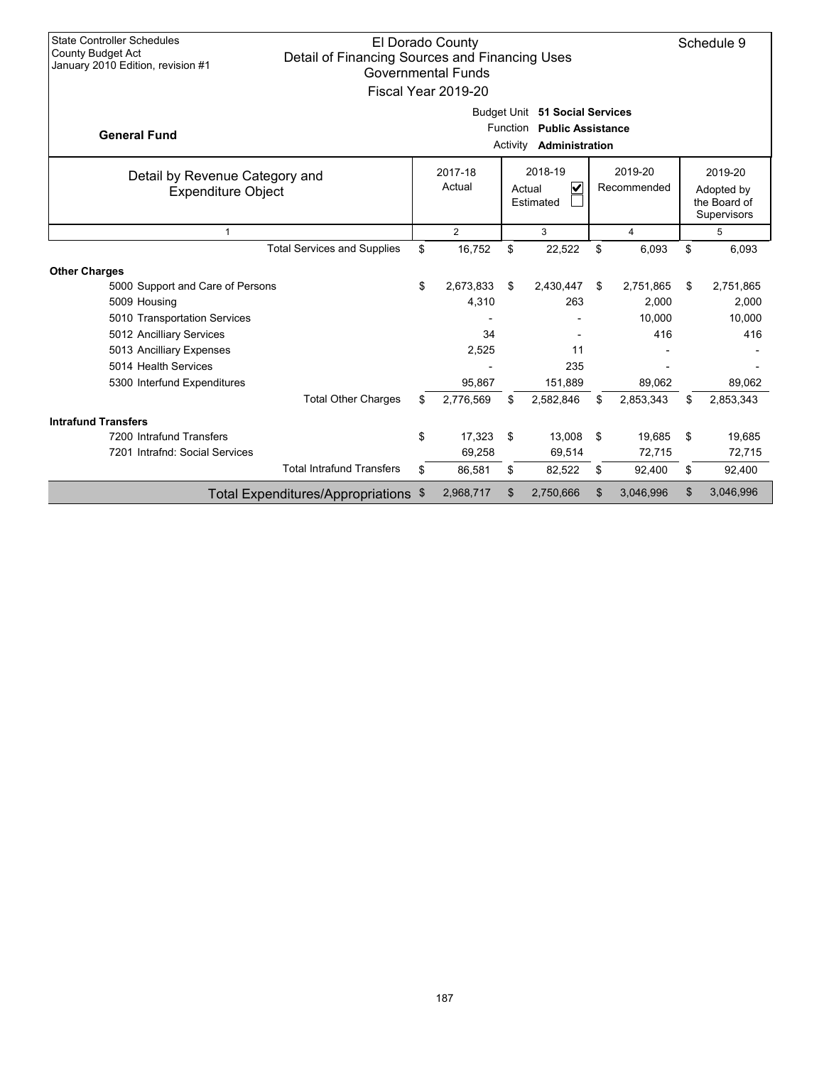| <b>State Controller Schedules</b><br>El Dorado County<br><b>County Budget Act</b><br>Detail of Financing Sources and Financing Uses<br>January 2010 Edition, revision #1<br><b>Governmental Funds</b><br>Fiscal Year 2019-20 |    |           |          |                                                                                              |     |           |    |                                                      |  |
|------------------------------------------------------------------------------------------------------------------------------------------------------------------------------------------------------------------------------|----|-----------|----------|----------------------------------------------------------------------------------------------|-----|-----------|----|------------------------------------------------------|--|
| <b>General Fund</b>                                                                                                                                                                                                          |    |           | Function | Budget Unit 51 Social Services<br><b>Public Assistance</b><br>Activity <b>Administration</b> |     |           |    |                                                      |  |
| 2018-19<br>2019-20<br>2017-18<br>Detail by Revenue Category and<br>Actual<br>$\overline{\mathbf{v}}$<br>Recommended<br>Actual<br><b>Expenditure Object</b><br>Estimated                                                      |    |           |          |                                                                                              |     |           |    | 2019-20<br>Adopted by<br>the Board of<br>Supervisors |  |
| $\overline{2}$<br>3<br>$\overline{4}$<br>$\mathbf{1}$                                                                                                                                                                        |    |           |          |                                                                                              |     |           |    | 5                                                    |  |
| <b>Total Services and Supplies</b>                                                                                                                                                                                           | \$ | 16,752    | \$       | 22,522                                                                                       | \$  | 6,093     | \$ | 6,093                                                |  |
| <b>Other Charges</b>                                                                                                                                                                                                         |    |           |          |                                                                                              |     |           |    |                                                      |  |
| 5000 Support and Care of Persons                                                                                                                                                                                             | \$ | 2,673,833 | \$       | 2,430,447                                                                                    | \$. | 2,751,865 | \$ | 2,751,865                                            |  |
| 5009 Housing                                                                                                                                                                                                                 |    | 4,310     |          | 263                                                                                          |     | 2,000     |    | 2,000                                                |  |
| 5010 Transportation Services                                                                                                                                                                                                 |    |           |          |                                                                                              |     | 10,000    |    | 10,000                                               |  |
| 5012 Ancilliary Services                                                                                                                                                                                                     |    | 34        |          |                                                                                              |     | 416       |    | 416                                                  |  |
| 5013 Ancilliary Expenses                                                                                                                                                                                                     |    | 2,525     |          | 11                                                                                           |     |           |    |                                                      |  |
| 5014 Health Services                                                                                                                                                                                                         |    |           |          | 235                                                                                          |     |           |    |                                                      |  |
| 5300 Interfund Expenditures                                                                                                                                                                                                  |    | 95.867    |          | 151,889                                                                                      |     | 89,062    |    | 89,062                                               |  |
| <b>Total Other Charges</b>                                                                                                                                                                                                   | \$ | 2,776,569 | \$       | 2,582,846                                                                                    | \$  | 2,853,343 | \$ | 2,853,343                                            |  |
| <b>Intrafund Transfers</b>                                                                                                                                                                                                   |    |           |          |                                                                                              |     |           |    |                                                      |  |
| 7200 Intrafund Transfers                                                                                                                                                                                                     | \$ | 17,323    | -\$      | 13,008                                                                                       | \$  | 19,685    | \$ | 19,685                                               |  |
| 7201 Intrafnd: Social Services                                                                                                                                                                                               |    | 69,258    |          | 69,514                                                                                       |     | 72,715    |    | 72,715                                               |  |
| <b>Total Intrafund Transfers</b>                                                                                                                                                                                             | \$ | 86,581    | \$       | 82,522                                                                                       | \$  | 92,400    | \$ | 92,400                                               |  |
| Total Expenditures/Appropriations \$                                                                                                                                                                                         |    | 2,968,717 | \$       | 2,750,666                                                                                    | \$  | 3,046,996 | \$ | 3,046,996                                            |  |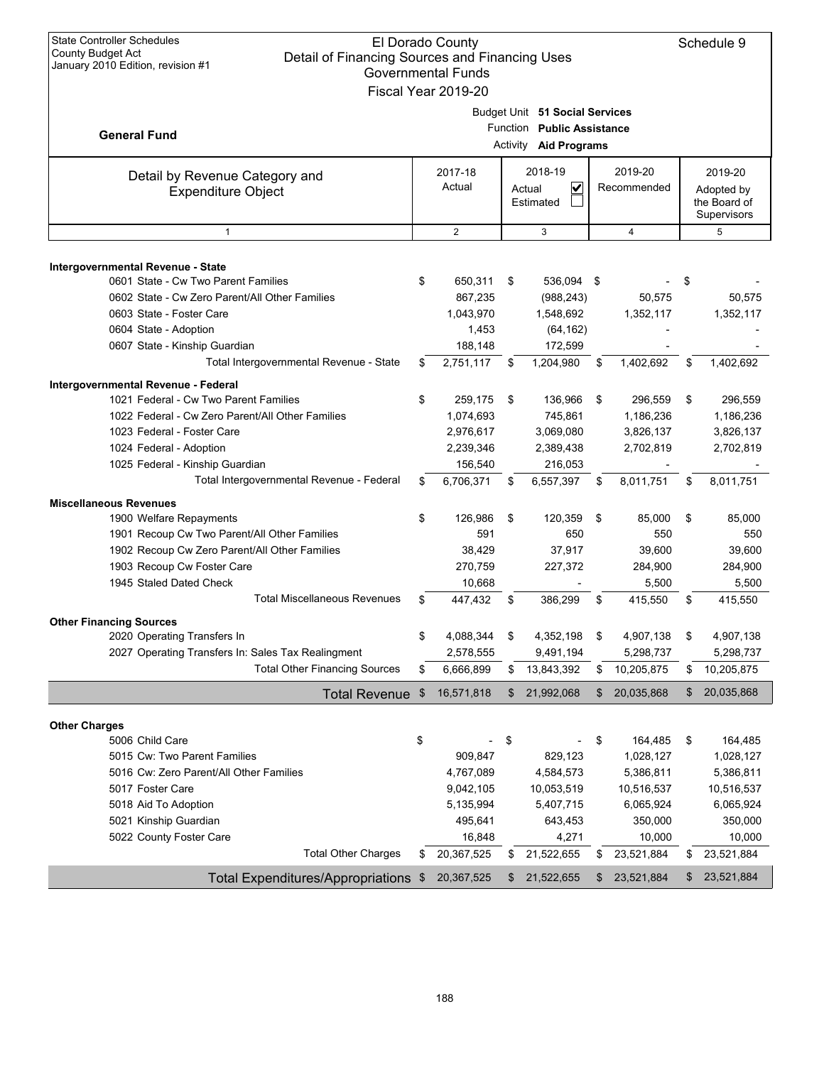| <b>State Controller Schedules</b><br><b>El Dorado County</b><br><b>County Budget Act</b><br>Detail of Financing Sources and Financing Uses<br>January 2010 Edition, revision #1<br><b>Governmental Funds</b><br>Fiscal Year 2019-20                                                                                                                                                                                                                                                                                                    |                      |                                                                                                                                    |                      |                                                                                                                        |                      |                                                                                                                       |                      |                                                                                                                       |  |
|----------------------------------------------------------------------------------------------------------------------------------------------------------------------------------------------------------------------------------------------------------------------------------------------------------------------------------------------------------------------------------------------------------------------------------------------------------------------------------------------------------------------------------------|----------------------|------------------------------------------------------------------------------------------------------------------------------------|----------------------|------------------------------------------------------------------------------------------------------------------------|----------------------|-----------------------------------------------------------------------------------------------------------------------|----------------------|-----------------------------------------------------------------------------------------------------------------------|--|
| <b>General Fund</b>                                                                                                                                                                                                                                                                                                                                                                                                                                                                                                                    |                      |                                                                                                                                    | Function<br>Activity | Budget Unit 51 Social Services<br><b>Public Assistance</b><br><b>Aid Programs</b>                                      |                      |                                                                                                                       |                      |                                                                                                                       |  |
| Detail by Revenue Category and<br><b>Expenditure Object</b>                                                                                                                                                                                                                                                                                                                                                                                                                                                                            |                      | 2017-18<br>Actual                                                                                                                  |                      | 2018-19<br>V<br>Actual<br>Estimated                                                                                    |                      | 2019-20<br>Recommended                                                                                                |                      | 2019-20<br>Adopted by<br>the Board of<br>Supervisors                                                                  |  |
| $\mathbf{1}$                                                                                                                                                                                                                                                                                                                                                                                                                                                                                                                           |                      | $\overline{2}$                                                                                                                     |                      | 3                                                                                                                      |                      | $\overline{4}$                                                                                                        |                      | 5                                                                                                                     |  |
|                                                                                                                                                                                                                                                                                                                                                                                                                                                                                                                                        |                      |                                                                                                                                    |                      |                                                                                                                        |                      |                                                                                                                       |                      |                                                                                                                       |  |
| Intergovernmental Revenue - State<br>0601 State - Cw Two Parent Families<br>0602 State - Cw Zero Parent/All Other Families<br>0603 State - Foster Care<br>0604 State - Adoption                                                                                                                                                                                                                                                                                                                                                        | \$                   | 650,311<br>867,235<br>1,043,970<br>1,453                                                                                           | \$                   | 536,094 \$<br>(988, 243)<br>1,548,692<br>(64, 162)                                                                     |                      | 50,575<br>1,352,117                                                                                                   | \$                   | 50,575<br>1,352,117                                                                                                   |  |
| 0607 State - Kinship Guardian                                                                                                                                                                                                                                                                                                                                                                                                                                                                                                          |                      | 188,148                                                                                                                            |                      | 172,599                                                                                                                |                      |                                                                                                                       |                      |                                                                                                                       |  |
| Total Intergovernmental Revenue - State                                                                                                                                                                                                                                                                                                                                                                                                                                                                                                | \$                   | 2,751,117                                                                                                                          | \$                   | 1,204,980                                                                                                              | \$                   | 1,402,692                                                                                                             | \$                   | 1,402,692                                                                                                             |  |
| Intergovernmental Revenue - Federal<br>1021 Federal - Cw Two Parent Families<br>1022 Federal - Cw Zero Parent/All Other Families<br>1023 Federal - Foster Care<br>1024 Federal - Adoption<br>1025 Federal - Kinship Guardian<br>Total Intergovernmental Revenue - Federal<br><b>Miscellaneous Revenues</b><br>1900 Welfare Repayments<br>1901 Recoup Cw Two Parent/All Other Families<br>1902 Recoup Cw Zero Parent/All Other Families<br>1903 Recoup Cw Foster Care<br>1945 Staled Dated Check<br><b>Total Miscellaneous Revenues</b> | \$<br>\$<br>\$<br>\$ | 259,175<br>1,074,693<br>2,976,617<br>2,239,346<br>156,540<br>6,706,371<br>126,986<br>591<br>38,429<br>270,759<br>10,668<br>447,432 | \$<br>\$<br>\$<br>\$ | 136,966<br>745,861<br>3,069,080<br>2,389,438<br>216,053<br>6,557,397<br>120,359<br>650<br>37,917<br>227,372<br>386,299 | \$<br>\$<br>\$<br>\$ | 296.559<br>1,186,236<br>3,826,137<br>2,702,819<br>8,011,751<br>85,000<br>550<br>39,600<br>284,900<br>5,500<br>415,550 | \$<br>\$<br>\$<br>\$ | 296,559<br>1,186,236<br>3,826,137<br>2,702,819<br>8,011,751<br>85,000<br>550<br>39,600<br>284,900<br>5,500<br>415,550 |  |
|                                                                                                                                                                                                                                                                                                                                                                                                                                                                                                                                        |                      |                                                                                                                                    |                      |                                                                                                                        |                      |                                                                                                                       |                      |                                                                                                                       |  |
| <b>Other Financing Sources</b><br>2020 Operating Transfers In<br>2027 Operating Transfers In: Sales Tax Realingment<br><b>Total Other Financing Sources</b>                                                                                                                                                                                                                                                                                                                                                                            | \$<br>\$             | 4,088,344<br>2,578,555<br>6,666,899                                                                                                | \$<br>\$             | 4,352,198<br>9,491,194<br>13,843,392                                                                                   | \$<br>\$             | 4,907,138<br>5,298,737<br>10,205,875                                                                                  | \$<br>\$             | 4,907,138<br>5,298,737<br>10,205,875                                                                                  |  |
| <b>Total Revenue</b>                                                                                                                                                                                                                                                                                                                                                                                                                                                                                                                   | \$                   | 16,571,818                                                                                                                         | \$                   | 21,992,068                                                                                                             | \$                   | 20,035,868                                                                                                            | \$                   | 20,035,868                                                                                                            |  |
| <b>Other Charges</b><br>5006 Child Care<br>5015 Cw: Two Parent Families<br>5016 Cw: Zero Parent/All Other Families<br>5017 Foster Care                                                                                                                                                                                                                                                                                                                                                                                                 | \$                   | 909,847<br>4,767,089<br>9,042,105                                                                                                  | \$                   | 829,123<br>4,584,573<br>10,053,519                                                                                     | \$                   | 164,485<br>1,028,127<br>5,386,811<br>10,516,537                                                                       | \$                   | 164,485<br>1,028,127<br>5,386,811<br>10,516,537                                                                       |  |
| 5018 Aid To Adoption<br>5021 Kinship Guardian<br>5022 County Foster Care                                                                                                                                                                                                                                                                                                                                                                                                                                                               |                      | 5,135,994<br>495,641<br>16,848                                                                                                     |                      | 5,407,715<br>643,453<br>4,271                                                                                          |                      | 6,065,924<br>350,000<br>10,000                                                                                        |                      | 6,065,924<br>350,000<br>10,000                                                                                        |  |
| <b>Total Other Charges</b>                                                                                                                                                                                                                                                                                                                                                                                                                                                                                                             | \$                   | 20,367,525                                                                                                                         | \$                   | 21,522,655                                                                                                             | \$                   | 23,521,884                                                                                                            | \$                   | 23,521,884                                                                                                            |  |
| Total Expenditures/Appropriations \$                                                                                                                                                                                                                                                                                                                                                                                                                                                                                                   |                      | 20,367,525                                                                                                                         | \$                   | 21,522,655                                                                                                             | \$                   | 23,521,884                                                                                                            | \$                   | 23,521,884                                                                                                            |  |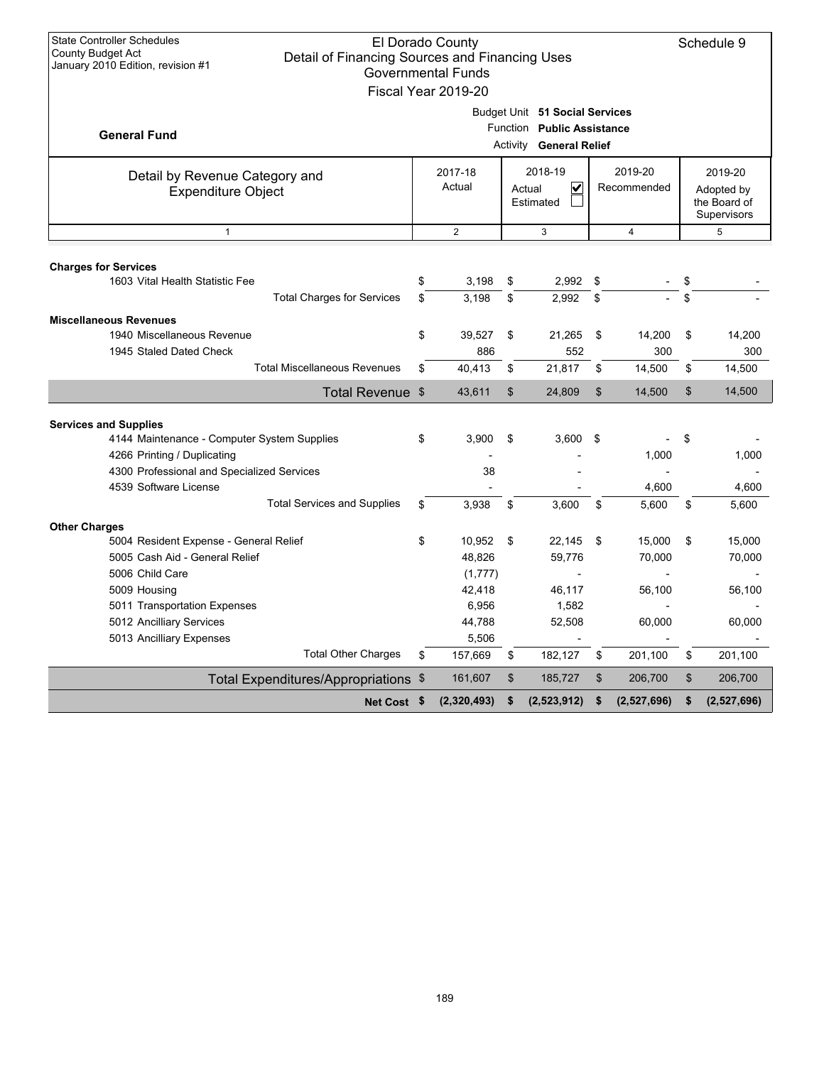| <b>State Controller Schedules</b><br>El Dorado County<br>Schedule 9<br>County Budget Act<br>Detail of Financing Sources and Financing Uses<br>January 2010 Edition, revision #1<br><b>Governmental Funds</b><br>Fiscal Year 2019-20 |                                                                                    |                             |          |                                                                                                |          |                  |                                                      |                  |  |
|-------------------------------------------------------------------------------------------------------------------------------------------------------------------------------------------------------------------------------------|------------------------------------------------------------------------------------|-----------------------------|----------|------------------------------------------------------------------------------------------------|----------|------------------|------------------------------------------------------|------------------|--|
| <b>General Fund</b>                                                                                                                                                                                                                 |                                                                                    |                             |          | Budget Unit 51 Social Services<br>Function Public Assistance<br><b>Activity General Relief</b> |          |                  |                                                      |                  |  |
| Detail by Revenue Category and<br><b>Expenditure Object</b>                                                                                                                                                                         | 2019-20<br>2018-19<br>2017-18<br>Actual<br>V<br>Recommended<br>Actual<br>Estimated |                             |          |                                                                                                |          |                  | 2019-20<br>Adopted by<br>the Board of<br>Supervisors |                  |  |
| $\mathbf{1}$                                                                                                                                                                                                                        |                                                                                    | $\overline{2}$              |          | 3                                                                                              |          | $\overline{4}$   |                                                      | 5                |  |
| <b>Charges for Services</b><br>1603 Vital Health Statistic Fee<br><b>Total Charges for Services</b>                                                                                                                                 | \$                                                                                 | 3,198                       | \$       | 2,992                                                                                          | \$       |                  | \$<br>\$                                             |                  |  |
| <b>Miscellaneous Revenues</b><br>1940 Miscellaneous Revenue                                                                                                                                                                         | \$<br>\$                                                                           | 3,198<br>39,527             | \$<br>\$ | 2,992<br>21,265                                                                                | \$<br>\$ | 14,200           | \$                                                   | 14,200           |  |
| 1945 Staled Dated Check<br><b>Total Miscellaneous Revenues</b>                                                                                                                                                                      | \$                                                                                 | 886<br>40.413               | \$       | 552<br>21,817                                                                                  | \$       | 300<br>14,500    | \$                                                   | 300<br>14,500    |  |
| Total Revenue \$                                                                                                                                                                                                                    |                                                                                    | 43.611                      | \$       | 24,809                                                                                         | \$       | 14,500           | \$                                                   | 14,500           |  |
|                                                                                                                                                                                                                                     |                                                                                    |                             |          |                                                                                                |          |                  |                                                      |                  |  |
| <b>Services and Supplies</b><br>4144 Maintenance - Computer System Supplies                                                                                                                                                         | \$                                                                                 | 3.900                       | \$       | 3,600                                                                                          | \$       |                  | \$                                                   |                  |  |
| 4266 Printing / Duplicating<br>4300 Professional and Specialized Services                                                                                                                                                           |                                                                                    | 38                          |          |                                                                                                |          | 1,000            |                                                      | 1,000            |  |
| 4539 Software License<br><b>Total Services and Supplies</b>                                                                                                                                                                         | \$                                                                                 | 3,938                       | \$       | 3,600                                                                                          | \$       | 4,600<br>5,600   | \$                                                   | 4,600<br>5,600   |  |
| <b>Other Charges</b>                                                                                                                                                                                                                |                                                                                    |                             |          |                                                                                                |          |                  |                                                      |                  |  |
| 5004 Resident Expense - General Relief<br>5005 Cash Aid - General Relief<br>5006 Child Care                                                                                                                                         | \$                                                                                 | 10,952<br>48,826<br>(1,777) | \$       | 22,145<br>59,776                                                                               | \$       | 15,000<br>70,000 | \$                                                   | 15,000<br>70,000 |  |
| 5009 Housing<br>5011 Transportation Expenses                                                                                                                                                                                        |                                                                                    | 42,418<br>6,956             |          | 46,117<br>1,582                                                                                |          | 56,100           |                                                      | 56,100           |  |
| 5012 Ancilliary Services<br>5013 Ancilliary Expenses                                                                                                                                                                                |                                                                                    | 44,788<br>5,506             |          | 52,508                                                                                         |          | 60,000           |                                                      | 60,000           |  |
| <b>Total Other Charges</b>                                                                                                                                                                                                          | \$                                                                                 | 157,669                     | \$       | 182,127                                                                                        | \$       | 201,100          | \$                                                   | 201,100          |  |
| Total Expenditures/Appropriations \$                                                                                                                                                                                                |                                                                                    | 161,607                     | \$       | 185,727                                                                                        | \$       | 206,700          | \$                                                   | 206,700          |  |
| Net Cost \$                                                                                                                                                                                                                         |                                                                                    | (2,320,493)                 | \$       | (2,523,912)                                                                                    | \$       | (2,527,696)      | \$                                                   | (2,527,696)      |  |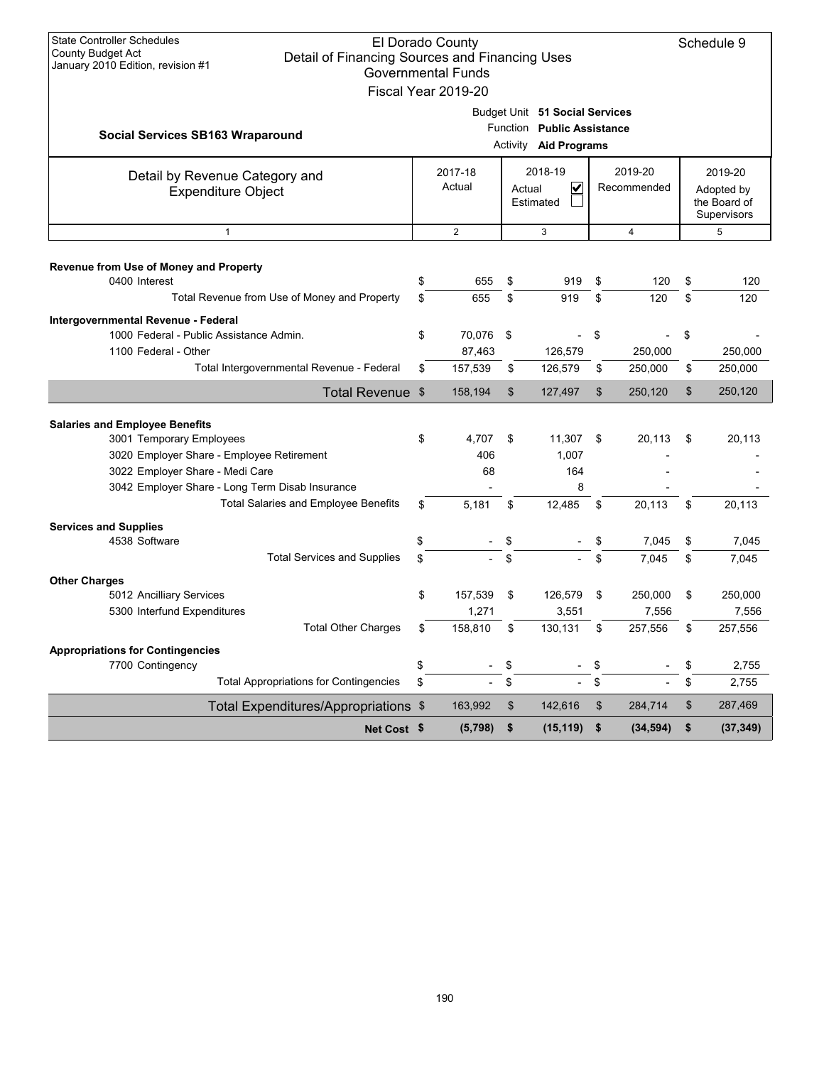| <b>State Controller Schedules</b><br><b>County Budget Act</b><br>January 2010 Edition, revision #1                                                                                                   | Detail of Financing Sources and Financing Uses |          | El Dorado County<br><b>Governmental Funds</b><br>Fiscal Year 2019-20               |          |                                                                                       |          |                                                      |          | Schedule 9       |
|------------------------------------------------------------------------------------------------------------------------------------------------------------------------------------------------------|------------------------------------------------|----------|------------------------------------------------------------------------------------|----------|---------------------------------------------------------------------------------------|----------|------------------------------------------------------|----------|------------------|
| <b>Social Services SB163 Wraparound</b>                                                                                                                                                              |                                                |          |                                                                                    |          | Budget Unit 51 Social Services<br>Function Public Assistance<br>Activity Aid Programs |          |                                                      |          |                  |
| Detail by Revenue Category and<br><b>Expenditure Object</b>                                                                                                                                          |                                                |          | 2018-19<br>2019-20<br>2017-18<br>Actual<br>V<br>Recommended<br>Actual<br>Estimated |          |                                                                                       |          | 2019-20<br>Adopted by<br>the Board of<br>Supervisors |          |                  |
| $\mathbf{1}$                                                                                                                                                                                         |                                                |          | $\mathbf{2}$                                                                       |          | 3                                                                                     |          | $\overline{4}$                                       |          | 5                |
| Revenue from Use of Money and Property<br>0400 Interest                                                                                                                                              | Total Revenue from Use of Money and Property   | \$<br>\$ | 655<br>655                                                                         | \$<br>\$ | 919<br>919                                                                            | \$<br>\$ | 120<br>120                                           | \$<br>\$ | 120<br>120       |
| Intergovernmental Revenue - Federal<br>1000 Federal - Public Assistance Admin.<br>1100 Federal - Other                                                                                               |                                                | \$       | 70,076<br>87,463                                                                   | -\$      | 126,579                                                                               | \$       | 250,000                                              | \$       | 250,000          |
|                                                                                                                                                                                                      | Total Intergovernmental Revenue - Federal      | \$       | 157,539                                                                            | \$       | 126,579                                                                               | \$       | 250,000                                              | \$       | 250,000          |
|                                                                                                                                                                                                      | Total Revenue \$                               |          | 158,194                                                                            | \$       | 127,497                                                                               | \$       | 250,120                                              | \$       | 250,120          |
| <b>Salaries and Employee Benefits</b><br>3001 Temporary Employees<br>3020 Employer Share - Employee Retirement<br>3022 Employer Share - Medi Care<br>3042 Employer Share - Long Term Disab Insurance |                                                | \$       | 4,707<br>406<br>68                                                                 | \$       | 11,307<br>1,007<br>164<br>8                                                           | \$       | 20,113                                               | \$       | 20,113           |
|                                                                                                                                                                                                      | <b>Total Salaries and Employee Benefits</b>    | \$       | 5,181                                                                              | \$       | 12,485                                                                                | \$       | 20,113                                               | \$       | 20,113           |
| <b>Services and Supplies</b><br>4538 Software                                                                                                                                                        | <b>Total Services and Supplies</b>             | \$<br>\$ |                                                                                    | \$<br>\$ |                                                                                       | \$       | 7,045<br>7,045                                       | \$<br>\$ | 7,045<br>7,045   |
| <b>Other Charges</b><br>5012 Ancilliary Services<br>5300 Interfund Expenditures                                                                                                                      |                                                | \$       | 157,539<br>1,271                                                                   | \$       | 126,579<br>3,551                                                                      | \$       | 250,000<br>7,556                                     | \$       | 250,000<br>7,556 |
|                                                                                                                                                                                                      | <b>Total Other Charges</b>                     |          | 158,810                                                                            | \$       | 130,131                                                                               | \$       | 257,556                                              |          | 257,556          |
| <b>Appropriations for Contingencies</b><br>7700 Contingency                                                                                                                                          |                                                | \$       |                                                                                    | \$       | $\overline{\phantom{a}}$                                                              | \$       |                                                      | \$       | 2,755            |
|                                                                                                                                                                                                      | <b>Total Appropriations for Contingencies</b>  | \$       | $\frac{1}{2}$                                                                      | \$       | $\frac{1}{2}$                                                                         | \$       |                                                      | \$       | 2,755            |
|                                                                                                                                                                                                      | Total Expenditures/Appropriations \$           |          | 163,992                                                                            | \$       | 142,616                                                                               | \$       | 284,714                                              | \$       | 287,469          |
|                                                                                                                                                                                                      | Net Cost \$                                    |          | (5,798)                                                                            | \$       | (15, 119)                                                                             | \$       | (34, 594)                                            | \$       | (37, 349)        |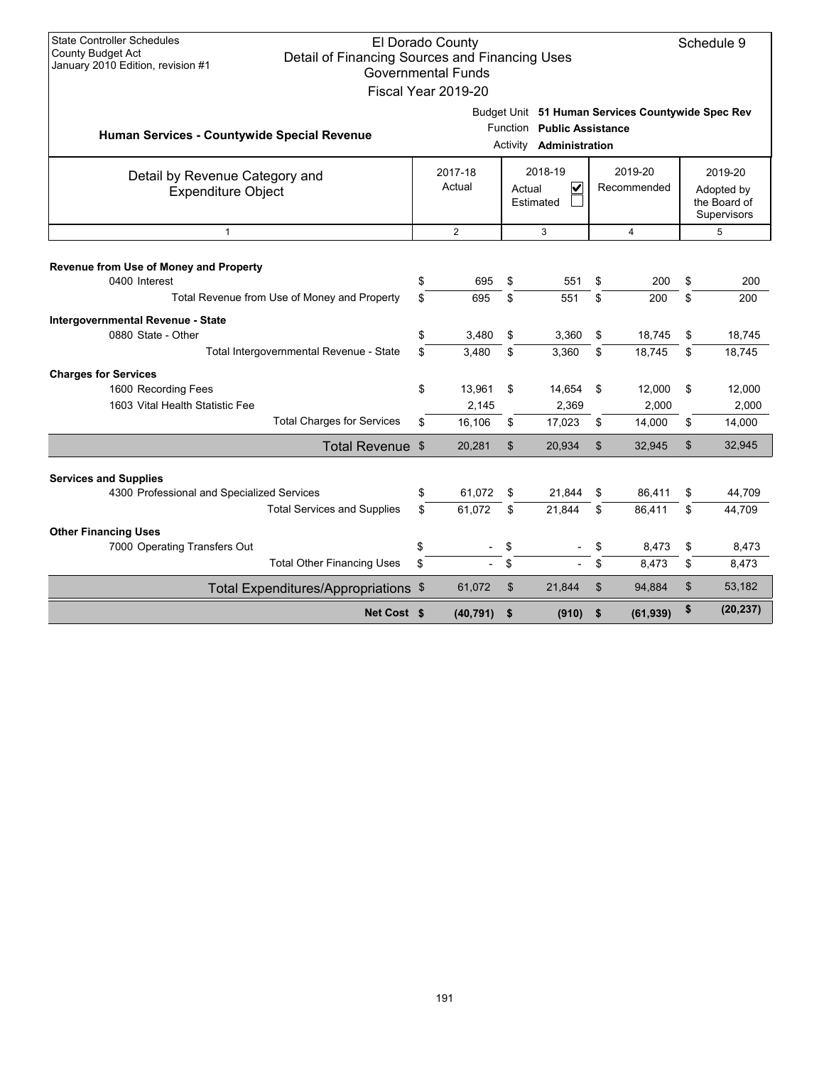| <b>State Controller Schedules</b>                                                                               |                                | El Dorado County          |                |                                                |                |                                                   |          | Schedule 9                 |
|-----------------------------------------------------------------------------------------------------------------|--------------------------------|---------------------------|----------------|------------------------------------------------|----------------|---------------------------------------------------|----------|----------------------------|
| <b>County Budget Act</b><br>Detail of Financing Sources and Financing Uses<br>January 2010 Edition, revision #1 |                                |                           |                |                                                |                |                                                   |          |                            |
|                                                                                                                 |                                | <b>Governmental Funds</b> |                |                                                |                |                                                   |          |                            |
|                                                                                                                 |                                | Fiscal Year 2019-20       |                |                                                |                |                                                   |          |                            |
|                                                                                                                 |                                |                           |                |                                                |                | Budget Unit 51 Human Services Countywide Spec Rev |          |                            |
| Human Services - Countywide Special Revenue                                                                     |                                |                           |                | Function Public Assistance                     |                |                                                   |          |                            |
|                                                                                                                 | Activity <b>Administration</b> |                           |                |                                                |                |                                                   |          |                            |
| Detail by Revenue Category and                                                                                  |                                | 2018-19<br>2017-18        |                |                                                | 2019-20        |                                                   | 2019-20  |                            |
| <b>Expenditure Object</b>                                                                                       |                                | Actual                    |                | $\overline{\mathbf{v}}$<br>Actual<br>Estimated |                | Recommended                                       |          | Adopted by<br>the Board of |
|                                                                                                                 |                                |                           |                |                                                |                |                                                   |          | Supervisors                |
| $\mathbf{1}$                                                                                                    |                                | $\overline{2}$            |                | 3                                              |                | 4                                                 |          | 5                          |
|                                                                                                                 |                                |                           |                |                                                |                |                                                   |          |                            |
| Revenue from Use of Money and Property                                                                          |                                |                           |                |                                                |                |                                                   |          |                            |
| 0400 Interest<br>Total Revenue from Use of Money and Property                                                   | \$<br>\$                       | 695<br>695                | \$<br>\$       | 551<br>551                                     | \$<br>\$       | 200<br>200                                        | \$<br>\$ | 200                        |
|                                                                                                                 |                                |                           |                |                                                |                |                                                   |          | 200                        |
| Intergovernmental Revenue - State<br>0880 State - Other                                                         |                                |                           |                |                                                |                |                                                   |          |                            |
| Total Intergovernmental Revenue - State                                                                         | \$<br>\$                       | 3,480<br>3,480            | \$<br>\$       | 3,360<br>3,360                                 | \$<br>\$       | 18,745<br>18,745                                  | \$<br>\$ | 18,745<br>18,745           |
|                                                                                                                 |                                |                           |                |                                                |                |                                                   |          |                            |
| <b>Charges for Services</b><br>1600 Recording Fees                                                              | \$                             | 13,961                    | \$             | 14,654                                         | \$             | 12,000                                            | \$       | 12,000                     |
| 1603 Vital Health Statistic Fee                                                                                 |                                | 2,145                     |                | 2,369                                          |                | 2,000                                             |          | 2,000                      |
| <b>Total Charges for Services</b>                                                                               | \$                             | 16,106                    | \$             | 17,023                                         | \$             | 14,000                                            | \$       | 14,000                     |
| Total Revenue \$                                                                                                |                                | 20,281                    | $\mathfrak{S}$ | 20,934                                         | \$             | 32,945                                            | \$       | 32,945                     |
|                                                                                                                 |                                |                           |                |                                                |                |                                                   |          |                            |
| <b>Services and Supplies</b>                                                                                    | \$                             | 61,072                    |                |                                                |                |                                                   |          |                            |
| 4300 Professional and Specialized Services<br><b>Total Services and Supplies</b>                                | \$.                            | 61.072                    | \$<br>\$       | 21,844<br>21.844                               | \$<br>\$       | 86,411<br>86.411                                  | \$<br>\$ | 44,709<br>44.709           |
|                                                                                                                 |                                |                           |                |                                                |                |                                                   |          |                            |
| <b>Other Financing Uses</b><br>7000 Operating Transfers Out                                                     | \$                             |                           | \$             |                                                | \$             | 8,473                                             | \$       | 8,473                      |
| <b>Total Other Financing Uses</b>                                                                               | \$                             |                           | \$             |                                                | \$             | 8,473                                             | \$       | 8,473                      |
| Total Expenditures/Appropriations \$                                                                            |                                | 61,072                    | \$             | 21,844                                         | $\mathfrak{L}$ | 94,884                                            | \$       | 53,182                     |
|                                                                                                                 |                                |                           |                |                                                |                |                                                   | \$       |                            |
| Net Cost \$                                                                                                     |                                | (40, 791)                 | \$             | (910)                                          | \$             | (61, 939)                                         |          | (20, 237)                  |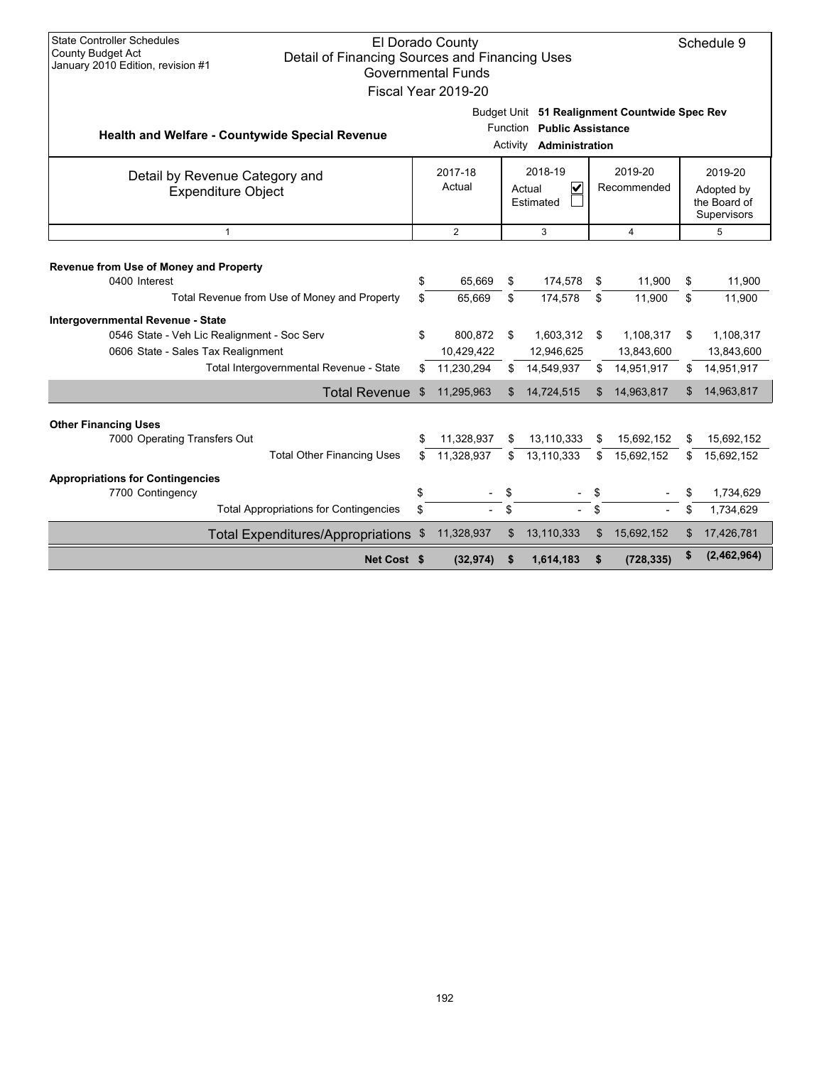| <b>State Controller Schedules</b><br>El Dorado County<br>Schedule 9<br>County Budget Act<br>Detail of Financing Sources and Financing Uses<br>January 2010 Edition, revision #1<br><b>Governmental Funds</b><br>Fiscal Year 2019-20                                          |                                                                                                          |                       |                                                         |                      |                                                             |                       |                                                           |                                                      |                                                           |  |  |
|------------------------------------------------------------------------------------------------------------------------------------------------------------------------------------------------------------------------------------------------------------------------------|----------------------------------------------------------------------------------------------------------|-----------------------|---------------------------------------------------------|----------------------|-------------------------------------------------------------|-----------------------|-----------------------------------------------------------|------------------------------------------------------|-----------------------------------------------------------|--|--|
| <b>Health and Welfare - Countywide Special Revenue</b>                                                                                                                                                                                                                       |                                                                                                          |                       |                                                         | Function<br>Activity | <b>Public Assistance</b><br>Administration                  |                       | Budget Unit 51 Realignment Countwide Spec Rev             |                                                      |                                                           |  |  |
| Detail by Revenue Category and<br><b>Expenditure Object</b>                                                                                                                                                                                                                  | 2018-19<br>2019-20<br>2017-18<br>Actual<br>$\overline{\mathbf{v}}$<br>Recommended<br>Actual<br>Estimated |                       |                                                         |                      |                                                             |                       |                                                           | 2019-20<br>Adopted by<br>the Board of<br>Supervisors |                                                           |  |  |
| $\mathbf{1}$                                                                                                                                                                                                                                                                 | $\mathbf{2}$<br>3<br>5<br>$\overline{4}$                                                                 |                       |                                                         |                      |                                                             |                       |                                                           |                                                      |                                                           |  |  |
| Revenue from Use of Money and Property<br>0400 Interest<br>Total Revenue from Use of Money and Property<br>Intergovernmental Revenue - State<br>0546 State - Veh Lic Realignment - Soc Serv<br>0606 State - Sales Tax Realignment<br>Total Intergovernmental Revenue - State |                                                                                                          | \$<br>\$.<br>\$<br>\$ | 65,669<br>65.669<br>800,872<br>10,429,422<br>11,230,294 | \$<br>\$<br>\$<br>\$ | 174,578<br>174,578<br>1,603,312<br>12,946,625<br>14,549,937 | \$<br>\$<br>- \$<br>S | 11,900<br>11,900<br>1,108,317<br>13,843,600<br>14,951,917 | \$<br>\$<br>\$<br>\$                                 | 11,900<br>11,900<br>1,108,317<br>13,843,600<br>14,951,917 |  |  |
| <b>Total Revenue</b>                                                                                                                                                                                                                                                         |                                                                                                          | \$                    | 11,295,963                                              | \$                   | 14,724,515                                                  | \$                    | 14,963,817                                                | \$                                                   | 14,963,817                                                |  |  |
| <b>Other Financing Uses</b><br>7000 Operating Transfers Out<br><b>Total Other Financing Uses</b>                                                                                                                                                                             |                                                                                                          | \$                    | 11,328,937<br>11,328,937                                | S<br>\$              | 13,110,333<br>13,110,333                                    | \$<br>\$              | 15,692,152<br>15,692,152                                  | S<br>\$.                                             | 15,692,152<br>15,692,152                                  |  |  |
| <b>Appropriations for Contingencies</b>                                                                                                                                                                                                                                      |                                                                                                          |                       |                                                         |                      |                                                             |                       |                                                           |                                                      |                                                           |  |  |
| 7700 Contingency                                                                                                                                                                                                                                                             |                                                                                                          | \$                    |                                                         |                      |                                                             | \$                    |                                                           | \$                                                   | 1,734,629                                                 |  |  |
| <b>Total Appropriations for Contingencies</b>                                                                                                                                                                                                                                |                                                                                                          | \$                    |                                                         | \$                   |                                                             | \$                    |                                                           | \$                                                   | 1,734,629                                                 |  |  |
| <b>Total Expenditures/Appropriations</b>                                                                                                                                                                                                                                     |                                                                                                          | \$                    | 11,328,937                                              | \$                   | 13,110,333                                                  | \$                    | 15,692,152                                                | \$                                                   | 17,426,781                                                |  |  |
|                                                                                                                                                                                                                                                                              | Net Cost \$                                                                                              |                       | (32, 974)                                               | \$                   | 1,614,183                                                   | \$                    | (728, 335)                                                | \$                                                   | (2,462,964)                                               |  |  |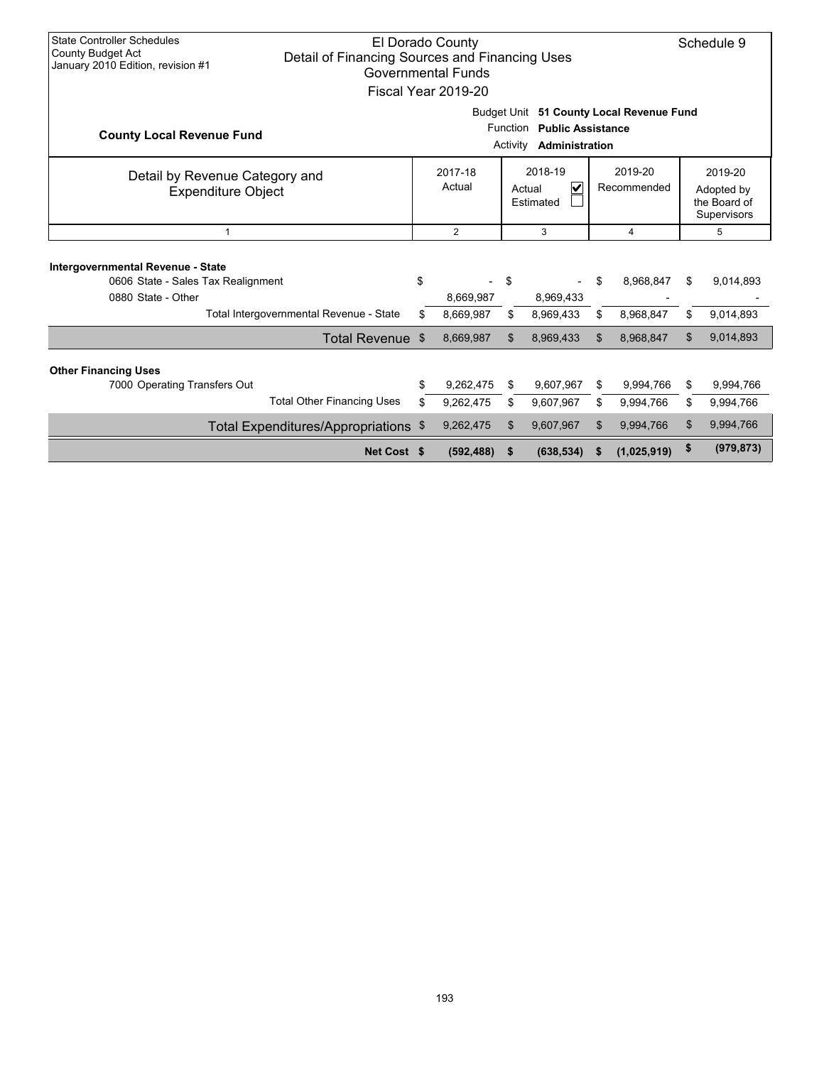| <b>State Controller Schedules</b><br>El Dorado County<br><b>County Budget Act</b><br>Detail of Financing Sources and Financing Uses<br>January 2010 Edition, revision #1<br>Governmental Funds<br>Fiscal Year 2019-20 |                                                                                                                |                        |          |                                                           |                        |                        |          |                        |  |  |                                                      |
|-----------------------------------------------------------------------------------------------------------------------------------------------------------------------------------------------------------------------|----------------------------------------------------------------------------------------------------------------|------------------------|----------|-----------------------------------------------------------|------------------------|------------------------|----------|------------------------|--|--|------------------------------------------------------|
| <b>County Local Revenue Fund</b>                                                                                                                                                                                      | Budget Unit 51 County Local Revenue Fund<br>Function<br><b>Public Assistance</b><br>Administration<br>Activity |                        |          |                                                           |                        |                        |          |                        |  |  |                                                      |
| Detail by Revenue Category and<br><b>Expenditure Object</b>                                                                                                                                                           |                                                                                                                | 2017-18<br>Actual      |          | 2018-19<br>$\overline{\mathsf{v}}$<br>Actual<br>Estimated | 2019-20<br>Recommended |                        |          |                        |  |  | 2019-20<br>Adopted by<br>the Board of<br>Supervisors |
| 1                                                                                                                                                                                                                     |                                                                                                                | $\overline{2}$         |          | 3                                                         |                        | 4                      |          | 5                      |  |  |                                                      |
| Intergovernmental Revenue - State<br>0606 State - Sales Tax Realignment<br>0880 State - Other                                                                                                                         | \$                                                                                                             | 8,669,987              | \$       | 8,969,433                                                 | \$                     | 8,968,847              | \$       | 9,014,893              |  |  |                                                      |
| Total Intergovernmental Revenue - State                                                                                                                                                                               | \$                                                                                                             | 8,669,987              | \$       | 8,969,433                                                 | \$                     | 8,968,847              | \$       | 9,014,893              |  |  |                                                      |
| Total Revenue \$                                                                                                                                                                                                      |                                                                                                                | 8,669,987              | \$       | 8,969,433                                                 | \$                     | 8,968,847              | \$       | 9,014,893              |  |  |                                                      |
| <b>Other Financing Uses</b><br>7000 Operating Transfers Out<br><b>Total Other Financing Uses</b>                                                                                                                      | \$<br>\$                                                                                                       | 9,262,475<br>9,262,475 | \$<br>\$ | 9,607,967<br>9,607,967                                    | \$<br>\$               | 9,994,766<br>9,994,766 | \$<br>\$ | 9,994,766<br>9,994,766 |  |  |                                                      |
| Total Expenditures/Appropriations \$                                                                                                                                                                                  |                                                                                                                | 9,262,475              | \$       | 9,607,967                                                 | \$                     | 9,994,766              | \$       | 9,994,766              |  |  |                                                      |
| Net Cost \$                                                                                                                                                                                                           |                                                                                                                | (592, 488)             | \$       | (638, 534)                                                |                        | (1,025,919)            | \$       | (979, 873)             |  |  |                                                      |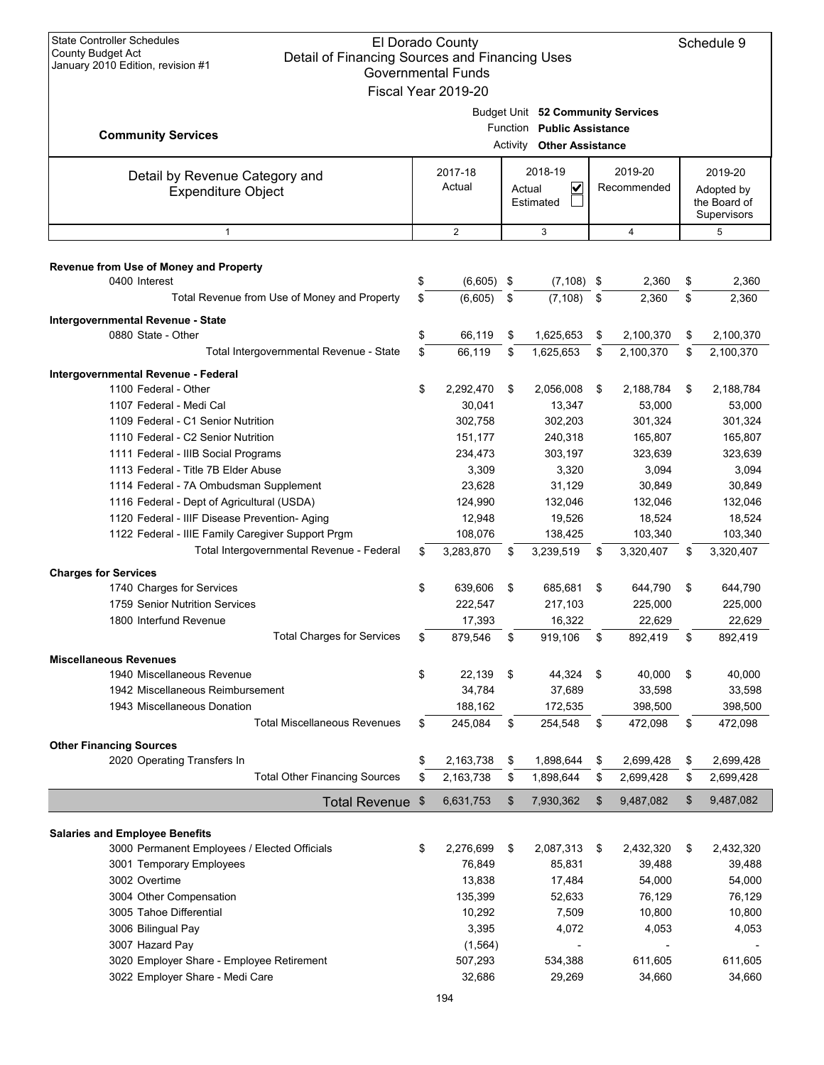| <b>State Controller Schedules</b><br>El Dorado County<br><b>County Budget Act</b><br>Detail of Financing Sources and Financing Uses<br>January 2010 Edition, revision #1<br><b>Governmental Funds</b><br>Fiscal Year 2019-20 |          |                        |                                                                |                                      |                                   |                        |          | Schedule 9                                           |
|------------------------------------------------------------------------------------------------------------------------------------------------------------------------------------------------------------------------------|----------|------------------------|----------------------------------------------------------------|--------------------------------------|-----------------------------------|------------------------|----------|------------------------------------------------------|
| <b>Community Services</b>                                                                                                                                                                                                    |          |                        | Function Public Assistance<br><b>Activity Other Assistance</b> |                                      | Budget Unit 52 Community Services |                        |          |                                                      |
| Detail by Revenue Category and<br><b>Expenditure Object</b>                                                                                                                                                                  |          | 2017-18<br>Actual      | Actual                                                         | 2018-19<br>$\checkmark$<br>Estimated |                                   | 2019-20<br>Recommended |          | 2019-20<br>Adopted by<br>the Board of<br>Supervisors |
| 1                                                                                                                                                                                                                            |          | $\overline{2}$         |                                                                | 3                                    |                                   | 4                      |          | 5                                                    |
| Revenue from Use of Money and Property<br>0400 Interest                                                                                                                                                                      | \$       | $(6,605)$ \$           |                                                                | $(7, 108)$ \$                        |                                   | 2,360                  | \$       | 2,360                                                |
| Total Revenue from Use of Money and Property                                                                                                                                                                                 | \$       | (6,605)                | \$                                                             | (7, 108)                             | \$                                | 2,360                  | \$       | 2,360                                                |
| Intergovernmental Revenue - State<br>0880 State - Other                                                                                                                                                                      | \$       | 66,119                 | \$                                                             | 1,625,653                            | \$                                | 2,100,370              | \$       | 2,100,370                                            |
| Total Intergovernmental Revenue - State                                                                                                                                                                                      | \$       | 66.119                 | \$                                                             | 1,625,653                            | \$                                | 2,100,370              | \$       | 2,100,370                                            |
| Intergovernmental Revenue - Federal<br>1100 Federal - Other<br>1107 Federal - Medi Cal                                                                                                                                       | \$       | 2,292,470<br>30,041    | \$                                                             | 2,056,008<br>13,347                  | \$                                | 2,188,784<br>53,000    | \$       | 2,188,784<br>53,000                                  |
| 1109 Federal - C1 Senior Nutrition                                                                                                                                                                                           |          | 302,758                |                                                                | 302,203                              |                                   | 301,324                |          | 301,324                                              |
| 1110 Federal - C2 Senior Nutrition                                                                                                                                                                                           |          | 151,177                |                                                                | 240,318                              |                                   | 165,807                |          | 165,807                                              |
| 1111 Federal - IIIB Social Programs                                                                                                                                                                                          |          | 234,473                |                                                                | 303,197                              |                                   | 323,639                |          | 323,639                                              |
| 1113 Federal - Title 7B Elder Abuse                                                                                                                                                                                          |          | 3,309                  |                                                                | 3,320                                |                                   | 3,094                  |          | 3,094                                                |
| 1114 Federal - 7A Ombudsman Supplement                                                                                                                                                                                       |          | 23,628                 |                                                                | 31,129                               |                                   | 30,849                 |          | 30,849                                               |
| 1116 Federal - Dept of Agricultural (USDA)                                                                                                                                                                                   |          | 124,990                |                                                                | 132,046                              |                                   | 132,046                |          | 132,046                                              |
| 1120 Federal - IIIF Disease Prevention- Aging                                                                                                                                                                                |          | 12,948                 |                                                                | 19,526                               |                                   | 18,524                 |          | 18,524                                               |
| 1122 Federal - IIIE Family Caregiver Support Prgm<br>Total Intergovernmental Revenue - Federal                                                                                                                               | \$       | 108,076<br>3,283,870   | \$                                                             | 138,425<br>3,239,519                 | \$                                | 103,340<br>3,320,407   | \$       | 103,340<br>3,320,407                                 |
| <b>Charges for Services</b>                                                                                                                                                                                                  |          |                        |                                                                |                                      |                                   |                        |          |                                                      |
| 1740 Charges for Services                                                                                                                                                                                                    | \$       | 639.606                | \$                                                             | 685,681                              | \$                                | 644,790                | \$       | 644,790                                              |
| 1759 Senior Nutrition Services                                                                                                                                                                                               |          | 222,547                |                                                                | 217,103                              |                                   | 225,000                |          | 225,000                                              |
| 1800 Interfund Revenue                                                                                                                                                                                                       |          | 17,393                 |                                                                | 16,322                               |                                   | 22,629                 |          | 22,629                                               |
| <b>Total Charges for Services</b>                                                                                                                                                                                            | \$       | 879,546                | \$                                                             | 919,106                              | \$                                | 892,419                | \$       | 892,419                                              |
| <b>Miscellaneous Revenues</b>                                                                                                                                                                                                |          |                        |                                                                |                                      |                                   |                        |          |                                                      |
| 1940 Miscellaneous Revenue                                                                                                                                                                                                   | \$       | 22,139                 | \$                                                             | 44,324                               | \$                                | 40,000                 | \$       | 40,000                                               |
| 1942 Miscellaneous Reimbursement                                                                                                                                                                                             |          | 34,784                 |                                                                | 37,689                               |                                   | 33,598                 |          | 33,598                                               |
| 1943 Miscellaneous Donation                                                                                                                                                                                                  |          | 188,162                |                                                                | 172,535                              |                                   | 398,500                |          | 398,500                                              |
| <b>Total Miscellaneous Revenues</b>                                                                                                                                                                                          | \$       | 245,084                | \$                                                             | 254,548                              | \$                                | 472,098                | \$       | 472,098                                              |
| <b>Other Financing Sources</b>                                                                                                                                                                                               |          |                        |                                                                |                                      |                                   |                        |          |                                                      |
| 2020 Operating Transfers In<br><b>Total Other Financing Sources</b>                                                                                                                                                          | \$<br>\$ | 2,163,738<br>2,163,738 | \$<br>\$                                                       | 1,898,644<br>1,898,644               | \$<br>\$                          | 2,699,428<br>2,699,428 | \$<br>\$ | 2,699,428<br>2,699,428                               |
|                                                                                                                                                                                                                              |          |                        |                                                                |                                      |                                   |                        | \$       |                                                      |
| <b>Total Revenue</b>                                                                                                                                                                                                         | \$       | 6,631,753              | \$                                                             | 7,930,362                            | \$                                | 9,487,082              |          | 9,487,082                                            |
| <b>Salaries and Employee Benefits</b>                                                                                                                                                                                        |          |                        |                                                                |                                      |                                   |                        |          |                                                      |
| 3000 Permanent Employees / Elected Officials                                                                                                                                                                                 | \$       | 2,276,699              | \$                                                             | 2,087,313                            | \$                                | 2,432,320              | \$       | 2,432,320                                            |
| 3001 Temporary Employees                                                                                                                                                                                                     |          | 76,849                 |                                                                | 85,831                               |                                   | 39,488                 |          | 39,488                                               |
| 3002 Overtime                                                                                                                                                                                                                |          | 13,838                 |                                                                | 17,484                               |                                   | 54,000                 |          | 54,000                                               |
| 3004 Other Compensation                                                                                                                                                                                                      |          | 135,399                |                                                                | 52,633                               |                                   | 76,129                 |          | 76,129                                               |
| 3005 Tahoe Differential                                                                                                                                                                                                      |          | 10,292                 |                                                                | 7,509                                |                                   | 10,800                 |          | 10,800                                               |
| 3006 Bilingual Pay                                                                                                                                                                                                           |          | 3,395                  |                                                                | 4,072                                |                                   | 4,053                  |          | 4,053                                                |
| 3007 Hazard Pay                                                                                                                                                                                                              |          | (1, 564)               |                                                                |                                      |                                   |                        |          |                                                      |
| 3020 Employer Share - Employee Retirement<br>3022 Employer Share - Medi Care                                                                                                                                                 |          | 507,293<br>32,686      |                                                                | 534,388<br>29,269                    |                                   | 611,605<br>34,660      |          | 611,605<br>34,660                                    |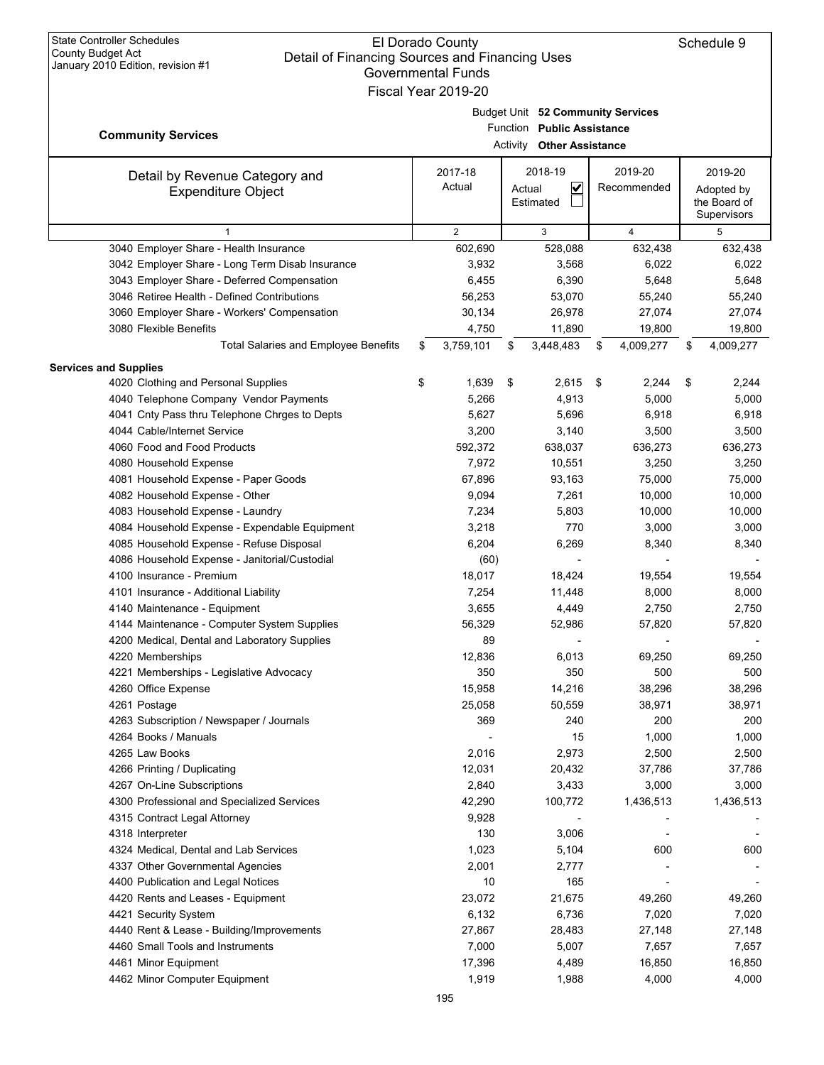| January ZUTU EURION, PEVISION # 1                           | <b>Governmental Funds</b><br>Fiscal Year 2019-20 |                                                                 |      |                        |                                                      |
|-------------------------------------------------------------|--------------------------------------------------|-----------------------------------------------------------------|------|------------------------|------------------------------------------------------|
| <b>Community Services</b>                                   |                                                  | Budget Unit 52 Community Services<br>Function Public Assistance |      |                        |                                                      |
|                                                             |                                                  | Activity Other Assistance                                       |      |                        |                                                      |
| Detail by Revenue Category and<br><b>Expenditure Object</b> | 2017-18<br>Actual                                | 2018-19<br>$\overline{\mathbf{v}}$<br>Actual<br>Estimated       |      | 2019-20<br>Recommended | 2019-20<br>Adopted by<br>the Board of<br>Supervisors |
| $\mathbf{1}$                                                | $\overline{2}$                                   | 3                                                               |      | 4                      | 5                                                    |
| 3040 Employer Share - Health Insurance                      | 602,690                                          | 528,088                                                         |      | 632,438                | 632,438                                              |
| 3042 Employer Share - Long Term Disab Insurance             | 3,932                                            | 3,568                                                           |      | 6,022                  | 6,022                                                |
| 3043 Employer Share - Deferred Compensation                 | 6,455                                            | 6,390                                                           |      | 5,648                  | 5,648                                                |
| 3046 Retiree Health - Defined Contributions                 | 56,253                                           | 53,070                                                          |      | 55,240                 | 55,240                                               |
| 3060 Employer Share - Workers' Compensation                 | 30,134                                           | 26,978                                                          |      | 27,074                 | 27,074                                               |
| 3080 Flexible Benefits                                      | 4,750                                            | 11,890                                                          |      | 19,800                 | 19,800                                               |
| Total Salaries and Employee Benefits                        | \$<br>3,759,101                                  | \$<br>3,448,483                                                 | \$   | 4,009,277              | \$<br>4,009,277                                      |
| <b>Services and Supplies</b>                                |                                                  |                                                                 |      |                        |                                                      |
| 4020 Clothing and Personal Supplies                         | \$<br>1,639                                      | \$<br>2,615                                                     | - \$ | 2,244                  | \$<br>2,244                                          |
| 4040 Telephone Company Vendor Payments                      | 5,266                                            | 4,913                                                           |      | 5,000                  | 5,000                                                |
| 4041 Cnty Pass thru Telephone Chrges to Depts               | 5,627                                            | 5,696                                                           |      | 6,918                  | 6,918                                                |
| 4044 Cable/Internet Service                                 | 3,200                                            | 3,140                                                           |      | 3,500                  | 3,500                                                |
| 4060 Food and Food Products                                 | 592,372                                          | 638,037                                                         |      | 636,273                | 636,273                                              |
| 4080 Household Expense                                      | 7,972                                            | 10,551                                                          |      | 3,250                  | 3,250                                                |
| 4081 Household Expense - Paper Goods                        | 67,896                                           | 93,163                                                          |      | 75,000                 | 75,000                                               |
| 4082 Household Expense - Other                              | 9,094                                            | 7,261                                                           |      | 10,000                 | 10,000                                               |
| 4083 Household Expense - Laundry                            | 7,234                                            | 5,803                                                           |      | 10,000                 | 10,000                                               |
| 4084 Household Expense - Expendable Equipment               | 3,218                                            | 770                                                             |      | 3,000                  | 3,000                                                |
| 4085 Household Expense - Refuse Disposal                    | 6,204                                            | 6,269                                                           |      | 8,340                  | 8,340                                                |
| 4086 Household Expense - Janitorial/Custodial               | (60)                                             |                                                                 |      |                        |                                                      |
| 4100 Insurance - Premium                                    | 18,017                                           | 18,424                                                          |      | 19,554                 | 19,554                                               |
| 4101 Insurance - Additional Liability                       | 7,254                                            | 11,448                                                          |      | 8,000                  | 8,000                                                |
| 4140 Maintenance - Equipment                                | 3,655                                            | 4,449                                                           |      | 2,750                  | 2,750                                                |
| 4144 Maintenance - Computer System Supplies                 | 56,329                                           | 52,986                                                          |      | 57,820                 | 57,820                                               |
| 4200 Medical, Dental and Laboratory Supplies                | 89                                               |                                                                 |      |                        |                                                      |
| 4220 Memberships                                            | 12,836                                           | 6,013                                                           |      | 69,250                 | 69,250                                               |
| 4221 Memberships - Legislative Advocacy                     | 350                                              | 350                                                             |      | 500                    | 500                                                  |
| 4260 Office Expense                                         | 15,958                                           | 14,216                                                          |      | 38,296                 | 38,296                                               |
| 4261 Postage                                                | 25,058                                           | 50,559                                                          |      | 38,971                 | 38,971                                               |
| 4263 Subscription / Newspaper / Journals                    | 369                                              | 240                                                             |      | 200                    | 200                                                  |
| 4264 Books / Manuals                                        |                                                  | 15                                                              |      | 1,000                  | 1,000                                                |
| 4265 Law Books                                              | 2,016                                            | 2,973                                                           |      | 2,500                  | 2,500                                                |
| 4266 Printing / Duplicating                                 | 12,031                                           | 20,432                                                          |      | 37,786                 | 37,786                                               |
| 4267 On-Line Subscriptions                                  | 2,840                                            | 3,433                                                           |      | 3,000                  | 3,000                                                |
| 4300 Professional and Specialized Services                  | 42,290                                           | 100,772                                                         |      | 1,436,513              | 1,436,513                                            |
| 4315 Contract Legal Attorney                                | 9,928                                            |                                                                 |      |                        |                                                      |
| 4318 Interpreter                                            | 130                                              | 3,006                                                           |      |                        |                                                      |
| 4324 Medical, Dental and Lab Services                       | 1,023                                            | 5,104                                                           |      | 600                    | 600                                                  |
| 4337 Other Governmental Agencies                            | 2,001                                            | 2,777                                                           |      |                        |                                                      |
| 4400 Publication and Legal Notices                          | 10                                               | 165                                                             |      |                        |                                                      |
| 4420 Rents and Leases - Equipment                           | 23,072                                           | 21,675                                                          |      | 49,260                 | 49,260                                               |
| 4421 Security System                                        | 6,132                                            | 6,736                                                           |      | 7,020                  | 7,020                                                |
| 4440 Rent & Lease - Building/Improvements                   | 27,867                                           | 28,483                                                          |      | 27,148                 | 27,148                                               |
| 4460 Small Tools and Instruments                            | 7,000                                            | 5,007                                                           |      | 7,657                  | 7,657                                                |
| 4461 Minor Equipment                                        | 17,396                                           | 4,489                                                           |      | 16,850                 | 16,850                                               |
| 4462 Minor Computer Equipment                               | 1,919                                            | 1,988                                                           |      | 4,000                  | 4,000                                                |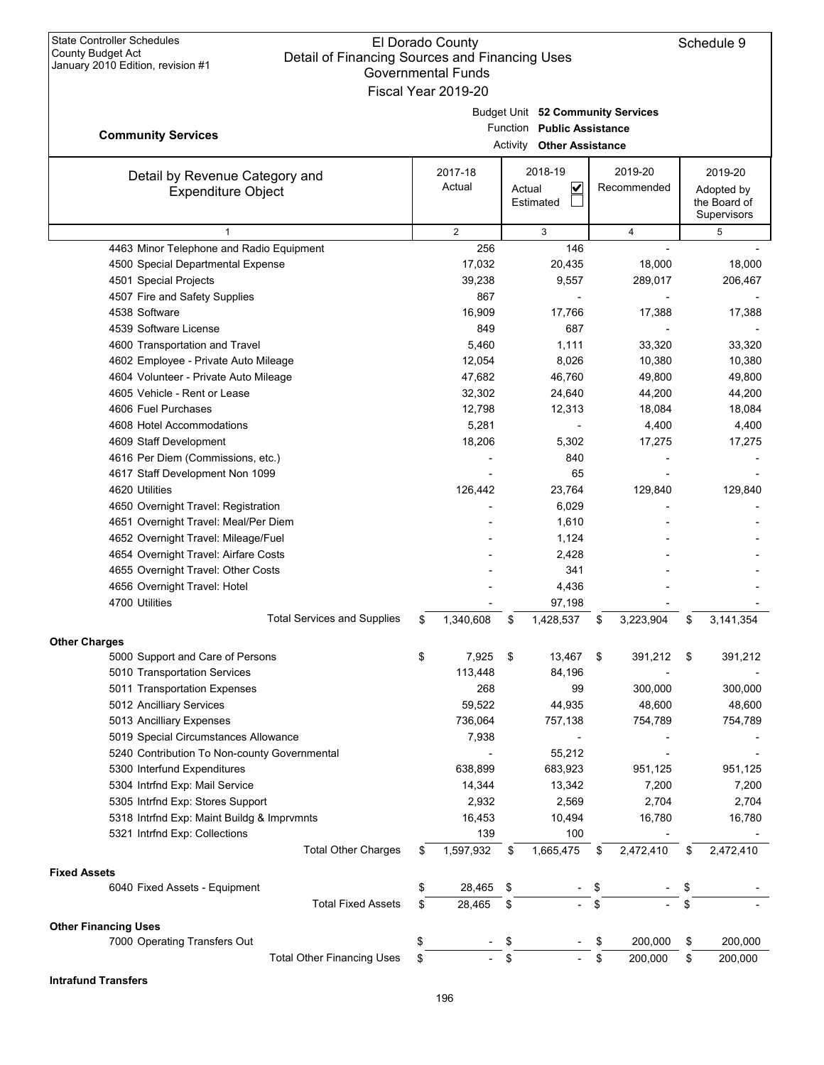|                                                                    | overnmental Fundsبo<br>Fiscal Year 2019-20 |          |                                                                 |                 |                             |
|--------------------------------------------------------------------|--------------------------------------------|----------|-----------------------------------------------------------------|-----------------|-----------------------------|
|                                                                    |                                            |          |                                                                 |                 |                             |
|                                                                    |                                            |          | Budget Unit 52 Community Services<br>Function Public Assistance |                 |                             |
| <b>Community Services</b>                                          |                                            | Activity | <b>Other Assistance</b>                                         |                 |                             |
|                                                                    |                                            |          |                                                                 |                 |                             |
| Detail by Revenue Category and                                     | 2017-18                                    |          | 2018-19                                                         | 2019-20         | 2019-20                     |
| <b>Expenditure Object</b>                                          | Actual                                     |          | V<br>Actual                                                     | Recommended     | Adopted by                  |
|                                                                    |                                            |          | Estimated                                                       |                 | the Board of<br>Supervisors |
| $\mathbf{1}$                                                       | 2                                          |          | 3                                                               | $\overline{4}$  | 5                           |
| 4463 Minor Telephone and Radio Equipment                           | 256                                        |          | 146                                                             |                 |                             |
| 4500 Special Departmental Expense                                  | 17,032                                     |          | 20,435                                                          | 18,000          | 18,000                      |
| 4501 Special Projects                                              | 39,238                                     |          | 9,557                                                           | 289,017         | 206,467                     |
| 4507 Fire and Safety Supplies                                      | 867                                        |          |                                                                 |                 |                             |
| 4538 Software                                                      | 16,909                                     |          | 17,766                                                          | 17,388          | 17,388                      |
| 4539 Software License                                              | 849                                        |          | 687                                                             |                 |                             |
| 4600 Transportation and Travel                                     | 5,460                                      |          | 1,111                                                           | 33,320          | 33,320                      |
| 4602 Employee - Private Auto Mileage                               | 12,054                                     |          | 8,026                                                           | 10,380          | 10,380                      |
| 4604 Volunteer - Private Auto Mileage                              | 47,682                                     |          | 46,760                                                          | 49,800          | 49,800                      |
| 4605 Vehicle - Rent or Lease                                       | 32,302                                     |          | 24,640                                                          | 44,200          | 44,200                      |
| 4606 Fuel Purchases                                                | 12,798                                     |          | 12,313                                                          | 18,084          | 18,084                      |
| 4608 Hotel Accommodations                                          | 5,281                                      |          |                                                                 | 4,400           | 4,400                       |
| 4609 Staff Development                                             | 18,206                                     |          | 5,302                                                           | 17,275          | 17,275                      |
| 4616 Per Diem (Commissions, etc.)                                  |                                            |          | 840                                                             |                 |                             |
| 4617 Staff Development Non 1099                                    |                                            |          | 65                                                              |                 |                             |
| 4620 Utilities                                                     | 126,442                                    |          | 23,764                                                          | 129,840         | 129,840                     |
| 4650 Overnight Travel: Registration                                |                                            |          | 6,029                                                           |                 |                             |
| 4651 Overnight Travel: Meal/Per Diem                               |                                            |          | 1,610                                                           |                 |                             |
| 4652 Overnight Travel: Mileage/Fuel                                |                                            |          | 1,124                                                           |                 |                             |
| 4654 Overnight Travel: Airfare Costs                               |                                            |          | 2,428                                                           |                 |                             |
| 4655 Overnight Travel: Other Costs                                 |                                            |          | 341                                                             |                 |                             |
| 4656 Overnight Travel: Hotel                                       |                                            |          | 4,436                                                           |                 |                             |
| 4700 Utilities                                                     |                                            |          | 97,198                                                          |                 |                             |
| <b>Total Services and Supplies</b>                                 | \$<br>1,340,608                            | \$       | 1,428,537                                                       | \$<br>3,223,904 | \$<br>3,141,354             |
| <b>Other Charges</b>                                               |                                            |          |                                                                 |                 |                             |
| 5000 Support and Care of Persons                                   | \$<br>7,925                                | \$       | 13,467                                                          | \$<br>391,212   | \$<br>391,212               |
| 5010 Transportation Services                                       | 113,448                                    |          | 84,196                                                          |                 |                             |
| 5011 Transportation Expenses                                       | 268                                        |          | 99                                                              | 300,000         | 300,000                     |
| 5012 Ancilliary Services                                           | 59,522                                     |          | 44,935                                                          | 48,600          | 48,600                      |
| 5013 Ancilliary Expenses                                           | 736,064                                    |          | 757,138                                                         | 754,789         | 754,789                     |
| 5019 Special Circumstances Allowance                               | 7,938                                      |          |                                                                 |                 |                             |
| 5240 Contribution To Non-county Governmental                       |                                            |          | 55,212                                                          |                 |                             |
| 5300 Interfund Expenditures                                        | 638,899                                    |          | 683,923                                                         | 951,125         | 951,125                     |
| 5304 Intrfnd Exp: Mail Service<br>5305 Intrfnd Exp: Stores Support | 14,344<br>2,932                            |          | 13,342<br>2,569                                                 | 7,200<br>2,704  | 7,200                       |
|                                                                    | 16,453                                     |          |                                                                 |                 | 2,704                       |
| 5318 Intrfnd Exp: Maint Buildg & Imprvmnts                         |                                            |          | 10,494<br>100                                                   | 16,780          | 16,780                      |
| 5321 Intrfnd Exp: Collections<br><b>Total Other Charges</b>        | 139                                        |          |                                                                 |                 |                             |
|                                                                    | \$<br>1,597,932                            | \$       | 1,665,475                                                       | \$<br>2,472,410 | \$<br>2,472,410             |
| <b>Fixed Assets</b>                                                |                                            |          |                                                                 |                 |                             |
| 6040 Fixed Assets - Equipment                                      | \$<br>28,465                               | \$       |                                                                 | \$              | \$                          |
| <b>Total Fixed Assets</b>                                          | \$<br>28,465                               | \$       |                                                                 | \$              | \$                          |
| <b>Other Financing Uses</b>                                        |                                            |          |                                                                 |                 |                             |
| 7000 Operating Transfers Out                                       | \$                                         | \$       |                                                                 | \$<br>200,000   | \$<br>200,000               |
| <b>Total Other Financing Uses</b>                                  | \$                                         | \$       |                                                                 | \$<br>200,000   | \$<br>200,000               |

**Intrafund Transfers**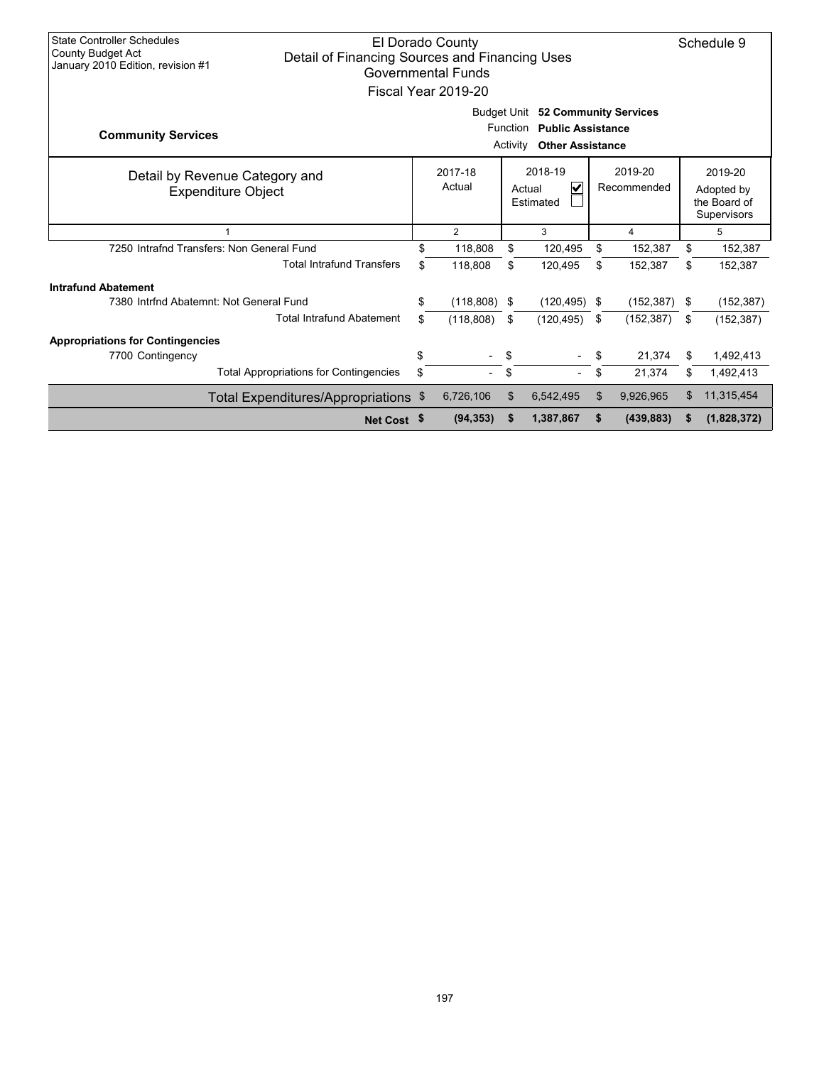| <b>State Controller Schedules</b><br><b>County Budget Act</b><br>January 2010 Edition, revision #1 | <b>El Dorado County</b><br>Schedule 9<br>Detail of Financing Sources and Financing Uses<br><b>Governmental Funds</b><br>Fiscal Year 2019-20 |                                                                                                                                          |                   |    |                                     |    |                        |      |                                                      |  |
|----------------------------------------------------------------------------------------------------|---------------------------------------------------------------------------------------------------------------------------------------------|------------------------------------------------------------------------------------------------------------------------------------------|-------------------|----|-------------------------------------|----|------------------------|------|------------------------------------------------------|--|
| <b>Community Services</b>                                                                          |                                                                                                                                             | <b>Budget Unit</b><br><b>52 Community Services</b><br><b>Public Assistance</b><br><b>Function</b><br><b>Other Assistance</b><br>Activity |                   |    |                                     |    |                        |      |                                                      |  |
| Detail by Revenue Category and<br><b>Expenditure Object</b>                                        |                                                                                                                                             |                                                                                                                                          | 2017-18<br>Actual |    | 2018-19<br>V<br>Actual<br>Estimated |    | 2019-20<br>Recommended |      | 2019-20<br>Adopted by<br>the Board of<br>Supervisors |  |
|                                                                                                    |                                                                                                                                             |                                                                                                                                          | 2                 |    | 3                                   |    | 4                      |      | 5                                                    |  |
| 7250 Intrafnd Transfers: Non General Fund                                                          |                                                                                                                                             |                                                                                                                                          | 118,808           | \$ | 120,495                             | \$ | 152,387                | \$   | 152,387                                              |  |
|                                                                                                    | <b>Total Intrafund Transfers</b>                                                                                                            | \$.                                                                                                                                      | 118,808           | \$ | 120,495                             | \$ | 152,387                | \$   | 152,387                                              |  |
| <b>Intrafund Abatement</b>                                                                         |                                                                                                                                             |                                                                                                                                          |                   |    |                                     |    |                        |      |                                                      |  |
| 7380 Intrfnd Abatemnt: Not General Fund                                                            |                                                                                                                                             | \$                                                                                                                                       | $(118,808)$ \$    |    | $(120, 495)$ \$                     |    | (152, 387)             | - \$ | (152, 387)                                           |  |
|                                                                                                    | <b>Total Intrafund Abatement</b>                                                                                                            | \$                                                                                                                                       | (118, 808)        | \$ | (120, 495)                          | \$ | (152, 387)             | \$   | (152, 387)                                           |  |
| <b>Appropriations for Contingencies</b>                                                            |                                                                                                                                             |                                                                                                                                          |                   |    |                                     |    |                        |      |                                                      |  |
| 7700 Contingency                                                                                   |                                                                                                                                             | \$                                                                                                                                       |                   | \$ |                                     | \$ | 21.374                 | \$   | 1,492,413                                            |  |
|                                                                                                    | <b>Total Appropriations for Contingencies</b>                                                                                               | \$                                                                                                                                       |                   | \$ |                                     | \$ | 21,374                 | \$   | 1,492,413                                            |  |
|                                                                                                    | Total Expenditures/Appropriations \$                                                                                                        |                                                                                                                                          | 6,726,106         | \$ | 6,542,495                           | \$ | 9.926.965              | \$   | 11,315,454                                           |  |
|                                                                                                    | Net Cost \$                                                                                                                                 |                                                                                                                                          | (94, 353)         | \$ | 1,387,867                           | S  | (439, 883)             | S    | (1,828,372)                                          |  |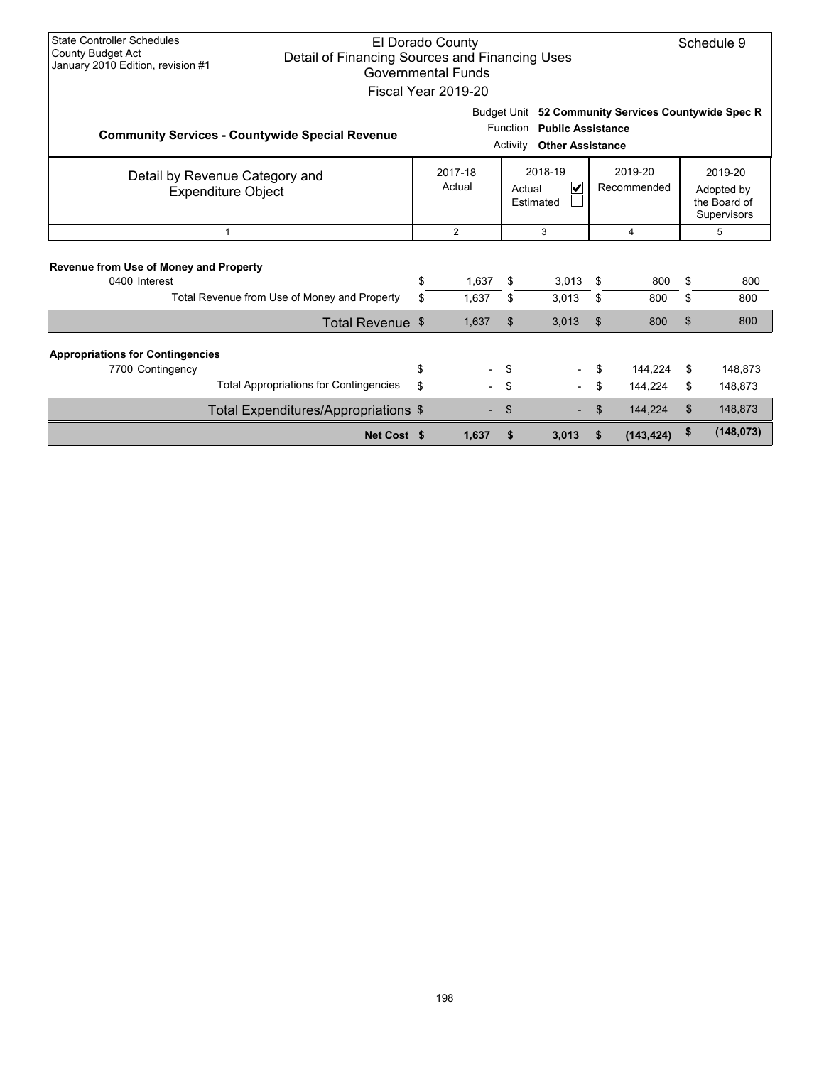| <b>State Controller Schedules</b><br>El Dorado County<br>Schedule 9<br><b>County Budget Act</b><br>Detail of Financing Sources and Financing Uses<br>January 2010 Edition, revision #1<br><b>Governmental Funds</b><br>Fiscal Year 2019-20 |                                                             |    |                   |    |                                                                                                                                           |                        |                |    |                                                      |  |  |
|--------------------------------------------------------------------------------------------------------------------------------------------------------------------------------------------------------------------------------------------|-------------------------------------------------------------|----|-------------------|----|-------------------------------------------------------------------------------------------------------------------------------------------|------------------------|----------------|----|------------------------------------------------------|--|--|
|                                                                                                                                                                                                                                            | <b>Community Services - Countywide Special Revenue</b>      |    |                   |    | Budget Unit 52 Community Services Countywide Spec R<br><b>Function</b><br><b>Public Assistance</b><br><b>Other Assistance</b><br>Activity |                        |                |    |                                                      |  |  |
|                                                                                                                                                                                                                                            | Detail by Revenue Category and<br><b>Expenditure Object</b> |    | 2017-18<br>Actual |    | 2018-19<br>$\checkmark$<br>Actual<br>Estimated                                                                                            | 2019-20<br>Recommended |                |    | 2019-20<br>Adopted by<br>the Board of<br>Supervisors |  |  |
|                                                                                                                                                                                                                                            | $\mathbf{1}$                                                |    | $\overline{2}$    |    | 3                                                                                                                                         |                        | $\overline{4}$ |    | 5                                                    |  |  |
| Revenue from Use of Money and Property<br>0400 Interest                                                                                                                                                                                    |                                                             | \$ | 1,637             | \$ | 3,013                                                                                                                                     | \$                     | 800            | \$ | 800                                                  |  |  |
|                                                                                                                                                                                                                                            | Total Revenue from Use of Money and Property                | \$ | 1,637             | \$ | 3,013                                                                                                                                     | \$                     | 800            | \$ | 800                                                  |  |  |
|                                                                                                                                                                                                                                            | Total Revenue \$                                            |    | 1,637             | \$ | 3,013                                                                                                                                     | \$                     | 800            | \$ | 800                                                  |  |  |
| <b>Appropriations for Contingencies</b><br>7700 Contingency                                                                                                                                                                                |                                                             | \$ |                   | \$ |                                                                                                                                           |                        | 144,224        | \$ | 148,873                                              |  |  |
|                                                                                                                                                                                                                                            | <b>Total Appropriations for Contingencies</b>               | \$ |                   | \$ |                                                                                                                                           | \$                     | 144,224        | \$ | 148,873                                              |  |  |
|                                                                                                                                                                                                                                            | Total Expenditures/Appropriations \$                        |    |                   | \$ |                                                                                                                                           | \$                     | 144,224        | \$ | 148,873                                              |  |  |
|                                                                                                                                                                                                                                            | Net Cost \$                                                 |    | 1,637             | \$ | 3,013                                                                                                                                     |                        | (143, 424)     | \$ | (148, 073)                                           |  |  |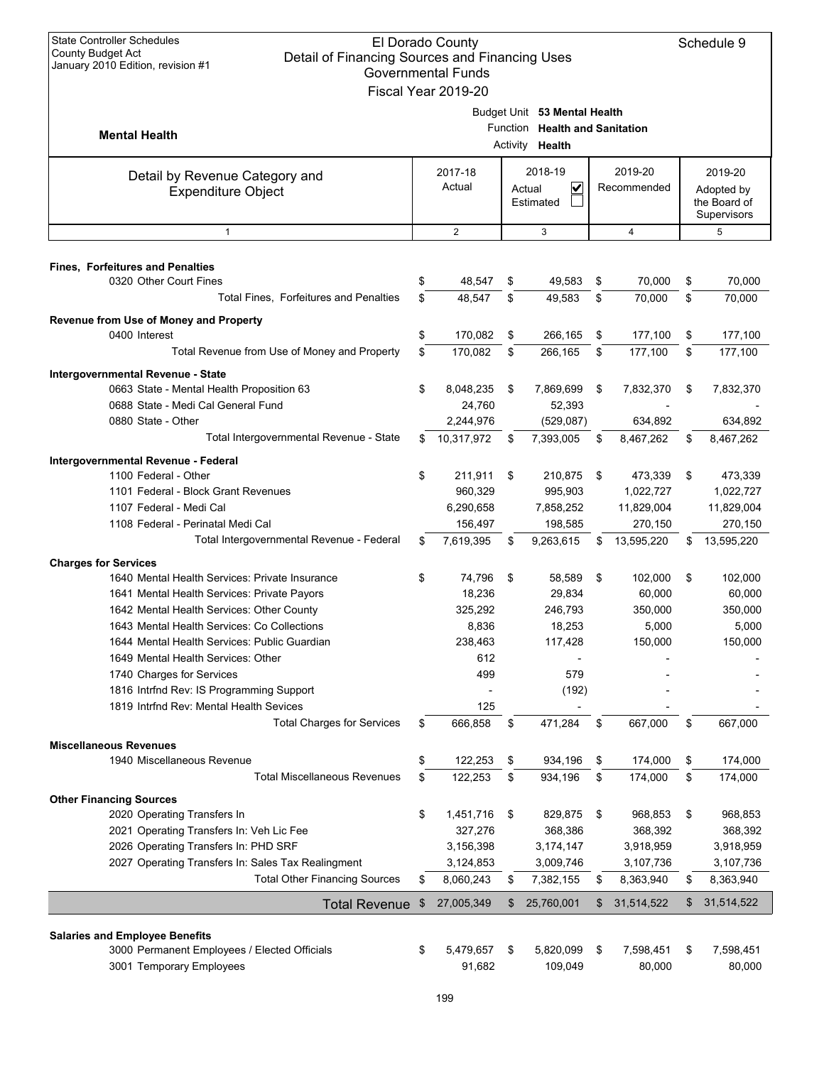| <b>State Controller Schedules</b><br>El Dorado County<br>Schedule 9<br><b>County Budget Act</b><br>Detail of Financing Sources and Financing Uses |    |                           |    |                                |    |                      |    |                             |  |
|---------------------------------------------------------------------------------------------------------------------------------------------------|----|---------------------------|----|--------------------------------|----|----------------------|----|-----------------------------|--|
| January 2010 Edition, revision #1                                                                                                                 |    | <b>Governmental Funds</b> |    |                                |    |                      |    |                             |  |
|                                                                                                                                                   |    | Fiscal Year 2019-20       |    |                                |    |                      |    |                             |  |
|                                                                                                                                                   |    |                           |    | Budget Unit 53 Mental Health   |    |                      |    |                             |  |
|                                                                                                                                                   |    |                           |    | Function Health and Sanitation |    |                      |    |                             |  |
| <b>Mental Health</b>                                                                                                                              |    |                           |    | Activity <b>Health</b>         |    |                      |    |                             |  |
|                                                                                                                                                   |    |                           |    |                                |    |                      |    |                             |  |
| Detail by Revenue Category and                                                                                                                    |    | 2017-18                   |    | 2018-19                        |    | 2019-20              |    | 2019-20                     |  |
| <b>Expenditure Object</b>                                                                                                                         |    | Actual                    |    | V<br>Actual                    |    | Recommended          |    | Adopted by                  |  |
|                                                                                                                                                   |    |                           |    | Estimated                      |    |                      |    | the Board of<br>Supervisors |  |
| $\mathbf{1}$                                                                                                                                      |    | 2                         |    | 3                              |    | $\overline{4}$       |    | 5                           |  |
|                                                                                                                                                   |    |                           |    |                                |    |                      |    |                             |  |
| <b>Fines, Forfeitures and Penalties</b>                                                                                                           |    |                           |    |                                |    |                      |    |                             |  |
| 0320 Other Court Fines                                                                                                                            | \$ | 48,547                    | \$ | 49,583                         | \$ | 70,000               | \$ | 70,000                      |  |
| <b>Total Fines. Forfeitures and Penalties</b>                                                                                                     | \$ | 48,547                    | \$ | 49,583                         | \$ | 70,000               | \$ | 70,000                      |  |
| Revenue from Use of Money and Property                                                                                                            |    |                           |    |                                |    |                      |    |                             |  |
| 0400 Interest                                                                                                                                     | \$ | 170,082                   | \$ | 266,165                        | \$ | 177,100              | \$ | 177,100                     |  |
| Total Revenue from Use of Money and Property                                                                                                      | \$ | 170,082                   | \$ | 266,165                        | \$ | 177,100              | \$ | 177,100                     |  |
|                                                                                                                                                   |    |                           |    |                                |    |                      |    |                             |  |
| <b>Intergovernmental Revenue - State</b>                                                                                                          |    |                           |    |                                |    |                      |    |                             |  |
| 0663 State - Mental Health Proposition 63<br>0688 State - Medi Cal General Fund                                                                   | \$ | 8,048,235                 | \$ | 7,869,699                      | \$ | 7,832,370            | \$ | 7,832,370                   |  |
| 0880 State - Other                                                                                                                                |    | 24,760                    |    | 52,393                         |    |                      |    |                             |  |
| Total Intergovernmental Revenue - State                                                                                                           | \$ | 2,244,976<br>10,317,972   | \$ | (529, 087)<br>7,393,005        | \$ | 634,892<br>8,467,262 |    | 634,892<br>8,467,262        |  |
|                                                                                                                                                   |    |                           |    |                                |    |                      | \$ |                             |  |
| Intergovernmental Revenue - Federal                                                                                                               |    |                           |    |                                |    |                      |    |                             |  |
| 1100 Federal - Other                                                                                                                              | \$ | 211,911                   | \$ | 210,875                        | \$ | 473,339              | \$ | 473,339                     |  |
| 1101 Federal - Block Grant Revenues                                                                                                               |    | 960,329                   |    | 995,903                        |    | 1,022,727            |    | 1,022,727                   |  |
| 1107 Federal - Medi Cal                                                                                                                           |    | 6,290,658                 |    | 7,858,252                      |    | 11,829,004           |    | 11,829,004                  |  |
| 1108 Federal - Perinatal Medi Cal                                                                                                                 |    | 156,497                   |    | 198,585                        |    | 270,150              |    | 270,150                     |  |
| Total Intergovernmental Revenue - Federal                                                                                                         | \$ | 7,619,395                 | \$ | 9,263,615                      | \$ | 13,595,220           | S  | 13,595,220                  |  |
| <b>Charges for Services</b>                                                                                                                       |    |                           |    |                                |    |                      |    |                             |  |
| 1640 Mental Health Services: Private Insurance                                                                                                    | \$ | 74,796                    | \$ | 58,589                         | \$ | 102,000              | \$ | 102,000                     |  |
| 1641 Mental Health Services: Private Payors                                                                                                       |    | 18,236                    |    | 29,834                         |    | 60,000               |    | 60,000                      |  |
| 1642 Mental Health Services: Other County                                                                                                         |    | 325,292                   |    | 246,793                        |    | 350,000              |    | 350,000                     |  |
| 1643 Mental Health Services: Co Collections                                                                                                       |    | 8,836                     |    | 18,253                         |    | 5,000                |    | 5,000                       |  |
| 1644 Mental Health Services: Public Guardian                                                                                                      |    | 238,463                   |    | 117,428                        |    | 150,000              |    | 150,000                     |  |
| 1649 Mental Health Services: Other                                                                                                                |    | 612                       |    |                                |    |                      |    |                             |  |
| 1740 Charges for Services                                                                                                                         |    | 499                       |    | 579                            |    |                      |    |                             |  |
| 1816 Intrfnd Rev: IS Programming Support                                                                                                          |    |                           |    | (192)                          |    |                      |    |                             |  |
| 1819 Intrfnd Rev: Mental Health Sevices                                                                                                           |    | 125                       |    |                                |    |                      |    |                             |  |
| <b>Total Charges for Services</b>                                                                                                                 | \$ | 666,858                   | \$ | 471,284                        | \$ | 667,000              | \$ | 667,000                     |  |
| <b>Miscellaneous Revenues</b>                                                                                                                     |    |                           |    |                                |    |                      |    |                             |  |
| 1940 Miscellaneous Revenue                                                                                                                        | \$ | 122,253                   | \$ | 934,196                        | \$ | 174,000              | \$ | 174,000                     |  |
| <b>Total Miscellaneous Revenues</b>                                                                                                               | \$ | 122,253                   | \$ | 934,196                        | \$ | 174,000              | \$ | 174,000                     |  |
| <b>Other Financing Sources</b>                                                                                                                    |    |                           |    |                                |    |                      |    |                             |  |
| 2020 Operating Transfers In                                                                                                                       | \$ | 1,451,716                 | \$ | 829,875                        | \$ | 968,853              | \$ | 968,853                     |  |
| 2021 Operating Transfers In: Veh Lic Fee                                                                                                          |    | 327,276                   |    | 368,386                        |    | 368,392              |    | 368,392                     |  |
| 2026 Operating Transfers In: PHD SRF                                                                                                              |    | 3,156,398                 |    | 3,174,147                      |    | 3,918,959            |    | 3,918,959                   |  |
| 2027 Operating Transfers In: Sales Tax Realingment                                                                                                |    | 3,124,853                 |    | 3,009,746                      |    | 3,107,736            |    | 3,107,736                   |  |
| <b>Total Other Financing Sources</b>                                                                                                              | \$ | 8,060,243                 | \$ | 7,382,155                      | \$ | 8,363,940            | \$ | 8,363,940                   |  |
| <b>Total Revenue</b>                                                                                                                              | \$ | 27,005,349                | \$ | 25,760,001                     | \$ | 31,514,522           | \$ | 31,514,522                  |  |
|                                                                                                                                                   |    |                           |    |                                |    |                      |    |                             |  |
| <b>Salaries and Employee Benefits</b>                                                                                                             |    |                           |    |                                |    |                      |    |                             |  |
| 3000 Permanent Employees / Elected Officials                                                                                                      | \$ | 5,479,657                 | \$ | 5,820,099                      | \$ | 7,598,451            | \$ | 7,598,451                   |  |
| 3001 Temporary Employees                                                                                                                          |    | 91,682                    |    | 109,049                        |    | 80,000               |    | 80,000                      |  |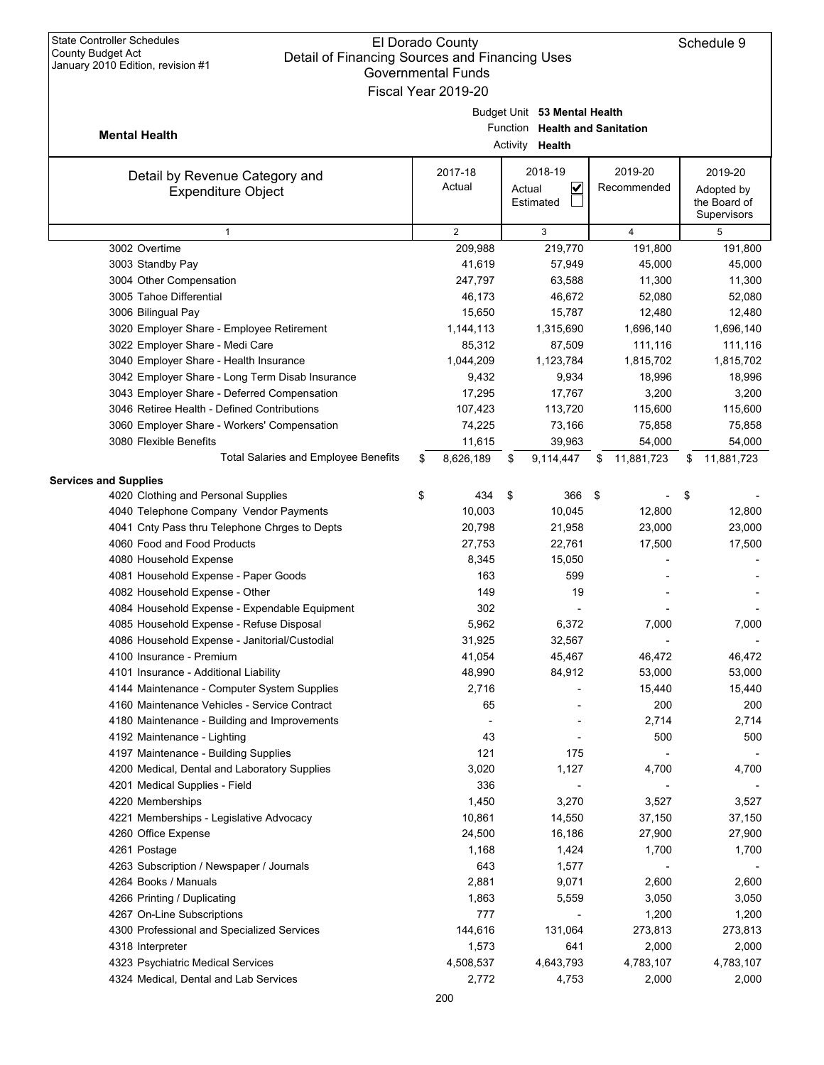| January 2010 Edition, revision #1<br><b>Governmental Funds</b>   |    |                     |    |                                |    |                |    |                |  |  |
|------------------------------------------------------------------|----|---------------------|----|--------------------------------|----|----------------|----|----------------|--|--|
|                                                                  |    | Fiscal Year 2019-20 |    |                                |    |                |    |                |  |  |
|                                                                  |    |                     |    | Budget Unit 53 Mental Health   |    |                |    |                |  |  |
| <b>Mental Health</b>                                             |    |                     |    | Function Health and Sanitation |    |                |    |                |  |  |
|                                                                  |    |                     |    | Activity Health                |    |                |    |                |  |  |
| Detail by Revenue Category and                                   |    | 2017-18             |    | 2018-19                        |    | 2019-20        |    | 2019-20        |  |  |
| <b>Expenditure Object</b>                                        |    | Actual              |    | $\checkmark$<br>Actual         |    | Recommended    |    | Adopted by     |  |  |
|                                                                  |    |                     |    | Estimated                      |    |                |    | the Board of   |  |  |
|                                                                  |    | $\overline{2}$      |    |                                |    |                |    | Supervisors    |  |  |
| $\mathbf{1}$<br>3002 Overtime                                    |    | 209,988             |    | 3<br>219,770                   |    | 4<br>191,800   |    | 5<br>191,800   |  |  |
| 3003 Standby Pay                                                 |    | 41,619              |    | 57,949                         |    | 45,000         |    | 45,000         |  |  |
| 3004 Other Compensation                                          |    | 247,797             |    | 63,588                         |    | 11,300         |    | 11,300         |  |  |
| 3005 Tahoe Differential                                          |    | 46,173              |    | 46,672                         |    | 52,080         |    | 52,080         |  |  |
| 3006 Bilingual Pay                                               |    | 15,650              |    | 15,787                         |    | 12,480         |    | 12,480         |  |  |
| 3020 Employer Share - Employee Retirement                        |    | 1,144,113           |    | 1,315,690                      |    | 1,696,140      |    | 1,696,140      |  |  |
| 3022 Employer Share - Medi Care                                  |    | 85,312              |    | 87,509                         |    | 111,116        |    | 111,116        |  |  |
| 3040 Employer Share - Health Insurance                           |    | 1,044,209           |    | 1,123,784                      |    | 1,815,702      |    | 1,815,702      |  |  |
| 3042 Employer Share - Long Term Disab Insurance                  |    | 9,432               |    | 9,934                          |    | 18,996         |    | 18,996         |  |  |
| 3043 Employer Share - Deferred Compensation                      |    | 17,295              |    | 17,767                         |    | 3,200          |    | 3,200          |  |  |
| 3046 Retiree Health - Defined Contributions                      |    | 107,423             |    | 113,720                        |    | 115,600        |    | 115,600        |  |  |
| 3060 Employer Share - Workers' Compensation                      |    | 74,225              |    | 73,166                         |    | 75,858         |    | 75,858         |  |  |
| 3080 Flexible Benefits                                           |    | 11,615              |    | 39,963                         |    | 54,000         |    | 54,000         |  |  |
| <b>Total Salaries and Employee Benefits</b>                      | \$ | 8,626,189           | \$ | 9,114,447                      | S  | 11,881,723     | S  | 11,881,723     |  |  |
| <b>Services and Supplies</b>                                     |    |                     |    |                                |    |                |    |                |  |  |
| 4020 Clothing and Personal Supplies                              | \$ | 434                 | \$ | 366                            | \$ |                | \$ |                |  |  |
| 4040 Telephone Company Vendor Payments                           |    | 10,003              |    | 10,045                         |    | 12,800         |    | 12,800         |  |  |
| 4041 Cnty Pass thru Telephone Chrges to Depts                    |    | 20,798              |    | 21,958                         |    | 23,000         |    | 23,000         |  |  |
| 4060 Food and Food Products                                      |    | 27,753              |    | 22,761                         |    | 17,500         |    | 17,500         |  |  |
| 4080 Household Expense                                           |    | 8,345               |    | 15,050                         |    |                |    |                |  |  |
| 4081 Household Expense - Paper Goods                             |    | 163                 |    | 599                            |    |                |    |                |  |  |
| 4082 Household Expense - Other                                   |    | 149                 |    | 19                             |    |                |    |                |  |  |
| 4084 Household Expense - Expendable Equipment                    |    | 302                 |    |                                |    |                |    |                |  |  |
| 4085 Household Expense - Refuse Disposal                         |    | 5,962               |    | 6,372                          |    | 7,000          |    | 7,000          |  |  |
| 4086 Household Expense - Janitorial/Custodial                    |    | 31,925              |    | 32,567                         |    |                |    |                |  |  |
| 4100 Insurance - Premium                                         |    | 41,054              |    | 45,467                         |    | 46,472         |    | 46,472         |  |  |
| 4101 Insurance - Additional Liability                            |    | 48,990              |    | 84,912                         |    | 53,000         |    | 53,000         |  |  |
| 4144 Maintenance - Computer System Supplies                      |    | 2,716               |    |                                |    | 15,440         |    | 15,440         |  |  |
| 4160 Maintenance Vehicles - Service Contract                     |    | 65                  |    |                                |    | 200            |    | 200            |  |  |
| 4180 Maintenance - Building and Improvements                     |    |                     |    |                                |    | 2,714          |    | 2,714          |  |  |
| 4192 Maintenance - Lighting                                      |    | 43                  |    |                                |    | 500            |    | 500            |  |  |
| 4197 Maintenance - Building Supplies                             |    | 121                 |    | 175                            |    |                |    |                |  |  |
| 4200 Medical, Dental and Laboratory Supplies                     |    | 3,020               |    | 1,127                          |    | 4,700          |    | 4,700          |  |  |
| 4201 Medical Supplies - Field                                    |    | 336                 |    |                                |    |                |    |                |  |  |
| 4220 Memberships                                                 |    | 1,450               |    | 3,270                          |    | 3,527          |    | 3,527          |  |  |
| 4221 Memberships - Legislative Advocacy                          |    | 10,861              |    | 14,550                         |    | 37,150         |    | 37,150         |  |  |
| 4260 Office Expense                                              |    | 24,500              |    | 16,186                         |    | 27,900         |    | 27,900         |  |  |
| 4261 Postage                                                     |    | 1,168               |    | 1,424                          |    | 1,700          |    | 1,700          |  |  |
| 4263 Subscription / Newspaper / Journals<br>4264 Books / Manuals |    | 643                 |    | 1,577<br>9,071                 |    |                |    |                |  |  |
|                                                                  |    | 2,881               |    |                                |    | 2,600          |    | 2,600          |  |  |
| 4266 Printing / Duplicating<br>4267 On-Line Subscriptions        |    | 1,863<br>777        |    | 5,559                          |    | 3,050<br>1,200 |    | 3,050<br>1,200 |  |  |
| 4300 Professional and Specialized Services                       |    | 144,616             |    | 131,064                        |    | 273,813        |    | 273,813        |  |  |
| 4318 Interpreter                                                 |    | 1,573               |    | 641                            |    | 2,000          |    | 2,000          |  |  |
| 4323 Psychiatric Medical Services                                |    | 4,508,537           |    | 4,643,793                      |    | 4,783,107      |    | 4,783,107      |  |  |
| 4324 Medical, Dental and Lab Services                            |    | 2,772               |    | 4,753                          |    | 2,000          |    | 2,000          |  |  |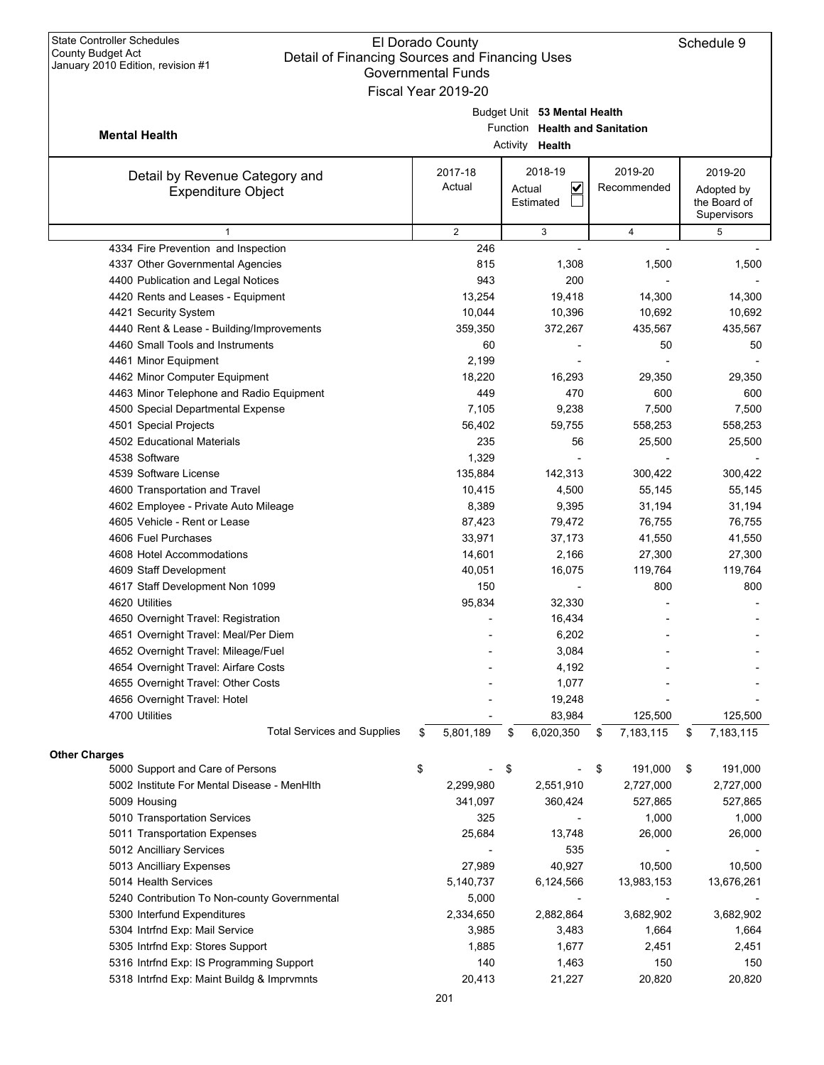## El Dorado County Detail of Financing Sources and Financing Uses Governmental Funds Fiscal Year 2019-20

|                                              | Governmental Funds  |          |                              |                 |                            |
|----------------------------------------------|---------------------|----------|------------------------------|-----------------|----------------------------|
|                                              | Fiscal Year 2019-20 |          |                              |                 |                            |
|                                              |                     |          | Budget Unit 53 Mental Health |                 |                            |
| <b>Mental Health</b>                         |                     | Function | <b>Health and Sanitation</b> |                 |                            |
|                                              |                     |          | Activity <b>Health</b>       |                 |                            |
|                                              |                     |          | 2018-19                      | 2019-20         | 2019-20                    |
| Detail by Revenue Category and               | 2017-18<br>Actual   |          | $\overline{\mathbf{v}}$      | Recommended     |                            |
| <b>Expenditure Object</b>                    |                     |          | Actual<br>Estimated          |                 | Adopted by<br>the Board of |
|                                              |                     |          |                              |                 | Supervisors                |
| $\mathbf{1}$                                 | $\overline{2}$      |          | 3                            | 4               | 5                          |
| 4334 Fire Prevention and Inspection          | 246                 |          |                              |                 |                            |
| 4337 Other Governmental Agencies             | 815                 |          | 1,308                        | 1,500           | 1,500                      |
| 4400 Publication and Legal Notices           | 943                 |          | 200                          |                 |                            |
| 4420 Rents and Leases - Equipment            | 13,254              |          | 19,418                       | 14,300          | 14,300                     |
| 4421 Security System                         | 10,044              |          | 10,396                       | 10,692          | 10,692                     |
| 4440 Rent & Lease - Building/Improvements    | 359,350             |          | 372,267                      | 435,567         | 435,567                    |
| 4460 Small Tools and Instruments             | 60                  |          |                              | 50              | 50                         |
| 4461 Minor Equipment                         | 2,199               |          |                              |                 |                            |
| 4462 Minor Computer Equipment                | 18,220              |          | 16,293                       | 29,350          | 29,350                     |
| 4463 Minor Telephone and Radio Equipment     | 449                 |          | 470                          | 600             | 600                        |
| 4500 Special Departmental Expense            | 7,105               |          | 9,238                        | 7,500           | 7,500                      |
| 4501 Special Projects                        | 56,402              |          | 59,755                       | 558,253         | 558,253                    |
| 4502 Educational Materials                   | 235                 |          | 56                           | 25,500          | 25,500                     |
| 4538 Software                                | 1,329               |          |                              |                 |                            |
| 4539 Software License                        | 135,884             |          | 142,313                      | 300,422         | 300,422                    |
| 4600 Transportation and Travel               | 10,415              |          | 4,500                        | 55,145          | 55,145                     |
| 4602 Employee - Private Auto Mileage         | 8,389               |          | 9,395                        | 31,194          | 31,194                     |
| 4605 Vehicle - Rent or Lease                 | 87,423              |          | 79,472                       | 76,755          | 76,755                     |
| 4606 Fuel Purchases                          | 33,971              |          | 37,173                       | 41,550          | 41,550                     |
| 4608 Hotel Accommodations                    | 14,601              |          | 2,166                        | 27,300          | 27,300                     |
| 4609 Staff Development                       | 40,051              |          | 16,075                       | 119,764         | 119,764                    |
| 4617 Staff Development Non 1099              | 150                 |          |                              | 800             | 800                        |
| 4620 Utilities                               | 95,834              |          | 32,330                       |                 |                            |
| 4650 Overnight Travel: Registration          |                     |          | 16,434                       |                 |                            |
| 4651 Overnight Travel: Meal/Per Diem         |                     |          | 6,202                        |                 |                            |
| 4652 Overnight Travel: Mileage/Fuel          |                     |          | 3,084                        |                 |                            |
| 4654 Overnight Travel: Airfare Costs         |                     |          | 4,192                        |                 |                            |
| 4655 Overnight Travel: Other Costs           |                     |          | 1,077                        |                 |                            |
| 4656 Overnight Travel: Hotel                 |                     |          | 19,248                       |                 |                            |
| 4700 Utilities                               |                     |          | 83,984                       | 125,500         | 125,500                    |
| <b>Total Services and Supplies</b>           | \$<br>5,801,189     | \$       | 6,020,350                    | \$<br>7,183,115 | \$<br>7,183,115            |
| <b>Other Charges</b>                         |                     |          |                              |                 |                            |
| 5000 Support and Care of Persons             | \$                  | \$       |                              | \$<br>191,000   | \$<br>191,000              |
| 5002 Institute For Mental Disease - MenHIth  | 2,299,980           |          | 2,551,910                    | 2,727,000       | 2,727,000                  |
| 5009 Housing                                 | 341,097             |          | 360,424                      | 527,865         | 527,865                    |
| 5010 Transportation Services                 | 325                 |          |                              | 1,000           | 1,000                      |
| 5011 Transportation Expenses                 | 25,684              |          | 13,748                       | 26,000          | 26,000                     |
| 5012 Ancilliary Services                     |                     |          | 535                          |                 |                            |
| 5013 Ancilliary Expenses                     | 27,989              |          | 40,927                       | 10,500          | 10,500                     |
| 5014 Health Services                         | 5,140,737           |          | 6,124,566                    | 13,983,153      | 13,676,261                 |
| 5240 Contribution To Non-county Governmental | 5,000               |          |                              |                 |                            |
| 5300 Interfund Expenditures                  | 2,334,650           |          | 2,882,864                    | 3,682,902       | 3,682,902                  |
| 5304 Intrfnd Exp: Mail Service               | 3,985               |          | 3,483                        | 1,664           | 1,664                      |
| 5305 Intrfnd Exp: Stores Support             | 1,885               |          | 1,677                        | 2,451           | 2,451                      |
| 5316 Intrfnd Exp: IS Programming Support     | 140                 |          | 1,463                        | 150             | 150                        |

5318 Intrfnd Exp: Maint Buildg & Imprvmnts 20,413 21,227 20,820 20,820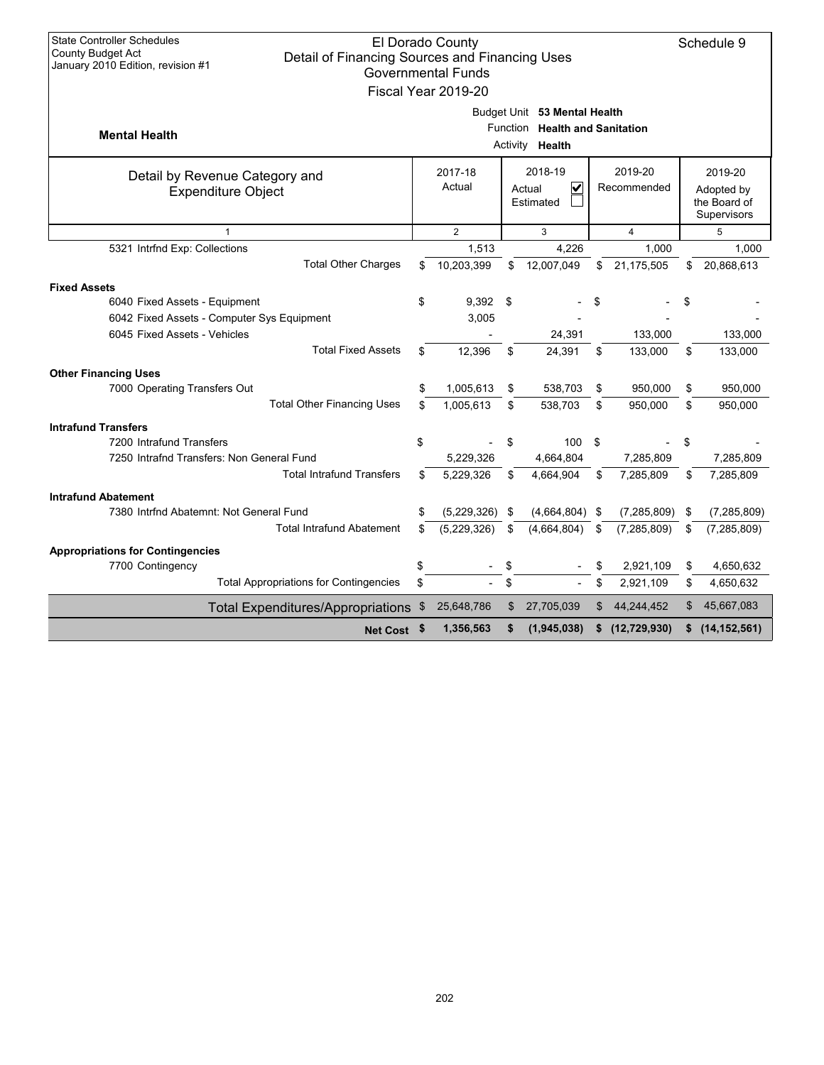| <b>State Controller Schedules</b>                                   |     |                           |      |                                |                      |    |                             |
|---------------------------------------------------------------------|-----|---------------------------|------|--------------------------------|----------------------|----|-----------------------------|
| County Budget Act<br>Detail of Financing Sources and Financing Uses |     | El Dorado County          |      |                                |                      |    | Schedule 9                  |
| January 2010 Edition, revision #1                                   |     | <b>Governmental Funds</b> |      |                                |                      |    |                             |
|                                                                     |     | Fiscal Year 2019-20       |      |                                |                      |    |                             |
|                                                                     |     |                           |      | Budget Unit 53 Mental Health   |                      |    |                             |
|                                                                     |     |                           |      | Function Health and Sanitation |                      |    |                             |
| <b>Mental Health</b>                                                |     |                           |      | Activity Health                |                      |    |                             |
| Detail by Revenue Category and                                      |     | 2017-18                   |      | 2018-19                        | 2019-20              |    | 2019-20                     |
| <b>Expenditure Object</b>                                           |     | Actual                    |      | V<br>Actual                    | Recommended          |    | Adopted by                  |
|                                                                     |     |                           |      | Estimated                      |                      |    | the Board of<br>Supervisors |
| $\mathbf{1}$                                                        |     | $\overline{2}$            |      | 3                              | $\overline{4}$       |    | 5                           |
| 5321 Intrfnd Exp: Collections                                       |     | 1.513                     |      | 4.226                          | 1.000                |    | 1,000                       |
| <b>Total Other Charges</b>                                          | \$  | 10,203,399                | \$   | 12,007,049                     | \$<br>21,175,505     | \$ | 20,868,613                  |
| <b>Fixed Assets</b>                                                 |     |                           |      |                                |                      |    |                             |
| 6040 Fixed Assets - Equipment                                       | \$  | 9,392                     | - \$ |                                | \$                   | \$ |                             |
| 6042 Fixed Assets - Computer Sys Equipment                          |     | 3,005                     |      |                                |                      |    |                             |
| 6045 Fixed Assets - Vehicles                                        |     |                           |      | 24,391                         | 133,000              |    | 133,000                     |
| <b>Total Fixed Assets</b>                                           | \$. | 12,396                    | \$   | 24,391                         | \$<br>133,000        | \$ | 133,000                     |
| <b>Other Financing Uses</b>                                         |     |                           |      |                                |                      |    |                             |
| 7000 Operating Transfers Out                                        | \$  | 1,005,613                 | \$   | 538,703                        | \$<br>950,000        | \$ | 950,000                     |
| <b>Total Other Financing Uses</b>                                   | \$  | 1,005,613                 | \$   | 538,703                        | \$<br>950.000        | \$ | 950,000                     |
| <b>Intrafund Transfers</b>                                          |     |                           |      |                                |                      |    |                             |
| 7200 Intrafund Transfers                                            | \$  |                           | \$   | 100                            | \$                   | \$ |                             |
| 7250 Intrafnd Transfers: Non General Fund                           |     | 5,229,326                 |      | 4,664,804                      | 7,285,809            |    | 7,285,809                   |
| <b>Total Intrafund Transfers</b>                                    | \$  | 5,229,326                 | \$   | 4,664,904                      | \$<br>7,285,809      | \$ | 7,285,809                   |
| <b>Intrafund Abatement</b>                                          |     |                           |      |                                |                      |    |                             |
| 7380 Intrfnd Abatemnt: Not General Fund                             | \$  | (5,229,326)               | \$   | (4,664,804)                    | \$<br>(7, 285, 809)  | \$ | (7, 285, 809)               |
| <b>Total Intrafund Abatement</b>                                    | \$  | (5,229,326)               | \$   | (4,664,804)                    | \$<br>(7, 285, 809)  | \$ | (7, 285, 809)               |
| <b>Appropriations for Contingencies</b>                             |     |                           |      |                                |                      |    |                             |
| 7700 Contingency                                                    | \$  |                           | \$   |                                | \$<br>2,921,109      | \$ | 4,650,632                   |
| <b>Total Appropriations for Contingencies</b>                       | \$  |                           | \$   |                                | \$<br>2,921,109      | \$ | 4,650,632                   |
| <b>Total Expenditures/Appropriations</b>                            | \$  | 25,648,786                | \$   | 27,705,039                     | \$<br>44,244,452     | \$ | 45,667,083                  |
| Net Cost \$                                                         |     | 1,356,563                 | \$   | (1,945,038)                    | \$<br>(12, 729, 930) | S  | (14, 152, 561)              |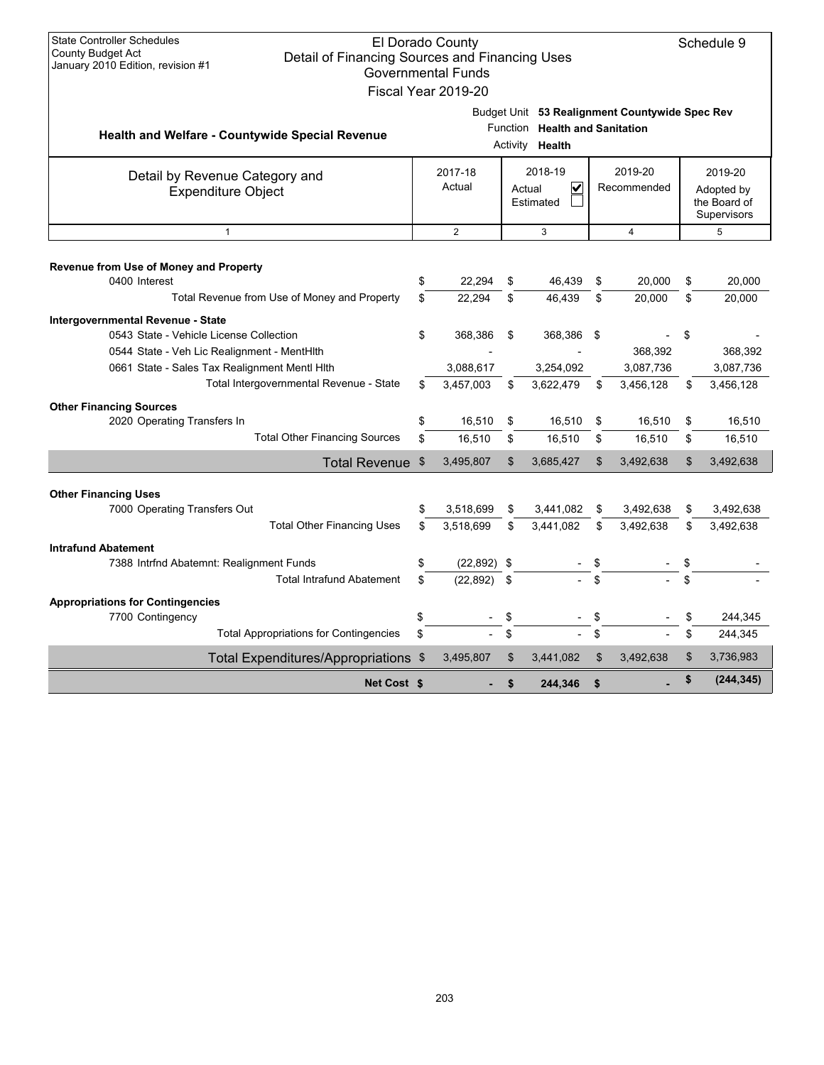| <b>State Controller Schedules</b>             |                                                       |    | El Dorado County          |                           |                                |     |                                                | Schedule 9                  |
|-----------------------------------------------|-------------------------------------------------------|----|---------------------------|---------------------------|--------------------------------|-----|------------------------------------------------|-----------------------------|
| County Budget Act                             | Detail of Financing Sources and Financing Uses        |    |                           |                           |                                |     |                                                |                             |
| January 2010 Edition, revision #1             |                                                       |    | <b>Governmental Funds</b> |                           |                                |     |                                                |                             |
|                                               |                                                       |    | Fiscal Year 2019-20       |                           |                                |     |                                                |                             |
|                                               |                                                       |    |                           |                           |                                |     | Budget Unit 53 Realignment Countywide Spec Rev |                             |
|                                               | Health and Welfare - Countywide Special Revenue       |    |                           |                           | Function Health and Sanitation |     |                                                |                             |
|                                               |                                                       |    |                           | Activity                  | Health                         |     |                                                |                             |
|                                               | Detail by Revenue Category and                        |    | 2017-18                   |                           | 2018-19                        |     | 2019-20                                        | 2019-20                     |
|                                               | <b>Expenditure Object</b>                             |    | Actual                    |                           | ✓<br>Actual                    |     | Recommended                                    | Adopted by                  |
|                                               |                                                       |    |                           |                           | Estimated                      |     |                                                | the Board of<br>Supervisors |
|                                               | $\overline{2}$<br>$\mathbf{1}$<br>3<br>$\overline{4}$ |    |                           |                           |                                |     |                                                | 5                           |
|                                               |                                                       |    |                           |                           |                                |     |                                                |                             |
| Revenue from Use of Money and Property        |                                                       |    |                           |                           |                                |     |                                                |                             |
| 0400 Interest                                 |                                                       | \$ | 22.294                    | \$                        | 46,439                         | \$  | 20.000                                         | \$<br>20,000                |
| Total Revenue from Use of Money and Property  |                                                       | \$ | 22.294                    | \$                        | 46.439                         | \$  | 20,000                                         | \$<br>20,000                |
| Intergovernmental Revenue - State             |                                                       |    |                           |                           |                                |     |                                                |                             |
| 0543 State - Vehicle License Collection       |                                                       | \$ | 368,386                   | \$                        | 368,386                        | -\$ |                                                | \$                          |
| 0544 State - Veh Lic Realignment - MentHith   |                                                       |    |                           |                           |                                |     | 368,392                                        | 368,392                     |
| 0661 State - Sales Tax Realignment Mentl Hith | Total Intergovernmental Revenue - State               |    | 3,088,617                 |                           | 3,254,092                      |     | 3,087,736                                      | 3,087,736                   |
|                                               |                                                       | \$ | 3.457.003                 | \$                        | 3,622,479                      | \$  | 3,456,128                                      | \$<br>3,456,128             |
| <b>Other Financing Sources</b>                |                                                       |    |                           |                           |                                |     |                                                |                             |
| 2020 Operating Transfers In                   | <b>Total Other Financing Sources</b>                  | \$ | 16,510                    | \$                        | 16,510                         | \$  | 16,510                                         | \$<br>16,510                |
|                                               |                                                       | \$ | 16,510                    | \$                        | 16,510                         | \$  | 16,510                                         | \$<br>16,510                |
|                                               | Total Revenue \$                                      |    | 3,495,807                 | $\boldsymbol{\mathsf{S}}$ | 3,685,427                      | \$  | 3,492,638                                      | \$<br>3,492,638             |
| <b>Other Financing Uses</b>                   |                                                       |    |                           |                           |                                |     |                                                |                             |
| 7000 Operating Transfers Out                  |                                                       | \$ | 3,518,699                 | \$                        | 3,441,082                      | \$  | 3,492,638                                      | \$<br>3,492,638             |
|                                               | <b>Total Other Financing Uses</b>                     | \$ | 3,518,699                 | \$                        | 3,441,082                      | \$  | 3,492,638                                      | \$<br>3,492,638             |
| <b>Intrafund Abatement</b>                    |                                                       |    |                           |                           |                                |     |                                                |                             |
| 7388 Intrfnd Abatemnt: Realignment Funds      |                                                       | \$ | $(22,892)$ \$             |                           |                                |     |                                                | \$                          |
|                                               | <b>Total Intrafund Abatement</b>                      | \$ | (22, 892)                 | \$                        |                                |     |                                                | \$                          |
| <b>Appropriations for Contingencies</b>       |                                                       |    |                           |                           |                                |     |                                                |                             |
| 7700 Contingency                              |                                                       | \$ |                           |                           |                                |     |                                                | \$<br>244,345               |
|                                               | <b>Total Appropriations for Contingencies</b>         | \$ |                           | \$                        |                                |     |                                                | \$<br>244,345               |
|                                               | Total Expenditures/Appropriations \$                  |    | 3,495,807                 | \$                        | 3,441,082                      | \$  | 3,492,638                                      | \$<br>3,736,983             |
|                                               | Net Cost \$                                           |    |                           | \$                        | 244,346                        | \$  |                                                | \$<br>(244, 345)            |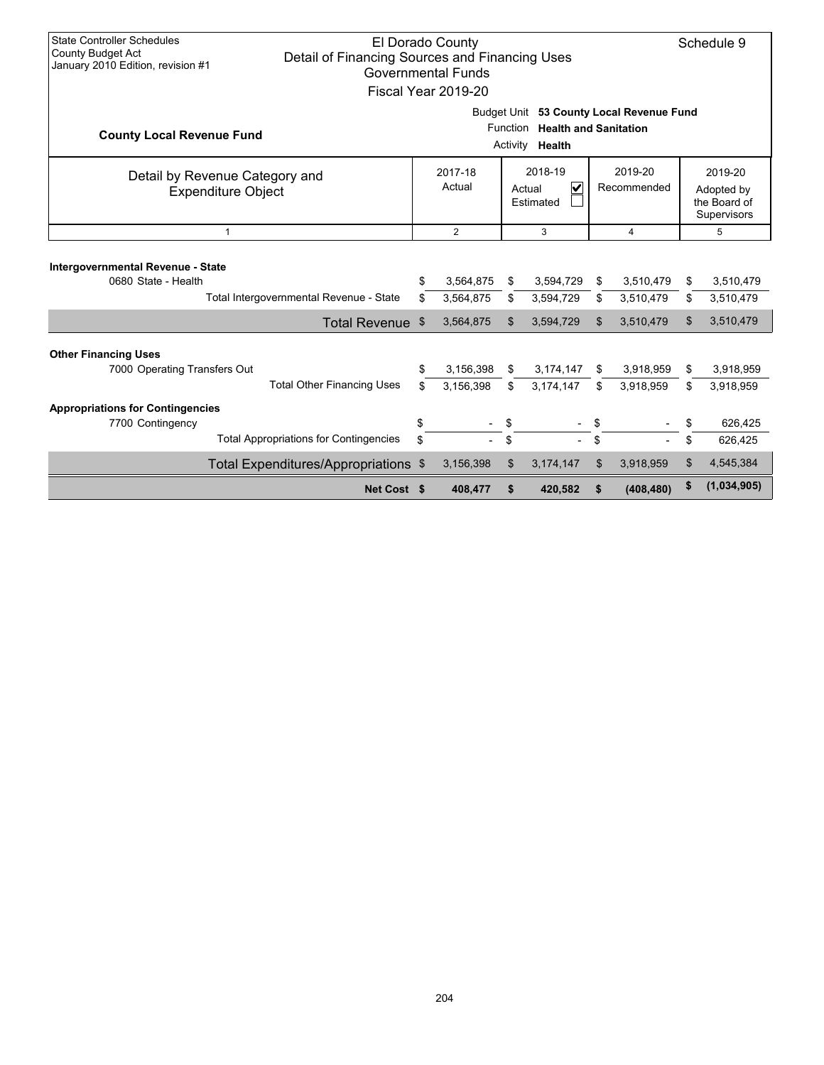| <b>State Controller Schedules</b><br>El Dorado County<br>Schedule 9<br><b>County Budget Act</b><br>Detail of Financing Sources and Financing Uses<br>January 2010 Edition, revision #1<br><b>Governmental Funds</b><br>Fiscal Year 2019-20 |                                                                                                                                                                         |                                                                                                                |                        |          |                          |          |                                                      |          |                        |
|--------------------------------------------------------------------------------------------------------------------------------------------------------------------------------------------------------------------------------------------|-------------------------------------------------------------------------------------------------------------------------------------------------------------------------|----------------------------------------------------------------------------------------------------------------|------------------------|----------|--------------------------|----------|------------------------------------------------------|----------|------------------------|
| <b>County Local Revenue Fund</b>                                                                                                                                                                                                           |                                                                                                                                                                         | Budget Unit 53 County Local Revenue Fund<br><b>Health and Sanitation</b><br><b>Function</b><br>Activity Health |                        |          |                          |          |                                                      |          |                        |
|                                                                                                                                                                                                                                            | 2018-19<br>2019-20<br>2017-18<br>Detail by Revenue Category and<br>$\overline{\mathbf{v}}$<br>Actual<br>Recommended<br>Actual<br><b>Expenditure Object</b><br>Estimated |                                                                                                                |                        |          |                          |          | 2019-20<br>Adopted by<br>the Board of<br>Supervisors |          |                        |
| $\mathbf{1}$                                                                                                                                                                                                                               |                                                                                                                                                                         | $\overline{2}$<br>3<br>4                                                                                       |                        |          |                          |          |                                                      | 5        |                        |
| Intergovernmental Revenue - State<br>0680 State - Health                                                                                                                                                                                   | Total Intergovernmental Revenue - State                                                                                                                                 | \$<br>\$                                                                                                       | 3,564,875<br>3,564,875 | \$<br>\$ | 3,594,729<br>3,594,729   | \$<br>\$ | 3,510,479<br>3,510,479                               | \$<br>\$ | 3,510,479<br>3,510,479 |
|                                                                                                                                                                                                                                            | Total Revenue \$                                                                                                                                                        |                                                                                                                | 3,564,875              | \$       | 3,594,729                | \$       | 3,510,479                                            | \$       | 3,510,479              |
| <b>Other Financing Uses</b><br>7000 Operating Transfers Out<br><b>Appropriations for Contingencies</b>                                                                                                                                     | <b>Total Other Financing Uses</b>                                                                                                                                       | \$<br>\$                                                                                                       | 3,156,398<br>3,156,398 | \$<br>\$ | 3,174,147<br>3,174,147   | S<br>\$  | 3,918,959<br>3,918,959                               | \$<br>\$ | 3,918,959<br>3,918,959 |
| 7700 Contingency                                                                                                                                                                                                                           |                                                                                                                                                                         | \$                                                                                                             |                        | \$       | $\overline{\phantom{0}}$ | \$       |                                                      | \$       | 626,425                |
|                                                                                                                                                                                                                                            | <b>Total Appropriations for Contingencies</b>                                                                                                                           | \$                                                                                                             |                        | \$       |                          | \$       |                                                      | \$       | 626,425                |
|                                                                                                                                                                                                                                            | Total Expenditures/Appropriations \$                                                                                                                                    |                                                                                                                | 3,156,398              | \$       | 3,174,147                | \$       | 3,918,959                                            | \$       | 4,545,384              |
|                                                                                                                                                                                                                                            | Net Cost \$                                                                                                                                                             |                                                                                                                | 408,477                | \$       | 420,582                  |          | (408, 480)                                           | \$       | (1,034,905)            |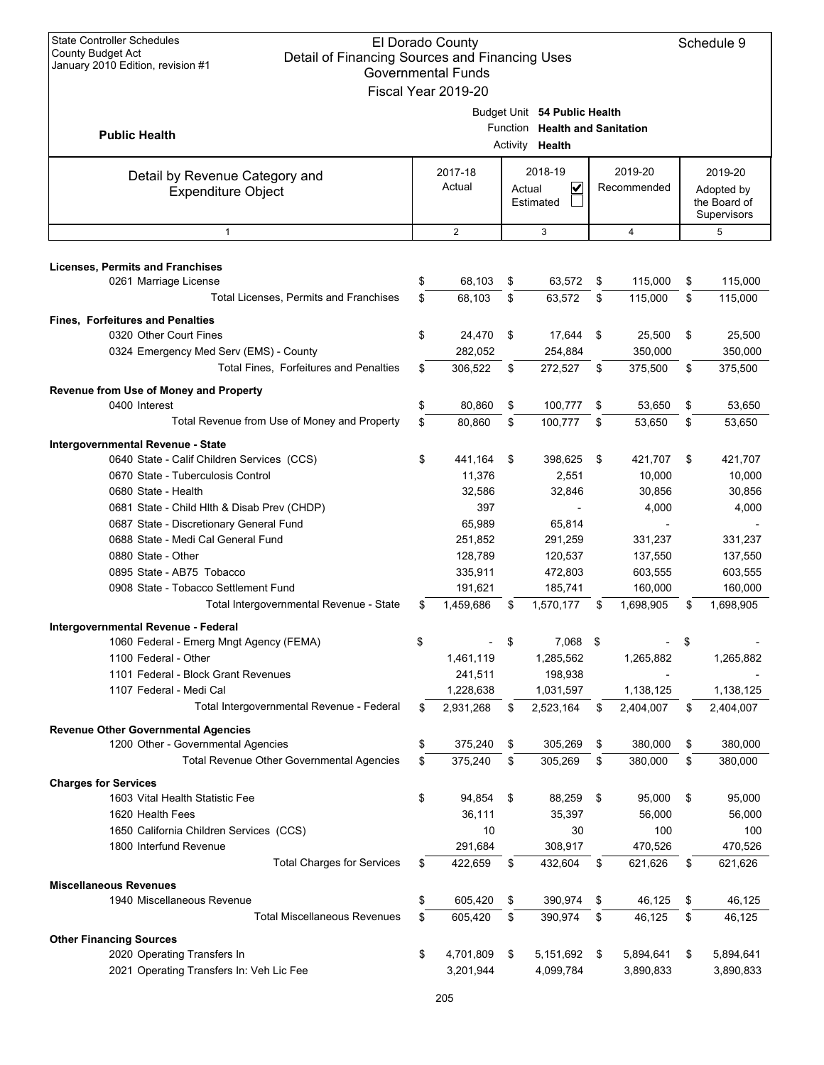| <b>State Controller Schedules</b><br>El Dorado County<br><b>County Budget Act</b><br>Detail of Financing Sources and Financing Uses<br>January 2010 Edition, revision #1<br><b>Governmental Funds</b><br>Fiscal Year 2019-20 |          |                                                        |                                |                                   |                        |                                 |          |                                                      |  |  |
|------------------------------------------------------------------------------------------------------------------------------------------------------------------------------------------------------------------------------|----------|--------------------------------------------------------|--------------------------------|-----------------------------------|------------------------|---------------------------------|----------|------------------------------------------------------|--|--|
| <b>Public Health</b>                                                                                                                                                                                                         |          | Budget Unit 54 Public Health<br>Activity <b>Health</b> | Function Health and Sanitation |                                   |                        |                                 |          |                                                      |  |  |
| Detail by Revenue Category and<br><b>Expenditure Object</b>                                                                                                                                                                  |          | 2017-18<br>Actual                                      | Actual                         | 2018-19<br>V<br>Estimated         | 2019-20<br>Recommended |                                 |          | 2019-20<br>Adopted by<br>the Board of<br>Supervisors |  |  |
| $\mathbf{1}$                                                                                                                                                                                                                 |          | $\overline{2}$                                         |                                | 3                                 |                        | $\overline{4}$                  |          | 5                                                    |  |  |
| <b>Licenses, Permits and Franchises</b><br>0261 Marriage License                                                                                                                                                             | \$       | 68,103                                                 | \$                             | 63,572                            | \$                     | 115,000                         | \$       | 115,000                                              |  |  |
| Total Licenses, Permits and Franchises                                                                                                                                                                                       | \$       | 68,103                                                 | \$                             | 63,572                            | \$                     | 115,000                         | \$       | 115,000                                              |  |  |
| <b>Fines, Forfeitures and Penalties</b><br>0320 Other Court Fines<br>0324 Emergency Med Serv (EMS) - County                                                                                                                  | \$       | 24,470<br>282,052                                      | \$                             | 17,644<br>254,884                 | \$                     | 25.500<br>350,000               | \$       | 25,500<br>350,000                                    |  |  |
| Total Fines, Forfeitures and Penalties                                                                                                                                                                                       | \$       | 306,522                                                | \$                             | 272,527                           | \$                     | 375,500                         | \$       | 375,500                                              |  |  |
| Revenue from Use of Money and Property<br>0400 Interest                                                                                                                                                                      | \$       | 80,860                                                 | \$                             | 100,777                           | \$                     | 53,650                          | \$       | 53,650                                               |  |  |
| Total Revenue from Use of Money and Property                                                                                                                                                                                 | \$       | 80,860                                                 | \$                             | 100,777                           | \$                     | 53,650                          | \$       | 53,650                                               |  |  |
| Intergovernmental Revenue - State<br>0640 State - Calif Children Services (CCS)<br>0670 State - Tuberculosis Control<br>0680 State - Health                                                                                  | \$       | 441,164<br>11,376<br>32,586                            | \$                             | 398,625<br>2,551<br>32,846        | \$                     | 421,707<br>10,000<br>30,856     | \$       | 421,707<br>10,000<br>30,856                          |  |  |
| 0681 State - Child Hlth & Disab Prev (CHDP)<br>0687 State - Discretionary General Fund<br>0688 State - Medi Cal General Fund<br>0880 State - Other                                                                           |          | 397<br>65,989<br>251,852<br>128,789                    |                                | 65,814<br>291,259<br>120,537      |                        | 4,000<br>331,237<br>137,550     |          | 4,000<br>331,237<br>137,550                          |  |  |
| 0895 State - AB75 Tobacco<br>0908 State - Tobacco Settlement Fund<br>Total Intergovernmental Revenue - State                                                                                                                 | S        | 335,911<br>191,621<br>1,459,686                        | S                              | 472,803<br>185,741<br>1,570,177   | \$                     | 603,555<br>160,000<br>1,698,905 | S        | 603,555<br>160,000<br>1,698,905                      |  |  |
| Intergovernmental Revenue - Federal<br>1060 Federal - Emerg Mngt Agency (FEMA)                                                                                                                                               | \$       |                                                        | \$                             | 7,068 \$                          |                        |                                 | \$       |                                                      |  |  |
| 1100 Federal - Other<br>1101 Federal - Block Grant Revenues<br>1107 Federal - Medi Cal                                                                                                                                       |          | 1,461,119<br>241,511<br>1,228,638                      |                                | 1,285,562<br>198,938<br>1,031,597 |                        | 1,265,882<br>1,138,125          |          | 1,265,882<br>1,138,125                               |  |  |
| Total Intergovernmental Revenue - Federal                                                                                                                                                                                    | \$       | 2,931,268                                              | \$                             | 2,523,164                         | \$                     | 2,404,007                       | \$       | 2,404,007                                            |  |  |
| <b>Revenue Other Governmental Agencies</b><br>1200 Other - Governmental Agencies                                                                                                                                             | \$       | 375,240                                                | \$                             | 305,269                           | \$                     | 380,000                         | \$       | 380,000                                              |  |  |
| Total Revenue Other Governmental Agencies                                                                                                                                                                                    | \$       | 375,240                                                | \$                             | 305,269                           | \$                     | 380,000                         | \$       | 380,000                                              |  |  |
| <b>Charges for Services</b><br>1603 Vital Health Statistic Fee                                                                                                                                                               | \$       | 94,854                                                 | \$                             | 88,259                            | \$                     | 95,000                          | \$       | 95,000                                               |  |  |
| 1620 Health Fees                                                                                                                                                                                                             |          | 36,111                                                 |                                | 35,397                            |                        | 56,000                          |          | 56,000                                               |  |  |
| 1650 California Children Services (CCS)                                                                                                                                                                                      |          | 10                                                     |                                | 30                                |                        | 100                             |          | 100                                                  |  |  |
| 1800 Interfund Revenue<br><b>Total Charges for Services</b>                                                                                                                                                                  | \$       | 291,684<br>422,659                                     | \$                             | 308,917<br>432,604                | \$                     | 470,526<br>621,626              | \$       | 470,526<br>621,626                                   |  |  |
| <b>Miscellaneous Revenues</b>                                                                                                                                                                                                |          |                                                        |                                |                                   |                        |                                 |          |                                                      |  |  |
| 1940 Miscellaneous Revenue<br><b>Total Miscellaneous Revenues</b>                                                                                                                                                            | \$<br>\$ | 605,420<br>605,420                                     | \$<br>\$                       | 390,974<br>390,974                | \$<br>\$               | 46,125<br>46,125                | \$<br>\$ | 46,125<br>46,125                                     |  |  |
| <b>Other Financing Sources</b>                                                                                                                                                                                               |          |                                                        |                                |                                   |                        |                                 |          |                                                      |  |  |
| 2020 Operating Transfers In<br>2021 Operating Transfers In: Veh Lic Fee                                                                                                                                                      | \$       | 4,701,809<br>3,201,944                                 | \$                             | 5,151,692<br>4,099,784            | \$                     | 5,894,641<br>3,890,833          | \$       | 5,894,641<br>3,890,833                               |  |  |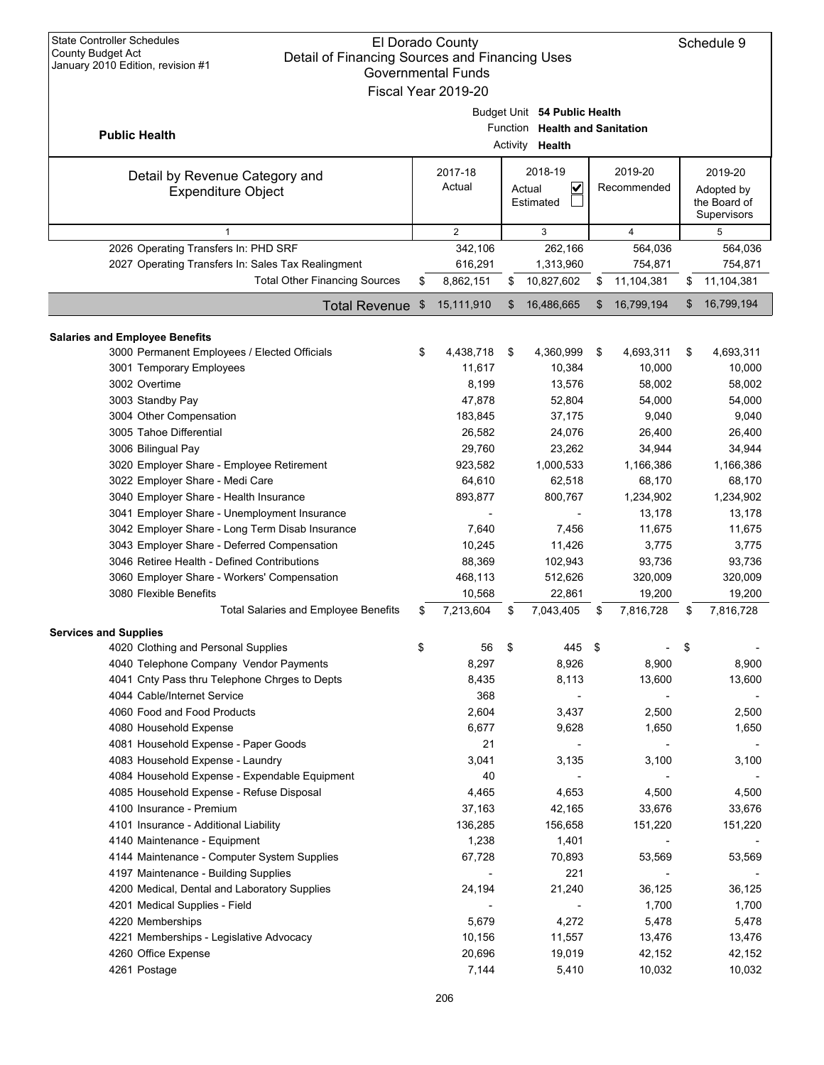| <b>State Controller Schedules</b><br>El Dorado County<br><b>County Budget Act</b><br>Detail of Financing Sources and Financing Uses<br>January 2010 Edition, revision #1<br><b>Governmental Funds</b><br>Fiscal Year 2019-20 |    |                                 |    |                                                                                   |    |                                  |    |                                  |  |  |  |  |  |  |  |  |  |  |  |  |  |  |  |  |  |  |  |  |  |  |  |  |  |  |  |                                                      |
|------------------------------------------------------------------------------------------------------------------------------------------------------------------------------------------------------------------------------|----|---------------------------------|----|-----------------------------------------------------------------------------------|----|----------------------------------|----|----------------------------------|--|--|--|--|--|--|--|--|--|--|--|--|--|--|--|--|--|--|--|--|--|--|--|--|--|--|--|------------------------------------------------------|
| <b>Public Health</b>                                                                                                                                                                                                         |    |                                 |    | Budget Unit 54 Public Health<br>Function Health and Sanitation<br>Activity Health |    |                                  |    |                                  |  |  |  |  |  |  |  |  |  |  |  |  |  |  |  |  |  |  |  |  |  |  |  |  |  |  |  |                                                      |
| Detail by Revenue Category and<br><b>Expenditure Object</b>                                                                                                                                                                  |    | 2017-18<br>Actual               |    | 2018-19<br>V<br>Actual<br>Estimated                                               |    | 2019-20                          |    | Recommended                      |  |  |  |  |  |  |  |  |  |  |  |  |  |  |  |  |  |  |  |  |  |  |  |  |  |  |  | 2019-20<br>Adopted by<br>the Board of<br>Supervisors |
| $\mathbf{1}$                                                                                                                                                                                                                 |    | 2                               |    | 3                                                                                 |    | $\overline{4}$                   |    | 5                                |  |  |  |  |  |  |  |  |  |  |  |  |  |  |  |  |  |  |  |  |  |  |  |  |  |  |  |                                                      |
| 2026 Operating Transfers In: PHD SRF<br>2027 Operating Transfers In: Sales Tax Realingment<br><b>Total Other Financing Sources</b>                                                                                           | \$ | 342,106<br>616,291<br>8,862,151 | S  | 262,166<br>1,313,960<br>10,827,602                                                | \$ | 564,036<br>754,871<br>11,104,381 | \$ | 564,036<br>754,871<br>11,104,381 |  |  |  |  |  |  |  |  |  |  |  |  |  |  |  |  |  |  |  |  |  |  |  |  |  |  |  |                                                      |
| <b>Total Revenue</b>                                                                                                                                                                                                         | \$ | 15,111,910                      | \$ | 16,486,665                                                                        | \$ | 16,799,194                       | \$ | 16,799,194                       |  |  |  |  |  |  |  |  |  |  |  |  |  |  |  |  |  |  |  |  |  |  |  |  |  |  |  |                                                      |
|                                                                                                                                                                                                                              |    |                                 |    |                                                                                   |    |                                  |    |                                  |  |  |  |  |  |  |  |  |  |  |  |  |  |  |  |  |  |  |  |  |  |  |  |  |  |  |  |                                                      |
| <b>Salaries and Employee Benefits</b><br>3000 Permanent Employees / Elected Officials<br>3001 Temporary Employees<br>3002 Overtime                                                                                           | \$ | 4,438,718<br>11,617<br>8,199    | \$ | 4,360,999<br>10,384<br>13,576                                                     | \$ | 4,693,311<br>10,000<br>58,002    | \$ | 4,693,311<br>10,000<br>58,002    |  |  |  |  |  |  |  |  |  |  |  |  |  |  |  |  |  |  |  |  |  |  |  |  |  |  |  |                                                      |
| 3003 Standby Pay<br>3004 Other Compensation<br>3005 Tahoe Differential                                                                                                                                                       |    | 47,878<br>183,845<br>26,582     |    | 52,804<br>37,175<br>24,076                                                        |    | 54,000<br>9,040<br>26,400        |    | 54,000<br>9,040<br>26,400        |  |  |  |  |  |  |  |  |  |  |  |  |  |  |  |  |  |  |  |  |  |  |  |  |  |  |  |                                                      |
| 3006 Bilingual Pay<br>3020 Employer Share - Employee Retirement<br>3022 Employer Share - Medi Care                                                                                                                           |    | 29,760<br>923,582<br>64,610     |    | 23,262<br>1,000,533<br>62,518                                                     |    | 34,944<br>1,166,386<br>68,170    |    | 34,944<br>1,166,386<br>68,170    |  |  |  |  |  |  |  |  |  |  |  |  |  |  |  |  |  |  |  |  |  |  |  |  |  |  |  |                                                      |
| 3040 Employer Share - Health Insurance<br>3041 Employer Share - Unemployment Insurance<br>3042 Employer Share - Long Term Disab Insurance                                                                                    |    | 893,877<br>7,640                |    | 800,767<br>7,456                                                                  |    | 1,234,902<br>13,178<br>11,675    |    | 1,234,902<br>13,178<br>11,675    |  |  |  |  |  |  |  |  |  |  |  |  |  |  |  |  |  |  |  |  |  |  |  |  |  |  |  |                                                      |
| 3043 Employer Share - Deferred Compensation<br>3046 Retiree Health - Defined Contributions<br>3060 Employer Share - Workers' Compensation                                                                                    |    | 10,245<br>88,369<br>468,113     |    | 11,426<br>102,943<br>512,626                                                      |    | 3,775<br>93,736<br>320,009       |    | 3,775<br>93,736<br>320,009       |  |  |  |  |  |  |  |  |  |  |  |  |  |  |  |  |  |  |  |  |  |  |  |  |  |  |  |                                                      |
| 3080 Flexible Benefits<br><b>Total Salaries and Employee Benefits</b>                                                                                                                                                        | \$ | 10,568<br>7,213,604             | \$ | 22,861<br>7,043,405                                                               | \$ | 19,200<br>7,816,728              | \$ | 19,200<br>7,816,728              |  |  |  |  |  |  |  |  |  |  |  |  |  |  |  |  |  |  |  |  |  |  |  |  |  |  |  |                                                      |
| <b>Services and Supplies</b>                                                                                                                                                                                                 |    |                                 |    |                                                                                   |    |                                  |    |                                  |  |  |  |  |  |  |  |  |  |  |  |  |  |  |  |  |  |  |  |  |  |  |  |  |  |  |  |                                                      |
| 4020 Clothing and Personal Supplies                                                                                                                                                                                          | \$ | 56                              | \$ | 445 \$                                                                            |    |                                  | \$ |                                  |  |  |  |  |  |  |  |  |  |  |  |  |  |  |  |  |  |  |  |  |  |  |  |  |  |  |  |                                                      |
| 4040 Telephone Company Vendor Payments                                                                                                                                                                                       |    | 8,297                           |    | 8,926                                                                             |    | 8,900                            |    | 8,900                            |  |  |  |  |  |  |  |  |  |  |  |  |  |  |  |  |  |  |  |  |  |  |  |  |  |  |  |                                                      |
| 4041 Cnty Pass thru Telephone Chrges to Depts                                                                                                                                                                                |    | 8,435                           |    | 8,113                                                                             |    | 13,600                           |    | 13,600                           |  |  |  |  |  |  |  |  |  |  |  |  |  |  |  |  |  |  |  |  |  |  |  |  |  |  |  |                                                      |
| 4044 Cable/Internet Service                                                                                                                                                                                                  |    | 368                             |    | $\overline{\phantom{a}}$                                                          |    |                                  |    |                                  |  |  |  |  |  |  |  |  |  |  |  |  |  |  |  |  |  |  |  |  |  |  |  |  |  |  |  |                                                      |
| 4060 Food and Food Products                                                                                                                                                                                                  |    | 2,604                           |    | 3,437                                                                             |    | 2,500                            |    | 2,500                            |  |  |  |  |  |  |  |  |  |  |  |  |  |  |  |  |  |  |  |  |  |  |  |  |  |  |  |                                                      |
| 4080 Household Expense<br>4081 Household Expense - Paper Goods                                                                                                                                                               |    | 6,677<br>21                     |    | 9,628                                                                             |    | 1,650                            |    | 1,650                            |  |  |  |  |  |  |  |  |  |  |  |  |  |  |  |  |  |  |  |  |  |  |  |  |  |  |  |                                                      |
| 4083 Household Expense - Laundry                                                                                                                                                                                             |    | 3,041                           |    | 3,135                                                                             |    | 3,100                            |    | 3,100                            |  |  |  |  |  |  |  |  |  |  |  |  |  |  |  |  |  |  |  |  |  |  |  |  |  |  |  |                                                      |
| 4084 Household Expense - Expendable Equipment                                                                                                                                                                                |    | 40                              |    |                                                                                   |    |                                  |    |                                  |  |  |  |  |  |  |  |  |  |  |  |  |  |  |  |  |  |  |  |  |  |  |  |  |  |  |  |                                                      |
| 4085 Household Expense - Refuse Disposal                                                                                                                                                                                     |    | 4,465                           |    | 4,653                                                                             |    | 4,500                            |    | 4,500                            |  |  |  |  |  |  |  |  |  |  |  |  |  |  |  |  |  |  |  |  |  |  |  |  |  |  |  |                                                      |
| 4100 Insurance - Premium                                                                                                                                                                                                     |    | 37,163                          |    | 42,165                                                                            |    | 33,676                           |    | 33,676                           |  |  |  |  |  |  |  |  |  |  |  |  |  |  |  |  |  |  |  |  |  |  |  |  |  |  |  |                                                      |
| 4101 Insurance - Additional Liability                                                                                                                                                                                        |    | 136,285                         |    | 156,658                                                                           |    | 151,220                          |    | 151,220                          |  |  |  |  |  |  |  |  |  |  |  |  |  |  |  |  |  |  |  |  |  |  |  |  |  |  |  |                                                      |
| 4140 Maintenance - Equipment                                                                                                                                                                                                 |    | 1,238                           |    | 1,401                                                                             |    |                                  |    |                                  |  |  |  |  |  |  |  |  |  |  |  |  |  |  |  |  |  |  |  |  |  |  |  |  |  |  |  |                                                      |
| 4144 Maintenance - Computer System Supplies                                                                                                                                                                                  |    | 67,728                          |    | 70,893                                                                            |    | 53,569                           |    | 53,569                           |  |  |  |  |  |  |  |  |  |  |  |  |  |  |  |  |  |  |  |  |  |  |  |  |  |  |  |                                                      |
| 4197 Maintenance - Building Supplies                                                                                                                                                                                         |    |                                 |    | 221                                                                               |    |                                  |    |                                  |  |  |  |  |  |  |  |  |  |  |  |  |  |  |  |  |  |  |  |  |  |  |  |  |  |  |  |                                                      |
| 4200 Medical, Dental and Laboratory Supplies                                                                                                                                                                                 |    | 24,194                          |    | 21,240                                                                            |    | 36,125                           |    | 36,125                           |  |  |  |  |  |  |  |  |  |  |  |  |  |  |  |  |  |  |  |  |  |  |  |  |  |  |  |                                                      |
| 4201 Medical Supplies - Field                                                                                                                                                                                                |    |                                 |    |                                                                                   |    | 1,700                            |    | 1,700                            |  |  |  |  |  |  |  |  |  |  |  |  |  |  |  |  |  |  |  |  |  |  |  |  |  |  |  |                                                      |
| 4220 Memberships                                                                                                                                                                                                             |    | 5,679                           |    | 4,272                                                                             |    | 5,478                            |    | 5,478                            |  |  |  |  |  |  |  |  |  |  |  |  |  |  |  |  |  |  |  |  |  |  |  |  |  |  |  |                                                      |
| 4221 Memberships - Legislative Advocacy<br>4260 Office Expense                                                                                                                                                               |    | 10,156<br>20,696                |    | 11,557<br>19,019                                                                  |    | 13,476<br>42,152                 |    | 13,476<br>42,152                 |  |  |  |  |  |  |  |  |  |  |  |  |  |  |  |  |  |  |  |  |  |  |  |  |  |  |  |                                                      |
| 4261 Postage                                                                                                                                                                                                                 |    | 7,144                           |    | 5,410                                                                             |    | 10,032                           |    | 10,032                           |  |  |  |  |  |  |  |  |  |  |  |  |  |  |  |  |  |  |  |  |  |  |  |  |  |  |  |                                                      |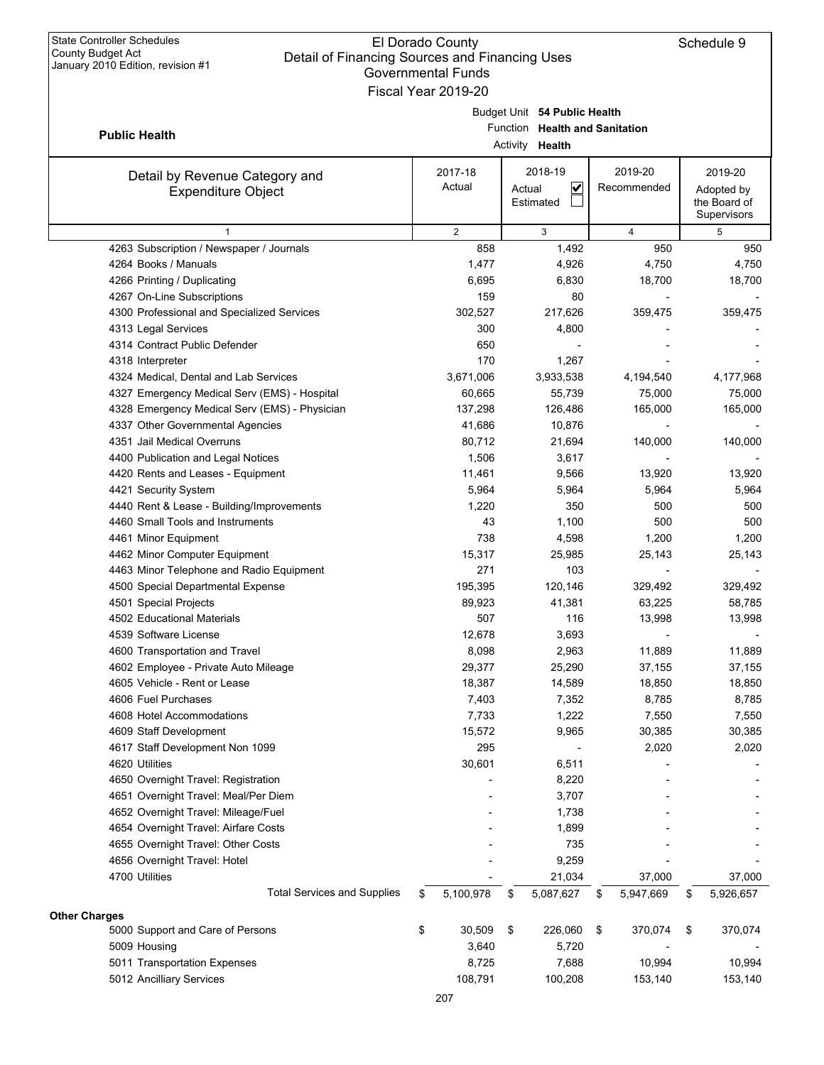$\mathsf{l}$ 

|                                               | Governmental Funds  |                                |                 |                 |
|-----------------------------------------------|---------------------|--------------------------------|-----------------|-----------------|
|                                               | Fiscal Year 2019-20 |                                |                 |                 |
|                                               |                     | Budget Unit 54 Public Health   |                 |                 |
| <b>Public Health</b>                          |                     | Function Health and Sanitation |                 |                 |
|                                               |                     | Activity Health                |                 |                 |
|                                               | 2017-18             | 2018-19                        | 2019-20         | 2019-20         |
| Detail by Revenue Category and                | Actual              | $\checkmark$<br>Actual         | Recommended     | Adopted by      |
| <b>Expenditure Object</b>                     |                     | Estimated                      |                 | the Board of    |
|                                               |                     |                                |                 | Supervisors     |
| $\mathbf{1}$                                  | $\overline{2}$      | 3                              | $\overline{4}$  | 5               |
| 4263 Subscription / Newspaper / Journals      | 858                 | 1,492                          | 950             | 950             |
| 4264 Books / Manuals                          | 1,477               | 4,926                          | 4,750           | 4,750           |
| 4266 Printing / Duplicating                   | 6,695               | 6,830                          | 18,700          | 18,700          |
| 4267 On-Line Subscriptions                    | 159                 | 80                             |                 |                 |
| 4300 Professional and Specialized Services    | 302,527             | 217,626                        | 359,475         | 359,475         |
| 4313 Legal Services                           | 300                 | 4,800                          |                 |                 |
| 4314 Contract Public Defender                 | 650                 |                                |                 |                 |
| 4318 Interpreter                              | 170                 | 1,267                          |                 |                 |
| 4324 Medical, Dental and Lab Services         | 3,671,006           | 3,933,538                      | 4,194,540       | 4,177,968       |
| 4327 Emergency Medical Serv (EMS) - Hospital  | 60,665              | 55,739                         | 75,000          | 75,000          |
| 4328 Emergency Medical Serv (EMS) - Physician | 137,298             | 126,486                        | 165,000         | 165,000         |
| 4337 Other Governmental Agencies              | 41,686              | 10,876                         |                 |                 |
| 4351 Jail Medical Overruns                    | 80,712              | 21,694                         | 140,000         | 140,000         |
| 4400 Publication and Legal Notices            | 1,506               | 3,617                          |                 |                 |
| 4420 Rents and Leases - Equipment             | 11,461              | 9,566                          | 13,920          | 13,920          |
| 4421 Security System                          | 5,964               | 5,964                          | 5,964           | 5,964           |
| 4440 Rent & Lease - Building/Improvements     | 1,220               | 350                            | 500             | 500             |
| 4460 Small Tools and Instruments              | 43                  | 1,100                          | 500             | 500             |
| 4461 Minor Equipment                          | 738                 | 4,598                          | 1,200           | 1,200           |
| 4462 Minor Computer Equipment                 | 15,317              | 25,985                         | 25,143          | 25,143          |
| 4463 Minor Telephone and Radio Equipment      | 271                 | 103                            |                 |                 |
| 4500 Special Departmental Expense             | 195,395             | 120,146                        | 329,492         | 329,492         |
| 4501 Special Projects                         | 89,923              | 41,381                         | 63,225          | 58,785          |
| 4502 Educational Materials                    | 507                 | 116                            | 13,998          | 13,998          |
| 4539 Software License                         | 12,678              | 3,693                          |                 |                 |
| 4600 Transportation and Travel                | 8,098               | 2,963                          | 11,889          | 11,889          |
| 4602 Employee - Private Auto Mileage          | 29,377              | 25,290                         | 37,155          | 37,155          |
| 4605 Vehicle - Rent or Lease                  | 18,387              | 14,589                         | 18,850          | 18,850          |
| 4606 Fuel Purchases                           | 7,403               | 7,352                          | 8,785           | 8,785           |
| 4608 Hotel Accommodations                     | 7,733               | 1,222                          | 7,550           | 7,550           |
| 4609 Staff Development                        | 15,572              | 9,965                          | 30,385          | 30,385          |
| 4617 Staff Development Non 1099               | 295                 |                                | 2,020           | 2,020           |
| 4620 Utilities                                | 30,601              | 6,511                          |                 |                 |
| 4650 Overnight Travel: Registration           |                     | 8,220                          |                 |                 |
| 4651 Overnight Travel: Meal/Per Diem          |                     | 3,707                          |                 |                 |
| 4652 Overnight Travel: Mileage/Fuel           |                     | 1,738                          |                 |                 |
| 4654 Overnight Travel: Airfare Costs          |                     | 1,899                          |                 |                 |
| 4655 Overnight Travel: Other Costs            |                     | 735                            |                 |                 |
| 4656 Overnight Travel: Hotel                  |                     | 9,259                          |                 |                 |
| 4700 Utilities                                |                     | 21,034                         | 37,000          | 37,000          |
| <b>Total Services and Supplies</b>            | \$<br>5,100,978     | \$<br>5,087,627                | \$<br>5,947,669 | \$<br>5,926,657 |
| Other Charges                                 |                     |                                |                 |                 |
| 5000 Support and Care of Persons              | \$<br>30,509        | \$<br>226,060                  | \$<br>370,074   | \$<br>370,074   |
| 5009 Housing                                  | 3,640               | 5,720                          |                 |                 |
| 5011 Transportation Expenses                  | 8,725               | 7,688                          | 10,994          | 10,994          |
|                                               |                     |                                |                 |                 |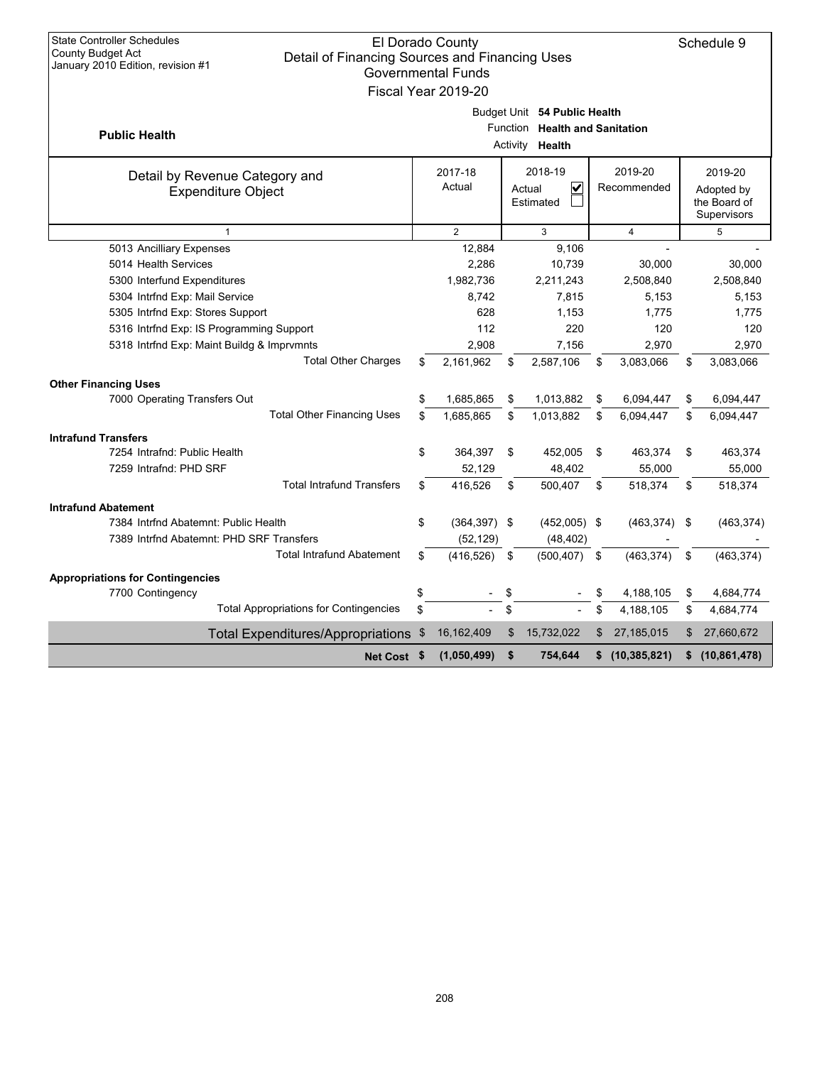| <b>State Controller Schedules</b><br>El Dorado County<br>County Budget Act<br>Detail of Financing Sources and Financing Uses<br>January 2010 Edition, revision #1<br><b>Governmental Funds</b><br>Fiscal Year 2019-20 |                                                                                          |                   |    |                                                |    |                        |    |                                                      |  |  |
|-----------------------------------------------------------------------------------------------------------------------------------------------------------------------------------------------------------------------|------------------------------------------------------------------------------------------|-------------------|----|------------------------------------------------|----|------------------------|----|------------------------------------------------------|--|--|
| <b>Public Health</b>                                                                                                                                                                                                  | Budget Unit 54 Public Health<br>Function Health and Sanitation<br>Activity <b>Health</b> |                   |    |                                                |    |                        |    |                                                      |  |  |
| Detail by Revenue Category and<br><b>Expenditure Object</b>                                                                                                                                                           |                                                                                          | 2017-18<br>Actual |    | 2018-19<br>$\checkmark$<br>Actual<br>Estimated |    | 2019-20<br>Recommended |    | 2019-20<br>Adopted by<br>the Board of<br>Supervisors |  |  |
| $\mathbf{1}$                                                                                                                                                                                                          |                                                                                          | $\overline{2}$    |    | 3                                              |    | $\overline{4}$         |    | 5                                                    |  |  |
| 5013 Ancilliary Expenses                                                                                                                                                                                              |                                                                                          | 12,884            |    | 9,106                                          |    |                        |    |                                                      |  |  |
| 5014 Health Services                                                                                                                                                                                                  |                                                                                          | 2,286             |    | 10,739                                         |    | 30,000                 |    | 30,000                                               |  |  |
| 5300 Interfund Expenditures                                                                                                                                                                                           |                                                                                          | 1,982,736         |    | 2,211,243                                      |    | 2,508,840              |    | 2,508,840                                            |  |  |
| 5304 Intrfnd Exp: Mail Service                                                                                                                                                                                        |                                                                                          | 8,742             |    | 7,815                                          |    | 5,153                  |    | 5,153                                                |  |  |
| 5305 Intrfnd Exp: Stores Support                                                                                                                                                                                      |                                                                                          | 628               |    | 1,153                                          |    | 1,775                  |    | 1,775                                                |  |  |
| 5316 Intrfnd Exp: IS Programming Support                                                                                                                                                                              |                                                                                          | 112               |    | 220                                            |    | 120                    |    | 120                                                  |  |  |
| 5318 Intrfnd Exp: Maint Buildg & Imprvmnts                                                                                                                                                                            |                                                                                          | 2,908             |    | 7,156                                          |    | 2,970                  |    | 2,970                                                |  |  |
| <b>Total Other Charges</b>                                                                                                                                                                                            | \$                                                                                       | 2,161,962         | \$ | 2,587,106                                      | \$ | 3,083,066              | \$ | 3,083,066                                            |  |  |
| <b>Other Financing Uses</b>                                                                                                                                                                                           |                                                                                          |                   |    |                                                |    |                        |    |                                                      |  |  |
| 7000 Operating Transfers Out                                                                                                                                                                                          | \$                                                                                       | 1,685,865         | \$ | 1,013,882                                      | \$ | 6,094,447              | \$ | 6,094,447                                            |  |  |
| <b>Total Other Financing Uses</b>                                                                                                                                                                                     | \$                                                                                       | 1,685,865         | \$ | 1,013,882                                      | \$ | 6,094,447              | \$ | 6,094,447                                            |  |  |
| <b>Intrafund Transfers</b>                                                                                                                                                                                            |                                                                                          |                   |    |                                                |    |                        |    |                                                      |  |  |
| 7254 Intrafnd: Public Health                                                                                                                                                                                          | \$                                                                                       | 364,397           | \$ | 452,005                                        | \$ | 463,374                | \$ | 463,374                                              |  |  |
| 7259 Intrafnd: PHD SRF                                                                                                                                                                                                |                                                                                          | 52,129            |    | 48,402                                         |    | 55,000                 |    | 55,000                                               |  |  |
| <b>Total Intrafund Transfers</b>                                                                                                                                                                                      | \$                                                                                       | 416,526           | \$ | 500,407                                        | \$ | 518,374                | \$ | 518,374                                              |  |  |
| <b>Intrafund Abatement</b>                                                                                                                                                                                            |                                                                                          |                   |    |                                                |    |                        |    |                                                      |  |  |
| 7384 Intrfnd Abatemnt: Public Health                                                                                                                                                                                  | \$                                                                                       | $(364, 397)$ \$   |    | $(452,005)$ \$                                 |    | $(463, 374)$ \$        |    | (463, 374)                                           |  |  |
| 7389 Intrfnd Abatemnt: PHD SRF Transfers                                                                                                                                                                              |                                                                                          | (52, 129)         |    | (48, 402)                                      |    |                        |    |                                                      |  |  |
| <b>Total Intrafund Abatement</b>                                                                                                                                                                                      | \$                                                                                       | (416, 526)        | \$ | (500, 407)                                     | \$ | (463, 374)             | \$ | (463, 374)                                           |  |  |
| <b>Appropriations for Contingencies</b>                                                                                                                                                                               |                                                                                          |                   |    |                                                |    |                        |    |                                                      |  |  |
| 7700 Contingency                                                                                                                                                                                                      | \$                                                                                       |                   |    |                                                |    | 4,188,105              | \$ | 4,684,774                                            |  |  |
| <b>Total Appropriations for Contingencies</b>                                                                                                                                                                         | \$                                                                                       |                   | \$ |                                                | \$ | 4,188,105              | \$ | 4,684,774                                            |  |  |
| <b>Total Expenditures/Appropriations</b>                                                                                                                                                                              | \$                                                                                       | 16, 162, 409      | \$ | 15,732,022                                     | \$ | 27,185,015             | \$ | 27,660,672                                           |  |  |
| Net Cost \$                                                                                                                                                                                                           |                                                                                          | (1,050,499)       | \$ | 754,644                                        | \$ | (10, 385, 821)         |    | \$(10,861,478)                                       |  |  |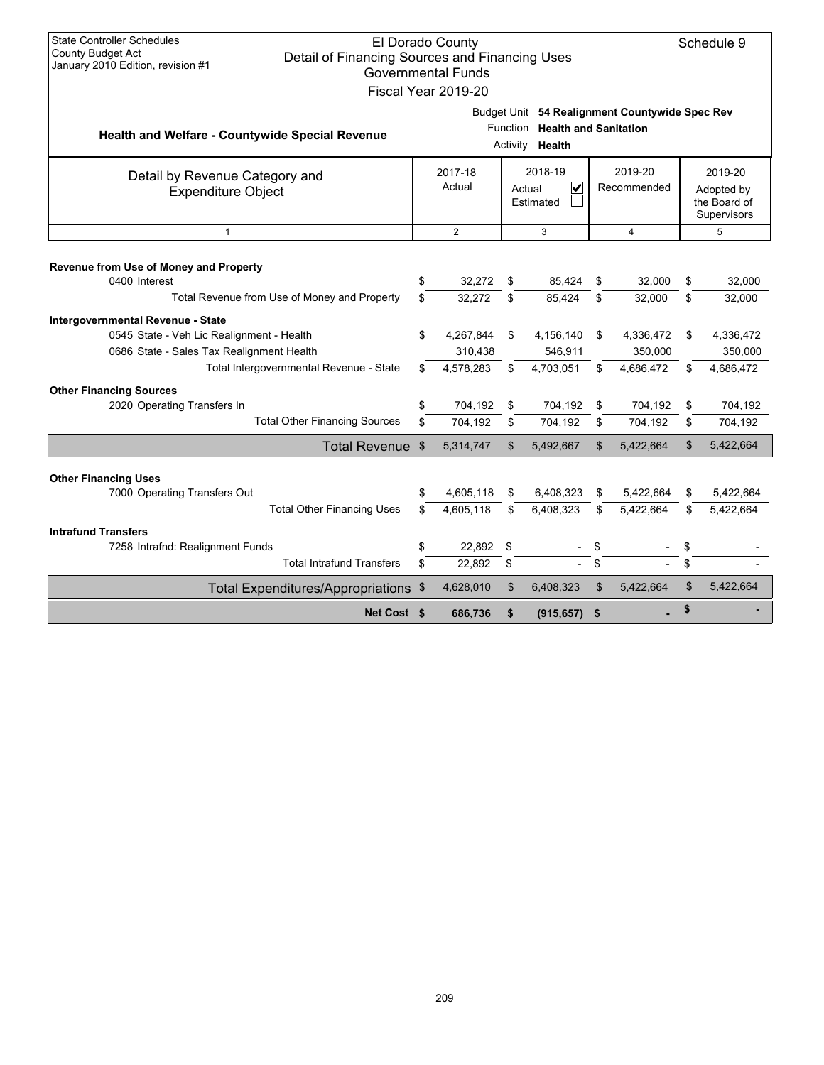| <b>State Controller Schedules</b>                      |                                                | El Dorado County          |                |                                   |    |                                                |    | Schedule 9                  |  |  |
|--------------------------------------------------------|------------------------------------------------|---------------------------|----------------|-----------------------------------|----|------------------------------------------------|----|-----------------------------|--|--|
| County Budget Act                                      | Detail of Financing Sources and Financing Uses |                           |                |                                   |    |                                                |    |                             |  |  |
| January 2010 Edition, revision #1                      |                                                | <b>Governmental Funds</b> |                |                                   |    |                                                |    |                             |  |  |
|                                                        |                                                | Fiscal Year 2019-20       |                |                                   |    |                                                |    |                             |  |  |
|                                                        |                                                |                           |                |                                   |    | Budget Unit 54 Realignment Countywide Spec Rev |    |                             |  |  |
|                                                        |                                                |                           | Function       | <b>Health and Sanitation</b>      |    |                                                |    |                             |  |  |
| <b>Health and Welfare - Countywide Special Revenue</b> |                                                |                           |                | Activity <b>Health</b>            |    |                                                |    |                             |  |  |
| Detail by Revenue Category and                         | 2018-19<br>2019-20<br>2017-18                  |                           |                |                                   |    |                                                |    | 2019-20                     |  |  |
| <b>Expenditure Object</b>                              |                                                | Actual                    |                | $\overline{\mathbf{v}}$<br>Actual |    | Recommended                                    |    | Adopted by                  |  |  |
|                                                        |                                                |                           |                | Estimated                         |    |                                                |    | the Board of<br>Supervisors |  |  |
| $\mathbf{1}$                                           |                                                | $\overline{2}$            |                | 3                                 |    | 4                                              |    | 5                           |  |  |
|                                                        |                                                |                           |                |                                   |    |                                                |    |                             |  |  |
| Revenue from Use of Money and Property                 |                                                |                           |                |                                   |    |                                                |    |                             |  |  |
| 0400 Interest                                          | \$                                             | 32,272                    | \$             | 85,424                            | \$ | 32,000                                         | \$ | 32,000                      |  |  |
| Total Revenue from Use of Money and Property           | \$                                             | 32,272                    | \$             | 85,424                            | \$ | 32.000                                         | \$ | 32,000                      |  |  |
| Intergovernmental Revenue - State                      |                                                |                           |                |                                   |    |                                                |    |                             |  |  |
| 0545 State - Veh Lic Realignment - Health              | \$                                             | 4,267,844                 | \$             | 4,156,140                         | \$ | 4,336,472                                      | \$ | 4,336,472                   |  |  |
| 0686 State - Sales Tax Realignment Health              |                                                | 310,438                   |                | 546,911                           |    | 350,000                                        |    | 350,000                     |  |  |
| Total Intergovernmental Revenue - State                | \$                                             | 4,578,283                 | \$             | 4,703,051                         | \$ | 4,686,472                                      | \$ | 4,686,472                   |  |  |
| <b>Other Financing Sources</b>                         |                                                |                           |                |                                   |    |                                                |    |                             |  |  |
| 2020 Operating Transfers In                            | \$                                             | 704,192                   | \$             | 704,192                           | \$ | 704,192                                        | \$ | 704,192                     |  |  |
| <b>Total Other Financing Sources</b>                   | \$                                             | 704,192                   | \$             | 704,192                           | \$ | 704,192                                        | \$ | 704,192                     |  |  |
| <b>Total Revenue</b>                                   | \$                                             | 5,314,747                 | \$             | 5,492,667                         | \$ | 5,422,664                                      | \$ | 5,422,664                   |  |  |
| <b>Other Financing Uses</b>                            |                                                |                           |                |                                   |    |                                                |    |                             |  |  |
| 7000 Operating Transfers Out                           | \$                                             | 4,605,118                 | \$             | 6,408,323                         | \$ | 5,422,664                                      | \$ | 5,422,664                   |  |  |
| <b>Total Other Financing Uses</b>                      | \$.                                            | 4.605.118                 | \$             | 6,408,323                         | \$ | 5,422,664                                      | \$ | 5,422,664                   |  |  |
| <b>Intrafund Transfers</b>                             |                                                |                           |                |                                   |    |                                                |    |                             |  |  |
| 7258 Intrafnd: Realignment Funds                       | \$                                             | 22,892                    | \$             |                                   | \$ |                                                | \$ |                             |  |  |
| <b>Total Intrafund Transfers</b>                       | \$                                             | 22,892                    | \$             |                                   | \$ |                                                | \$ |                             |  |  |
| Total Expenditures/Appropriations \$                   |                                                | 4,628,010                 | $\mathfrak{L}$ | 6,408,323                         | \$ | 5,422,664                                      | \$ | 5,422,664                   |  |  |
| Net Cost \$                                            |                                                | 686,736                   | \$             | (915, 657)                        | \$ |                                                | \$ |                             |  |  |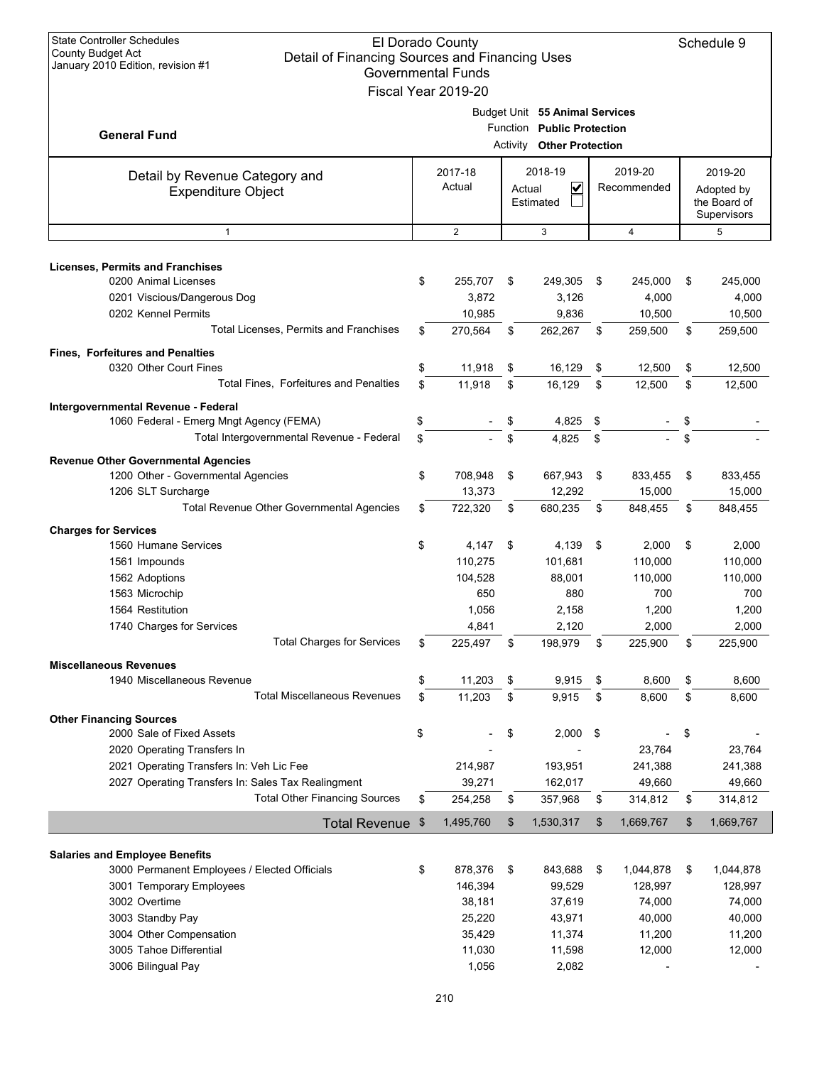| <b>State Controller Schedules</b><br>El Dorado County<br><b>County Budget Act</b><br>Detail of Financing Sources and Financing Uses<br>January 2010 Edition, revision #1<br><b>Governmental Funds</b><br>Fiscal Year 2019-20         |          |                                                            |          |                                                                                           |          |                                                              |          |                                                              |  |  |
|--------------------------------------------------------------------------------------------------------------------------------------------------------------------------------------------------------------------------------------|----------|------------------------------------------------------------|----------|-------------------------------------------------------------------------------------------|----------|--------------------------------------------------------------|----------|--------------------------------------------------------------|--|--|
| <b>General Fund</b>                                                                                                                                                                                                                  |          |                                                            |          | Budget Unit 55 Animal Services<br>Function Public Protection<br>Activity Other Protection |          |                                                              |          |                                                              |  |  |
| Detail by Revenue Category and<br><b>Expenditure Object</b>                                                                                                                                                                          |          | 2017-18<br>Actual                                          | Actual   | 2018-19<br>V<br>Estimated                                                                 |          | 2019-20<br>Recommended                                       |          | 2019-20<br>Adopted by<br>the Board of<br>Supervisors         |  |  |
| $\mathbf{1}$                                                                                                                                                                                                                         |          | $\overline{2}$                                             |          | 3                                                                                         |          | 4                                                            |          | 5                                                            |  |  |
| <b>Licenses, Permits and Franchises</b><br>0200 Animal Licenses<br>0201 Viscious/Dangerous Dog<br>0202 Kennel Permits                                                                                                                | \$       | 255,707<br>3,872<br>10,985                                 | \$       | 249,305<br>3,126<br>9,836                                                                 | \$       | 245,000<br>4,000<br>10,500                                   | \$       | 245,000<br>4,000<br>10,500                                   |  |  |
| Total Licenses, Permits and Franchises                                                                                                                                                                                               | \$       | 270,564                                                    | \$       | 262,267                                                                                   | \$       | 259,500                                                      | \$       | 259,500                                                      |  |  |
| <b>Fines, Forfeitures and Penalties</b><br>0320 Other Court Fines<br><b>Total Fines. Forfeitures and Penalties</b>                                                                                                                   | \$<br>\$ | 11,918<br>11,918                                           | \$<br>\$ | 16,129<br>16,129                                                                          | \$<br>\$ | 12,500<br>12,500                                             | \$<br>\$ | 12,500<br>12,500                                             |  |  |
| Intergovernmental Revenue - Federal<br>1060 Federal - Emerg Mngt Agency (FEMA)<br>Total Intergovernmental Revenue - Federal                                                                                                          | \$<br>\$ |                                                            | \$<br>\$ | 4,825<br>4,825                                                                            | \$<br>\$ |                                                              | \$<br>\$ |                                                              |  |  |
| <b>Revenue Other Governmental Agencies</b><br>1200 Other - Governmental Agencies<br>1206 SLT Surcharge<br>Total Revenue Other Governmental Agencies                                                                                  | \$<br>\$ | 708,948<br>13,373<br>722,320                               | \$<br>\$ | 667,943<br>12,292<br>680,235                                                              | \$<br>\$ | 833,455<br>15,000<br>848,455                                 | \$<br>\$ | 833,455<br>15,000<br>848,455                                 |  |  |
|                                                                                                                                                                                                                                      |          |                                                            |          |                                                                                           |          |                                                              |          |                                                              |  |  |
| <b>Charges for Services</b><br>1560 Humane Services<br>1561 Impounds<br>1562 Adoptions<br>1563 Microchip<br>1564 Restitution<br>1740 Charges for Services                                                                            | \$       | 4,147<br>110,275<br>104,528<br>650<br>1,056<br>4,841       | \$       | 4,139<br>101,681<br>88,001<br>880<br>2,158<br>2,120                                       | \$       | 2,000<br>110,000<br>110,000<br>700<br>1,200<br>2,000         | \$       | 2,000<br>110,000<br>110,000<br>700<br>1,200<br>2,000         |  |  |
| <b>Total Charges for Services</b>                                                                                                                                                                                                    | \$       | 225,497                                                    | \$       | 198,979                                                                                   | \$       | 225,900                                                      | \$       | 225,900                                                      |  |  |
| <b>Miscellaneous Revenues</b><br>1940 Miscellaneous Revenue<br><b>Total Miscellaneous Revenues</b>                                                                                                                                   | \$<br>\$ | 11,203<br>11,203                                           | \$<br>\$ | 9,915<br>9,915                                                                            | \$<br>\$ | 8,600<br>8,600                                               | \$<br>\$ | 8,600<br>8,600                                               |  |  |
| <b>Other Financing Sources</b><br>2000 Sale of Fixed Assets<br>2020 Operating Transfers In<br>2021 Operating Transfers In: Veh Lic Fee<br>2027 Operating Transfers In: Sales Tax Realingment<br><b>Total Other Financing Sources</b> | \$<br>\$ | 214,987<br>39,271<br>254,258                               | \$<br>\$ | 2,000<br>193,951<br>162,017<br>357,968                                                    | \$<br>\$ | 23,764<br>241,388<br>49,660<br>314,812                       | \$<br>\$ | 23,764<br>241,388<br>49,660<br>314,812                       |  |  |
| <b>Total Revenue</b>                                                                                                                                                                                                                 | \$       | 1,495,760                                                  | \$       | 1,530,317                                                                                 | \$       | 1,669,767                                                    | \$       | 1,669,767                                                    |  |  |
| <b>Salaries and Employee Benefits</b><br>3000 Permanent Employees / Elected Officials<br>3001 Temporary Employees<br>3002 Overtime<br>3003 Standby Pay<br>3004 Other Compensation<br>3005 Tahoe Differential                         | \$       | 878,376<br>146,394<br>38,181<br>25,220<br>35,429<br>11,030 | \$       | 843,688<br>99,529<br>37,619<br>43,971<br>11,374<br>11,598                                 | \$       | 1,044,878<br>128,997<br>74,000<br>40,000<br>11,200<br>12,000 | \$       | 1,044,878<br>128,997<br>74,000<br>40,000<br>11,200<br>12,000 |  |  |
| 3006 Bilingual Pay                                                                                                                                                                                                                   |          | 1,056                                                      |          | 2,082                                                                                     |          |                                                              |          |                                                              |  |  |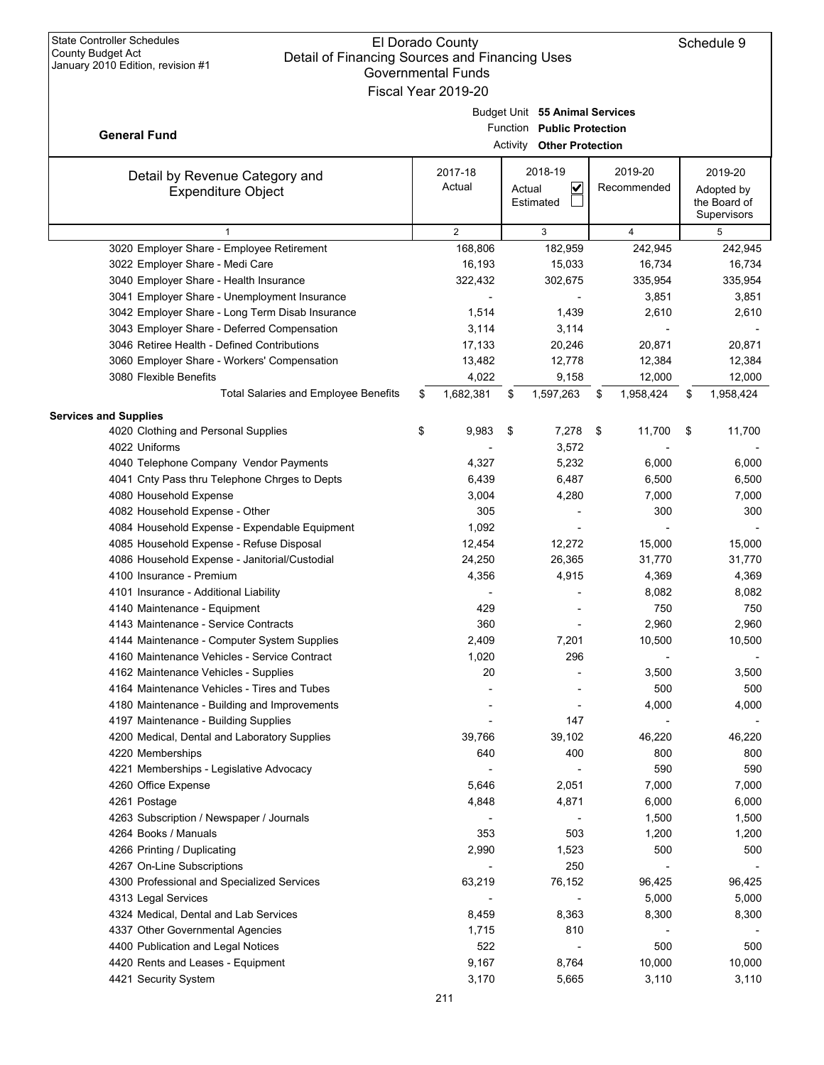| Jahualy ZUTU LUNUH, IGVISIUH #T                                                                | Governmental Funds<br>Fiscal Year 2019-20 |                                   |                  |                  |
|------------------------------------------------------------------------------------------------|-------------------------------------------|-----------------------------------|------------------|------------------|
|                                                                                                |                                           | Budget Unit 55 Animal Services    |                  |                  |
|                                                                                                |                                           | Function Public Protection        |                  |                  |
| <b>General Fund</b>                                                                            |                                           | Activity Other Protection         |                  |                  |
| Detail by Revenue Category and                                                                 | 2017-18                                   | 2018-19                           | 2019-20          | 2019-20          |
| <b>Expenditure Object</b>                                                                      | Actual                                    | $\overline{\mathbf{v}}$<br>Actual | Recommended      | Adopted by       |
|                                                                                                |                                           | Estimated                         |                  | the Board of     |
|                                                                                                |                                           |                                   |                  | Supervisors      |
| $\mathbf{1}$                                                                                   | $\overline{2}$                            | 3                                 | 4                | 5                |
| 3020 Employer Share - Employee Retirement                                                      | 168,806                                   | 182,959                           | 242,945          | 242,945          |
| 3022 Employer Share - Medi Care                                                                | 16,193                                    | 15,033                            | 16,734           | 16,734           |
| 3040 Employer Share - Health Insurance                                                         | 322,432                                   | 302,675                           | 335,954<br>3,851 | 335,954<br>3,851 |
| 3041 Employer Share - Unemployment Insurance                                                   | 1,514                                     | 1,439                             | 2,610            | 2,610            |
| 3042 Employer Share - Long Term Disab Insurance<br>3043 Employer Share - Deferred Compensation | 3,114                                     | 3,114                             |                  |                  |
| 3046 Retiree Health - Defined Contributions                                                    | 17,133                                    | 20,246                            | 20,871           | 20,871           |
| 3060 Employer Share - Workers' Compensation                                                    | 13,482                                    | 12,778                            | 12,384           | 12,384           |
| 3080 Flexible Benefits                                                                         | 4,022                                     | 9,158                             | 12,000           | 12,000           |
| <b>Total Salaries and Employee Benefits</b>                                                    | \$<br>1,682,381                           | \$<br>1,597,263                   | \$<br>1,958,424  | \$<br>1,958,424  |
| <b>Services and Supplies</b>                                                                   |                                           |                                   |                  |                  |
| 4020 Clothing and Personal Supplies                                                            | \$<br>9,983                               | \$<br>7,278                       | \$<br>11,700     | \$<br>11,700     |
| 4022 Uniforms                                                                                  |                                           | 3,572                             |                  |                  |
| 4040 Telephone Company Vendor Payments                                                         | 4,327                                     | 5,232                             | 6,000            | 6,000            |
| 4041 Cnty Pass thru Telephone Chrges to Depts                                                  | 6,439                                     | 6,487                             | 6,500            | 6,500            |
| 4080 Household Expense                                                                         | 3,004                                     | 4,280                             | 7,000            | 7,000            |
| 4082 Household Expense - Other                                                                 | 305                                       |                                   | 300              | 300              |
| 4084 Household Expense - Expendable Equipment                                                  | 1,092                                     |                                   |                  |                  |
| 4085 Household Expense - Refuse Disposal                                                       | 12,454                                    | 12,272                            | 15,000           | 15,000           |
| 4086 Household Expense - Janitorial/Custodial                                                  | 24,250                                    | 26,365                            | 31,770           | 31,770           |
| 4100 Insurance - Premium                                                                       | 4,356                                     | 4,915                             | 4,369            | 4,369            |
| 4101 Insurance - Additional Liability                                                          |                                           |                                   | 8,082            | 8,082            |
| 4140 Maintenance - Equipment                                                                   | 429                                       |                                   | 750              | 750              |
| 4143 Maintenance - Service Contracts                                                           | 360                                       |                                   | 2,960            | 2,960            |
| 4144 Maintenance - Computer System Supplies                                                    | 2,409                                     | 7,201                             | 10,500           | 10,500           |
| 4160 Maintenance Vehicles - Service Contract                                                   | 1,020                                     | 296                               |                  |                  |
| 4162 Maintenance Vehicles - Supplies                                                           | 20                                        |                                   | 3,500            | 3,500            |
| 4164 Maintenance Vehicles - Tires and Tubes                                                    |                                           |                                   | 500              | 500              |
| 4180 Maintenance - Building and Improvements                                                   |                                           |                                   | 4,000            | 4,000            |
| 4197 Maintenance - Building Supplies                                                           |                                           | 147                               |                  |                  |
| 4200 Medical, Dental and Laboratory Supplies                                                   | 39,766                                    | 39,102                            | 46,220           | 46,220           |
| 4220 Memberships                                                                               | 640                                       | 400                               | 800              | 800              |
| 4221 Memberships - Legislative Advocacy                                                        |                                           |                                   | 590              | 590              |
| 4260 Office Expense                                                                            | 5,646                                     | 2,051                             | 7,000            | 7,000            |
| 4261 Postage                                                                                   | 4,848                                     | 4,871                             | 6,000            | 6,000            |
| 4263 Subscription / Newspaper / Journals                                                       |                                           |                                   | 1,500            | 1,500            |
| 4264 Books / Manuals                                                                           | 353                                       | 503                               | 1,200            | 1,200            |
| 4266 Printing / Duplicating                                                                    | 2,990                                     | 1,523                             | 500              | 500              |
| 4267 On-Line Subscriptions                                                                     |                                           | 250                               |                  |                  |
| 4300 Professional and Specialized Services                                                     | 63,219                                    | 76,152                            | 96,425           | 96,425           |
| 4313 Legal Services                                                                            |                                           |                                   | 5,000            | 5,000            |
| 4324 Medical, Dental and Lab Services                                                          | 8,459                                     | 8,363                             | 8,300            | 8,300            |
| 4337 Other Governmental Agencies                                                               | 1,715                                     | 810                               |                  |                  |
| 4400 Publication and Legal Notices                                                             | 522                                       |                                   | 500              | 500              |
| 4420 Rents and Leases - Equipment                                                              | 9,167                                     | 8,764                             | 10,000           | 10,000           |
| 4421 Security System                                                                           | 3,170                                     | 5,665                             | 3,110            | 3,110            |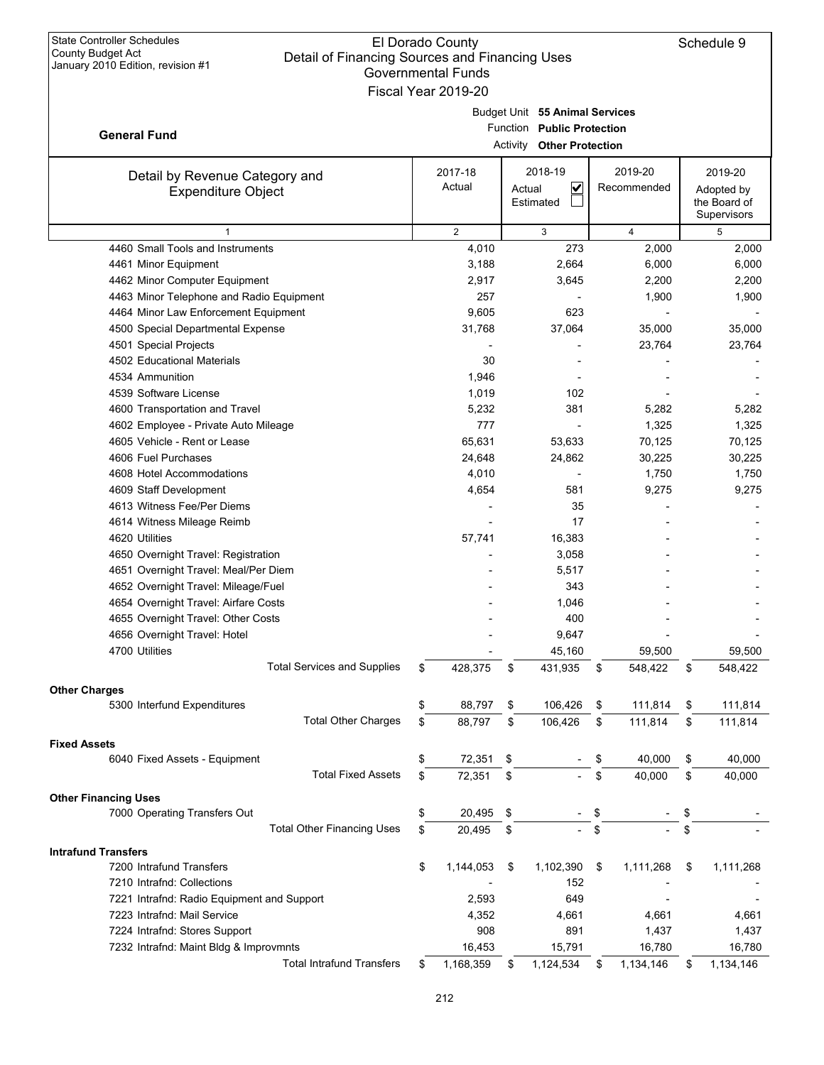| <b>State Controller Schedules</b><br>County Budget Act<br>Detail of Financing Sources and Financing Uses<br>January 2010 Edition, revision #1 | El Dorado County<br><b>Governmental Funds</b><br>Fiscal Year 2019-20 |                                                                                                  |                        | Schedule 9                                           |
|-----------------------------------------------------------------------------------------------------------------------------------------------|----------------------------------------------------------------------|--------------------------------------------------------------------------------------------------|------------------------|------------------------------------------------------|
| <b>General Fund</b>                                                                                                                           |                                                                      | Budget Unit 55 Animal Services<br>Function Public Protection<br><b>Activity Other Protection</b> |                        |                                                      |
| Detail by Revenue Category and<br><b>Expenditure Object</b>                                                                                   | 2017-18<br>Actual                                                    | 2018-19<br>$\overline{\mathbf{v}}$<br>Actual<br>Estimated                                        | 2019-20<br>Recommended | 2019-20<br>Adopted by<br>the Board of<br>Supervisors |
| 1                                                                                                                                             | $\overline{2}$                                                       | 3                                                                                                | 4                      | 5                                                    |
| 4460 Small Tools and Instruments                                                                                                              | 4,010                                                                | 273                                                                                              | 2,000                  | 2,000                                                |
| 4461 Minor Equipment                                                                                                                          | 3,188                                                                | 2,664                                                                                            | 6,000                  | 6,000                                                |
| 4462 Minor Computer Equipment                                                                                                                 | 2,917                                                                | 3,645                                                                                            | 2,200                  | 2,200                                                |
| 4463 Minor Telephone and Radio Equipment                                                                                                      | 257                                                                  |                                                                                                  | 1,900                  | 1,900                                                |
| 4464 Minor Law Enforcement Equipment                                                                                                          | 9,605                                                                | 623                                                                                              |                        |                                                      |
| 4500 Special Departmental Expense                                                                                                             | 31,768                                                               | 37,064                                                                                           | 35,000                 | 35,000                                               |
| 4501 Special Projects                                                                                                                         |                                                                      |                                                                                                  | 23,764                 | 23,764                                               |
| 4502 Educational Materials                                                                                                                    | 30                                                                   |                                                                                                  |                        |                                                      |
| 4534 Ammunition                                                                                                                               | 1,946                                                                |                                                                                                  |                        |                                                      |
| 4539 Software License                                                                                                                         | 1,019                                                                | 102                                                                                              |                        |                                                      |
| 4600 Transportation and Travel                                                                                                                | 5,232                                                                | 381                                                                                              | 5,282                  | 5,282                                                |
| 4602 Employee - Private Auto Mileage                                                                                                          | 777                                                                  |                                                                                                  | 1,325                  | 1,325                                                |
| 4605 Vehicle - Rent or Lease                                                                                                                  | 65,631                                                               | 53,633                                                                                           | 70,125                 | 70,125                                               |
| 4606 Fuel Purchases                                                                                                                           | 24,648                                                               | 24,862                                                                                           | 30,225                 | 30,225                                               |
| 4608 Hotel Accommodations                                                                                                                     | 4,010<br>4,654                                                       | 581                                                                                              | 1,750<br>9,275         | 1,750                                                |
| 4609 Staff Development<br>4613 Witness Fee/Per Diems                                                                                          |                                                                      | 35                                                                                               |                        | 9,275                                                |
| 4614 Witness Mileage Reimb                                                                                                                    |                                                                      | 17                                                                                               |                        |                                                      |
| 4620 Utilities                                                                                                                                | 57,741                                                               | 16,383                                                                                           |                        |                                                      |
| 4650 Overnight Travel: Registration                                                                                                           |                                                                      | 3,058                                                                                            |                        |                                                      |
| 4651 Overnight Travel: Meal/Per Diem                                                                                                          |                                                                      | 5,517                                                                                            |                        |                                                      |
| 4652 Overnight Travel: Mileage/Fuel                                                                                                           |                                                                      | 343                                                                                              |                        |                                                      |
| 4654 Overnight Travel: Airfare Costs                                                                                                          |                                                                      | 1,046                                                                                            |                        |                                                      |
| 4655 Overnight Travel: Other Costs                                                                                                            |                                                                      | 400                                                                                              |                        |                                                      |
| 4656 Overnight Travel: Hotel                                                                                                                  |                                                                      | 9,647                                                                                            |                        |                                                      |
| 4700 Utilities                                                                                                                                |                                                                      | 45,160                                                                                           | 59,500                 | 59,500                                               |
| <b>Total Services and Supplies</b>                                                                                                            | \$<br>428,375                                                        | \$<br>431,935                                                                                    | \$<br>548,422          | \$<br>548,422                                        |
|                                                                                                                                               |                                                                      |                                                                                                  |                        |                                                      |
| <b>Other Charges</b>                                                                                                                          |                                                                      | 106,426                                                                                          |                        |                                                      |
| 5300 Interfund Expenditures                                                                                                                   | \$<br>88,797                                                         | \$                                                                                               | \$<br>111,814          | \$<br>111,814                                        |
| <b>Total Other Charges</b>                                                                                                                    | \$<br>88,797                                                         | \$<br>106,426                                                                                    | \$<br>111,814          | \$<br>111,814                                        |
| <b>Fixed Assets</b>                                                                                                                           |                                                                      |                                                                                                  |                        |                                                      |
| 6040 Fixed Assets - Equipment                                                                                                                 | \$<br>72,351                                                         | \$                                                                                               | \$<br>40,000           | \$<br>40,000                                         |
| <b>Total Fixed Assets</b>                                                                                                                     | \$<br>72,351                                                         | \$                                                                                               | \$<br>40,000           | \$<br>40,000                                         |
| <b>Other Financing Uses</b>                                                                                                                   |                                                                      |                                                                                                  |                        |                                                      |
| 7000 Operating Transfers Out                                                                                                                  | \$<br>20,495                                                         | \$                                                                                               | \$                     | \$                                                   |
| <b>Total Other Financing Uses</b>                                                                                                             | \$<br>20,495                                                         | \$                                                                                               | \$                     | \$                                                   |
| <b>Intrafund Transfers</b>                                                                                                                    |                                                                      |                                                                                                  |                        |                                                      |
| 7200 Intrafund Transfers                                                                                                                      | \$<br>1,144,053                                                      | \$<br>1,102,390                                                                                  | \$<br>1,111,268        | \$<br>1,111,268                                      |
| 7210 Intrafnd: Collections                                                                                                                    |                                                                      | 152                                                                                              |                        |                                                      |
| 7221 Intrafnd: Radio Equipment and Support                                                                                                    | 2,593                                                                | 649                                                                                              |                        |                                                      |
| 7223 Intrafnd: Mail Service                                                                                                                   | 4,352                                                                | 4,661                                                                                            | 4,661                  | 4,661                                                |
| 7224 Intrafnd: Stores Support                                                                                                                 | 908                                                                  | 891                                                                                              | 1,437                  | 1,437                                                |
| 7232 Intrafnd: Maint Bldg & Improvmnts                                                                                                        | 16,453                                                               | 15,791                                                                                           | 16,780                 | 16,780                                               |
| <b>Total Intrafund Transfers</b>                                                                                                              | \$<br>1,168,359                                                      | \$<br>1,124,534                                                                                  | \$<br>1,134,146        | \$<br>1,134,146                                      |
|                                                                                                                                               |                                                                      |                                                                                                  |                        |                                                      |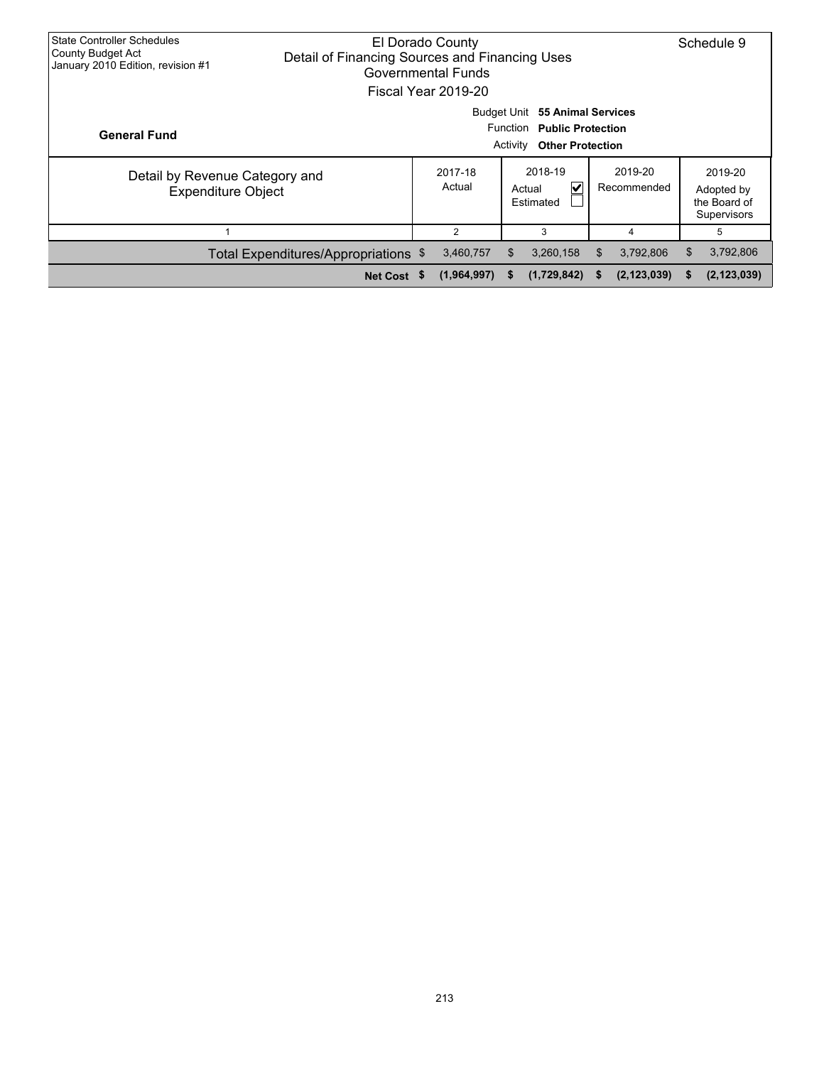| <b>State Controller Schedules</b><br>County Budget Act<br>January 2010 Edition, revision #1 |                                      |                                                                                    | Schedule 9  |    |             |    |               |    |                                                      |
|---------------------------------------------------------------------------------------------|--------------------------------------|------------------------------------------------------------------------------------|-------------|----|-------------|----|---------------|----|------------------------------------------------------|
|                                                                                             | Budget Unit<br>55 Animal Services    |                                                                                    |             |    |             |    |               |    |                                                      |
| <b>General Fund</b>                                                                         |                                      | Function Public Protection<br><b>Other Protection</b><br>Activity                  |             |    |             |    |               |    |                                                      |
| Detail by Revenue Category and<br><b>Expenditure Object</b>                                 |                                      | 2018-19<br>2019-20<br>2017-18<br>Actual<br>V<br>Recommended<br>Actual<br>Estimated |             |    |             |    |               |    | 2019-20<br>Adopted by<br>the Board of<br>Supervisors |
|                                                                                             |                                      |                                                                                    | 4           | 5  |             |    |               |    |                                                      |
|                                                                                             | Total Expenditures/Appropriations \$ |                                                                                    | 3,460,757   | \$ | 3,260,158   | S. | 3,792,806     | \$ | 3,792,806                                            |
|                                                                                             | Net Cost \$                          |                                                                                    | (1,964,997) | S. | (1,729,842) | S. | (2, 123, 039) | S  | (2, 123, 039)                                        |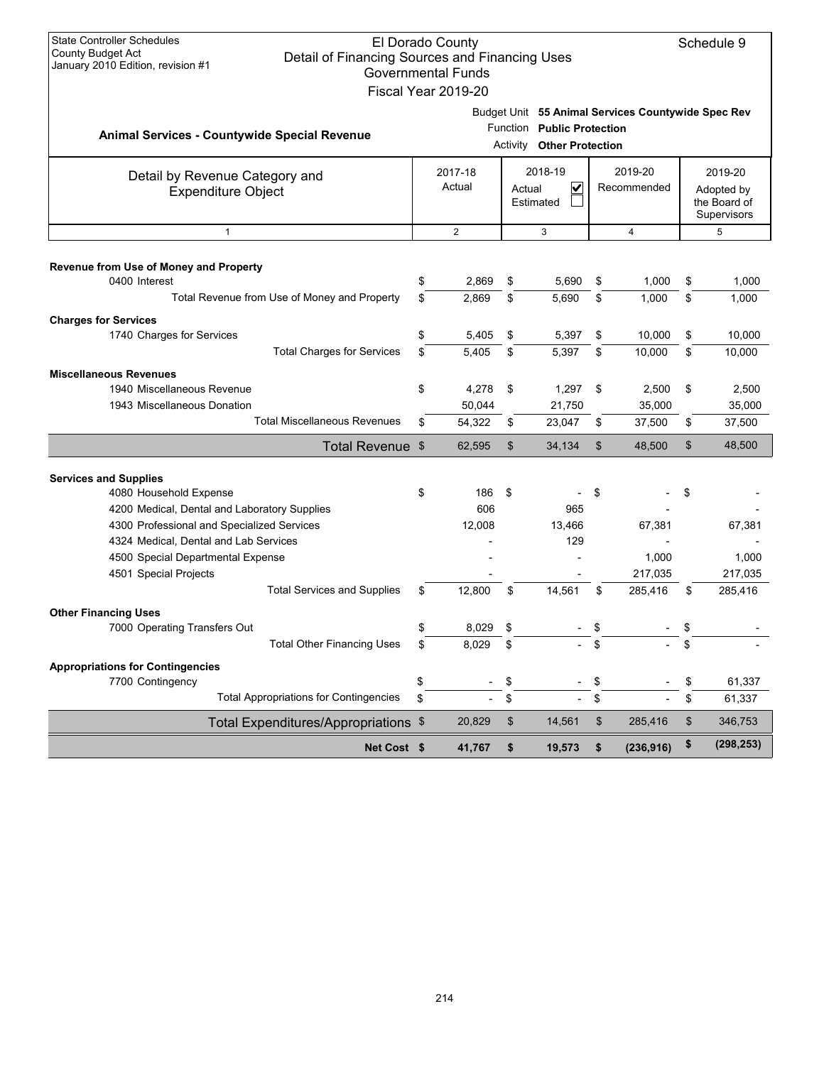| <b>State Controller Schedules</b><br><b>County Budget Act</b><br>Detail of Financing Sources and Financing Uses | El Dorado County                                 |    |                                                                |                           |                                                    |         | Schedule 9                                |  |
|-----------------------------------------------------------------------------------------------------------------|--------------------------------------------------|----|----------------------------------------------------------------|---------------------------|----------------------------------------------------|---------|-------------------------------------------|--|
| January 2010 Edition, revision #1                                                                               | <b>Governmental Funds</b><br>Fiscal Year 2019-20 |    |                                                                |                           |                                                    |         |                                           |  |
|                                                                                                                 |                                                  |    |                                                                |                           | Budget Unit 55 Animal Services Countywide Spec Rev |         |                                           |  |
| Animal Services - Countywide Special Revenue                                                                    |                                                  |    | Function Public Protection<br><b>Activity Other Protection</b> |                           |                                                    |         |                                           |  |
| Detail by Revenue Category and                                                                                  | 2017-18<br>2018-19<br>2019-20                    |    |                                                                |                           |                                                    | 2019-20 |                                           |  |
| <b>Expenditure Object</b>                                                                                       | Actual                                           |    | $\checkmark$<br>Actual<br>Estimated                            |                           | Recommended                                        |         | Adopted by<br>the Board of<br>Supervisors |  |
| $\mathbf{1}$                                                                                                    | $\overline{2}$                                   |    | 3                                                              |                           | $\overline{4}$                                     |         | 5                                         |  |
| Revenue from Use of Money and Property                                                                          |                                                  |    |                                                                |                           |                                                    |         |                                           |  |
| 0400 Interest                                                                                                   | \$<br>2,869                                      | \$ | 5,690                                                          | \$                        | 1,000                                              | \$      | 1,000                                     |  |
| Total Revenue from Use of Money and Property                                                                    | \$<br>2,869                                      | \$ | 5,690                                                          | \$                        | 1,000                                              | \$      | 1,000                                     |  |
| <b>Charges for Services</b>                                                                                     |                                                  |    |                                                                |                           |                                                    |         |                                           |  |
| 1740 Charges for Services                                                                                       | \$<br>5,405                                      | \$ | 5,397                                                          | \$                        | 10,000                                             | \$      | 10,000                                    |  |
| <b>Total Charges for Services</b>                                                                               | \$<br>5,405                                      | \$ | 5,397                                                          | \$                        | 10,000                                             | \$      | 10,000                                    |  |
| <b>Miscellaneous Revenues</b>                                                                                   |                                                  |    |                                                                |                           |                                                    |         |                                           |  |
| 1940 Miscellaneous Revenue                                                                                      | \$<br>4,278                                      | \$ | 1,297                                                          | - \$                      | 2,500                                              | \$      | 2,500                                     |  |
| 1943 Miscellaneous Donation                                                                                     | 50,044                                           |    | 21,750                                                         |                           | 35,000                                             |         | 35,000                                    |  |
| <b>Total Miscellaneous Revenues</b>                                                                             | \$<br>54,322                                     | \$ | 23,047                                                         | \$                        | 37,500                                             | \$      | 37,500                                    |  |
| Total Revenue \$                                                                                                | 62,595                                           | \$ | 34,134                                                         | $\boldsymbol{\mathsf{S}}$ | 48,500                                             | \$      | 48,500                                    |  |
| <b>Services and Supplies</b>                                                                                    |                                                  |    |                                                                |                           |                                                    |         |                                           |  |
| 4080 Household Expense                                                                                          | \$<br>186                                        | \$ |                                                                | \$                        |                                                    | \$      |                                           |  |
| 4200 Medical, Dental and Laboratory Supplies                                                                    | 606                                              |    | 965                                                            |                           |                                                    |         |                                           |  |
| 4300 Professional and Specialized Services                                                                      | 12,008                                           |    | 13,466                                                         |                           | 67,381                                             |         | 67,381                                    |  |
| 4324 Medical, Dental and Lab Services                                                                           |                                                  |    | 129                                                            |                           |                                                    |         |                                           |  |
| 4500 Special Departmental Expense                                                                               |                                                  |    |                                                                |                           | 1,000                                              |         | 1,000                                     |  |
| 4501 Special Projects                                                                                           |                                                  |    |                                                                |                           | 217,035                                            |         | 217,035                                   |  |
| <b>Total Services and Supplies</b>                                                                              | \$<br>12,800                                     | \$ | 14,561                                                         | \$                        | 285,416                                            | \$      | 285,416                                   |  |
| <b>Other Financing Uses</b>                                                                                     |                                                  |    |                                                                |                           |                                                    |         |                                           |  |
| 7000 Operating Transfers Out                                                                                    | 8,029                                            |    |                                                                |                           |                                                    | \$      |                                           |  |
| <b>Total Other Financing Uses</b>                                                                               | \$<br>8,029                                      | \$ |                                                                |                           |                                                    | \$      |                                           |  |
| <b>Appropriations for Contingencies</b>                                                                         |                                                  |    |                                                                |                           |                                                    |         |                                           |  |
| 7700 Contingency                                                                                                | \$                                               | \$ |                                                                | \$                        |                                                    | \$      | 61,337                                    |  |
| <b>Total Appropriations for Contingencies</b>                                                                   | \$                                               | \$ |                                                                | \$                        |                                                    | \$      | 61,337                                    |  |
| Total Expenditures/Appropriations \$                                                                            | 20,829                                           | \$ | 14,561                                                         | \$                        | 285,416                                            | \$      | 346,753                                   |  |
| Net Cost \$                                                                                                     | 41,767                                           | \$ | 19,573                                                         | \$                        | (236, 916)                                         | \$      | (298, 253)                                |  |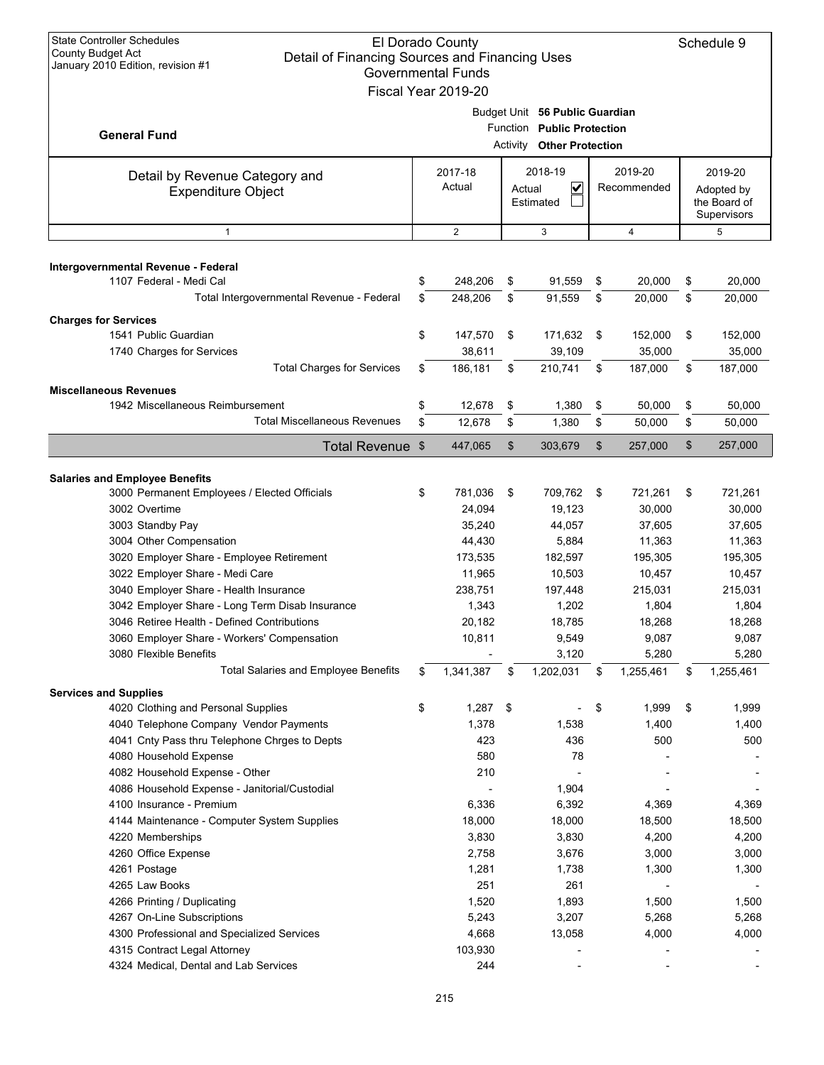| <b>State Controller Schedules</b><br>El Dorado County<br><b>County Budget Act</b><br>Detail of Financing Sources and Financing Uses<br>January 2010 Edition, revision #1<br><b>Governmental Funds</b><br>Fiscal Year 2019-20 |    |                   |          |                                                                                         |                        |                  |    |                                                      |  |  |
|------------------------------------------------------------------------------------------------------------------------------------------------------------------------------------------------------------------------------|----|-------------------|----------|-----------------------------------------------------------------------------------------|------------------------|------------------|----|------------------------------------------------------|--|--|
| <b>General Fund</b>                                                                                                                                                                                                          |    |                   | Activity | Budget Unit 56 Public Guardian<br>Function Public Protection<br><b>Other Protection</b> |                        |                  |    |                                                      |  |  |
| Detail by Revenue Category and<br><b>Expenditure Object</b>                                                                                                                                                                  |    | 2017-18<br>Actual | Actual   | 2018-19<br>V<br>Estimated                                                               | 2019-20<br>Recommended |                  |    | 2019-20<br>Adopted by<br>the Board of<br>Supervisors |  |  |
| $\mathbf{1}$                                                                                                                                                                                                                 |    | 2                 |          | 3                                                                                       |                        | 4                |    | 5                                                    |  |  |
| Intergovernmental Revenue - Federal<br>1107 Federal - Medi Cal                                                                                                                                                               | \$ | 248,206           | \$       | 91,559                                                                                  | \$                     | 20,000           | \$ | 20,000                                               |  |  |
| Total Intergovernmental Revenue - Federal                                                                                                                                                                                    | \$ | 248,206           | \$       | 91,559                                                                                  | \$                     | 20,000           | \$ | 20,000                                               |  |  |
|                                                                                                                                                                                                                              |    |                   |          |                                                                                         |                        |                  |    |                                                      |  |  |
| <b>Charges for Services</b><br>1541 Public Guardian                                                                                                                                                                          | \$ | 147,570           | \$       | 171,632                                                                                 | \$                     | 152,000          | \$ | 152,000                                              |  |  |
| 1740 Charges for Services                                                                                                                                                                                                    |    | 38,611            |          | 39,109                                                                                  |                        | 35,000           |    | 35,000                                               |  |  |
| <b>Total Charges for Services</b>                                                                                                                                                                                            | \$ | 186,181           | \$       | 210,741                                                                                 | \$                     | 187,000          | \$ | 187,000                                              |  |  |
| <b>Miscellaneous Revenues</b>                                                                                                                                                                                                |    |                   |          |                                                                                         |                        |                  |    |                                                      |  |  |
| 1942 Miscellaneous Reimbursement                                                                                                                                                                                             | \$ | 12,678            | \$       | 1,380                                                                                   | \$                     | 50.000           | \$ | 50,000                                               |  |  |
| <b>Total Miscellaneous Revenues</b>                                                                                                                                                                                          | \$ | 12,678            | \$       | 1,380                                                                                   | \$                     | 50,000           | \$ | 50,000                                               |  |  |
| <b>Total Revenue</b>                                                                                                                                                                                                         | \$ | 447,065           | \$       | 303,679                                                                                 | \$                     | 257,000          | \$ | 257,000                                              |  |  |
|                                                                                                                                                                                                                              |    |                   |          |                                                                                         |                        |                  |    |                                                      |  |  |
| <b>Salaries and Employee Benefits</b>                                                                                                                                                                                        |    |                   |          |                                                                                         |                        |                  |    |                                                      |  |  |
| 3000 Permanent Employees / Elected Officials                                                                                                                                                                                 | \$ | 781,036           | \$       | 709,762                                                                                 | \$                     | 721,261          | \$ | 721,261                                              |  |  |
| 3002 Overtime                                                                                                                                                                                                                |    | 24,094            |          | 19,123                                                                                  |                        | 30,000           |    | 30,000                                               |  |  |
| 3003 Standby Pay<br>3004 Other Compensation                                                                                                                                                                                  |    | 35,240<br>44,430  |          | 44,057<br>5,884                                                                         |                        | 37,605<br>11,363 |    | 37,605<br>11,363                                     |  |  |
| 3020 Employer Share - Employee Retirement                                                                                                                                                                                    |    | 173,535           |          | 182,597                                                                                 |                        | 195,305          |    | 195,305                                              |  |  |
| 3022 Employer Share - Medi Care                                                                                                                                                                                              |    | 11,965            |          | 10,503                                                                                  |                        | 10,457           |    | 10,457                                               |  |  |
| 3040 Employer Share - Health Insurance                                                                                                                                                                                       |    | 238,751           |          | 197,448                                                                                 |                        | 215,031          |    | 215,031                                              |  |  |
| 3042 Employer Share - Long Term Disab Insurance                                                                                                                                                                              |    | 1,343             |          | 1,202                                                                                   |                        | 1,804            |    | 1,804                                                |  |  |
| 3046 Retiree Health - Defined Contributions                                                                                                                                                                                  |    | 20,182            |          | 18,785                                                                                  |                        | 18,268           |    | 18,268                                               |  |  |
| 3060 Employer Share - Workers' Compensation                                                                                                                                                                                  |    | 10,811            |          | 9,549                                                                                   |                        | 9,087            |    | 9,087                                                |  |  |
| 3080 Flexible Benefits                                                                                                                                                                                                       |    |                   |          | 3,120                                                                                   |                        | 5,280            |    | 5,280                                                |  |  |
| <b>Total Salaries and Employee Benefits</b>                                                                                                                                                                                  | \$ | 1,341,387         | \$       | 1,202,031                                                                               | \$                     | 1,255,461        | \$ | 1,255,461                                            |  |  |
| <b>Services and Supplies</b>                                                                                                                                                                                                 |    |                   |          |                                                                                         |                        |                  |    |                                                      |  |  |
| 4020 Clothing and Personal Supplies                                                                                                                                                                                          | \$ | $1,287$ \$        |          |                                                                                         | \$                     | 1,999            | \$ | 1,999                                                |  |  |
| 4040 Telephone Company Vendor Payments                                                                                                                                                                                       |    | 1,378             |          | 1,538                                                                                   |                        | 1,400            |    | 1,400                                                |  |  |
| 4041 Cnty Pass thru Telephone Chrges to Depts                                                                                                                                                                                |    | 423               |          | 436                                                                                     |                        | 500              |    | 500                                                  |  |  |
| 4080 Household Expense                                                                                                                                                                                                       |    | 580               |          | 78                                                                                      |                        |                  |    |                                                      |  |  |
| 4082 Household Expense - Other                                                                                                                                                                                               |    | 210               |          |                                                                                         |                        |                  |    |                                                      |  |  |
| 4086 Household Expense - Janitorial/Custodial<br>4100 Insurance - Premium                                                                                                                                                    |    | 6,336             |          | 1,904<br>6,392                                                                          |                        | 4,369            |    | 4,369                                                |  |  |
| 4144 Maintenance - Computer System Supplies                                                                                                                                                                                  |    | 18,000            |          | 18,000                                                                                  |                        | 18,500           |    | 18,500                                               |  |  |
| 4220 Memberships                                                                                                                                                                                                             |    | 3,830             |          | 3,830                                                                                   |                        | 4,200            |    | 4,200                                                |  |  |
| 4260 Office Expense                                                                                                                                                                                                          |    | 2,758             |          | 3,676                                                                                   |                        | 3,000            |    | 3,000                                                |  |  |
| 4261 Postage                                                                                                                                                                                                                 |    | 1,281             |          | 1,738                                                                                   |                        | 1,300            |    | 1,300                                                |  |  |
| 4265 Law Books                                                                                                                                                                                                               |    | 251               |          | 261                                                                                     |                        |                  |    |                                                      |  |  |
| 4266 Printing / Duplicating                                                                                                                                                                                                  |    | 1,520             |          | 1,893                                                                                   |                        | 1,500            |    | 1,500                                                |  |  |
| 4267 On-Line Subscriptions                                                                                                                                                                                                   |    | 5,243             |          | 3,207                                                                                   |                        | 5,268            |    | 5,268                                                |  |  |
| 4300 Professional and Specialized Services                                                                                                                                                                                   |    | 4,668             |          | 13,058                                                                                  |                        | 4,000            |    | 4,000                                                |  |  |
| 4315 Contract Legal Attorney                                                                                                                                                                                                 |    | 103,930           |          |                                                                                         |                        |                  |    |                                                      |  |  |
| 4324 Medical, Dental and Lab Services                                                                                                                                                                                        |    | 244               |          |                                                                                         |                        |                  |    |                                                      |  |  |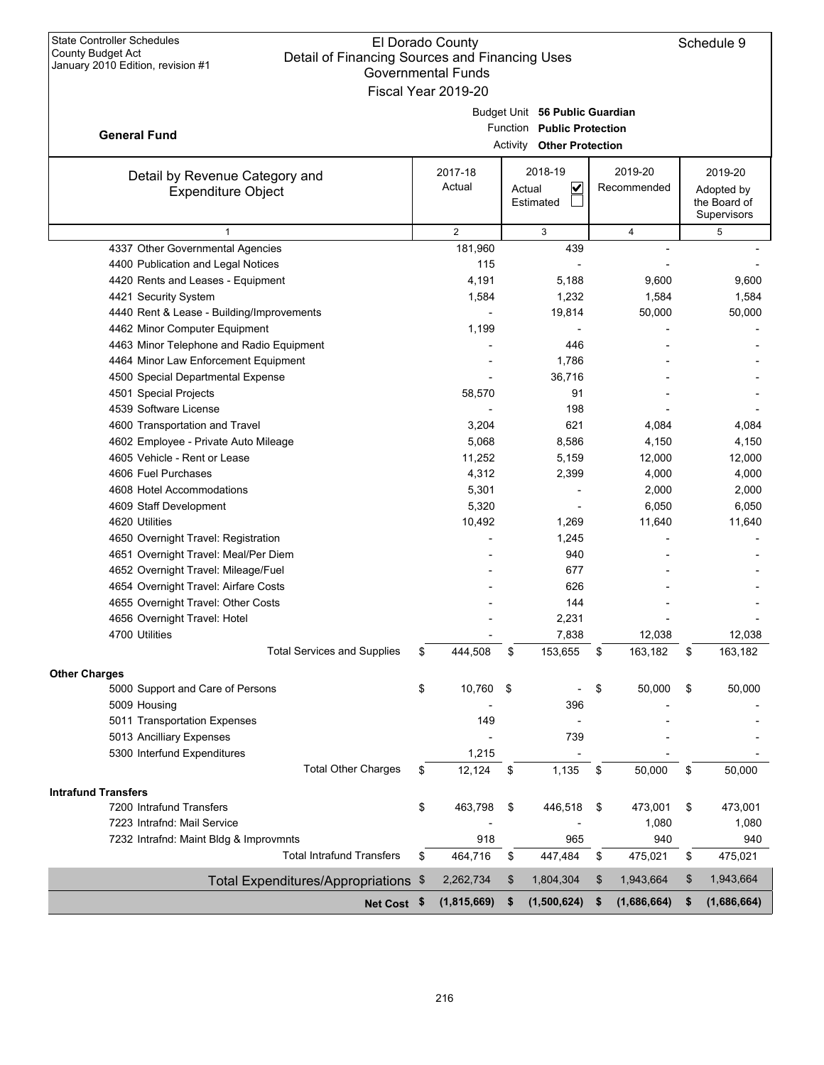|                                                                            | <b>GUVENNINENIAI FUNUS</b><br>Fiscal Year 2019-20 |                                  |                   |                   |
|----------------------------------------------------------------------------|---------------------------------------------------|----------------------------------|-------------------|-------------------|
|                                                                            |                                                   | Budget Unit 56 Public Guardian   |                   |                   |
|                                                                            |                                                   | Function Public Protection       |                   |                   |
| <b>General Fund</b>                                                        |                                                   | <b>Activity Other Protection</b> |                   |                   |
| Detail by Revenue Category and                                             | 2017-18                                           | 2018-19                          | 2019-20           | 2019-20           |
| <b>Expenditure Object</b>                                                  | Actual                                            | $\checkmark$<br>Actual           | Recommended       | Adopted by        |
|                                                                            |                                                   | Estimated                        |                   | the Board of      |
| $\mathbf{1}$                                                               | $\overline{2}$                                    | 3                                | $\overline{4}$    | Supervisors<br>5  |
| 4337 Other Governmental Agencies                                           | 181,960                                           | 439                              |                   |                   |
| 4400 Publication and Legal Notices                                         | 115                                               |                                  |                   |                   |
| 4420 Rents and Leases - Equipment                                          | 4,191                                             | 5,188                            | 9,600             | 9,600             |
| 4421 Security System                                                       | 1,584                                             | 1,232                            | 1,584             | 1,584             |
| 4440 Rent & Lease - Building/Improvements                                  |                                                   | 19,814                           | 50,000            | 50,000            |
| 4462 Minor Computer Equipment                                              | 1,199                                             |                                  |                   |                   |
| 4463 Minor Telephone and Radio Equipment                                   |                                                   | 446                              |                   |                   |
| 4464 Minor Law Enforcement Equipment                                       |                                                   | 1,786                            |                   |                   |
| 4500 Special Departmental Expense                                          |                                                   | 36,716                           |                   |                   |
| 4501 Special Projects                                                      | 58,570                                            | 91                               |                   |                   |
| 4539 Software License                                                      |                                                   | 198                              |                   |                   |
| 4600 Transportation and Travel                                             | 3,204                                             | 621                              | 4,084             | 4,084             |
| 4602 Employee - Private Auto Mileage                                       | 5,068                                             | 8,586                            | 4,150             | 4,150             |
| 4605 Vehicle - Rent or Lease                                               | 11,252                                            | 5,159                            | 12,000            | 12,000            |
| 4606 Fuel Purchases                                                        | 4,312                                             | 2,399                            | 4,000             | 4,000             |
| 4608 Hotel Accommodations                                                  | 5,301                                             |                                  | 2,000             | 2,000             |
| 4609 Staff Development                                                     | 5,320                                             |                                  | 6,050             | 6,050             |
| 4620 Utilities                                                             | 10,492                                            | 1,269                            | 11,640            | 11,640            |
| 4650 Overnight Travel: Registration                                        |                                                   | 1,245                            |                   |                   |
| 4651 Overnight Travel: Meal/Per Diem                                       |                                                   | 940                              |                   |                   |
| 4652 Overnight Travel: Mileage/Fuel                                        |                                                   | 677                              |                   |                   |
| 4654 Overnight Travel: Airfare Costs                                       |                                                   | 626                              |                   |                   |
| 4655 Overnight Travel: Other Costs                                         |                                                   | 144                              |                   |                   |
| 4656 Overnight Travel: Hotel                                               |                                                   | 2,231                            |                   |                   |
| 4700 Utilities                                                             |                                                   | 7,838                            | 12,038            | 12,038            |
| <b>Total Services and Supplies</b>                                         | \$<br>444,508                                     | \$<br>153,655                    | \$<br>163,182     | \$<br>163,182     |
| <b>Other Charges</b>                                                       |                                                   |                                  |                   |                   |
| 5000 Support and Care of Persons                                           | \$<br>10,760                                      | \$                               | \$<br>50,000      | \$<br>50,000      |
| 5009 Housing                                                               |                                                   | 396                              |                   |                   |
| 5011 Transportation Expenses                                               | 149                                               |                                  |                   |                   |
| 5013 Ancilliary Expenses                                                   |                                                   | 739                              |                   |                   |
| 5300 Interfund Expenditures                                                | 1,215                                             |                                  |                   |                   |
| <b>Total Other Charges</b>                                                 | \$<br>12,124                                      | \$<br>1,135                      | \$<br>50,000      | \$<br>50,000      |
| <b>Intrafund Transfers</b>                                                 |                                                   |                                  |                   |                   |
| 7200 Intrafund Transfers                                                   | \$<br>463,798                                     | \$<br>446,518                    | \$<br>473,001     | \$<br>473,001     |
| 7223 Intrafnd: Mail Service                                                |                                                   |                                  | 1,080             | 1,080             |
| 7232 Intrafnd: Maint Bldg & Improvmnts<br><b>Total Intrafund Transfers</b> | 918                                               | 965                              | 940               | 940               |
|                                                                            | \$<br>464,716                                     | \$<br>447,484                    | \$<br>475,021     | \$<br>475,021     |
| Total Expenditures/Appropriations \$                                       | 2,262,734                                         | \$<br>1,804,304                  | \$<br>1,943,664   | \$<br>1,943,664   |
| Net Cost \$                                                                | (1,815,669)                                       | \$<br>(1,500,624)                | \$<br>(1,686,664) | \$<br>(1,686,664) |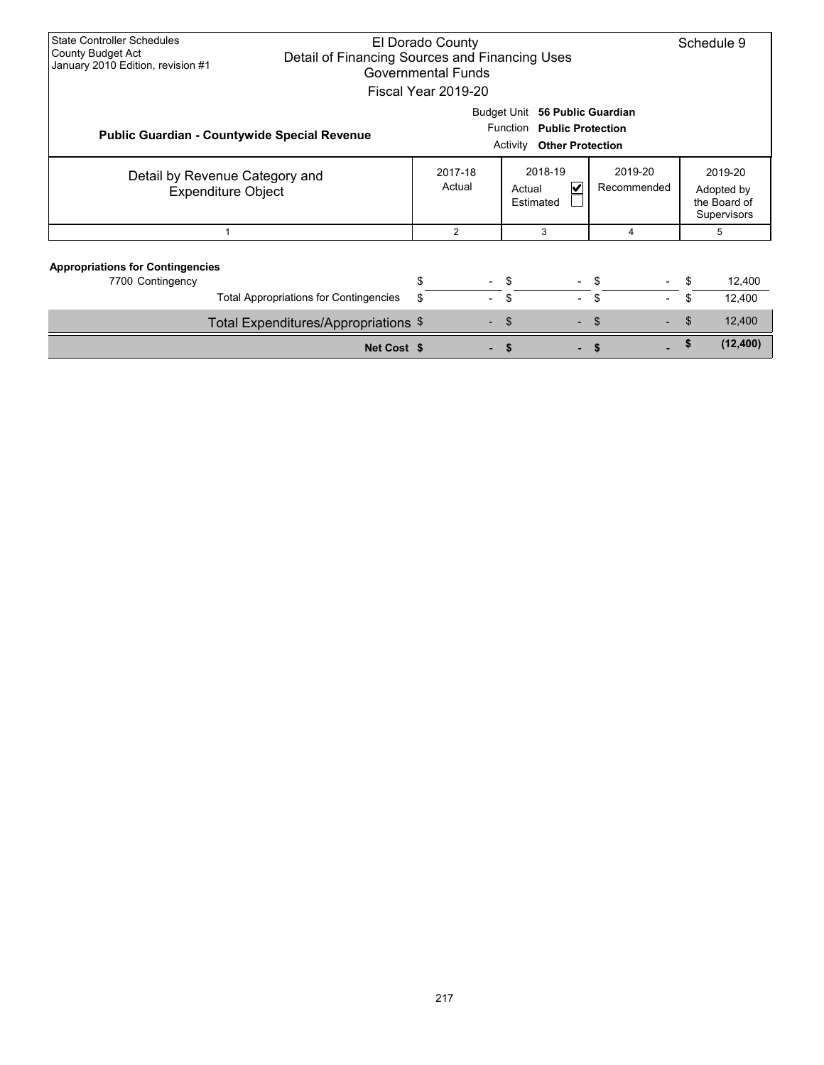| <b>State Controller Schedules</b><br>County Budget Act<br>January 2010 Edition, revision #1                  | El Dorado County<br>Detail of Financing Sources and Financing Uses<br><b>Governmental Funds</b><br>Fiscal Year 2019-20 |                   |  |                                     |                        | Schedule 9                                           |                  |
|--------------------------------------------------------------------------------------------------------------|------------------------------------------------------------------------------------------------------------------------|-------------------|--|-------------------------------------|------------------------|------------------------------------------------------|------------------|
| <b>Public Guardian - Countywide Special Revenue</b>                                                          | Budget Unit 56 Public Guardian<br>Function<br><b>Public Protection</b><br><b>Other Protection</b><br>Activity          |                   |  |                                     |                        |                                                      |                  |
| Detail by Revenue Category and<br><b>Expenditure Object</b>                                                  |                                                                                                                        | 2017-18<br>Actual |  | 2018-19<br>V<br>Actual<br>Estimated | 2019-20<br>Recommended | 2019-20<br>Adopted by<br>the Board of<br>Supervisors |                  |
|                                                                                                              |                                                                                                                        | 2                 |  | 3                                   | 4                      | 5                                                    |                  |
| <b>Appropriations for Contingencies</b><br>7700 Contingency<br><b>Total Appropriations for Contingencies</b> |                                                                                                                        | \$<br>\$          |  | -\$<br>\$                           | - \$<br>\$             | \$<br>\$                                             | 12,400<br>12,400 |
|                                                                                                              | Total Expenditures/Appropriations \$                                                                                   |                   |  | \$.<br>÷.                           | \$.                    | \$                                                   | 12,400           |
|                                                                                                              | Net Cost \$                                                                                                            |                   |  |                                     |                        | £.                                                   | (12, 400)        |